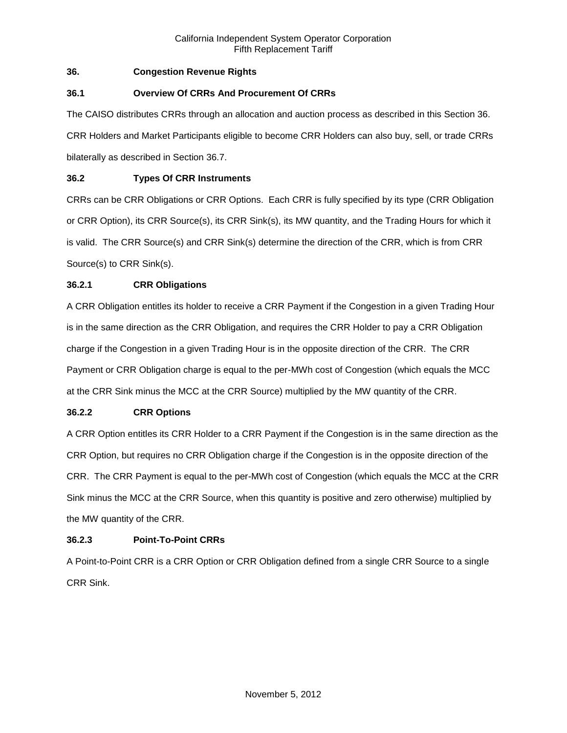# **36. Congestion Revenue Rights**

# **36.1 Overview Of CRRs And Procurement Of CRRs**

The CAISO distributes CRRs through an allocation and auction process as described in this Section 36. CRR Holders and Market Participants eligible to become CRR Holders can also buy, sell, or trade CRRs bilaterally as described in Section 36.7.

# **36.2 Types Of CRR Instruments**

CRRs can be CRR Obligations or CRR Options. Each CRR is fully specified by its type (CRR Obligation or CRR Option), its CRR Source(s), its CRR Sink(s), its MW quantity, and the Trading Hours for which it is valid. The CRR Source(s) and CRR Sink(s) determine the direction of the CRR, which is from CRR Source(s) to CRR Sink(s).

# **36.2.1 CRR Obligations**

A CRR Obligation entitles its holder to receive a CRR Payment if the Congestion in a given Trading Hour is in the same direction as the CRR Obligation, and requires the CRR Holder to pay a CRR Obligation charge if the Congestion in a given Trading Hour is in the opposite direction of the CRR. The CRR Payment or CRR Obligation charge is equal to the per-MWh cost of Congestion (which equals the MCC at the CRR Sink minus the MCC at the CRR Source) multiplied by the MW quantity of the CRR.

## **36.2.2 CRR Options**

A CRR Option entitles its CRR Holder to a CRR Payment if the Congestion is in the same direction as the CRR Option, but requires no CRR Obligation charge if the Congestion is in the opposite direction of the CRR. The CRR Payment is equal to the per-MWh cost of Congestion (which equals the MCC at the CRR Sink minus the MCC at the CRR Source, when this quantity is positive and zero otherwise) multiplied by the MW quantity of the CRR.

## **36.2.3 Point-To-Point CRRs**

A Point-to-Point CRR is a CRR Option or CRR Obligation defined from a single CRR Source to a single CRR Sink.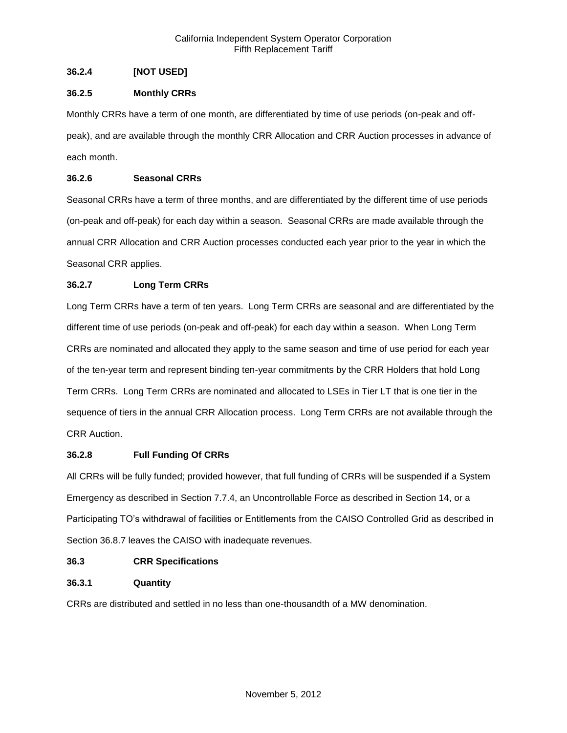# **36.2.4 [NOT USED]**

# **36.2.5 Monthly CRRs**

Monthly CRRs have a term of one month, are differentiated by time of use periods (on-peak and offpeak), and are available through the monthly CRR Allocation and CRR Auction processes in advance of each month.

# **36.2.6 Seasonal CRRs**

Seasonal CRRs have a term of three months, and are differentiated by the different time of use periods (on-peak and off-peak) for each day within a season. Seasonal CRRs are made available through the annual CRR Allocation and CRR Auction processes conducted each year prior to the year in which the Seasonal CRR applies.

# **36.2.7 Long Term CRRs**

Long Term CRRs have a term of ten years. Long Term CRRs are seasonal and are differentiated by the different time of use periods (on-peak and off-peak) for each day within a season. When Long Term CRRs are nominated and allocated they apply to the same season and time of use period for each year of the ten-year term and represent binding ten-year commitments by the CRR Holders that hold Long Term CRRs. Long Term CRRs are nominated and allocated to LSEs in Tier LT that is one tier in the sequence of tiers in the annual CRR Allocation process. Long Term CRRs are not available through the CRR Auction.

## **36.2.8 Full Funding Of CRRs**

All CRRs will be fully funded; provided however, that full funding of CRRs will be suspended if a System Emergency as described in Section 7.7.4, an Uncontrollable Force as described in Section 14, or a Participating TO's withdrawal of facilities or Entitlements from the CAISO Controlled Grid as described in Section 36.8.7 leaves the CAISO with inadequate revenues.

## **36.3 CRR Specifications**

# **36.3.1 Quantity**

CRRs are distributed and settled in no less than one-thousandth of a MW denomination.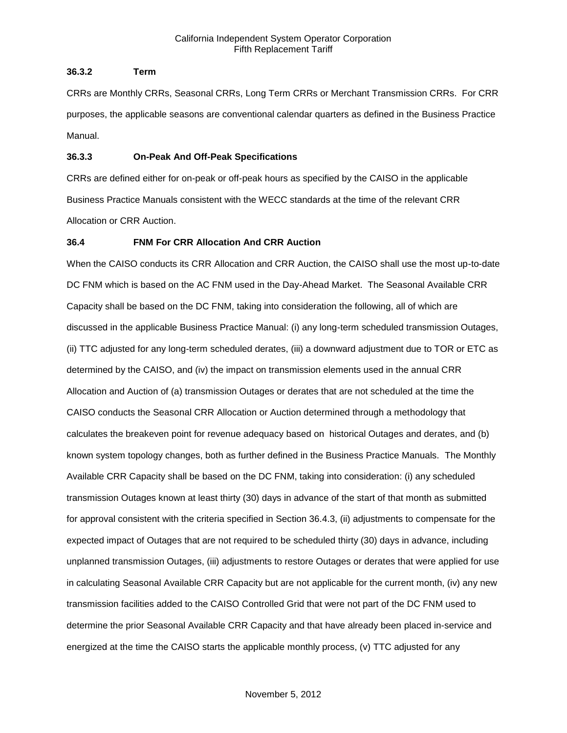# **36.3.2 Term**

CRRs are Monthly CRRs, Seasonal CRRs, Long Term CRRs or Merchant Transmission CRRs. For CRR purposes, the applicable seasons are conventional calendar quarters as defined in the Business Practice Manual.

# **36.3.3 On-Peak And Off-Peak Specifications**

CRRs are defined either for on-peak or off-peak hours as specified by the CAISO in the applicable Business Practice Manuals consistent with the WECC standards at the time of the relevant CRR Allocation or CRR Auction.

# **36.4 FNM For CRR Allocation And CRR Auction**

When the CAISO conducts its CRR Allocation and CRR Auction, the CAISO shall use the most up-to-date DC FNM which is based on the AC FNM used in the Day-Ahead Market. The Seasonal Available CRR Capacity shall be based on the DC FNM, taking into consideration the following, all of which are discussed in the applicable Business Practice Manual: (i) any long-term scheduled transmission Outages, (ii) TTC adjusted for any long-term scheduled derates, (iii) a downward adjustment due to TOR or ETC as determined by the CAISO, and (iv) the impact on transmission elements used in the annual CRR Allocation and Auction of (a) transmission Outages or derates that are not scheduled at the time the CAISO conducts the Seasonal CRR Allocation or Auction determined through a methodology that calculates the breakeven point for revenue adequacy based on historical Outages and derates, and (b) known system topology changes, both as further defined in the Business Practice Manuals. The Monthly Available CRR Capacity shall be based on the DC FNM, taking into consideration: (i) any scheduled transmission Outages known at least thirty (30) days in advance of the start of that month as submitted for approval consistent with the criteria specified in Section 36.4.3, (ii) adjustments to compensate for the expected impact of Outages that are not required to be scheduled thirty (30) days in advance, including unplanned transmission Outages, (iii) adjustments to restore Outages or derates that were applied for use in calculating Seasonal Available CRR Capacity but are not applicable for the current month, (iv) any new transmission facilities added to the CAISO Controlled Grid that were not part of the DC FNM used to determine the prior Seasonal Available CRR Capacity and that have already been placed in-service and energized at the time the CAISO starts the applicable monthly process, (v) TTC adjusted for any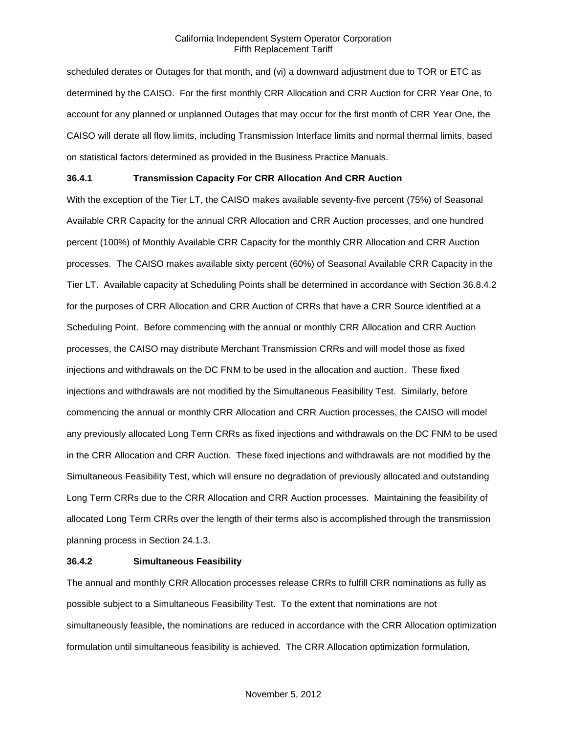scheduled derates or Outages for that month, and (vi) a downward adjustment due to TOR or ETC as determined by the CAISO. For the first monthly CRR Allocation and CRR Auction for CRR Year One, to account for any planned or unplanned Outages that may occur for the first month of CRR Year One, the CAISO will derate all flow limits, including Transmission Interface limits and normal thermal limits, based on statistical factors determined as provided in the Business Practice Manuals.

## **36.4.1 Transmission Capacity For CRR Allocation And CRR Auction**

With the exception of the Tier LT, the CAISO makes available seventy-five percent (75%) of Seasonal Available CRR Capacity for the annual CRR Allocation and CRR Auction processes, and one hundred percent (100%) of Monthly Available CRR Capacity for the monthly CRR Allocation and CRR Auction processes. The CAISO makes available sixty percent (60%) of Seasonal Available CRR Capacity in the Tier LT. Available capacity at Scheduling Points shall be determined in accordance with Section 36.8.4.2 for the purposes of CRR Allocation and CRR Auction of CRRs that have a CRR Source identified at a Scheduling Point. Before commencing with the annual or monthly CRR Allocation and CRR Auction processes, the CAISO may distribute Merchant Transmission CRRs and will model those as fixed injections and withdrawals on the DC FNM to be used in the allocation and auction. These fixed injections and withdrawals are not modified by the Simultaneous Feasibility Test. Similarly, before commencing the annual or monthly CRR Allocation and CRR Auction processes, the CAISO will model any previously allocated Long Term CRRs as fixed injections and withdrawals on the DC FNM to be used in the CRR Allocation and CRR Auction. These fixed injections and withdrawals are not modified by the Simultaneous Feasibility Test, which will ensure no degradation of previously allocated and outstanding Long Term CRRs due to the CRR Allocation and CRR Auction processes. Maintaining the feasibility of allocated Long Term CRRs over the length of their terms also is accomplished through the transmission planning process in Section 24.1.3.

#### **36.4.2 Simultaneous Feasibility**

The annual and monthly CRR Allocation processes release CRRs to fulfill CRR nominations as fully as possible subject to a Simultaneous Feasibility Test. To the extent that nominations are not simultaneously feasible, the nominations are reduced in accordance with the CRR Allocation optimization formulation until simultaneous feasibility is achieved. The CRR Allocation optimization formulation,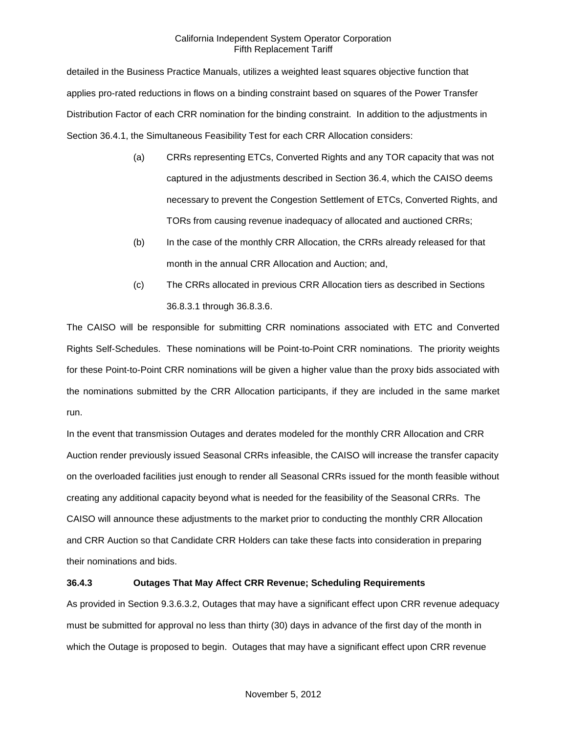detailed in the Business Practice Manuals, utilizes a weighted least squares objective function that applies pro-rated reductions in flows on a binding constraint based on squares of the Power Transfer Distribution Factor of each CRR nomination for the binding constraint. In addition to the adjustments in Section 36.4.1, the Simultaneous Feasibility Test for each CRR Allocation considers:

- (a) CRRs representing ETCs, Converted Rights and any TOR capacity that was not captured in the adjustments described in Section 36.4, which the CAISO deems necessary to prevent the Congestion Settlement of ETCs, Converted Rights, and TORs from causing revenue inadequacy of allocated and auctioned CRRs;
- (b) In the case of the monthly CRR Allocation, the CRRs already released for that month in the annual CRR Allocation and Auction; and,
- (c) The CRRs allocated in previous CRR Allocation tiers as described in Sections 36.8.3.1 through 36.8.3.6.

The CAISO will be responsible for submitting CRR nominations associated with ETC and Converted Rights Self-Schedules. These nominations will be Point-to-Point CRR nominations. The priority weights for these Point-to-Point CRR nominations will be given a higher value than the proxy bids associated with the nominations submitted by the CRR Allocation participants, if they are included in the same market run.

In the event that transmission Outages and derates modeled for the monthly CRR Allocation and CRR Auction render previously issued Seasonal CRRs infeasible, the CAISO will increase the transfer capacity on the overloaded facilities just enough to render all Seasonal CRRs issued for the month feasible without creating any additional capacity beyond what is needed for the feasibility of the Seasonal CRRs. The CAISO will announce these adjustments to the market prior to conducting the monthly CRR Allocation and CRR Auction so that Candidate CRR Holders can take these facts into consideration in preparing their nominations and bids.

# **36.4.3 Outages That May Affect CRR Revenue; Scheduling Requirements**

As provided in Section 9.3.6.3.2, Outages that may have a significant effect upon CRR revenue adequacy must be submitted for approval no less than thirty (30) days in advance of the first day of the month in which the Outage is proposed to begin. Outages that may have a significant effect upon CRR revenue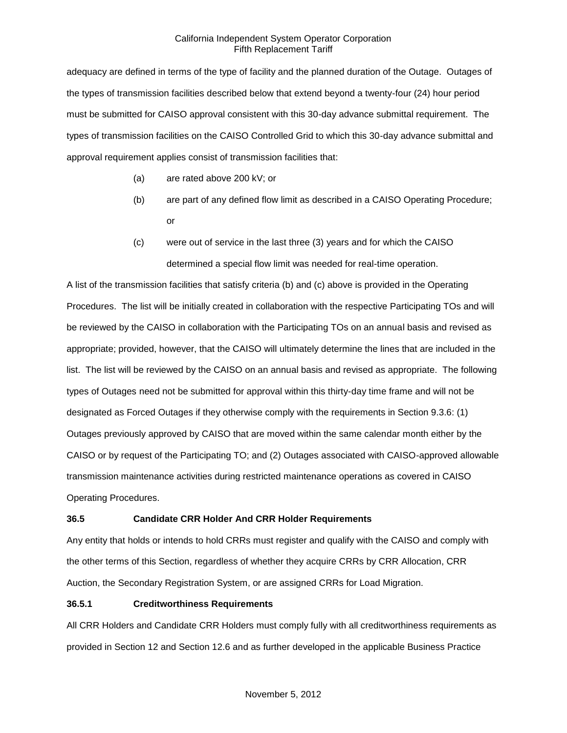adequacy are defined in terms of the type of facility and the planned duration of the Outage. Outages of the types of transmission facilities described below that extend beyond a twenty-four (24) hour period must be submitted for CAISO approval consistent with this 30-day advance submittal requirement. The types of transmission facilities on the CAISO Controlled Grid to which this 30-day advance submittal and approval requirement applies consist of transmission facilities that:

- (a) are rated above 200 kV; or
- (b) are part of any defined flow limit as described in a CAISO Operating Procedure; or
- (c) were out of service in the last three (3) years and for which the CAISO determined a special flow limit was needed for real-time operation.

A list of the transmission facilities that satisfy criteria (b) and (c) above is provided in the Operating Procedures. The list will be initially created in collaboration with the respective Participating TOs and will be reviewed by the CAISO in collaboration with the Participating TOs on an annual basis and revised as appropriate; provided, however, that the CAISO will ultimately determine the lines that are included in the list. The list will be reviewed by the CAISO on an annual basis and revised as appropriate. The following types of Outages need not be submitted for approval within this thirty-day time frame and will not be designated as Forced Outages if they otherwise comply with the requirements in Section 9.3.6: (1) Outages previously approved by CAISO that are moved within the same calendar month either by the CAISO or by request of the Participating TO; and (2) Outages associated with CAISO-approved allowable transmission maintenance activities during restricted maintenance operations as covered in CAISO Operating Procedures.

# **36.5 Candidate CRR Holder And CRR Holder Requirements**

Any entity that holds or intends to hold CRRs must register and qualify with the CAISO and comply with the other terms of this Section, regardless of whether they acquire CRRs by CRR Allocation, CRR Auction, the Secondary Registration System, or are assigned CRRs for Load Migration.

## **36.5.1 Creditworthiness Requirements**

All CRR Holders and Candidate CRR Holders must comply fully with all creditworthiness requirements as provided in Section 12 and Section 12.6 and as further developed in the applicable Business Practice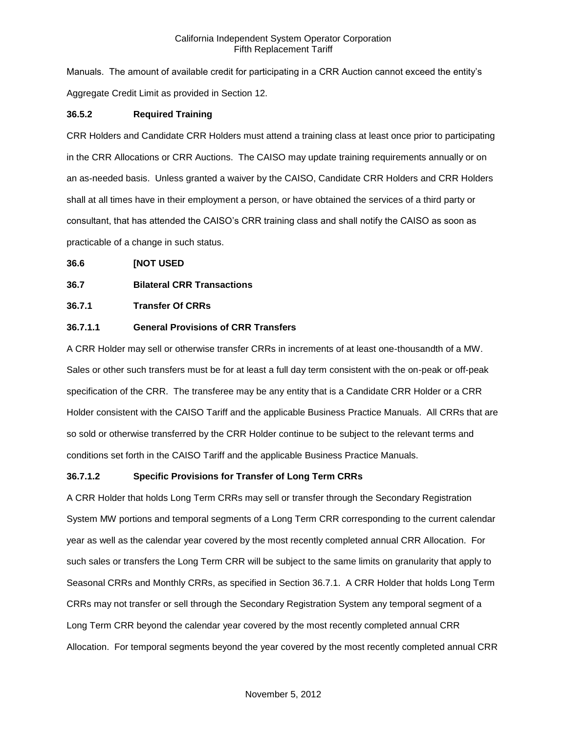Manuals. The amount of available credit for participating in a CRR Auction cannot exceed the entity's Aggregate Credit Limit as provided in Section 12.

# **36.5.2 Required Training**

CRR Holders and Candidate CRR Holders must attend a training class at least once prior to participating in the CRR Allocations or CRR Auctions. The CAISO may update training requirements annually or on an as-needed basis. Unless granted a waiver by the CAISO, Candidate CRR Holders and CRR Holders shall at all times have in their employment a person, or have obtained the services of a third party or consultant, that has attended the CAISO's CRR training class and shall notify the CAISO as soon as practicable of a change in such status.

## **36.6 [NOT USED**

# **36.7 Bilateral CRR Transactions**

# **36.7.1 Transfer Of CRRs**

# **36.7.1.1 General Provisions of CRR Transfers**

A CRR Holder may sell or otherwise transfer CRRs in increments of at least one-thousandth of a MW. Sales or other such transfers must be for at least a full day term consistent with the on-peak or off-peak specification of the CRR. The transferee may be any entity that is a Candidate CRR Holder or a CRR Holder consistent with the CAISO Tariff and the applicable Business Practice Manuals. All CRRs that are so sold or otherwise transferred by the CRR Holder continue to be subject to the relevant terms and conditions set forth in the CAISO Tariff and the applicable Business Practice Manuals.

## **36.7.1.2 Specific Provisions for Transfer of Long Term CRRs**

A CRR Holder that holds Long Term CRRs may sell or transfer through the Secondary Registration System MW portions and temporal segments of a Long Term CRR corresponding to the current calendar year as well as the calendar year covered by the most recently completed annual CRR Allocation. For such sales or transfers the Long Term CRR will be subject to the same limits on granularity that apply to Seasonal CRRs and Monthly CRRs, as specified in Section 36.7.1. A CRR Holder that holds Long Term CRRs may not transfer or sell through the Secondary Registration System any temporal segment of a Long Term CRR beyond the calendar year covered by the most recently completed annual CRR Allocation. For temporal segments beyond the year covered by the most recently completed annual CRR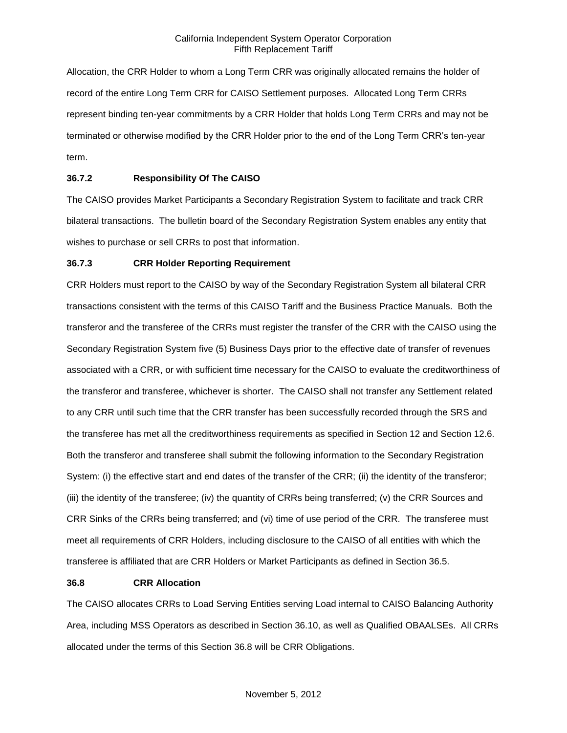Allocation, the CRR Holder to whom a Long Term CRR was originally allocated remains the holder of record of the entire Long Term CRR for CAISO Settlement purposes. Allocated Long Term CRRs represent binding ten-year commitments by a CRR Holder that holds Long Term CRRs and may not be terminated or otherwise modified by the CRR Holder prior to the end of the Long Term CRR's ten-year term.

# **36.7.2 Responsibility Of The CAISO**

The CAISO provides Market Participants a Secondary Registration System to facilitate and track CRR bilateral transactions. The bulletin board of the Secondary Registration System enables any entity that wishes to purchase or sell CRRs to post that information.

## **36.7.3 CRR Holder Reporting Requirement**

CRR Holders must report to the CAISO by way of the Secondary Registration System all bilateral CRR transactions consistent with the terms of this CAISO Tariff and the Business Practice Manuals. Both the transferor and the transferee of the CRRs must register the transfer of the CRR with the CAISO using the Secondary Registration System five (5) Business Days prior to the effective date of transfer of revenues associated with a CRR, or with sufficient time necessary for the CAISO to evaluate the creditworthiness of the transferor and transferee, whichever is shorter. The CAISO shall not transfer any Settlement related to any CRR until such time that the CRR transfer has been successfully recorded through the SRS and the transferee has met all the creditworthiness requirements as specified in Section 12 and Section 12.6. Both the transferor and transferee shall submit the following information to the Secondary Registration System: (i) the effective start and end dates of the transfer of the CRR; (ii) the identity of the transferor; (iii) the identity of the transferee; (iv) the quantity of CRRs being transferred; (v) the CRR Sources and CRR Sinks of the CRRs being transferred; and (vi) time of use period of the CRR. The transferee must meet all requirements of CRR Holders, including disclosure to the CAISO of all entities with which the transferee is affiliated that are CRR Holders or Market Participants as defined in Section 36.5.

## **36.8 CRR Allocation**

The CAISO allocates CRRs to Load Serving Entities serving Load internal to CAISO Balancing Authority Area, including MSS Operators as described in Section 36.10, as well as Qualified OBAALSEs. All CRRs allocated under the terms of this Section 36.8 will be CRR Obligations.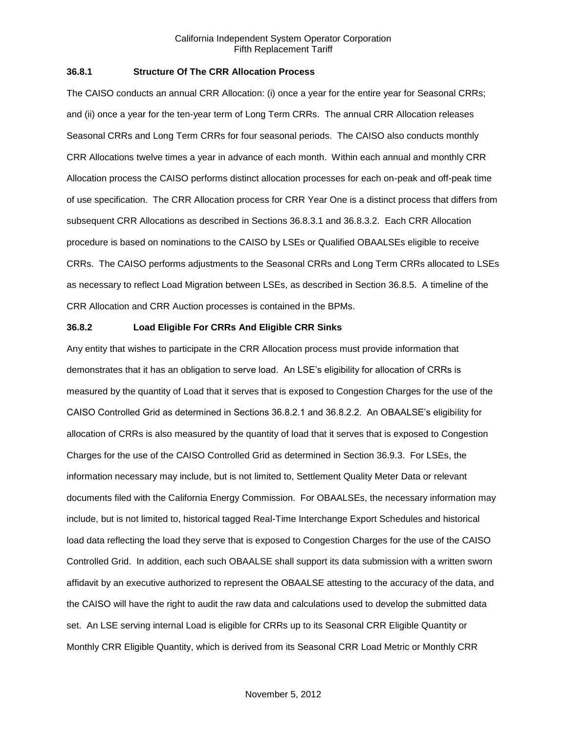# **36.8.1 Structure Of The CRR Allocation Process**

The CAISO conducts an annual CRR Allocation: (i) once a year for the entire year for Seasonal CRRs; and (ii) once a year for the ten-year term of Long Term CRRs. The annual CRR Allocation releases Seasonal CRRs and Long Term CRRs for four seasonal periods. The CAISO also conducts monthly CRR Allocations twelve times a year in advance of each month. Within each annual and monthly CRR Allocation process the CAISO performs distinct allocation processes for each on-peak and off-peak time of use specification. The CRR Allocation process for CRR Year One is a distinct process that differs from subsequent CRR Allocations as described in Sections 36.8.3.1 and 36.8.3.2. Each CRR Allocation procedure is based on nominations to the CAISO by LSEs or Qualified OBAALSEs eligible to receive CRRs. The CAISO performs adjustments to the Seasonal CRRs and Long Term CRRs allocated to LSEs as necessary to reflect Load Migration between LSEs, as described in Section 36.8.5. A timeline of the CRR Allocation and CRR Auction processes is contained in the BPMs.

## **36.8.2 Load Eligible For CRRs And Eligible CRR Sinks**

Any entity that wishes to participate in the CRR Allocation process must provide information that demonstrates that it has an obligation to serve load. An LSE's eligibility for allocation of CRRs is measured by the quantity of Load that it serves that is exposed to Congestion Charges for the use of the CAISO Controlled Grid as determined in Sections 36.8.2.1 and 36.8.2.2. An OBAALSE's eligibility for allocation of CRRs is also measured by the quantity of load that it serves that is exposed to Congestion Charges for the use of the CAISO Controlled Grid as determined in Section 36.9.3. For LSEs, the information necessary may include, but is not limited to, Settlement Quality Meter Data or relevant documents filed with the California Energy Commission. For OBAALSEs, the necessary information may include, but is not limited to, historical tagged Real-Time Interchange Export Schedules and historical load data reflecting the load they serve that is exposed to Congestion Charges for the use of the CAISO Controlled Grid. In addition, each such OBAALSE shall support its data submission with a written sworn affidavit by an executive authorized to represent the OBAALSE attesting to the accuracy of the data, and the CAISO will have the right to audit the raw data and calculations used to develop the submitted data set. An LSE serving internal Load is eligible for CRRs up to its Seasonal CRR Eligible Quantity or Monthly CRR Eligible Quantity, which is derived from its Seasonal CRR Load Metric or Monthly CRR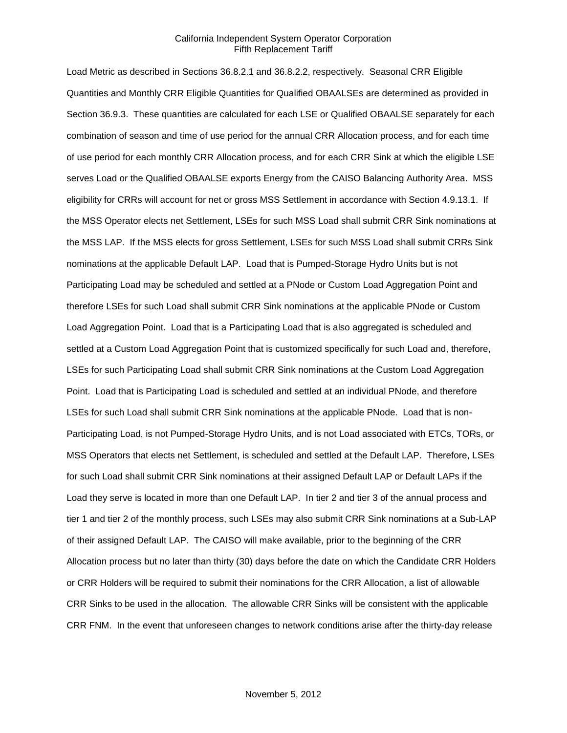Load Metric as described in Sections 36.8.2.1 and 36.8.2.2, respectively. Seasonal CRR Eligible Quantities and Monthly CRR Eligible Quantities for Qualified OBAALSEs are determined as provided in Section 36.9.3. These quantities are calculated for each LSE or Qualified OBAALSE separately for each combination of season and time of use period for the annual CRR Allocation process, and for each time of use period for each monthly CRR Allocation process, and for each CRR Sink at which the eligible LSE serves Load or the Qualified OBAALSE exports Energy from the CAISO Balancing Authority Area. MSS eligibility for CRRs will account for net or gross MSS Settlement in accordance with Section 4.9.13.1. If the MSS Operator elects net Settlement, LSEs for such MSS Load shall submit CRR Sink nominations at the MSS LAP. If the MSS elects for gross Settlement, LSEs for such MSS Load shall submit CRRs Sink nominations at the applicable Default LAP. Load that is Pumped-Storage Hydro Units but is not Participating Load may be scheduled and settled at a PNode or Custom Load Aggregation Point and therefore LSEs for such Load shall submit CRR Sink nominations at the applicable PNode or Custom Load Aggregation Point. Load that is a Participating Load that is also aggregated is scheduled and settled at a Custom Load Aggregation Point that is customized specifically for such Load and, therefore, LSEs for such Participating Load shall submit CRR Sink nominations at the Custom Load Aggregation Point. Load that is Participating Load is scheduled and settled at an individual PNode, and therefore LSEs for such Load shall submit CRR Sink nominations at the applicable PNode. Load that is non-Participating Load, is not Pumped-Storage Hydro Units, and is not Load associated with ETCs, TORs, or MSS Operators that elects net Settlement, is scheduled and settled at the Default LAP. Therefore, LSEs for such Load shall submit CRR Sink nominations at their assigned Default LAP or Default LAPs if the Load they serve is located in more than one Default LAP. In tier 2 and tier 3 of the annual process and tier 1 and tier 2 of the monthly process, such LSEs may also submit CRR Sink nominations at a Sub-LAP of their assigned Default LAP. The CAISO will make available, prior to the beginning of the CRR Allocation process but no later than thirty (30) days before the date on which the Candidate CRR Holders or CRR Holders will be required to submit their nominations for the CRR Allocation, a list of allowable CRR Sinks to be used in the allocation. The allowable CRR Sinks will be consistent with the applicable CRR FNM. In the event that unforeseen changes to network conditions arise after the thirty-day release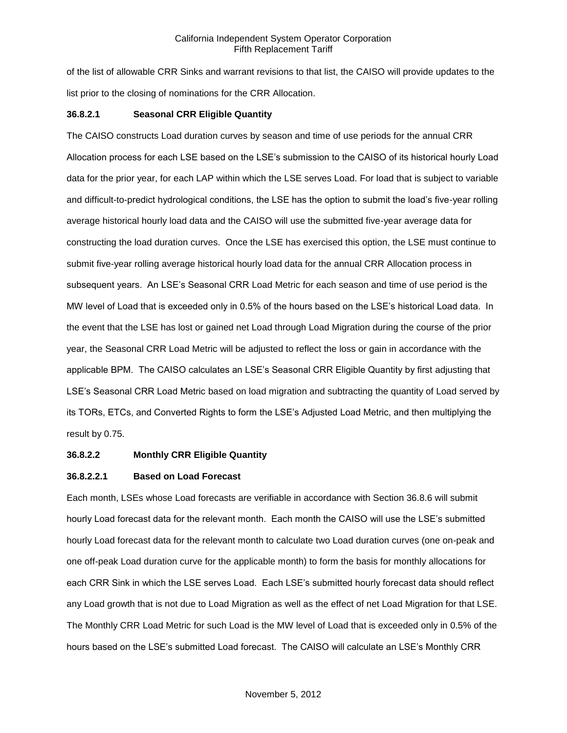of the list of allowable CRR Sinks and warrant revisions to that list, the CAISO will provide updates to the list prior to the closing of nominations for the CRR Allocation.

## **36.8.2.1 Seasonal CRR Eligible Quantity**

The CAISO constructs Load duration curves by season and time of use periods for the annual CRR Allocation process for each LSE based on the LSE's submission to the CAISO of its historical hourly Load data for the prior year, for each LAP within which the LSE serves Load. For load that is subject to variable and difficult-to-predict hydrological conditions, the LSE has the option to submit the load's five-year rolling average historical hourly load data and the CAISO will use the submitted five-year average data for constructing the load duration curves. Once the LSE has exercised this option, the LSE must continue to submit five-year rolling average historical hourly load data for the annual CRR Allocation process in subsequent years. An LSE's Seasonal CRR Load Metric for each season and time of use period is the MW level of Load that is exceeded only in 0.5% of the hours based on the LSE's historical Load data. In the event that the LSE has lost or gained net Load through Load Migration during the course of the prior year, the Seasonal CRR Load Metric will be adjusted to reflect the loss or gain in accordance with the applicable BPM. The CAISO calculates an LSE's Seasonal CRR Eligible Quantity by first adjusting that LSE's Seasonal CRR Load Metric based on load migration and subtracting the quantity of Load served by its TORs, ETCs, and Converted Rights to form the LSE's Adjusted Load Metric, and then multiplying the result by 0.75.

#### **36.8.2.2 Monthly CRR Eligible Quantity**

#### **36.8.2.2.1 Based on Load Forecast**

Each month, LSEs whose Load forecasts are verifiable in accordance with Section 36.8.6 will submit hourly Load forecast data for the relevant month. Each month the CAISO will use the LSE's submitted hourly Load forecast data for the relevant month to calculate two Load duration curves (one on-peak and one off-peak Load duration curve for the applicable month) to form the basis for monthly allocations for each CRR Sink in which the LSE serves Load. Each LSE's submitted hourly forecast data should reflect any Load growth that is not due to Load Migration as well as the effect of net Load Migration for that LSE. The Monthly CRR Load Metric for such Load is the MW level of Load that is exceeded only in 0.5% of the hours based on the LSE's submitted Load forecast. The CAISO will calculate an LSE's Monthly CRR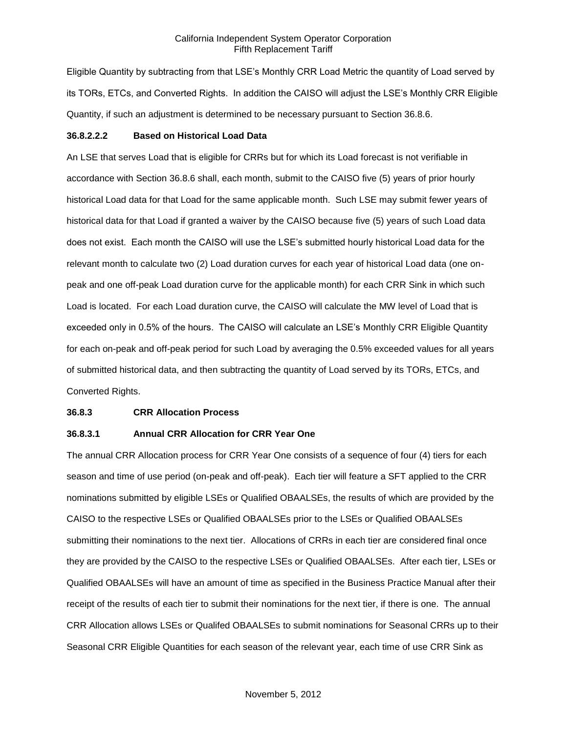Eligible Quantity by subtracting from that LSE's Monthly CRR Load Metric the quantity of Load served by its TORs, ETCs, and Converted Rights. In addition the CAISO will adjust the LSE's Monthly CRR Eligible Quantity, if such an adjustment is determined to be necessary pursuant to Section 36.8.6.

#### **36.8.2.2.2 Based on Historical Load Data**

An LSE that serves Load that is eligible for CRRs but for which its Load forecast is not verifiable in accordance with Section 36.8.6 shall, each month, submit to the CAISO five (5) years of prior hourly historical Load data for that Load for the same applicable month. Such LSE may submit fewer years of historical data for that Load if granted a waiver by the CAISO because five (5) years of such Load data does not exist. Each month the CAISO will use the LSE's submitted hourly historical Load data for the relevant month to calculate two (2) Load duration curves for each year of historical Load data (one onpeak and one off-peak Load duration curve for the applicable month) for each CRR Sink in which such Load is located. For each Load duration curve, the CAISO will calculate the MW level of Load that is exceeded only in 0.5% of the hours. The CAISO will calculate an LSE's Monthly CRR Eligible Quantity for each on-peak and off-peak period for such Load by averaging the 0.5% exceeded values for all years of submitted historical data, and then subtracting the quantity of Load served by its TORs, ETCs, and Converted Rights.

## **36.8.3 CRR Allocation Process**

# **36.8.3.1 Annual CRR Allocation for CRR Year One**

The annual CRR Allocation process for CRR Year One consists of a sequence of four (4) tiers for each season and time of use period (on-peak and off-peak). Each tier will feature a SFT applied to the CRR nominations submitted by eligible LSEs or Qualified OBAALSEs, the results of which are provided by the CAISO to the respective LSEs or Qualified OBAALSEs prior to the LSEs or Qualified OBAALSEs submitting their nominations to the next tier. Allocations of CRRs in each tier are considered final once they are provided by the CAISO to the respective LSEs or Qualified OBAALSEs. After each tier, LSEs or Qualified OBAALSEs will have an amount of time as specified in the Business Practice Manual after their receipt of the results of each tier to submit their nominations for the next tier, if there is one. The annual CRR Allocation allows LSEs or Qualifed OBAALSEs to submit nominations for Seasonal CRRs up to their Seasonal CRR Eligible Quantities for each season of the relevant year, each time of use CRR Sink as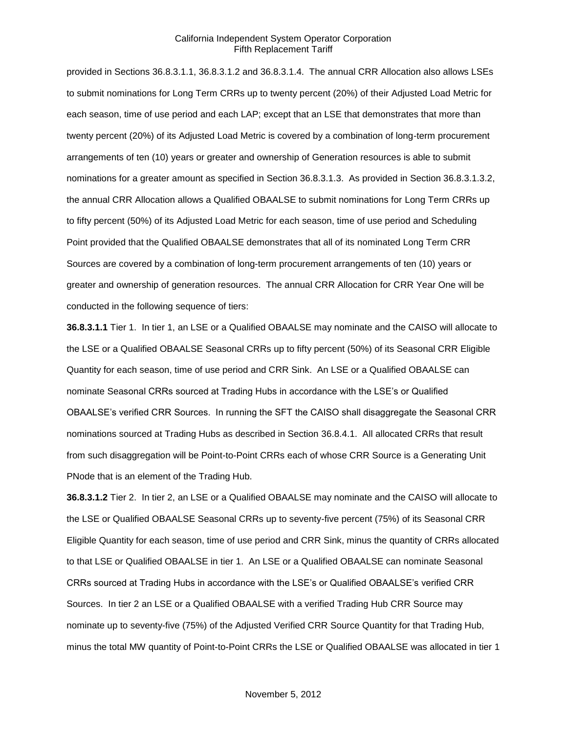provided in Sections 36.8.3.1.1, 36.8.3.1.2 and 36.8.3.1.4. The annual CRR Allocation also allows LSEs to submit nominations for Long Term CRRs up to twenty percent (20%) of their Adjusted Load Metric for each season, time of use period and each LAP; except that an LSE that demonstrates that more than twenty percent (20%) of its Adjusted Load Metric is covered by a combination of long-term procurement arrangements of ten (10) years or greater and ownership of Generation resources is able to submit nominations for a greater amount as specified in Section 36.8.3.1.3. As provided in Section 36.8.3.1.3.2, the annual CRR Allocation allows a Qualified OBAALSE to submit nominations for Long Term CRRs up to fifty percent (50%) of its Adjusted Load Metric for each season, time of use period and Scheduling Point provided that the Qualified OBAALSE demonstrates that all of its nominated Long Term CRR Sources are covered by a combination of long-term procurement arrangements of ten (10) years or greater and ownership of generation resources. The annual CRR Allocation for CRR Year One will be conducted in the following sequence of tiers:

**36.8.3.1.1** Tier 1. In tier 1, an LSE or a Qualified OBAALSE may nominate and the CAISO will allocate to the LSE or a Qualified OBAALSE Seasonal CRRs up to fifty percent (50%) of its Seasonal CRR Eligible Quantity for each season, time of use period and CRR Sink. An LSE or a Qualified OBAALSE can nominate Seasonal CRRs sourced at Trading Hubs in accordance with the LSE's or Qualified OBAALSE's verified CRR Sources. In running the SFT the CAISO shall disaggregate the Seasonal CRR nominations sourced at Trading Hubs as described in Section 36.8.4.1. All allocated CRRs that result from such disaggregation will be Point-to-Point CRRs each of whose CRR Source is a Generating Unit PNode that is an element of the Trading Hub.

**36.8.3.1.2** Tier 2. In tier 2, an LSE or a Qualified OBAALSE may nominate and the CAISO will allocate to the LSE or Qualified OBAALSE Seasonal CRRs up to seventy-five percent (75%) of its Seasonal CRR Eligible Quantity for each season, time of use period and CRR Sink, minus the quantity of CRRs allocated to that LSE or Qualified OBAALSE in tier 1. An LSE or a Qualified OBAALSE can nominate Seasonal CRRs sourced at Trading Hubs in accordance with the LSE's or Qualified OBAALSE's verified CRR Sources. In tier 2 an LSE or a Qualified OBAALSE with a verified Trading Hub CRR Source may nominate up to seventy-five (75%) of the Adjusted Verified CRR Source Quantity for that Trading Hub, minus the total MW quantity of Point-to-Point CRRs the LSE or Qualified OBAALSE was allocated in tier 1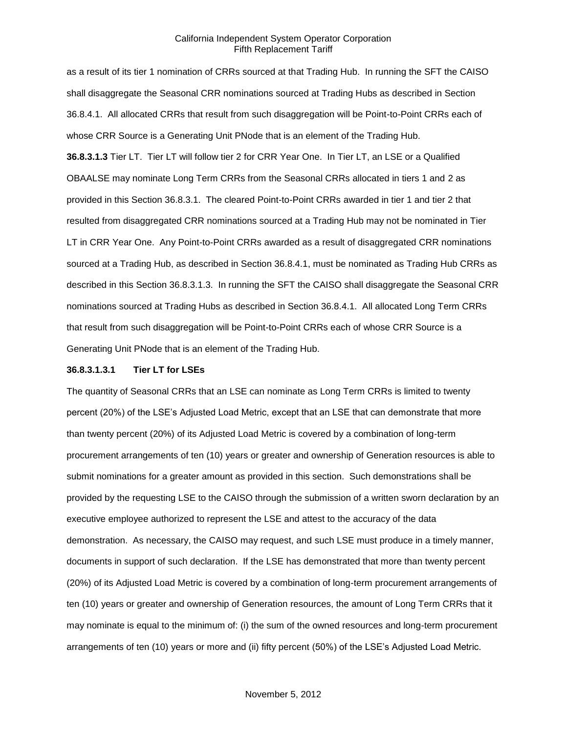as a result of its tier 1 nomination of CRRs sourced at that Trading Hub. In running the SFT the CAISO shall disaggregate the Seasonal CRR nominations sourced at Trading Hubs as described in Section 36.8.4.1. All allocated CRRs that result from such disaggregation will be Point-to-Point CRRs each of whose CRR Source is a Generating Unit PNode that is an element of the Trading Hub.

**36.8.3.1.3** Tier LT. Tier LT will follow tier 2 for CRR Year One. In Tier LT, an LSE or a Qualified OBAALSE may nominate Long Term CRRs from the Seasonal CRRs allocated in tiers 1 and 2 as provided in this Section 36.8.3.1. The cleared Point-to-Point CRRs awarded in tier 1 and tier 2 that resulted from disaggregated CRR nominations sourced at a Trading Hub may not be nominated in Tier LT in CRR Year One. Any Point-to-Point CRRs awarded as a result of disaggregated CRR nominations sourced at a Trading Hub, as described in Section 36.8.4.1, must be nominated as Trading Hub CRRs as described in this Section 36.8.3.1.3. In running the SFT the CAISO shall disaggregate the Seasonal CRR nominations sourced at Trading Hubs as described in Section 36.8.4.1. All allocated Long Term CRRs that result from such disaggregation will be Point-to-Point CRRs each of whose CRR Source is a Generating Unit PNode that is an element of the Trading Hub.

#### **36.8.3.1.3.1 Tier LT for LSEs**

The quantity of Seasonal CRRs that an LSE can nominate as Long Term CRRs is limited to twenty percent (20%) of the LSE's Adjusted Load Metric, except that an LSE that can demonstrate that more than twenty percent (20%) of its Adjusted Load Metric is covered by a combination of long-term procurement arrangements of ten (10) years or greater and ownership of Generation resources is able to submit nominations for a greater amount as provided in this section. Such demonstrations shall be provided by the requesting LSE to the CAISO through the submission of a written sworn declaration by an executive employee authorized to represent the LSE and attest to the accuracy of the data demonstration. As necessary, the CAISO may request, and such LSE must produce in a timely manner, documents in support of such declaration. If the LSE has demonstrated that more than twenty percent (20%) of its Adjusted Load Metric is covered by a combination of long-term procurement arrangements of ten (10) years or greater and ownership of Generation resources, the amount of Long Term CRRs that it may nominate is equal to the minimum of: (i) the sum of the owned resources and long-term procurement arrangements of ten (10) years or more and (ii) fifty percent (50%) of the LSE's Adjusted Load Metric.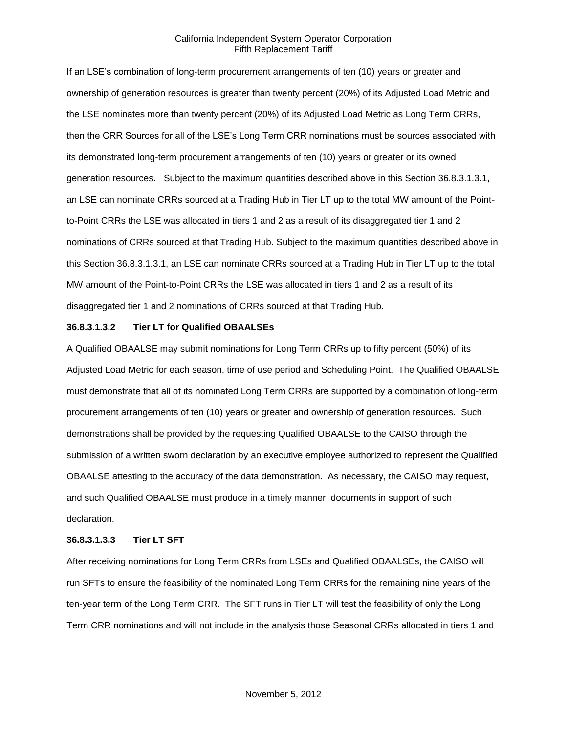If an LSE's combination of long-term procurement arrangements of ten (10) years or greater and ownership of generation resources is greater than twenty percent (20%) of its Adjusted Load Metric and the LSE nominates more than twenty percent (20%) of its Adjusted Load Metric as Long Term CRRs, then the CRR Sources for all of the LSE's Long Term CRR nominations must be sources associated with its demonstrated long-term procurement arrangements of ten (10) years or greater or its owned generation resources. Subject to the maximum quantities described above in this Section 36.8.3.1.3.1, an LSE can nominate CRRs sourced at a Trading Hub in Tier LT up to the total MW amount of the Pointto-Point CRRs the LSE was allocated in tiers 1 and 2 as a result of its disaggregated tier 1 and 2 nominations of CRRs sourced at that Trading Hub. Subject to the maximum quantities described above in this Section 36.8.3.1.3.1, an LSE can nominate CRRs sourced at a Trading Hub in Tier LT up to the total MW amount of the Point-to-Point CRRs the LSE was allocated in tiers 1 and 2 as a result of its disaggregated tier 1 and 2 nominations of CRRs sourced at that Trading Hub.

#### **36.8.3.1.3.2 Tier LT for Qualified OBAALSEs**

A Qualified OBAALSE may submit nominations for Long Term CRRs up to fifty percent (50%) of its Adjusted Load Metric for each season, time of use period and Scheduling Point. The Qualified OBAALSE must demonstrate that all of its nominated Long Term CRRs are supported by a combination of long-term procurement arrangements of ten (10) years or greater and ownership of generation resources. Such demonstrations shall be provided by the requesting Qualified OBAALSE to the CAISO through the submission of a written sworn declaration by an executive employee authorized to represent the Qualified OBAALSE attesting to the accuracy of the data demonstration. As necessary, the CAISO may request, and such Qualified OBAALSE must produce in a timely manner, documents in support of such declaration.

#### **36.8.3.1.3.3 Tier LT SFT**

After receiving nominations for Long Term CRRs from LSEs and Qualified OBAALSEs, the CAISO will run SFTs to ensure the feasibility of the nominated Long Term CRRs for the remaining nine years of the ten-year term of the Long Term CRR. The SFT runs in Tier LT will test the feasibility of only the Long Term CRR nominations and will not include in the analysis those Seasonal CRRs allocated in tiers 1 and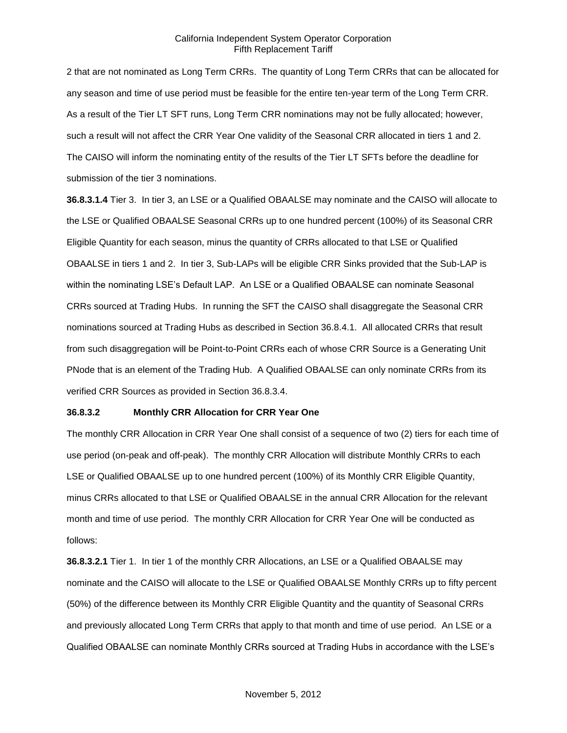2 that are not nominated as Long Term CRRs. The quantity of Long Term CRRs that can be allocated for any season and time of use period must be feasible for the entire ten-year term of the Long Term CRR. As a result of the Tier LT SFT runs, Long Term CRR nominations may not be fully allocated; however, such a result will not affect the CRR Year One validity of the Seasonal CRR allocated in tiers 1 and 2. The CAISO will inform the nominating entity of the results of the Tier LT SFTs before the deadline for submission of the tier 3 nominations.

**36.8.3.1.4** Tier 3. In tier 3, an LSE or a Qualified OBAALSE may nominate and the CAISO will allocate to the LSE or Qualified OBAALSE Seasonal CRRs up to one hundred percent (100%) of its Seasonal CRR Eligible Quantity for each season, minus the quantity of CRRs allocated to that LSE or Qualified OBAALSE in tiers 1 and 2. In tier 3, Sub-LAPs will be eligible CRR Sinks provided that the Sub-LAP is within the nominating LSE's Default LAP. An LSE or a Qualified OBAALSE can nominate Seasonal CRRs sourced at Trading Hubs. In running the SFT the CAISO shall disaggregate the Seasonal CRR nominations sourced at Trading Hubs as described in Section 36.8.4.1. All allocated CRRs that result from such disaggregation will be Point-to-Point CRRs each of whose CRR Source is a Generating Unit PNode that is an element of the Trading Hub. A Qualified OBAALSE can only nominate CRRs from its verified CRR Sources as provided in Section 36.8.3.4.

## **36.8.3.2 Monthly CRR Allocation for CRR Year One**

The monthly CRR Allocation in CRR Year One shall consist of a sequence of two (2) tiers for each time of use period (on-peak and off-peak). The monthly CRR Allocation will distribute Monthly CRRs to each LSE or Qualified OBAALSE up to one hundred percent (100%) of its Monthly CRR Eligible Quantity, minus CRRs allocated to that LSE or Qualified OBAALSE in the annual CRR Allocation for the relevant month and time of use period. The monthly CRR Allocation for CRR Year One will be conducted as follows:

**36.8.3.2.1** Tier 1. In tier 1 of the monthly CRR Allocations, an LSE or a Qualified OBAALSE may nominate and the CAISO will allocate to the LSE or Qualified OBAALSE Monthly CRRs up to fifty percent (50%) of the difference between its Monthly CRR Eligible Quantity and the quantity of Seasonal CRRs and previously allocated Long Term CRRs that apply to that month and time of use period. An LSE or a Qualified OBAALSE can nominate Monthly CRRs sourced at Trading Hubs in accordance with the LSE's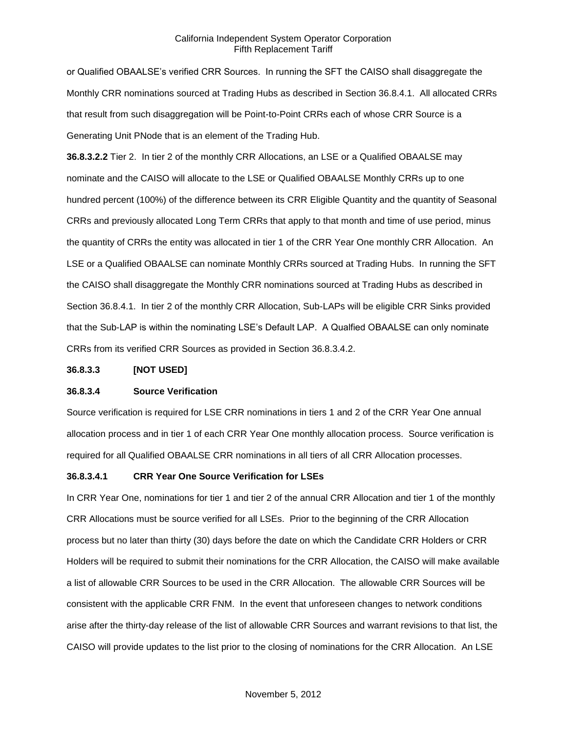or Qualified OBAALSE's verified CRR Sources. In running the SFT the CAISO shall disaggregate the Monthly CRR nominations sourced at Trading Hubs as described in Section 36.8.4.1. All allocated CRRs that result from such disaggregation will be Point-to-Point CRRs each of whose CRR Source is a Generating Unit PNode that is an element of the Trading Hub.

**36.8.3.2.2** Tier 2. In tier 2 of the monthly CRR Allocations, an LSE or a Qualified OBAALSE may nominate and the CAISO will allocate to the LSE or Qualified OBAALSE Monthly CRRs up to one hundred percent (100%) of the difference between its CRR Eligible Quantity and the quantity of Seasonal CRRs and previously allocated Long Term CRRs that apply to that month and time of use period, minus the quantity of CRRs the entity was allocated in tier 1 of the CRR Year One monthly CRR Allocation. An LSE or a Qualified OBAALSE can nominate Monthly CRRs sourced at Trading Hubs. In running the SFT the CAISO shall disaggregate the Monthly CRR nominations sourced at Trading Hubs as described in Section 36.8.4.1. In tier 2 of the monthly CRR Allocation, Sub-LAPs will be eligible CRR Sinks provided that the Sub-LAP is within the nominating LSE's Default LAP. A Qualfied OBAALSE can only nominate CRRs from its verified CRR Sources as provided in Section 36.8.3.4.2.

#### **36.8.3.3 [NOT USED]**

#### **36.8.3.4 Source Verification**

Source verification is required for LSE CRR nominations in tiers 1 and 2 of the CRR Year One annual allocation process and in tier 1 of each CRR Year One monthly allocation process. Source verification is required for all Qualified OBAALSE CRR nominations in all tiers of all CRR Allocation processes.

#### **36.8.3.4.1 CRR Year One Source Verification for LSEs**

In CRR Year One, nominations for tier 1 and tier 2 of the annual CRR Allocation and tier 1 of the monthly CRR Allocations must be source verified for all LSEs. Prior to the beginning of the CRR Allocation process but no later than thirty (30) days before the date on which the Candidate CRR Holders or CRR Holders will be required to submit their nominations for the CRR Allocation, the CAISO will make available a list of allowable CRR Sources to be used in the CRR Allocation. The allowable CRR Sources will be consistent with the applicable CRR FNM. In the event that unforeseen changes to network conditions arise after the thirty-day release of the list of allowable CRR Sources and warrant revisions to that list, the CAISO will provide updates to the list prior to the closing of nominations for the CRR Allocation. An LSE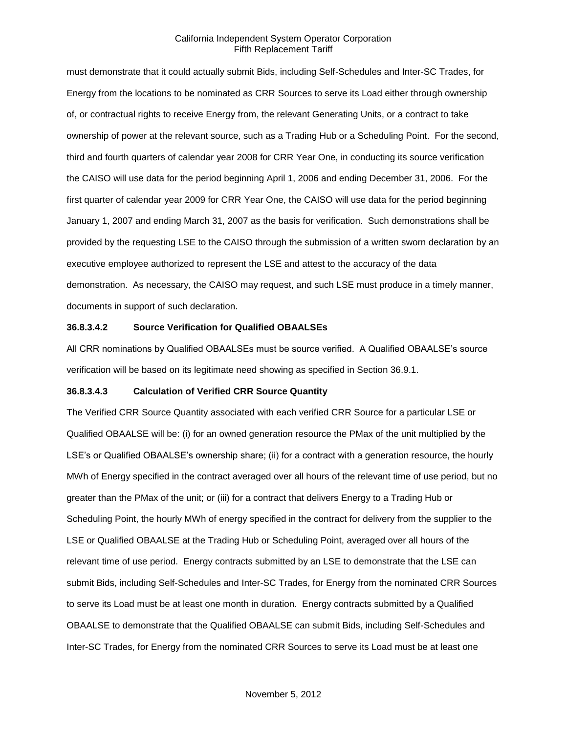must demonstrate that it could actually submit Bids, including Self-Schedules and Inter-SC Trades, for Energy from the locations to be nominated as CRR Sources to serve its Load either through ownership of, or contractual rights to receive Energy from, the relevant Generating Units, or a contract to take ownership of power at the relevant source, such as a Trading Hub or a Scheduling Point. For the second, third and fourth quarters of calendar year 2008 for CRR Year One, in conducting its source verification the CAISO will use data for the period beginning April 1, 2006 and ending December 31, 2006. For the first quarter of calendar year 2009 for CRR Year One, the CAISO will use data for the period beginning January 1, 2007 and ending March 31, 2007 as the basis for verification. Such demonstrations shall be provided by the requesting LSE to the CAISO through the submission of a written sworn declaration by an executive employee authorized to represent the LSE and attest to the accuracy of the data demonstration. As necessary, the CAISO may request, and such LSE must produce in a timely manner, documents in support of such declaration.

## **36.8.3.4.2 Source Verification for Qualified OBAALSEs**

All CRR nominations by Qualified OBAALSEs must be source verified. A Qualified OBAALSE's source verification will be based on its legitimate need showing as specified in Section 36.9.1.

#### **36.8.3.4.3 Calculation of Verified CRR Source Quantity**

The Verified CRR Source Quantity associated with each verified CRR Source for a particular LSE or Qualified OBAALSE will be: (i) for an owned generation resource the PMax of the unit multiplied by the LSE's or Qualified OBAALSE's ownership share; (ii) for a contract with a generation resource, the hourly MWh of Energy specified in the contract averaged over all hours of the relevant time of use period, but no greater than the PMax of the unit; or (iii) for a contract that delivers Energy to a Trading Hub or Scheduling Point, the hourly MWh of energy specified in the contract for delivery from the supplier to the LSE or Qualified OBAALSE at the Trading Hub or Scheduling Point, averaged over all hours of the relevant time of use period. Energy contracts submitted by an LSE to demonstrate that the LSE can submit Bids, including Self-Schedules and Inter-SC Trades, for Energy from the nominated CRR Sources to serve its Load must be at least one month in duration. Energy contracts submitted by a Qualified OBAALSE to demonstrate that the Qualified OBAALSE can submit Bids, including Self-Schedules and Inter-SC Trades, for Energy from the nominated CRR Sources to serve its Load must be at least one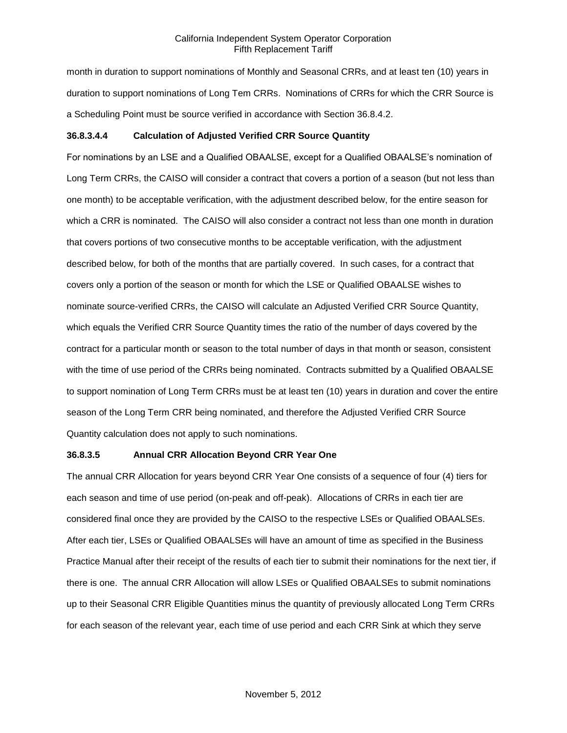month in duration to support nominations of Monthly and Seasonal CRRs, and at least ten (10) years in duration to support nominations of Long Tem CRRs. Nominations of CRRs for which the CRR Source is a Scheduling Point must be source verified in accordance with Section 36.8.4.2.

## **36.8.3.4.4 Calculation of Adjusted Verified CRR Source Quantity**

For nominations by an LSE and a Qualified OBAALSE, except for a Qualified OBAALSE's nomination of Long Term CRRs, the CAISO will consider a contract that covers a portion of a season (but not less than one month) to be acceptable verification, with the adjustment described below, for the entire season for which a CRR is nominated. The CAISO will also consider a contract not less than one month in duration that covers portions of two consecutive months to be acceptable verification, with the adjustment described below, for both of the months that are partially covered. In such cases, for a contract that covers only a portion of the season or month for which the LSE or Qualified OBAALSE wishes to nominate source-verified CRRs, the CAISO will calculate an Adjusted Verified CRR Source Quantity, which equals the Verified CRR Source Quantity times the ratio of the number of days covered by the contract for a particular month or season to the total number of days in that month or season, consistent with the time of use period of the CRRs being nominated. Contracts submitted by a Qualified OBAALSE to support nomination of Long Term CRRs must be at least ten (10) years in duration and cover the entire season of the Long Term CRR being nominated, and therefore the Adjusted Verified CRR Source Quantity calculation does not apply to such nominations.

## **36.8.3.5 Annual CRR Allocation Beyond CRR Year One**

The annual CRR Allocation for years beyond CRR Year One consists of a sequence of four (4) tiers for each season and time of use period (on-peak and off-peak). Allocations of CRRs in each tier are considered final once they are provided by the CAISO to the respective LSEs or Qualified OBAALSEs. After each tier, LSEs or Qualified OBAALSEs will have an amount of time as specified in the Business Practice Manual after their receipt of the results of each tier to submit their nominations for the next tier, if there is one. The annual CRR Allocation will allow LSEs or Qualified OBAALSEs to submit nominations up to their Seasonal CRR Eligible Quantities minus the quantity of previously allocated Long Term CRRs for each season of the relevant year, each time of use period and each CRR Sink at which they serve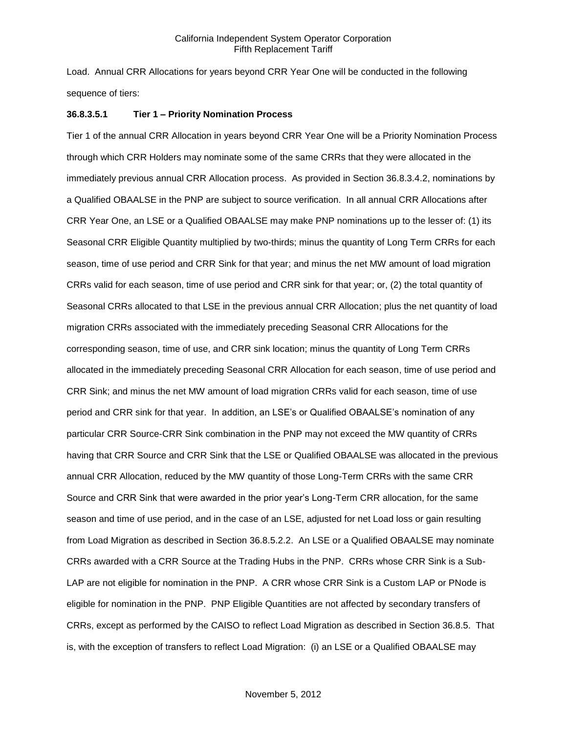Load. Annual CRR Allocations for years beyond CRR Year One will be conducted in the following sequence of tiers:

## **36.8.3.5.1 Tier 1 – Priority Nomination Process**

Tier 1 of the annual CRR Allocation in years beyond CRR Year One will be a Priority Nomination Process through which CRR Holders may nominate some of the same CRRs that they were allocated in the immediately previous annual CRR Allocation process. As provided in Section 36.8.3.4.2, nominations by a Qualified OBAALSE in the PNP are subject to source verification. In all annual CRR Allocations after CRR Year One, an LSE or a Qualified OBAALSE may make PNP nominations up to the lesser of: (1) its Seasonal CRR Eligible Quantity multiplied by two-thirds; minus the quantity of Long Term CRRs for each season, time of use period and CRR Sink for that year; and minus the net MW amount of load migration CRRs valid for each season, time of use period and CRR sink for that year; or, (2) the total quantity of Seasonal CRRs allocated to that LSE in the previous annual CRR Allocation; plus the net quantity of load migration CRRs associated with the immediately preceding Seasonal CRR Allocations for the corresponding season, time of use, and CRR sink location; minus the quantity of Long Term CRRs allocated in the immediately preceding Seasonal CRR Allocation for each season, time of use period and CRR Sink; and minus the net MW amount of load migration CRRs valid for each season, time of use period and CRR sink for that year. In addition, an LSE's or Qualified OBAALSE's nomination of any particular CRR Source-CRR Sink combination in the PNP may not exceed the MW quantity of CRRs having that CRR Source and CRR Sink that the LSE or Qualified OBAALSE was allocated in the previous annual CRR Allocation, reduced by the MW quantity of those Long-Term CRRs with the same CRR Source and CRR Sink that were awarded in the prior year's Long-Term CRR allocation, for the same season and time of use period, and in the case of an LSE, adjusted for net Load loss or gain resulting from Load Migration as described in Section 36.8.5.2.2. An LSE or a Qualified OBAALSE may nominate CRRs awarded with a CRR Source at the Trading Hubs in the PNP. CRRs whose CRR Sink is a Sub-LAP are not eligible for nomination in the PNP. A CRR whose CRR Sink is a Custom LAP or PNode is eligible for nomination in the PNP. PNP Eligible Quantities are not affected by secondary transfers of CRRs, except as performed by the CAISO to reflect Load Migration as described in Section 36.8.5. That is, with the exception of transfers to reflect Load Migration: (i) an LSE or a Qualified OBAALSE may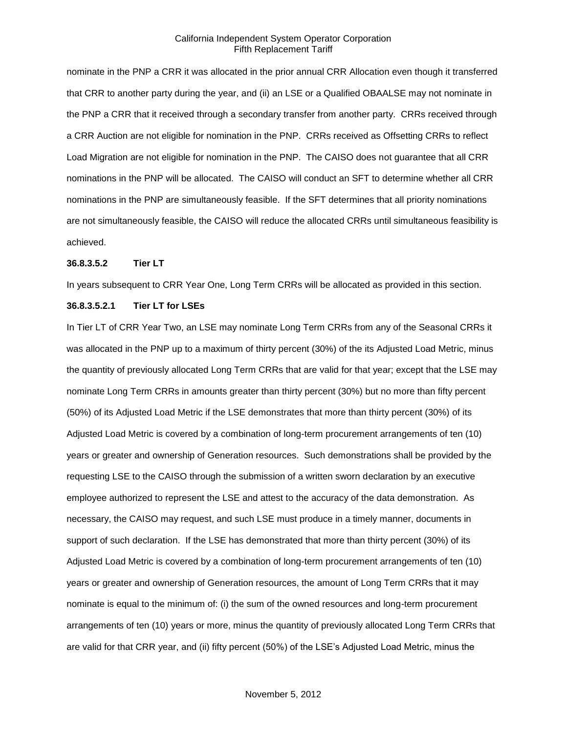nominate in the PNP a CRR it was allocated in the prior annual CRR Allocation even though it transferred that CRR to another party during the year, and (ii) an LSE or a Qualified OBAALSE may not nominate in the PNP a CRR that it received through a secondary transfer from another party. CRRs received through a CRR Auction are not eligible for nomination in the PNP. CRRs received as Offsetting CRRs to reflect Load Migration are not eligible for nomination in the PNP. The CAISO does not guarantee that all CRR nominations in the PNP will be allocated. The CAISO will conduct an SFT to determine whether all CRR nominations in the PNP are simultaneously feasible. If the SFT determines that all priority nominations are not simultaneously feasible, the CAISO will reduce the allocated CRRs until simultaneous feasibility is achieved.

#### **36.8.3.5.2 Tier LT**

In years subsequent to CRR Year One, Long Term CRRs will be allocated as provided in this section.

#### **36.8.3.5.2.1 Tier LT for LSEs**

In Tier LT of CRR Year Two, an LSE may nominate Long Term CRRs from any of the Seasonal CRRs it was allocated in the PNP up to a maximum of thirty percent (30%) of the its Adjusted Load Metric, minus the quantity of previously allocated Long Term CRRs that are valid for that year; except that the LSE may nominate Long Term CRRs in amounts greater than thirty percent (30%) but no more than fifty percent (50%) of its Adjusted Load Metric if the LSE demonstrates that more than thirty percent (30%) of its Adjusted Load Metric is covered by a combination of long-term procurement arrangements of ten (10) years or greater and ownership of Generation resources. Such demonstrations shall be provided by the requesting LSE to the CAISO through the submission of a written sworn declaration by an executive employee authorized to represent the LSE and attest to the accuracy of the data demonstration. As necessary, the CAISO may request, and such LSE must produce in a timely manner, documents in support of such declaration. If the LSE has demonstrated that more than thirty percent (30%) of its Adjusted Load Metric is covered by a combination of long-term procurement arrangements of ten (10) years or greater and ownership of Generation resources, the amount of Long Term CRRs that it may nominate is equal to the minimum of: (i) the sum of the owned resources and long-term procurement arrangements of ten (10) years or more, minus the quantity of previously allocated Long Term CRRs that are valid for that CRR year, and (ii) fifty percent (50%) of the LSE's Adjusted Load Metric, minus the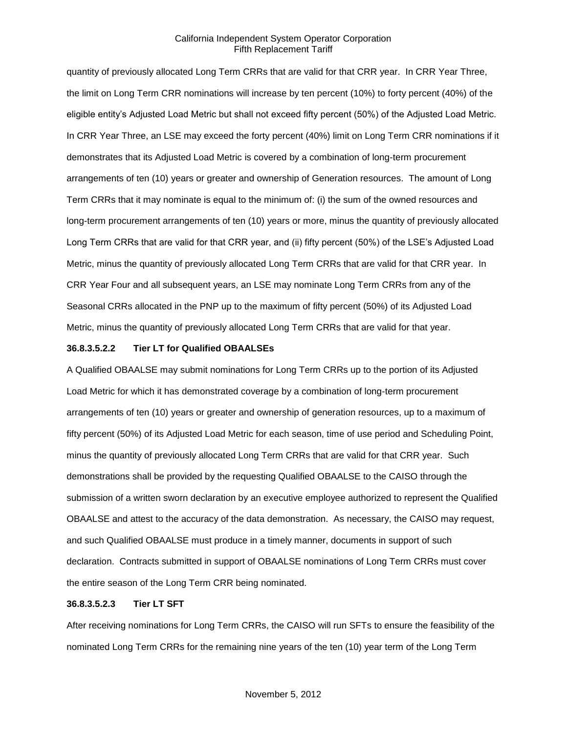quantity of previously allocated Long Term CRRs that are valid for that CRR year. In CRR Year Three, the limit on Long Term CRR nominations will increase by ten percent (10%) to forty percent (40%) of the eligible entity's Adjusted Load Metric but shall not exceed fifty percent (50%) of the Adjusted Load Metric. In CRR Year Three, an LSE may exceed the forty percent (40%) limit on Long Term CRR nominations if it demonstrates that its Adjusted Load Metric is covered by a combination of long-term procurement arrangements of ten (10) years or greater and ownership of Generation resources. The amount of Long Term CRRs that it may nominate is equal to the minimum of: (i) the sum of the owned resources and long-term procurement arrangements of ten (10) years or more, minus the quantity of previously allocated Long Term CRRs that are valid for that CRR year, and (ii) fifty percent (50%) of the LSE's Adjusted Load Metric, minus the quantity of previously allocated Long Term CRRs that are valid for that CRR year. In CRR Year Four and all subsequent years, an LSE may nominate Long Term CRRs from any of the Seasonal CRRs allocated in the PNP up to the maximum of fifty percent (50%) of its Adjusted Load Metric, minus the quantity of previously allocated Long Term CRRs that are valid for that year.

## **36.8.3.5.2.2 Tier LT for Qualified OBAALSEs**

A Qualified OBAALSE may submit nominations for Long Term CRRs up to the portion of its Adjusted Load Metric for which it has demonstrated coverage by a combination of long-term procurement arrangements of ten (10) years or greater and ownership of generation resources, up to a maximum of fifty percent (50%) of its Adjusted Load Metric for each season, time of use period and Scheduling Point, minus the quantity of previously allocated Long Term CRRs that are valid for that CRR year. Such demonstrations shall be provided by the requesting Qualified OBAALSE to the CAISO through the submission of a written sworn declaration by an executive employee authorized to represent the Qualified OBAALSE and attest to the accuracy of the data demonstration. As necessary, the CAISO may request, and such Qualified OBAALSE must produce in a timely manner, documents in support of such declaration. Contracts submitted in support of OBAALSE nominations of Long Term CRRs must cover the entire season of the Long Term CRR being nominated.

#### **36.8.3.5.2.3 Tier LT SFT**

After receiving nominations for Long Term CRRs, the CAISO will run SFTs to ensure the feasibility of the nominated Long Term CRRs for the remaining nine years of the ten (10) year term of the Long Term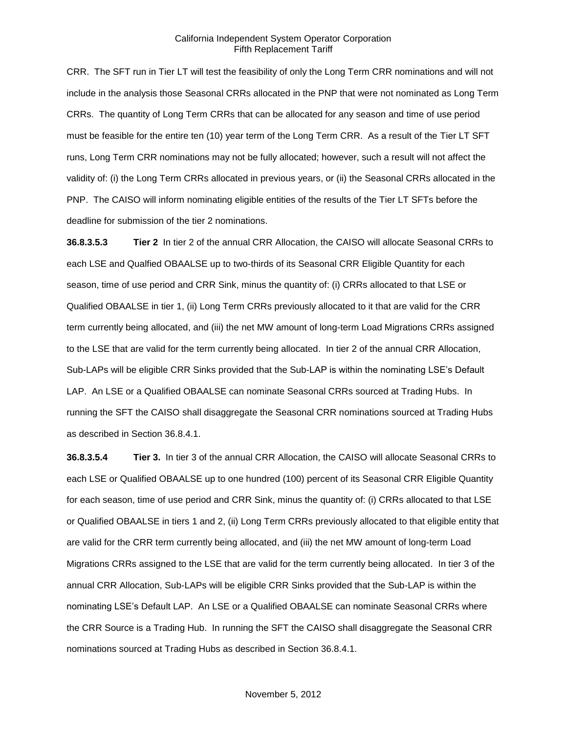CRR. The SFT run in Tier LT will test the feasibility of only the Long Term CRR nominations and will not include in the analysis those Seasonal CRRs allocated in the PNP that were not nominated as Long Term CRRs. The quantity of Long Term CRRs that can be allocated for any season and time of use period must be feasible for the entire ten (10) year term of the Long Term CRR. As a result of the Tier LT SFT runs, Long Term CRR nominations may not be fully allocated; however, such a result will not affect the validity of: (i) the Long Term CRRs allocated in previous years, or (ii) the Seasonal CRRs allocated in the PNP. The CAISO will inform nominating eligible entities of the results of the Tier LT SFTs before the deadline for submission of the tier 2 nominations.

**36.8.3.5.3 Tier 2** In tier 2 of the annual CRR Allocation, the CAISO will allocate Seasonal CRRs to each LSE and Qualfied OBAALSE up to two-thirds of its Seasonal CRR Eligible Quantity for each season, time of use period and CRR Sink, minus the quantity of: (i) CRRs allocated to that LSE or Qualified OBAALSE in tier 1, (ii) Long Term CRRs previously allocated to it that are valid for the CRR term currently being allocated, and (iii) the net MW amount of long-term Load Migrations CRRs assigned to the LSE that are valid for the term currently being allocated. In tier 2 of the annual CRR Allocation, Sub-LAPs will be eligible CRR Sinks provided that the Sub-LAP is within the nominating LSE's Default LAP. An LSE or a Qualified OBAALSE can nominate Seasonal CRRs sourced at Trading Hubs. In running the SFT the CAISO shall disaggregate the Seasonal CRR nominations sourced at Trading Hubs as described in Section 36.8.4.1.

**36.8.3.5.4 Tier 3.** In tier 3 of the annual CRR Allocation, the CAISO will allocate Seasonal CRRs to each LSE or Qualified OBAALSE up to one hundred (100) percent of its Seasonal CRR Eligible Quantity for each season, time of use period and CRR Sink, minus the quantity of: (i) CRRs allocated to that LSE or Qualified OBAALSE in tiers 1 and 2, (ii) Long Term CRRs previously allocated to that eligible entity that are valid for the CRR term currently being allocated, and (iii) the net MW amount of long-term Load Migrations CRRs assigned to the LSE that are valid for the term currently being allocated. In tier 3 of the annual CRR Allocation, Sub-LAPs will be eligible CRR Sinks provided that the Sub-LAP is within the nominating LSE's Default LAP. An LSE or a Qualified OBAALSE can nominate Seasonal CRRs where the CRR Source is a Trading Hub. In running the SFT the CAISO shall disaggregate the Seasonal CRR nominations sourced at Trading Hubs as described in Section 36.8.4.1.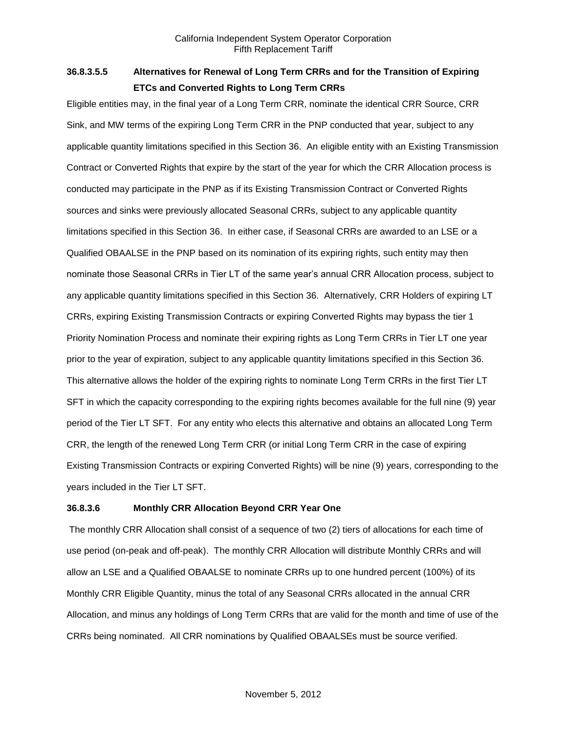# **36.8.3.5.5 Alternatives for Renewal of Long Term CRRs and for the Transition of Expiring ETCs and Converted Rights to Long Term CRRs**

Eligible entities may, in the final year of a Long Term CRR, nominate the identical CRR Source, CRR Sink, and MW terms of the expiring Long Term CRR in the PNP conducted that year, subject to any applicable quantity limitations specified in this Section 36. An eligible entity with an Existing Transmission Contract or Converted Rights that expire by the start of the year for which the CRR Allocation process is conducted may participate in the PNP as if its Existing Transmission Contract or Converted Rights sources and sinks were previously allocated Seasonal CRRs, subject to any applicable quantity limitations specified in this Section 36. In either case, if Seasonal CRRs are awarded to an LSE or a Qualified OBAALSE in the PNP based on its nomination of its expiring rights, such entity may then nominate those Seasonal CRRs in Tier LT of the same year's annual CRR Allocation process, subject to any applicable quantity limitations specified in this Section 36. Alternatively, CRR Holders of expiring LT CRRs, expiring Existing Transmission Contracts or expiring Converted Rights may bypass the tier 1 Priority Nomination Process and nominate their expiring rights as Long Term CRRs in Tier LT one year prior to the year of expiration, subject to any applicable quantity limitations specified in this Section 36. This alternative allows the holder of the expiring rights to nominate Long Term CRRs in the first Tier LT SFT in which the capacity corresponding to the expiring rights becomes available for the full nine (9) year period of the Tier LT SFT. For any entity who elects this alternative and obtains an allocated Long Term CRR, the length of the renewed Long Term CRR (or initial Long Term CRR in the case of expiring Existing Transmission Contracts or expiring Converted Rights) will be nine (9) years, corresponding to the years included in the Tier LT SFT.

## **36.8.3.6 Monthly CRR Allocation Beyond CRR Year One**

The monthly CRR Allocation shall consist of a sequence of two (2) tiers of allocations for each time of use period (on-peak and off-peak). The monthly CRR Allocation will distribute Monthly CRRs and will allow an LSE and a Qualified OBAALSE to nominate CRRs up to one hundred percent (100%) of its Monthly CRR Eligible Quantity, minus the total of any Seasonal CRRs allocated in the annual CRR Allocation, and minus any holdings of Long Term CRRs that are valid for the month and time of use of the CRRs being nominated. All CRR nominations by Qualified OBAALSEs must be source verified.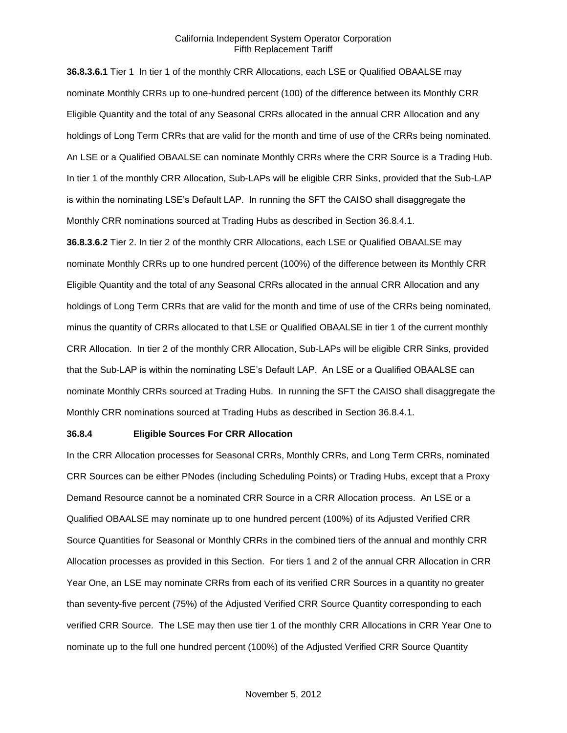**36.8.3.6.1** Tier 1 In tier 1 of the monthly CRR Allocations, each LSE or Qualified OBAALSE may nominate Monthly CRRs up to one-hundred percent (100) of the difference between its Monthly CRR Eligible Quantity and the total of any Seasonal CRRs allocated in the annual CRR Allocation and any holdings of Long Term CRRs that are valid for the month and time of use of the CRRs being nominated. An LSE or a Qualified OBAALSE can nominate Monthly CRRs where the CRR Source is a Trading Hub. In tier 1 of the monthly CRR Allocation, Sub-LAPs will be eligible CRR Sinks, provided that the Sub-LAP is within the nominating LSE's Default LAP. In running the SFT the CAISO shall disaggregate the Monthly CRR nominations sourced at Trading Hubs as described in Section 36.8.4.1.

**36.8.3.6.2** Tier 2. In tier 2 of the monthly CRR Allocations, each LSE or Qualified OBAALSE may nominate Monthly CRRs up to one hundred percent (100%) of the difference between its Monthly CRR Eligible Quantity and the total of any Seasonal CRRs allocated in the annual CRR Allocation and any holdings of Long Term CRRs that are valid for the month and time of use of the CRRs being nominated, minus the quantity of CRRs allocated to that LSE or Qualified OBAALSE in tier 1 of the current monthly CRR Allocation. In tier 2 of the monthly CRR Allocation, Sub-LAPs will be eligible CRR Sinks, provided that the Sub-LAP is within the nominating LSE's Default LAP. An LSE or a Qualified OBAALSE can nominate Monthly CRRs sourced at Trading Hubs. In running the SFT the CAISO shall disaggregate the Monthly CRR nominations sourced at Trading Hubs as described in Section 36.8.4.1.

#### **36.8.4 Eligible Sources For CRR Allocation**

In the CRR Allocation processes for Seasonal CRRs, Monthly CRRs, and Long Term CRRs, nominated CRR Sources can be either PNodes (including Scheduling Points) or Trading Hubs, except that a Proxy Demand Resource cannot be a nominated CRR Source in a CRR Allocation process. An LSE or a Qualified OBAALSE may nominate up to one hundred percent (100%) of its Adjusted Verified CRR Source Quantities for Seasonal or Monthly CRRs in the combined tiers of the annual and monthly CRR Allocation processes as provided in this Section. For tiers 1 and 2 of the annual CRR Allocation in CRR Year One, an LSE may nominate CRRs from each of its verified CRR Sources in a quantity no greater than seventy-five percent (75%) of the Adjusted Verified CRR Source Quantity corresponding to each verified CRR Source. The LSE may then use tier 1 of the monthly CRR Allocations in CRR Year One to nominate up to the full one hundred percent (100%) of the Adjusted Verified CRR Source Quantity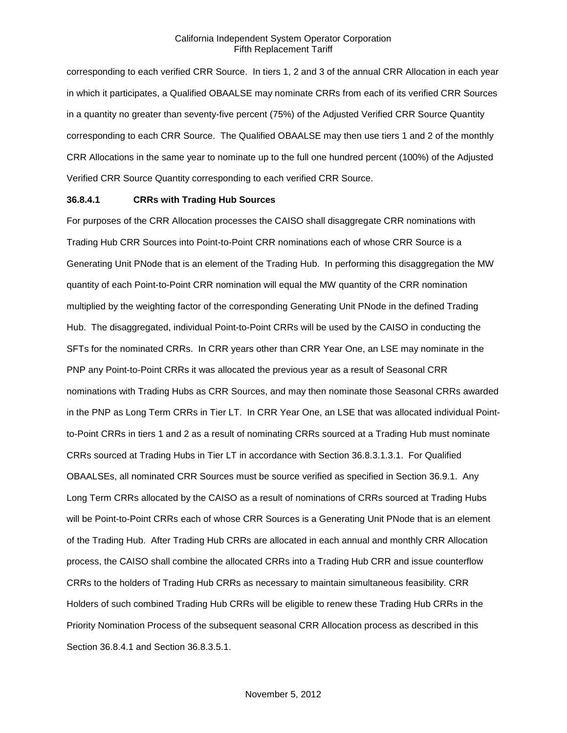corresponding to each verified CRR Source. In tiers 1, 2 and 3 of the annual CRR Allocation in each year in which it participates, a Qualified OBAALSE may nominate CRRs from each of its verified CRR Sources in a quantity no greater than seventy-five percent (75%) of the Adjusted Verified CRR Source Quantity corresponding to each CRR Source. The Qualified OBAALSE may then use tiers 1 and 2 of the monthly CRR Allocations in the same year to nominate up to the full one hundred percent (100%) of the Adjusted Verified CRR Source Quantity corresponding to each verified CRR Source.

#### **36.8.4.1 CRRs with Trading Hub Sources**

For purposes of the CRR Allocation processes the CAISO shall disaggregate CRR nominations with Trading Hub CRR Sources into Point-to-Point CRR nominations each of whose CRR Source is a Generating Unit PNode that is an element of the Trading Hub. In performing this disaggregation the MW quantity of each Point-to-Point CRR nomination will equal the MW quantity of the CRR nomination multiplied by the weighting factor of the corresponding Generating Unit PNode in the defined Trading Hub. The disaggregated, individual Point-to-Point CRRs will be used by the CAISO in conducting the SFTs for the nominated CRRs. In CRR years other than CRR Year One, an LSE may nominate in the PNP any Point-to-Point CRRs it was allocated the previous year as a result of Seasonal CRR nominations with Trading Hubs as CRR Sources, and may then nominate those Seasonal CRRs awarded in the PNP as Long Term CRRs in Tier LT. In CRR Year One, an LSE that was allocated individual Pointto-Point CRRs in tiers 1 and 2 as a result of nominating CRRs sourced at a Trading Hub must nominate CRRs sourced at Trading Hubs in Tier LT in accordance with Section 36.8.3.1.3.1. For Qualified OBAALSEs, all nominated CRR Sources must be source verified as specified in Section 36.9.1. Any Long Term CRRs allocated by the CAISO as a result of nominations of CRRs sourced at Trading Hubs will be Point-to-Point CRRs each of whose CRR Sources is a Generating Unit PNode that is an element of the Trading Hub. After Trading Hub CRRs are allocated in each annual and monthly CRR Allocation process, the CAISO shall combine the allocated CRRs into a Trading Hub CRR and issue counterflow CRRs to the holders of Trading Hub CRRs as necessary to maintain simultaneous feasibility. CRR Holders of such combined Trading Hub CRRs will be eligible to renew these Trading Hub CRRs in the Priority Nomination Process of the subsequent seasonal CRR Allocation process as described in this Section 36.8.4.1 and Section 36.8.3.5.1.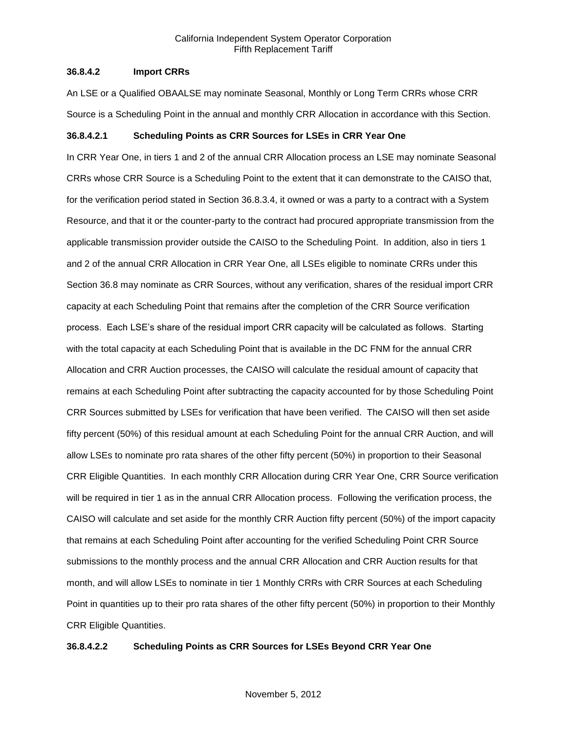#### **36.8.4.2 Import CRRs**

An LSE or a Qualified OBAALSE may nominate Seasonal, Monthly or Long Term CRRs whose CRR Source is a Scheduling Point in the annual and monthly CRR Allocation in accordance with this Section.

## **36.8.4.2.1 Scheduling Points as CRR Sources for LSEs in CRR Year One**

In CRR Year One, in tiers 1 and 2 of the annual CRR Allocation process an LSE may nominate Seasonal CRRs whose CRR Source is a Scheduling Point to the extent that it can demonstrate to the CAISO that, for the verification period stated in Section 36.8.3.4, it owned or was a party to a contract with a System Resource, and that it or the counter-party to the contract had procured appropriate transmission from the applicable transmission provider outside the CAISO to the Scheduling Point. In addition, also in tiers 1 and 2 of the annual CRR Allocation in CRR Year One, all LSEs eligible to nominate CRRs under this Section 36.8 may nominate as CRR Sources, without any verification, shares of the residual import CRR capacity at each Scheduling Point that remains after the completion of the CRR Source verification process. Each LSE's share of the residual import CRR capacity will be calculated as follows. Starting with the total capacity at each Scheduling Point that is available in the DC FNM for the annual CRR Allocation and CRR Auction processes, the CAISO will calculate the residual amount of capacity that remains at each Scheduling Point after subtracting the capacity accounted for by those Scheduling Point CRR Sources submitted by LSEs for verification that have been verified. The CAISO will then set aside fifty percent (50%) of this residual amount at each Scheduling Point for the annual CRR Auction, and will allow LSEs to nominate pro rata shares of the other fifty percent (50%) in proportion to their Seasonal CRR Eligible Quantities. In each monthly CRR Allocation during CRR Year One, CRR Source verification will be required in tier 1 as in the annual CRR Allocation process. Following the verification process, the CAISO will calculate and set aside for the monthly CRR Auction fifty percent (50%) of the import capacity that remains at each Scheduling Point after accounting for the verified Scheduling Point CRR Source submissions to the monthly process and the annual CRR Allocation and CRR Auction results for that month, and will allow LSEs to nominate in tier 1 Monthly CRRs with CRR Sources at each Scheduling Point in quantities up to their pro rata shares of the other fifty percent (50%) in proportion to their Monthly CRR Eligible Quantities.

## **36.8.4.2.2 Scheduling Points as CRR Sources for LSEs Beyond CRR Year One**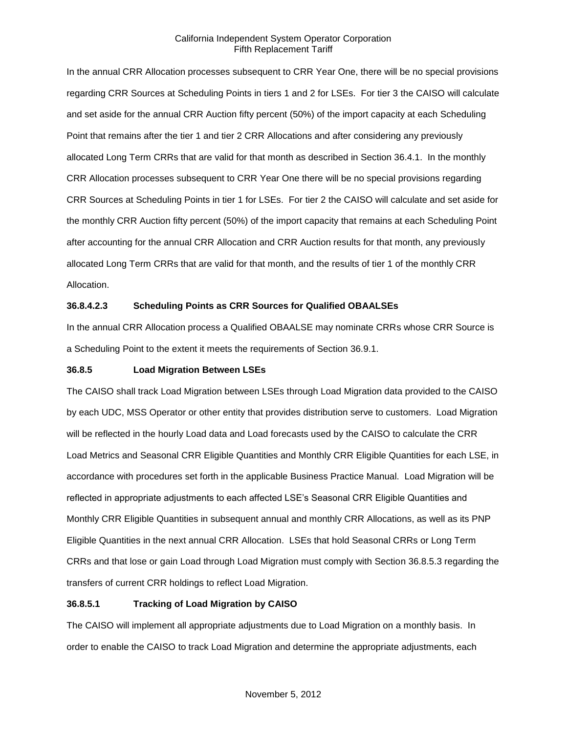In the annual CRR Allocation processes subsequent to CRR Year One, there will be no special provisions regarding CRR Sources at Scheduling Points in tiers 1 and 2 for LSEs. For tier 3 the CAISO will calculate and set aside for the annual CRR Auction fifty percent (50%) of the import capacity at each Scheduling Point that remains after the tier 1 and tier 2 CRR Allocations and after considering any previously allocated Long Term CRRs that are valid for that month as described in Section 36.4.1. In the monthly CRR Allocation processes subsequent to CRR Year One there will be no special provisions regarding CRR Sources at Scheduling Points in tier 1 for LSEs. For tier 2 the CAISO will calculate and set aside for the monthly CRR Auction fifty percent (50%) of the import capacity that remains at each Scheduling Point after accounting for the annual CRR Allocation and CRR Auction results for that month, any previously allocated Long Term CRRs that are valid for that month, and the results of tier 1 of the monthly CRR Allocation.

# **36.8.4.2.3 Scheduling Points as CRR Sources for Qualified OBAALSEs**

In the annual CRR Allocation process a Qualified OBAALSE may nominate CRRs whose CRR Source is a Scheduling Point to the extent it meets the requirements of Section 36.9.1.

## **36.8.5 Load Migration Between LSEs**

The CAISO shall track Load Migration between LSEs through Load Migration data provided to the CAISO by each UDC, MSS Operator or other entity that provides distribution serve to customers. Load Migration will be reflected in the hourly Load data and Load forecasts used by the CAISO to calculate the CRR Load Metrics and Seasonal CRR Eligible Quantities and Monthly CRR Eligible Quantities for each LSE, in accordance with procedures set forth in the applicable Business Practice Manual. Load Migration will be reflected in appropriate adjustments to each affected LSE's Seasonal CRR Eligible Quantities and Monthly CRR Eligible Quantities in subsequent annual and monthly CRR Allocations, as well as its PNP Eligible Quantities in the next annual CRR Allocation. LSEs that hold Seasonal CRRs or Long Term CRRs and that lose or gain Load through Load Migration must comply with Section 36.8.5.3 regarding the transfers of current CRR holdings to reflect Load Migration.

# **36.8.5.1 Tracking of Load Migration by CAISO**

The CAISO will implement all appropriate adjustments due to Load Migration on a monthly basis. In order to enable the CAISO to track Load Migration and determine the appropriate adjustments, each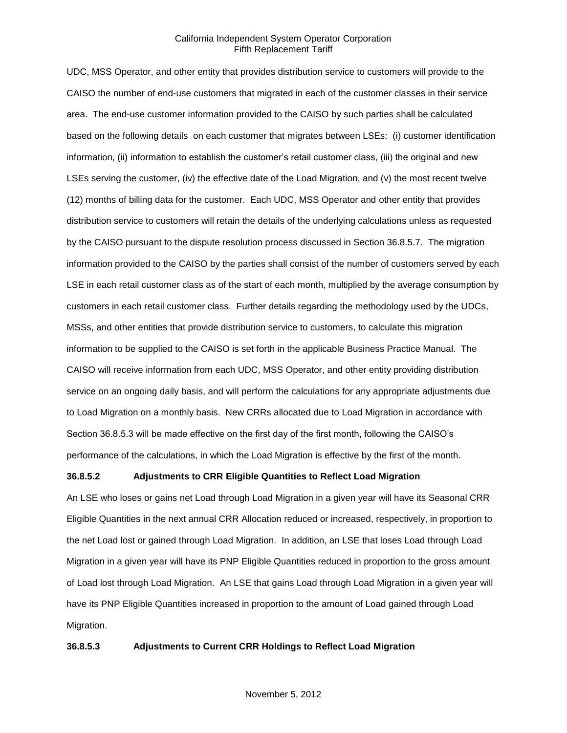UDC, MSS Operator, and other entity that provides distribution service to customers will provide to the CAISO the number of end-use customers that migrated in each of the customer classes in their service area. The end-use customer information provided to the CAISO by such parties shall be calculated based on the following details on each customer that migrates between LSEs: (i) customer identification information, (ii) information to establish the customer's retail customer class, (iii) the original and new LSEs serving the customer, (iv) the effective date of the Load Migration, and (v) the most recent twelve (12) months of billing data for the customer. Each UDC, MSS Operator and other entity that provides distribution service to customers will retain the details of the underlying calculations unless as requested by the CAISO pursuant to the dispute resolution process discussed in Section 36.8.5.7. The migration information provided to the CAISO by the parties shall consist of the number of customers served by each LSE in each retail customer class as of the start of each month, multiplied by the average consumption by customers in each retail customer class. Further details regarding the methodology used by the UDCs, MSSs, and other entities that provide distribution service to customers, to calculate this migration information to be supplied to the CAISO is set forth in the applicable Business Practice Manual. The CAISO will receive information from each UDC, MSS Operator, and other entity providing distribution service on an ongoing daily basis, and will perform the calculations for any appropriate adjustments due to Load Migration on a monthly basis. New CRRs allocated due to Load Migration in accordance with Section 36.8.5.3 will be made effective on the first day of the first month, following the CAISO's performance of the calculations, in which the Load Migration is effective by the first of the month.

## **36.8.5.2 Adjustments to CRR Eligible Quantities to Reflect Load Migration**

An LSE who loses or gains net Load through Load Migration in a given year will have its Seasonal CRR Eligible Quantities in the next annual CRR Allocation reduced or increased, respectively, in proportion to the net Load lost or gained through Load Migration. In addition, an LSE that loses Load through Load Migration in a given year will have its PNP Eligible Quantities reduced in proportion to the gross amount of Load lost through Load Migration. An LSE that gains Load through Load Migration in a given year will have its PNP Eligible Quantities increased in proportion to the amount of Load gained through Load Migration.

#### **36.8.5.3 Adjustments to Current CRR Holdings to Reflect Load Migration**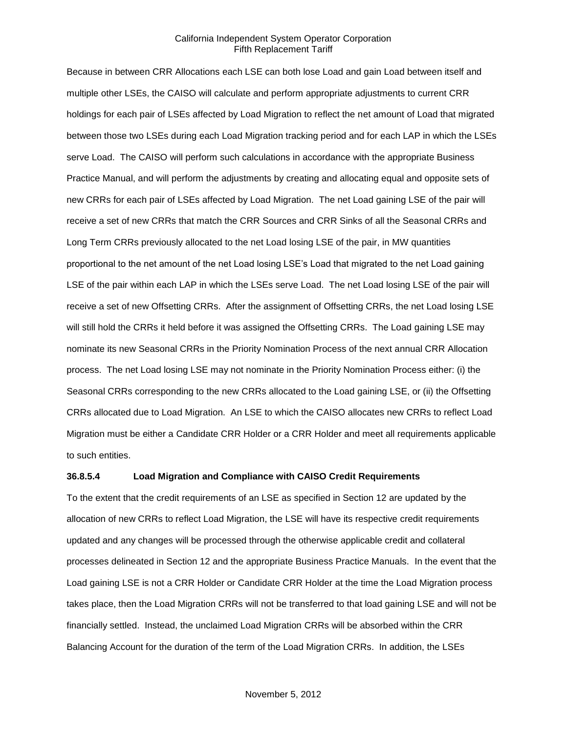Because in between CRR Allocations each LSE can both lose Load and gain Load between itself and multiple other LSEs, the CAISO will calculate and perform appropriate adjustments to current CRR holdings for each pair of LSEs affected by Load Migration to reflect the net amount of Load that migrated between those two LSEs during each Load Migration tracking period and for each LAP in which the LSEs serve Load. The CAISO will perform such calculations in accordance with the appropriate Business Practice Manual, and will perform the adjustments by creating and allocating equal and opposite sets of new CRRs for each pair of LSEs affected by Load Migration. The net Load gaining LSE of the pair will receive a set of new CRRs that match the CRR Sources and CRR Sinks of all the Seasonal CRRs and Long Term CRRs previously allocated to the net Load losing LSE of the pair, in MW quantities proportional to the net amount of the net Load losing LSE's Load that migrated to the net Load gaining LSE of the pair within each LAP in which the LSEs serve Load. The net Load losing LSE of the pair will receive a set of new Offsetting CRRs. After the assignment of Offsetting CRRs, the net Load losing LSE will still hold the CRRs it held before it was assigned the Offsetting CRRs. The Load gaining LSE may nominate its new Seasonal CRRs in the Priority Nomination Process of the next annual CRR Allocation process. The net Load losing LSE may not nominate in the Priority Nomination Process either: (i) the Seasonal CRRs corresponding to the new CRRs allocated to the Load gaining LSE, or (ii) the Offsetting CRRs allocated due to Load Migration. An LSE to which the CAISO allocates new CRRs to reflect Load Migration must be either a Candidate CRR Holder or a CRR Holder and meet all requirements applicable to such entities.

#### **36.8.5.4 Load Migration and Compliance with CAISO Credit Requirements**

To the extent that the credit requirements of an LSE as specified in Section 12 are updated by the allocation of new CRRs to reflect Load Migration, the LSE will have its respective credit requirements updated and any changes will be processed through the otherwise applicable credit and collateral processes delineated in Section 12 and the appropriate Business Practice Manuals. In the event that the Load gaining LSE is not a CRR Holder or Candidate CRR Holder at the time the Load Migration process takes place, then the Load Migration CRRs will not be transferred to that load gaining LSE and will not be financially settled. Instead, the unclaimed Load Migration CRRs will be absorbed within the CRR Balancing Account for the duration of the term of the Load Migration CRRs. In addition, the LSEs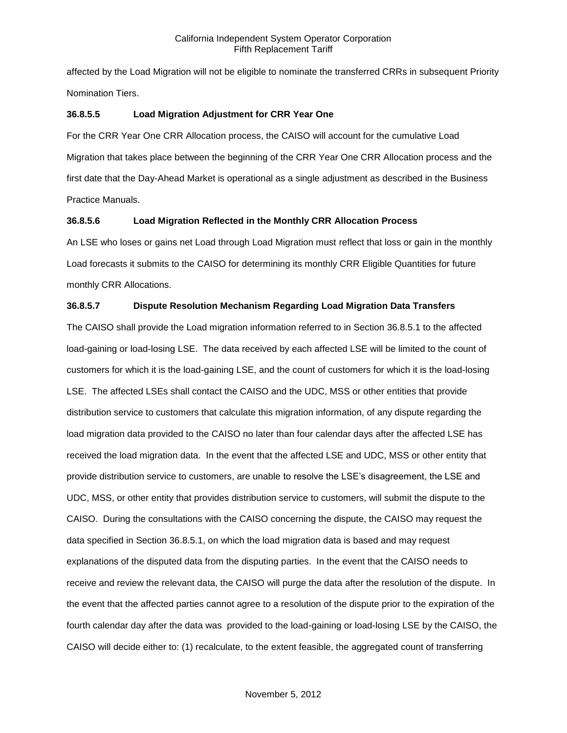affected by the Load Migration will not be eligible to nominate the transferred CRRs in subsequent Priority Nomination Tiers.

## **36.8.5.5 Load Migration Adjustment for CRR Year One**

For the CRR Year One CRR Allocation process, the CAISO will account for the cumulative Load Migration that takes place between the beginning of the CRR Year One CRR Allocation process and the first date that the Day-Ahead Market is operational as a single adjustment as described in the Business Practice Manuals.

## **36.8.5.6 Load Migration Reflected in the Monthly CRR Allocation Process**

An LSE who loses or gains net Load through Load Migration must reflect that loss or gain in the monthly Load forecasts it submits to the CAISO for determining its monthly CRR Eligible Quantities for future monthly CRR Allocations.

# **36.8.5.7 Dispute Resolution Mechanism Regarding Load Migration Data Transfers**

The CAISO shall provide the Load migration information referred to in Section 36.8.5.1 to the affected load-gaining or load-losing LSE. The data received by each affected LSE will be limited to the count of customers for which it is the load-gaining LSE, and the count of customers for which it is the load-losing LSE. The affected LSEs shall contact the CAISO and the UDC, MSS or other entities that provide distribution service to customers that calculate this migration information, of any dispute regarding the load migration data provided to the CAISO no later than four calendar days after the affected LSE has received the load migration data. In the event that the affected LSE and UDC, MSS or other entity that provide distribution service to customers, are unable to resolve the LSE's disagreement, the LSE and UDC, MSS, or other entity that provides distribution service to customers, will submit the dispute to the CAISO. During the consultations with the CAISO concerning the dispute, the CAISO may request the data specified in Section 36.8.5.1, on which the load migration data is based and may request explanations of the disputed data from the disputing parties. In the event that the CAISO needs to receive and review the relevant data, the CAISO will purge the data after the resolution of the dispute. In the event that the affected parties cannot agree to a resolution of the dispute prior to the expiration of the fourth calendar day after the data was provided to the load-gaining or load-losing LSE by the CAISO, the CAISO will decide either to: (1) recalculate, to the extent feasible, the aggregated count of transferring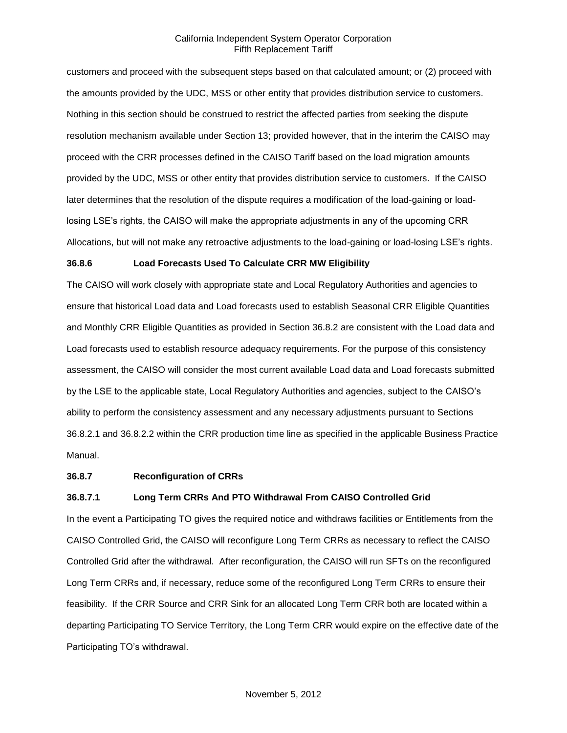customers and proceed with the subsequent steps based on that calculated amount; or (2) proceed with the amounts provided by the UDC, MSS or other entity that provides distribution service to customers. Nothing in this section should be construed to restrict the affected parties from seeking the dispute resolution mechanism available under Section 13; provided however, that in the interim the CAISO may proceed with the CRR processes defined in the CAISO Tariff based on the load migration amounts provided by the UDC, MSS or other entity that provides distribution service to customers. If the CAISO later determines that the resolution of the dispute requires a modification of the load-gaining or loadlosing LSE's rights, the CAISO will make the appropriate adjustments in any of the upcoming CRR Allocations, but will not make any retroactive adjustments to the load-gaining or load-losing LSE's rights.

#### **36.8.6 Load Forecasts Used To Calculate CRR MW Eligibility**

The CAISO will work closely with appropriate state and Local Regulatory Authorities and agencies to ensure that historical Load data and Load forecasts used to establish Seasonal CRR Eligible Quantities and Monthly CRR Eligible Quantities as provided in Section 36.8.2 are consistent with the Load data and Load forecasts used to establish resource adequacy requirements. For the purpose of this consistency assessment, the CAISO will consider the most current available Load data and Load forecasts submitted by the LSE to the applicable state, Local Regulatory Authorities and agencies, subject to the CAISO's ability to perform the consistency assessment and any necessary adjustments pursuant to Sections 36.8.2.1 and 36.8.2.2 within the CRR production time line as specified in the applicable Business Practice Manual.

#### **36.8.7 Reconfiguration of CRRs**

#### **36.8.7.1 Long Term CRRs And PTO Withdrawal From CAISO Controlled Grid**

In the event a Participating TO gives the required notice and withdraws facilities or Entitlements from the CAISO Controlled Grid, the CAISO will reconfigure Long Term CRRs as necessary to reflect the CAISO Controlled Grid after the withdrawal. After reconfiguration, the CAISO will run SFTs on the reconfigured Long Term CRRs and, if necessary, reduce some of the reconfigured Long Term CRRs to ensure their feasibility. If the CRR Source and CRR Sink for an allocated Long Term CRR both are located within a departing Participating TO Service Territory, the Long Term CRR would expire on the effective date of the Participating TO's withdrawal.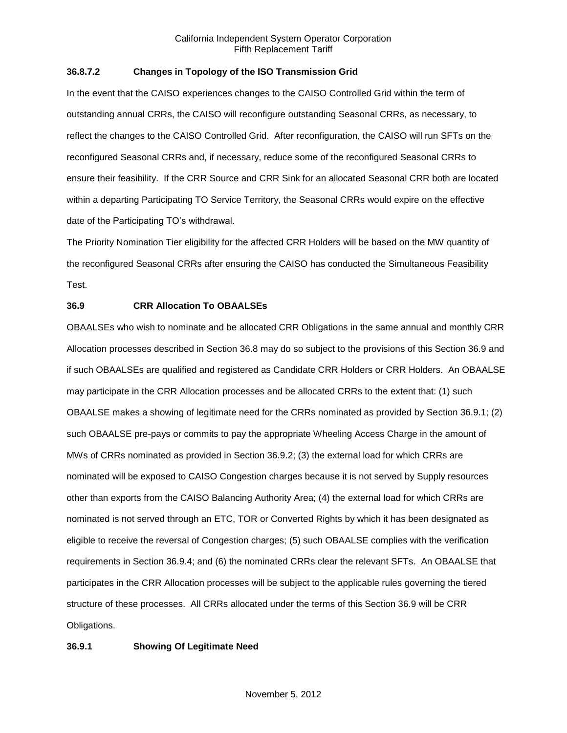# **36.8.7.2 Changes in Topology of the ISO Transmission Grid**

In the event that the CAISO experiences changes to the CAISO Controlled Grid within the term of outstanding annual CRRs, the CAISO will reconfigure outstanding Seasonal CRRs, as necessary, to reflect the changes to the CAISO Controlled Grid. After reconfiguration, the CAISO will run SFTs on the reconfigured Seasonal CRRs and, if necessary, reduce some of the reconfigured Seasonal CRRs to ensure their feasibility. If the CRR Source and CRR Sink for an allocated Seasonal CRR both are located within a departing Participating TO Service Territory, the Seasonal CRRs would expire on the effective date of the Participating TO's withdrawal.

The Priority Nomination Tier eligibility for the affected CRR Holders will be based on the MW quantity of the reconfigured Seasonal CRRs after ensuring the CAISO has conducted the Simultaneous Feasibility Test.

# **36.9 CRR Allocation To OBAALSEs**

OBAALSEs who wish to nominate and be allocated CRR Obligations in the same annual and monthly CRR Allocation processes described in Section 36.8 may do so subject to the provisions of this Section 36.9 and if such OBAALSEs are qualified and registered as Candidate CRR Holders or CRR Holders. An OBAALSE may participate in the CRR Allocation processes and be allocated CRRs to the extent that: (1) such OBAALSE makes a showing of legitimate need for the CRRs nominated as provided by Section 36.9.1; (2) such OBAALSE pre-pays or commits to pay the appropriate Wheeling Access Charge in the amount of MWs of CRRs nominated as provided in Section 36.9.2; (3) the external load for which CRRs are nominated will be exposed to CAISO Congestion charges because it is not served by Supply resources other than exports from the CAISO Balancing Authority Area; (4) the external load for which CRRs are nominated is not served through an ETC, TOR or Converted Rights by which it has been designated as eligible to receive the reversal of Congestion charges; (5) such OBAALSE complies with the verification requirements in Section 36.9.4; and (6) the nominated CRRs clear the relevant SFTs. An OBAALSE that participates in the CRR Allocation processes will be subject to the applicable rules governing the tiered structure of these processes. All CRRs allocated under the terms of this Section 36.9 will be CRR Obligations.

# **36.9.1 Showing Of Legitimate Need**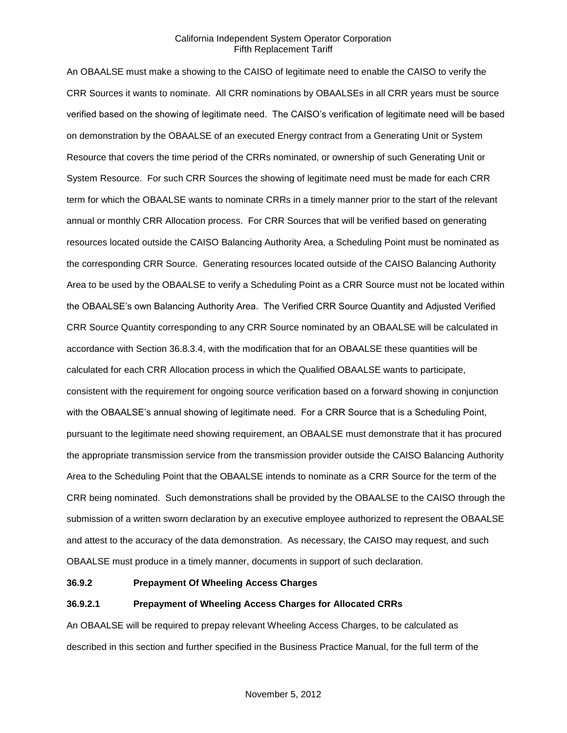An OBAALSE must make a showing to the CAISO of legitimate need to enable the CAISO to verify the CRR Sources it wants to nominate. All CRR nominations by OBAALSEs in all CRR years must be source verified based on the showing of legitimate need. The CAISO's verification of legitimate need will be based on demonstration by the OBAALSE of an executed Energy contract from a Generating Unit or System Resource that covers the time period of the CRRs nominated, or ownership of such Generating Unit or System Resource. For such CRR Sources the showing of legitimate need must be made for each CRR term for which the OBAALSE wants to nominate CRRs in a timely manner prior to the start of the relevant annual or monthly CRR Allocation process. For CRR Sources that will be verified based on generating resources located outside the CAISO Balancing Authority Area, a Scheduling Point must be nominated as the corresponding CRR Source. Generating resources located outside of the CAISO Balancing Authority Area to be used by the OBAALSE to verify a Scheduling Point as a CRR Source must not be located within the OBAALSE's own Balancing Authority Area. The Verified CRR Source Quantity and Adjusted Verified CRR Source Quantity corresponding to any CRR Source nominated by an OBAALSE will be calculated in accordance with Section 36.8.3.4, with the modification that for an OBAALSE these quantities will be calculated for each CRR Allocation process in which the Qualified OBAALSE wants to participate, consistent with the requirement for ongoing source verification based on a forward showing in conjunction with the OBAALSE's annual showing of legitimate need. For a CRR Source that is a Scheduling Point, pursuant to the legitimate need showing requirement, an OBAALSE must demonstrate that it has procured the appropriate transmission service from the transmission provider outside the CAISO Balancing Authority Area to the Scheduling Point that the OBAALSE intends to nominate as a CRR Source for the term of the CRR being nominated. Such demonstrations shall be provided by the OBAALSE to the CAISO through the submission of a written sworn declaration by an executive employee authorized to represent the OBAALSE and attest to the accuracy of the data demonstration. As necessary, the CAISO may request, and such OBAALSE must produce in a timely manner, documents in support of such declaration.

## **36.9.2 Prepayment Of Wheeling Access Charges**

## **36.9.2.1 Prepayment of Wheeling Access Charges for Allocated CRRs**

An OBAALSE will be required to prepay relevant Wheeling Access Charges, to be calculated as described in this section and further specified in the Business Practice Manual, for the full term of the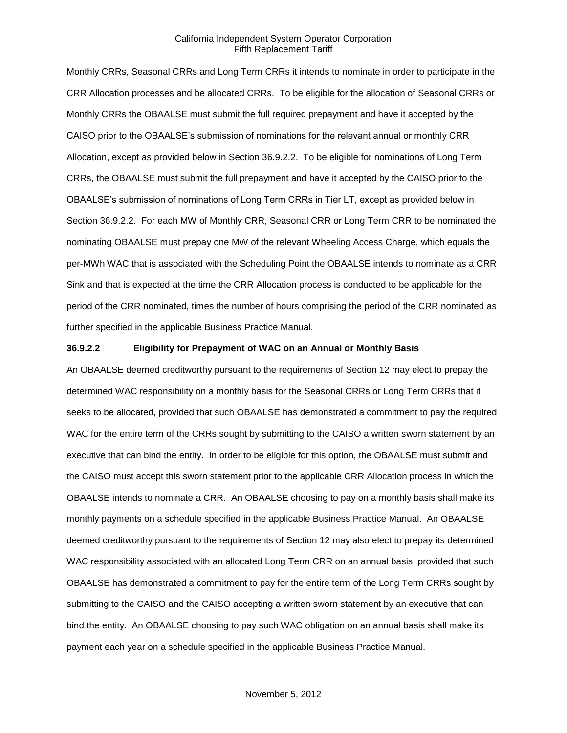Monthly CRRs, Seasonal CRRs and Long Term CRRs it intends to nominate in order to participate in the CRR Allocation processes and be allocated CRRs. To be eligible for the allocation of Seasonal CRRs or Monthly CRRs the OBAALSE must submit the full required prepayment and have it accepted by the CAISO prior to the OBAALSE's submission of nominations for the relevant annual or monthly CRR Allocation, except as provided below in Section 36.9.2.2. To be eligible for nominations of Long Term CRRs, the OBAALSE must submit the full prepayment and have it accepted by the CAISO prior to the OBAALSE's submission of nominations of Long Term CRRs in Tier LT, except as provided below in Section 36.9.2.2. For each MW of Monthly CRR, Seasonal CRR or Long Term CRR to be nominated the nominating OBAALSE must prepay one MW of the relevant Wheeling Access Charge, which equals the per-MWh WAC that is associated with the Scheduling Point the OBAALSE intends to nominate as a CRR Sink and that is expected at the time the CRR Allocation process is conducted to be applicable for the period of the CRR nominated, times the number of hours comprising the period of the CRR nominated as further specified in the applicable Business Practice Manual.

## **36.9.2.2 Eligibility for Prepayment of WAC on an Annual or Monthly Basis**

An OBAALSE deemed creditworthy pursuant to the requirements of Section 12 may elect to prepay the determined WAC responsibility on a monthly basis for the Seasonal CRRs or Long Term CRRs that it seeks to be allocated, provided that such OBAALSE has demonstrated a commitment to pay the required WAC for the entire term of the CRRs sought by submitting to the CAISO a written sworn statement by an executive that can bind the entity. In order to be eligible for this option, the OBAALSE must submit and the CAISO must accept this sworn statement prior to the applicable CRR Allocation process in which the OBAALSE intends to nominate a CRR. An OBAALSE choosing to pay on a monthly basis shall make its monthly payments on a schedule specified in the applicable Business Practice Manual. An OBAALSE deemed creditworthy pursuant to the requirements of Section 12 may also elect to prepay its determined WAC responsibility associated with an allocated Long Term CRR on an annual basis, provided that such OBAALSE has demonstrated a commitment to pay for the entire term of the Long Term CRRs sought by submitting to the CAISO and the CAISO accepting a written sworn statement by an executive that can bind the entity. An OBAALSE choosing to pay such WAC obligation on an annual basis shall make its payment each year on a schedule specified in the applicable Business Practice Manual.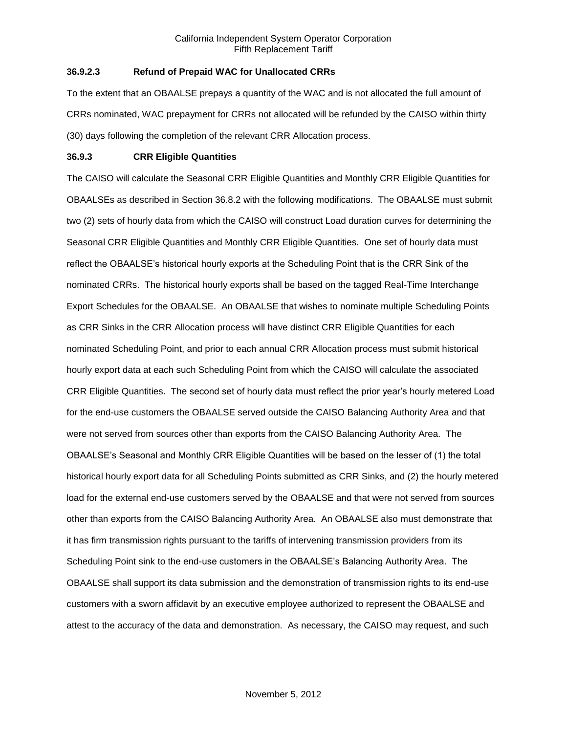# **36.9.2.3 Refund of Prepaid WAC for Unallocated CRRs**

To the extent that an OBAALSE prepays a quantity of the WAC and is not allocated the full amount of CRRs nominated, WAC prepayment for CRRs not allocated will be refunded by the CAISO within thirty (30) days following the completion of the relevant CRR Allocation process.

## **36.9.3 CRR Eligible Quantities**

The CAISO will calculate the Seasonal CRR Eligible Quantities and Monthly CRR Eligible Quantities for OBAALSEs as described in Section 36.8.2 with the following modifications. The OBAALSE must submit two (2) sets of hourly data from which the CAISO will construct Load duration curves for determining the Seasonal CRR Eligible Quantities and Monthly CRR Eligible Quantities. One set of hourly data must reflect the OBAALSE's historical hourly exports at the Scheduling Point that is the CRR Sink of the nominated CRRs. The historical hourly exports shall be based on the tagged Real-Time Interchange Export Schedules for the OBAALSE. An OBAALSE that wishes to nominate multiple Scheduling Points as CRR Sinks in the CRR Allocation process will have distinct CRR Eligible Quantities for each nominated Scheduling Point, and prior to each annual CRR Allocation process must submit historical hourly export data at each such Scheduling Point from which the CAISO will calculate the associated CRR Eligible Quantities. The second set of hourly data must reflect the prior year's hourly metered Load for the end-use customers the OBAALSE served outside the CAISO Balancing Authority Area and that were not served from sources other than exports from the CAISO Balancing Authority Area. The OBAALSE's Seasonal and Monthly CRR Eligible Quantities will be based on the lesser of (1) the total historical hourly export data for all Scheduling Points submitted as CRR Sinks, and (2) the hourly metered load for the external end-use customers served by the OBAALSE and that were not served from sources other than exports from the CAISO Balancing Authority Area. An OBAALSE also must demonstrate that it has firm transmission rights pursuant to the tariffs of intervening transmission providers from its Scheduling Point sink to the end-use customers in the OBAALSE's Balancing Authority Area. The OBAALSE shall support its data submission and the demonstration of transmission rights to its end-use customers with a sworn affidavit by an executive employee authorized to represent the OBAALSE and attest to the accuracy of the data and demonstration. As necessary, the CAISO may request, and such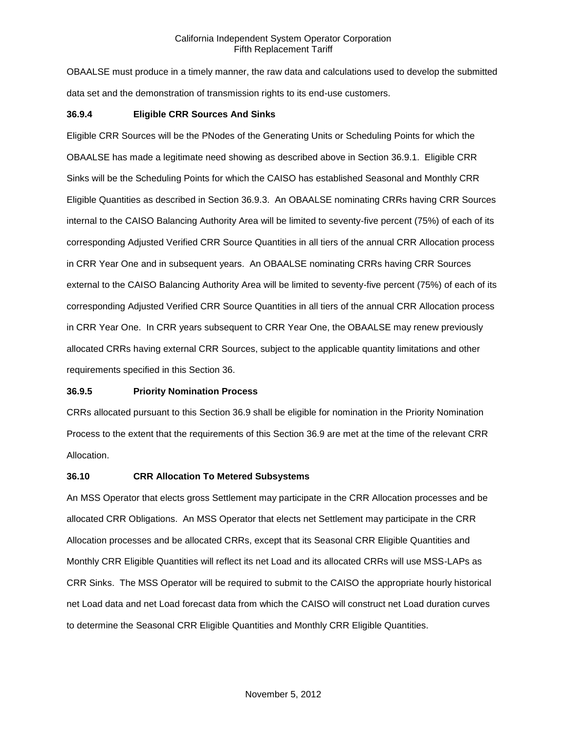OBAALSE must produce in a timely manner, the raw data and calculations used to develop the submitted data set and the demonstration of transmission rights to its end-use customers.

### **36.9.4 Eligible CRR Sources And Sinks**

Eligible CRR Sources will be the PNodes of the Generating Units or Scheduling Points for which the OBAALSE has made a legitimate need showing as described above in Section 36.9.1. Eligible CRR Sinks will be the Scheduling Points for which the CAISO has established Seasonal and Monthly CRR Eligible Quantities as described in Section 36.9.3. An OBAALSE nominating CRRs having CRR Sources internal to the CAISO Balancing Authority Area will be limited to seventy-five percent (75%) of each of its corresponding Adjusted Verified CRR Source Quantities in all tiers of the annual CRR Allocation process in CRR Year One and in subsequent years. An OBAALSE nominating CRRs having CRR Sources external to the CAISO Balancing Authority Area will be limited to seventy-five percent (75%) of each of its corresponding Adjusted Verified CRR Source Quantities in all tiers of the annual CRR Allocation process in CRR Year One. In CRR years subsequent to CRR Year One, the OBAALSE may renew previously allocated CRRs having external CRR Sources, subject to the applicable quantity limitations and other requirements specified in this Section 36.

#### **36.9.5 Priority Nomination Process**

CRRs allocated pursuant to this Section 36.9 shall be eligible for nomination in the Priority Nomination Process to the extent that the requirements of this Section 36.9 are met at the time of the relevant CRR Allocation.

#### **36.10 CRR Allocation To Metered Subsystems**

An MSS Operator that elects gross Settlement may participate in the CRR Allocation processes and be allocated CRR Obligations. An MSS Operator that elects net Settlement may participate in the CRR Allocation processes and be allocated CRRs, except that its Seasonal CRR Eligible Quantities and Monthly CRR Eligible Quantities will reflect its net Load and its allocated CRRs will use MSS-LAPs as CRR Sinks. The MSS Operator will be required to submit to the CAISO the appropriate hourly historical net Load data and net Load forecast data from which the CAISO will construct net Load duration curves to determine the Seasonal CRR Eligible Quantities and Monthly CRR Eligible Quantities.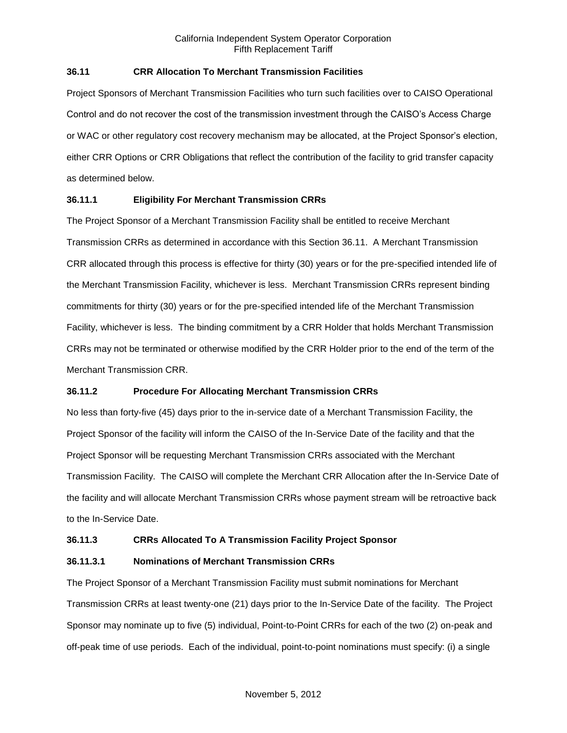## **36.11 CRR Allocation To Merchant Transmission Facilities**

Project Sponsors of Merchant Transmission Facilities who turn such facilities over to CAISO Operational Control and do not recover the cost of the transmission investment through the CAISO's Access Charge or WAC or other regulatory cost recovery mechanism may be allocated, at the Project Sponsor's election, either CRR Options or CRR Obligations that reflect the contribution of the facility to grid transfer capacity as determined below.

## **36.11.1 Eligibility For Merchant Transmission CRRs**

The Project Sponsor of a Merchant Transmission Facility shall be entitled to receive Merchant Transmission CRRs as determined in accordance with this Section 36.11. A Merchant Transmission CRR allocated through this process is effective for thirty (30) years or for the pre-specified intended life of the Merchant Transmission Facility, whichever is less. Merchant Transmission CRRs represent binding commitments for thirty (30) years or for the pre-specified intended life of the Merchant Transmission Facility, whichever is less. The binding commitment by a CRR Holder that holds Merchant Transmission CRRs may not be terminated or otherwise modified by the CRR Holder prior to the end of the term of the Merchant Transmission CRR.

### **36.11.2 Procedure For Allocating Merchant Transmission CRRs**

No less than forty-five (45) days prior to the in-service date of a Merchant Transmission Facility, the Project Sponsor of the facility will inform the CAISO of the In-Service Date of the facility and that the Project Sponsor will be requesting Merchant Transmission CRRs associated with the Merchant Transmission Facility. The CAISO will complete the Merchant CRR Allocation after the In-Service Date of the facility and will allocate Merchant Transmission CRRs whose payment stream will be retroactive back to the In-Service Date.

### **36.11.3 CRRs Allocated To A Transmission Facility Project Sponsor**

### **36.11.3.1 Nominations of Merchant Transmission CRRs**

The Project Sponsor of a Merchant Transmission Facility must submit nominations for Merchant Transmission CRRs at least twenty-one (21) days prior to the In-Service Date of the facility. The Project Sponsor may nominate up to five (5) individual, Point-to-Point CRRs for each of the two (2) on-peak and off-peak time of use periods. Each of the individual, point-to-point nominations must specify: (i) a single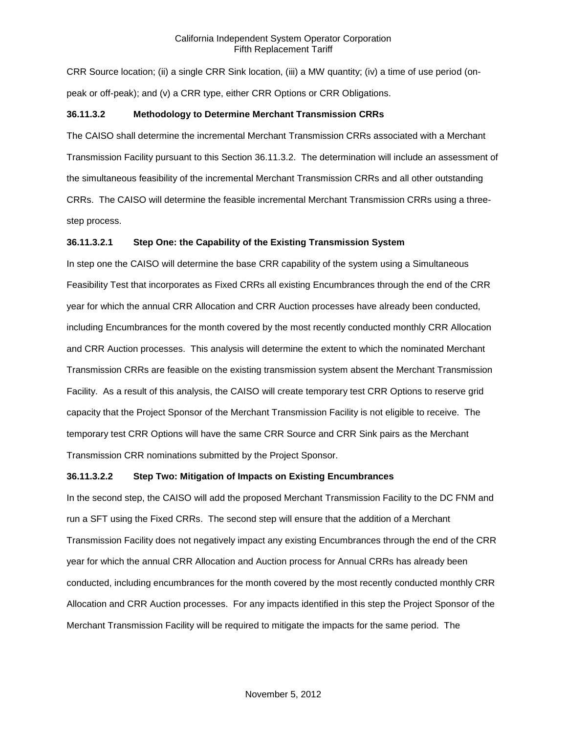CRR Source location; (ii) a single CRR Sink location, (iii) a MW quantity; (iv) a time of use period (onpeak or off-peak); and (v) a CRR type, either CRR Options or CRR Obligations.

#### **36.11.3.2 Methodology to Determine Merchant Transmission CRRs**

The CAISO shall determine the incremental Merchant Transmission CRRs associated with a Merchant Transmission Facility pursuant to this Section 36.11.3.2. The determination will include an assessment of the simultaneous feasibility of the incremental Merchant Transmission CRRs and all other outstanding CRRs. The CAISO will determine the feasible incremental Merchant Transmission CRRs using a threestep process.

### **36.11.3.2.1 Step One: the Capability of the Existing Transmission System**

In step one the CAISO will determine the base CRR capability of the system using a Simultaneous Feasibility Test that incorporates as Fixed CRRs all existing Encumbrances through the end of the CRR year for which the annual CRR Allocation and CRR Auction processes have already been conducted, including Encumbrances for the month covered by the most recently conducted monthly CRR Allocation and CRR Auction processes. This analysis will determine the extent to which the nominated Merchant Transmission CRRs are feasible on the existing transmission system absent the Merchant Transmission Facility. As a result of this analysis, the CAISO will create temporary test CRR Options to reserve grid capacity that the Project Sponsor of the Merchant Transmission Facility is not eligible to receive. The temporary test CRR Options will have the same CRR Source and CRR Sink pairs as the Merchant Transmission CRR nominations submitted by the Project Sponsor.

### **36.11.3.2.2 Step Two: Mitigation of Impacts on Existing Encumbrances**

In the second step, the CAISO will add the proposed Merchant Transmission Facility to the DC FNM and run a SFT using the Fixed CRRs. The second step will ensure that the addition of a Merchant Transmission Facility does not negatively impact any existing Encumbrances through the end of the CRR year for which the annual CRR Allocation and Auction process for Annual CRRs has already been conducted, including encumbrances for the month covered by the most recently conducted monthly CRR Allocation and CRR Auction processes. For any impacts identified in this step the Project Sponsor of the Merchant Transmission Facility will be required to mitigate the impacts for the same period. The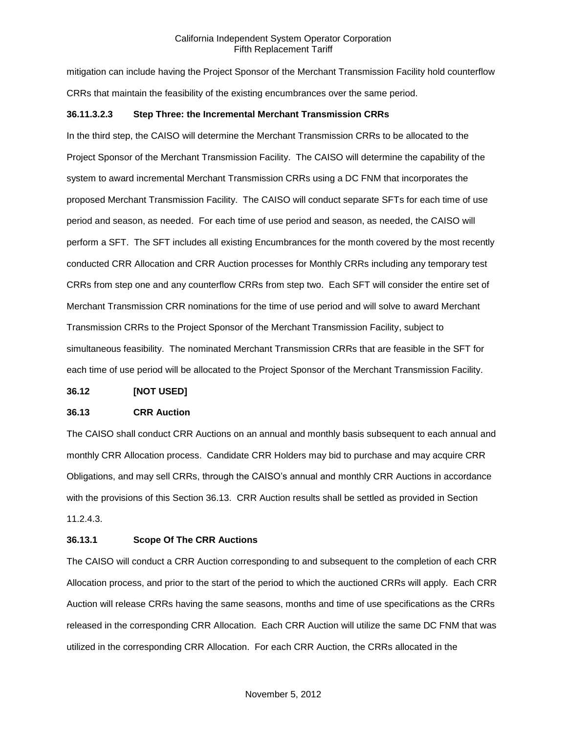mitigation can include having the Project Sponsor of the Merchant Transmission Facility hold counterflow CRRs that maintain the feasibility of the existing encumbrances over the same period.

#### **36.11.3.2.3 Step Three: the Incremental Merchant Transmission CRRs**

In the third step, the CAISO will determine the Merchant Transmission CRRs to be allocated to the Project Sponsor of the Merchant Transmission Facility. The CAISO will determine the capability of the system to award incremental Merchant Transmission CRRs using a DC FNM that incorporates the proposed Merchant Transmission Facility. The CAISO will conduct separate SFTs for each time of use period and season, as needed. For each time of use period and season, as needed, the CAISO will perform a SFT. The SFT includes all existing Encumbrances for the month covered by the most recently conducted CRR Allocation and CRR Auction processes for Monthly CRRs including any temporary test CRRs from step one and any counterflow CRRs from step two. Each SFT will consider the entire set of Merchant Transmission CRR nominations for the time of use period and will solve to award Merchant Transmission CRRs to the Project Sponsor of the Merchant Transmission Facility, subject to simultaneous feasibility. The nominated Merchant Transmission CRRs that are feasible in the SFT for each time of use period will be allocated to the Project Sponsor of the Merchant Transmission Facility.

#### **36.12 [NOT USED]**

#### **36.13 CRR Auction**

The CAISO shall conduct CRR Auctions on an annual and monthly basis subsequent to each annual and monthly CRR Allocation process. Candidate CRR Holders may bid to purchase and may acquire CRR Obligations, and may sell CRRs, through the CAISO's annual and monthly CRR Auctions in accordance with the provisions of this Section 36.13. CRR Auction results shall be settled as provided in Section 11.2.4.3.

### **36.13.1 Scope Of The CRR Auctions**

The CAISO will conduct a CRR Auction corresponding to and subsequent to the completion of each CRR Allocation process, and prior to the start of the period to which the auctioned CRRs will apply. Each CRR Auction will release CRRs having the same seasons, months and time of use specifications as the CRRs released in the corresponding CRR Allocation. Each CRR Auction will utilize the same DC FNM that was utilized in the corresponding CRR Allocation. For each CRR Auction, the CRRs allocated in the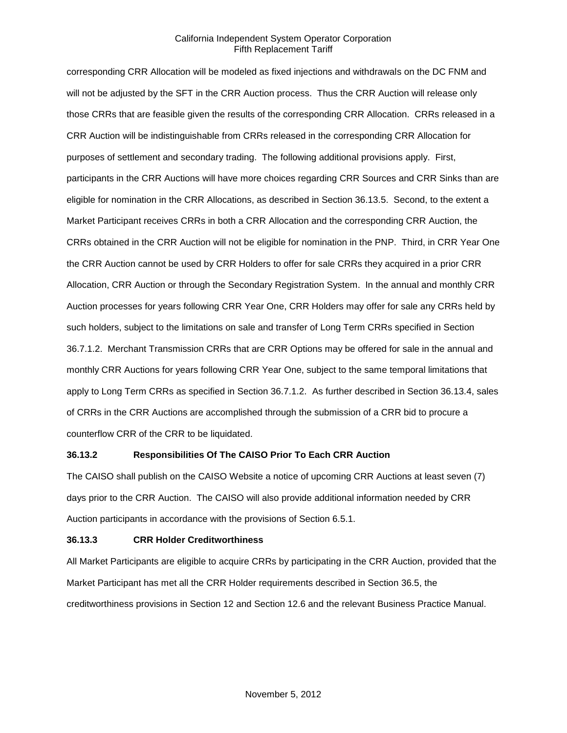corresponding CRR Allocation will be modeled as fixed injections and withdrawals on the DC FNM and will not be adjusted by the SFT in the CRR Auction process. Thus the CRR Auction will release only those CRRs that are feasible given the results of the corresponding CRR Allocation. CRRs released in a CRR Auction will be indistinguishable from CRRs released in the corresponding CRR Allocation for purposes of settlement and secondary trading. The following additional provisions apply. First, participants in the CRR Auctions will have more choices regarding CRR Sources and CRR Sinks than are eligible for nomination in the CRR Allocations, as described in Section 36.13.5. Second, to the extent a Market Participant receives CRRs in both a CRR Allocation and the corresponding CRR Auction, the CRRs obtained in the CRR Auction will not be eligible for nomination in the PNP. Third, in CRR Year One the CRR Auction cannot be used by CRR Holders to offer for sale CRRs they acquired in a prior CRR Allocation, CRR Auction or through the Secondary Registration System. In the annual and monthly CRR Auction processes for years following CRR Year One, CRR Holders may offer for sale any CRRs held by such holders, subject to the limitations on sale and transfer of Long Term CRRs specified in Section 36.7.1.2. Merchant Transmission CRRs that are CRR Options may be offered for sale in the annual and monthly CRR Auctions for years following CRR Year One, subject to the same temporal limitations that apply to Long Term CRRs as specified in Section 36.7.1.2. As further described in Section 36.13.4, sales of CRRs in the CRR Auctions are accomplished through the submission of a CRR bid to procure a counterflow CRR of the CRR to be liquidated.

### **36.13.2 Responsibilities Of The CAISO Prior To Each CRR Auction**

The CAISO shall publish on the CAISO Website a notice of upcoming CRR Auctions at least seven (7) days prior to the CRR Auction. The CAISO will also provide additional information needed by CRR Auction participants in accordance with the provisions of Section 6.5.1.

### **36.13.3 CRR Holder Creditworthiness**

All Market Participants are eligible to acquire CRRs by participating in the CRR Auction, provided that the Market Participant has met all the CRR Holder requirements described in Section 36.5, the creditworthiness provisions in Section 12 and Section 12.6 and the relevant Business Practice Manual.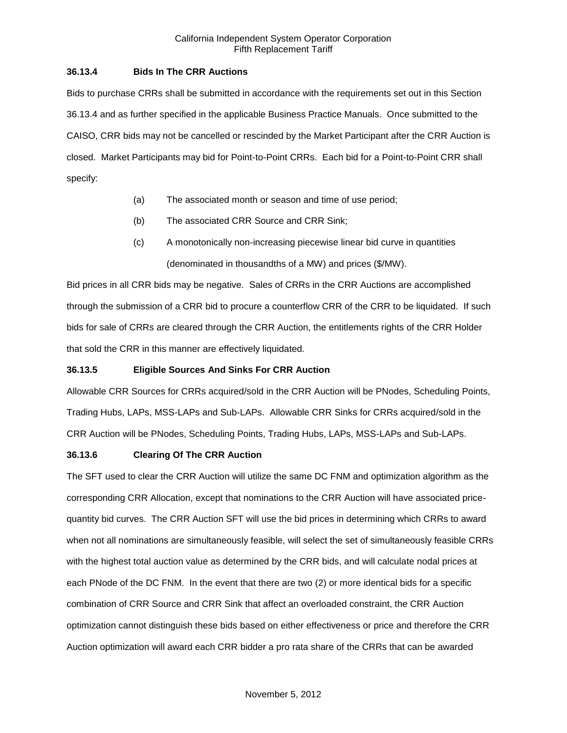## **36.13.4 Bids In The CRR Auctions**

Bids to purchase CRRs shall be submitted in accordance with the requirements set out in this Section 36.13.4 and as further specified in the applicable Business Practice Manuals. Once submitted to the CAISO, CRR bids may not be cancelled or rescinded by the Market Participant after the CRR Auction is closed. Market Participants may bid for Point-to-Point CRRs. Each bid for a Point-to-Point CRR shall specify:

- (a) The associated month or season and time of use period;
- (b) The associated CRR Source and CRR Sink;
- (c) A monotonically non-increasing piecewise linear bid curve in quantities (denominated in thousandths of a MW) and prices (\$/MW).

Bid prices in all CRR bids may be negative. Sales of CRRs in the CRR Auctions are accomplished through the submission of a CRR bid to procure a counterflow CRR of the CRR to be liquidated. If such bids for sale of CRRs are cleared through the CRR Auction, the entitlements rights of the CRR Holder that sold the CRR in this manner are effectively liquidated.

### **36.13.5 Eligible Sources And Sinks For CRR Auction**

Allowable CRR Sources for CRRs acquired/sold in the CRR Auction will be PNodes, Scheduling Points, Trading Hubs, LAPs, MSS-LAPs and Sub-LAPs. Allowable CRR Sinks for CRRs acquired/sold in the CRR Auction will be PNodes, Scheduling Points, Trading Hubs, LAPs, MSS-LAPs and Sub-LAPs.

### **36.13.6 Clearing Of The CRR Auction**

The SFT used to clear the CRR Auction will utilize the same DC FNM and optimization algorithm as the corresponding CRR Allocation, except that nominations to the CRR Auction will have associated pricequantity bid curves. The CRR Auction SFT will use the bid prices in determining which CRRs to award when not all nominations are simultaneously feasible, will select the set of simultaneously feasible CRRs with the highest total auction value as determined by the CRR bids, and will calculate nodal prices at each PNode of the DC FNM. In the event that there are two (2) or more identical bids for a specific combination of CRR Source and CRR Sink that affect an overloaded constraint, the CRR Auction optimization cannot distinguish these bids based on either effectiveness or price and therefore the CRR Auction optimization will award each CRR bidder a pro rata share of the CRRs that can be awarded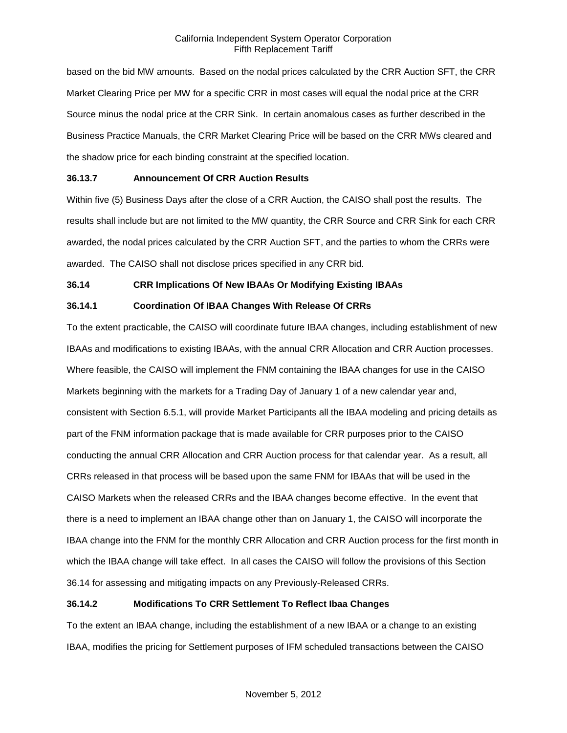based on the bid MW amounts. Based on the nodal prices calculated by the CRR Auction SFT, the CRR Market Clearing Price per MW for a specific CRR in most cases will equal the nodal price at the CRR Source minus the nodal price at the CRR Sink. In certain anomalous cases as further described in the Business Practice Manuals, the CRR Market Clearing Price will be based on the CRR MWs cleared and the shadow price for each binding constraint at the specified location.

## **36.13.7 Announcement Of CRR Auction Results**

Within five (5) Business Days after the close of a CRR Auction, the CAISO shall post the results. The results shall include but are not limited to the MW quantity, the CRR Source and CRR Sink for each CRR awarded, the nodal prices calculated by the CRR Auction SFT, and the parties to whom the CRRs were awarded. The CAISO shall not disclose prices specified in any CRR bid.

## **36.14 CRR Implications Of New IBAAs Or Modifying Existing IBAAs**

## **36.14.1 Coordination Of IBAA Changes With Release Of CRRs**

To the extent practicable, the CAISO will coordinate future IBAA changes, including establishment of new IBAAs and modifications to existing IBAAs, with the annual CRR Allocation and CRR Auction processes. Where feasible, the CAISO will implement the FNM containing the IBAA changes for use in the CAISO Markets beginning with the markets for a Trading Day of January 1 of a new calendar year and, consistent with Section 6.5.1, will provide Market Participants all the IBAA modeling and pricing details as part of the FNM information package that is made available for CRR purposes prior to the CAISO conducting the annual CRR Allocation and CRR Auction process for that calendar year. As a result, all CRRs released in that process will be based upon the same FNM for IBAAs that will be used in the CAISO Markets when the released CRRs and the IBAA changes become effective. In the event that there is a need to implement an IBAA change other than on January 1, the CAISO will incorporate the IBAA change into the FNM for the monthly CRR Allocation and CRR Auction process for the first month in which the IBAA change will take effect. In all cases the CAISO will follow the provisions of this Section 36.14 for assessing and mitigating impacts on any Previously-Released CRRs.

# **36.14.2 Modifications To CRR Settlement To Reflect Ibaa Changes**

To the extent an IBAA change, including the establishment of a new IBAA or a change to an existing IBAA, modifies the pricing for Settlement purposes of IFM scheduled transactions between the CAISO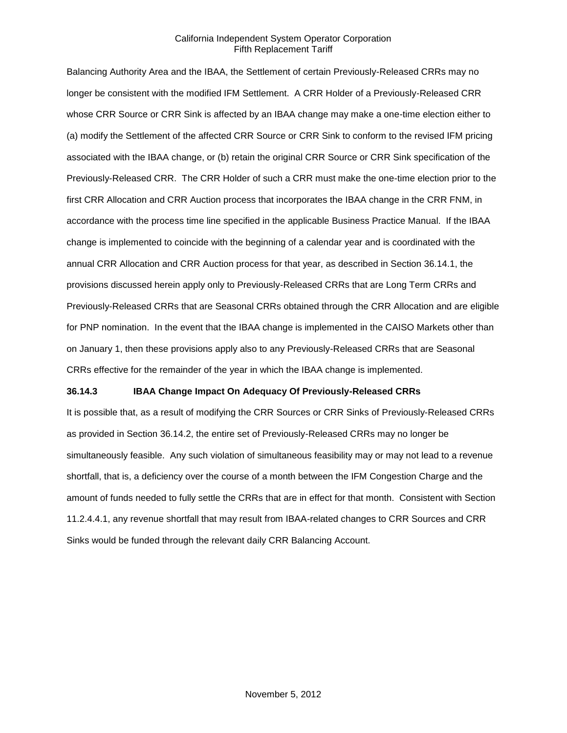Balancing Authority Area and the IBAA, the Settlement of certain Previously-Released CRRs may no longer be consistent with the modified IFM Settlement. A CRR Holder of a Previously-Released CRR whose CRR Source or CRR Sink is affected by an IBAA change may make a one-time election either to (a) modify the Settlement of the affected CRR Source or CRR Sink to conform to the revised IFM pricing associated with the IBAA change, or (b) retain the original CRR Source or CRR Sink specification of the Previously-Released CRR. The CRR Holder of such a CRR must make the one-time election prior to the first CRR Allocation and CRR Auction process that incorporates the IBAA change in the CRR FNM, in accordance with the process time line specified in the applicable Business Practice Manual. If the IBAA change is implemented to coincide with the beginning of a calendar year and is coordinated with the annual CRR Allocation and CRR Auction process for that year, as described in Section 36.14.1, the provisions discussed herein apply only to Previously-Released CRRs that are Long Term CRRs and Previously-Released CRRs that are Seasonal CRRs obtained through the CRR Allocation and are eligible for PNP nomination. In the event that the IBAA change is implemented in the CAISO Markets other than on January 1, then these provisions apply also to any Previously-Released CRRs that are Seasonal CRRs effective for the remainder of the year in which the IBAA change is implemented.

### **36.14.3 IBAA Change Impact On Adequacy Of Previously-Released CRRs**

It is possible that, as a result of modifying the CRR Sources or CRR Sinks of Previously-Released CRRs as provided in Section 36.14.2, the entire set of Previously-Released CRRs may no longer be simultaneously feasible. Any such violation of simultaneous feasibility may or may not lead to a revenue shortfall, that is, a deficiency over the course of a month between the IFM Congestion Charge and the amount of funds needed to fully settle the CRRs that are in effect for that month. Consistent with Section 11.2.4.4.1, any revenue shortfall that may result from IBAA-related changes to CRR Sources and CRR Sinks would be funded through the relevant daily CRR Balancing Account.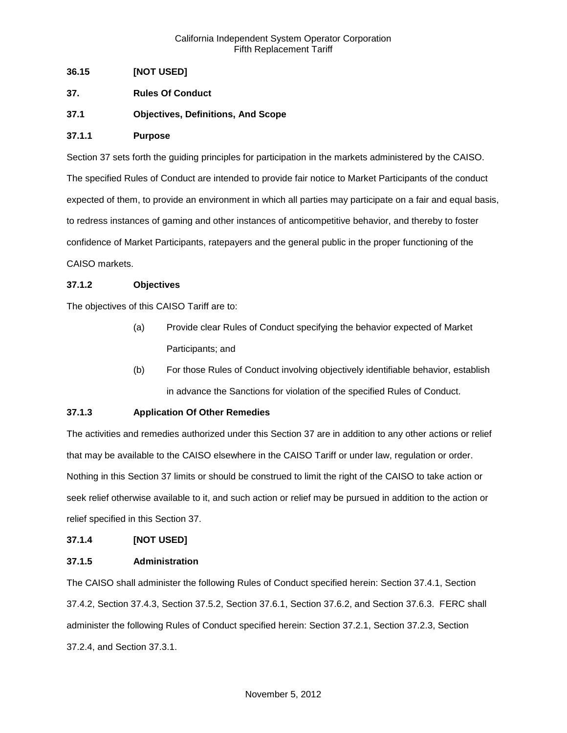# **36.15 [NOT USED]**

- **37. Rules Of Conduct**
- **37.1 Objectives, Definitions, And Scope**

### **37.1.1 Purpose**

Section 37 sets forth the guiding principles for participation in the markets administered by the CAISO. The specified Rules of Conduct are intended to provide fair notice to Market Participants of the conduct expected of them, to provide an environment in which all parties may participate on a fair and equal basis, to redress instances of gaming and other instances of anticompetitive behavior, and thereby to foster confidence of Market Participants, ratepayers and the general public in the proper functioning of the CAISO markets.

## **37.1.2 Objectives**

The objectives of this CAISO Tariff are to:

- (a) Provide clear Rules of Conduct specifying the behavior expected of Market Participants; and
- (b) For those Rules of Conduct involving objectively identifiable behavior, establish in advance the Sanctions for violation of the specified Rules of Conduct.

# **37.1.3 Application Of Other Remedies**

The activities and remedies authorized under this Section 37 are in addition to any other actions or relief that may be available to the CAISO elsewhere in the CAISO Tariff or under law, regulation or order. Nothing in this Section 37 limits or should be construed to limit the right of the CAISO to take action or seek relief otherwise available to it, and such action or relief may be pursued in addition to the action or relief specified in this Section 37.

### **37.1.4 [NOT USED]**

### **37.1.5 Administration**

The CAISO shall administer the following Rules of Conduct specified herein: Section 37.4.1, Section 37.4.2, Section 37.4.3, Section 37.5.2, Section 37.6.1, Section 37.6.2, and Section 37.6.3. FERC shall administer the following Rules of Conduct specified herein: Section 37.2.1, Section 37.2.3, Section 37.2.4, and Section 37.3.1.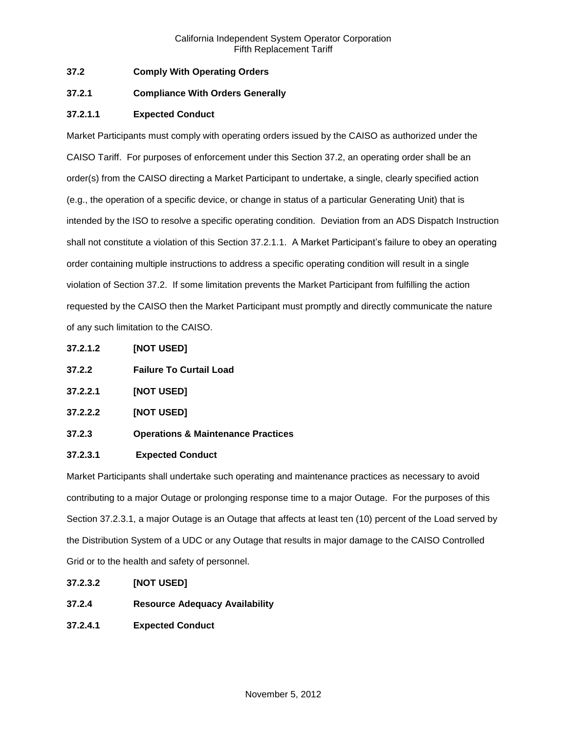# **37.2 Comply With Operating Orders**

## **37.2.1 Compliance With Orders Generally**

# **37.2.1.1 Expected Conduct**

Market Participants must comply with operating orders issued by the CAISO as authorized under the CAISO Tariff. For purposes of enforcement under this Section 37.2, an operating order shall be an order(s) from the CAISO directing a Market Participant to undertake, a single, clearly specified action (e.g., the operation of a specific device, or change in status of a particular Generating Unit) that is intended by the ISO to resolve a specific operating condition. Deviation from an ADS Dispatch Instruction shall not constitute a violation of this Section 37.2.1.1. A Market Participant's failure to obey an operating order containing multiple instructions to address a specific operating condition will result in a single violation of Section 37.2. If some limitation prevents the Market Participant from fulfilling the action requested by the CAISO then the Market Participant must promptly and directly communicate the nature of any such limitation to the CAISO.

- **37.2.1.2 [NOT USED]**
- **37.2.2 Failure To Curtail Load**
- **37.2.2.1 [NOT USED]**
- **37.2.2.2 [NOT USED]**
- **37.2.3 Operations & Maintenance Practices**

### **37.2.3.1 Expected Conduct**

Market Participants shall undertake such operating and maintenance practices as necessary to avoid contributing to a major Outage or prolonging response time to a major Outage. For the purposes of this Section 37.2.3.1, a major Outage is an Outage that affects at least ten (10) percent of the Load served by the Distribution System of a UDC or any Outage that results in major damage to the CAISO Controlled Grid or to the health and safety of personnel.

- **37.2.3.2 [NOT USED]**
- **37.2.4 Resource Adequacy Availability**
- **37.2.4.1 Expected Conduct**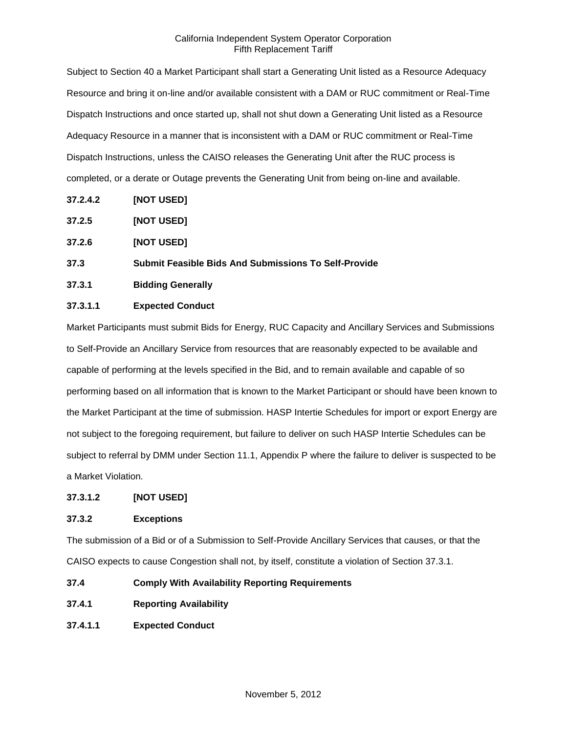Subject to Section 40 a Market Participant shall start a Generating Unit listed as a Resource Adequacy Resource and bring it on-line and/or available consistent with a DAM or RUC commitment or Real-Time Dispatch Instructions and once started up, shall not shut down a Generating Unit listed as a Resource Adequacy Resource in a manner that is inconsistent with a DAM or RUC commitment or Real-Time Dispatch Instructions, unless the CAISO releases the Generating Unit after the RUC process is completed, or a derate or Outage prevents the Generating Unit from being on-line and available.

- **37.2.4.2 [NOT USED]**
- **37.2.5 [NOT USED]**
- **37.2.6 [NOT USED]**

### **37.3 Submit Feasible Bids And Submissions To Self-Provide**

**37.3.1 Bidding Generally**

### **37.3.1.1 Expected Conduct**

Market Participants must submit Bids for Energy, RUC Capacity and Ancillary Services and Submissions to Self-Provide an Ancillary Service from resources that are reasonably expected to be available and capable of performing at the levels specified in the Bid, and to remain available and capable of so performing based on all information that is known to the Market Participant or should have been known to the Market Participant at the time of submission. HASP Intertie Schedules for import or export Energy are not subject to the foregoing requirement, but failure to deliver on such HASP Intertie Schedules can be subject to referral by DMM under Section 11.1, Appendix P where the failure to deliver is suspected to be a Market Violation.

### **37.3.1.2 [NOT USED]**

### **37.3.2 Exceptions**

The submission of a Bid or of a Submission to Self-Provide Ancillary Services that causes, or that the CAISO expects to cause Congestion shall not, by itself, constitute a violation of Section 37.3.1.

**37.4 Comply With Availability Reporting Requirements**

- **37.4.1 Reporting Availability**
- **37.4.1.1 Expected Conduct**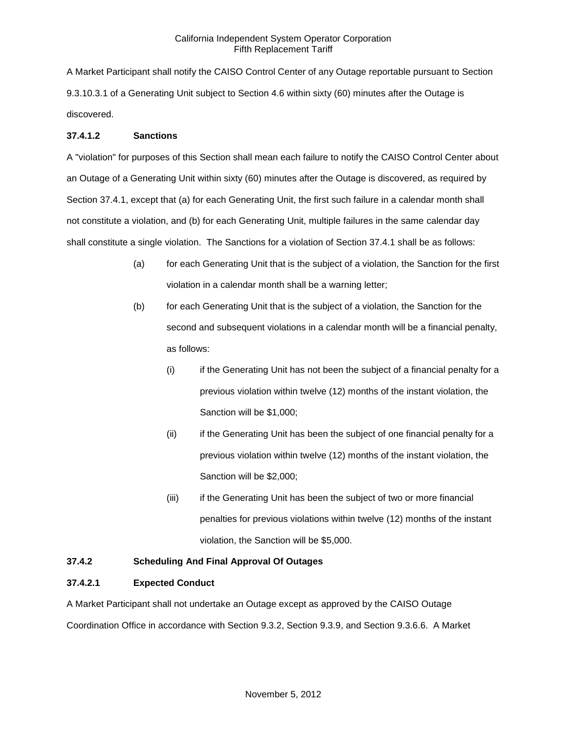A Market Participant shall notify the CAISO Control Center of any Outage reportable pursuant to Section 9.3.10.3.1 of a Generating Unit subject to Section 4.6 within sixty (60) minutes after the Outage is discovered.

## **37.4.1.2 Sanctions**

A "violation" for purposes of this Section shall mean each failure to notify the CAISO Control Center about an Outage of a Generating Unit within sixty (60) minutes after the Outage is discovered, as required by Section 37.4.1, except that (a) for each Generating Unit, the first such failure in a calendar month shall not constitute a violation, and (b) for each Generating Unit, multiple failures in the same calendar day shall constitute a single violation. The Sanctions for a violation of Section 37.4.1 shall be as follows:

- (a) for each Generating Unit that is the subject of a violation, the Sanction for the first violation in a calendar month shall be a warning letter;
- (b) for each Generating Unit that is the subject of a violation, the Sanction for the second and subsequent violations in a calendar month will be a financial penalty, as follows:
	- (i) if the Generating Unit has not been the subject of a financial penalty for a previous violation within twelve (12) months of the instant violation, the Sanction will be \$1,000;
	- (ii) if the Generating Unit has been the subject of one financial penalty for a previous violation within twelve (12) months of the instant violation, the Sanction will be \$2,000;
	- (iii) if the Generating Unit has been the subject of two or more financial penalties for previous violations within twelve (12) months of the instant violation, the Sanction will be \$5,000.

# **37.4.2 Scheduling And Final Approval Of Outages**

# **37.4.2.1 Expected Conduct**

A Market Participant shall not undertake an Outage except as approved by the CAISO Outage Coordination Office in accordance with Section 9.3.2, Section 9.3.9, and Section 9.3.6.6. A Market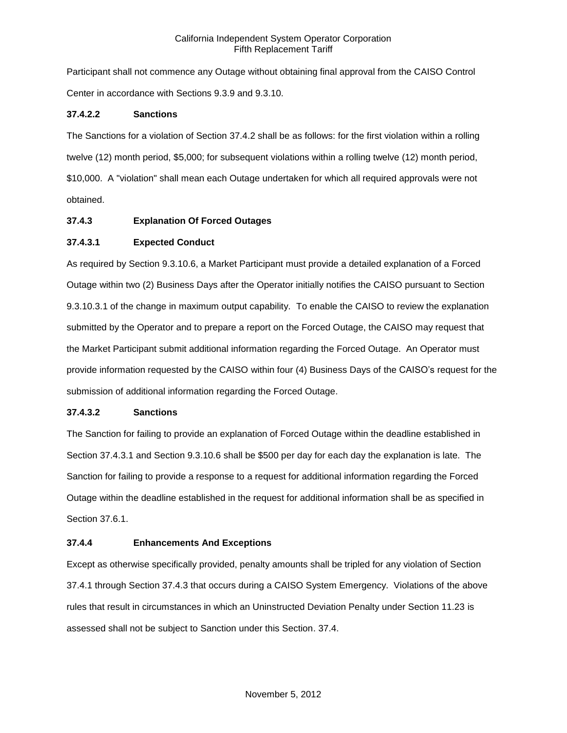Participant shall not commence any Outage without obtaining final approval from the CAISO Control Center in accordance with Sections 9.3.9 and 9.3.10.

# **37.4.2.2 Sanctions**

The Sanctions for a violation of Section 37.4.2 shall be as follows: for the first violation within a rolling twelve (12) month period, \$5,000; for subsequent violations within a rolling twelve (12) month period, \$10,000. A "violation" shall mean each Outage undertaken for which all required approvals were not obtained.

## **37.4.3 Explanation Of Forced Outages**

## **37.4.3.1 Expected Conduct**

As required by Section 9.3.10.6, a Market Participant must provide a detailed explanation of a Forced Outage within two (2) Business Days after the Operator initially notifies the CAISO pursuant to Section 9.3.10.3.1 of the change in maximum output capability. To enable the CAISO to review the explanation submitted by the Operator and to prepare a report on the Forced Outage, the CAISO may request that the Market Participant submit additional information regarding the Forced Outage. An Operator must provide information requested by the CAISO within four (4) Business Days of the CAISO's request for the submission of additional information regarding the Forced Outage.

### **37.4.3.2 Sanctions**

The Sanction for failing to provide an explanation of Forced Outage within the deadline established in Section 37.4.3.1 and Section 9.3.10.6 shall be \$500 per day for each day the explanation is late. The Sanction for failing to provide a response to a request for additional information regarding the Forced Outage within the deadline established in the request for additional information shall be as specified in Section 37.6.1.

### **37.4.4 Enhancements And Exceptions**

Except as otherwise specifically provided, penalty amounts shall be tripled for any violation of Section 37.4.1 through Section 37.4.3 that occurs during a CAISO System Emergency. Violations of the above rules that result in circumstances in which an Uninstructed Deviation Penalty under Section 11.23 is assessed shall not be subject to Sanction under this Section. 37.4.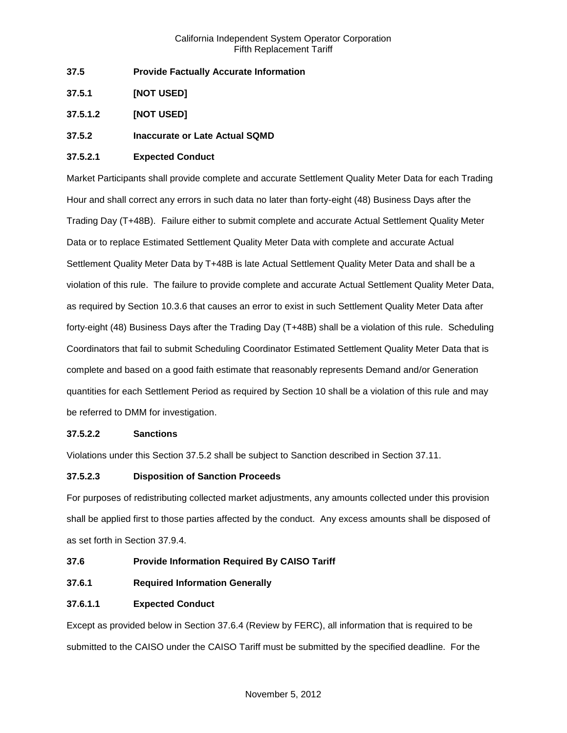- **37.5 Provide Factually Accurate Information**
- **37.5.1 [NOT USED]**
- **37.5.1.2 [NOT USED]**

# **37.5.2 Inaccurate or Late Actual SQMD**

# **37.5.2.1 Expected Conduct**

Market Participants shall provide complete and accurate Settlement Quality Meter Data for each Trading Hour and shall correct any errors in such data no later than forty-eight (48) Business Days after the Trading Day (T+48B). Failure either to submit complete and accurate Actual Settlement Quality Meter Data or to replace Estimated Settlement Quality Meter Data with complete and accurate Actual Settlement Quality Meter Data by T+48B is late Actual Settlement Quality Meter Data and shall be a violation of this rule. The failure to provide complete and accurate Actual Settlement Quality Meter Data, as required by Section 10.3.6 that causes an error to exist in such Settlement Quality Meter Data after forty-eight (48) Business Days after the Trading Day (T+48B) shall be a violation of this rule. Scheduling Coordinators that fail to submit Scheduling Coordinator Estimated Settlement Quality Meter Data that is complete and based on a good faith estimate that reasonably represents Demand and/or Generation quantities for each Settlement Period as required by Section 10 shall be a violation of this rule and may be referred to DMM for investigation.

# **37.5.2.2 Sanctions**

Violations under this Section 37.5.2 shall be subject to Sanction described in Section 37.11.

# **37.5.2.3 Disposition of Sanction Proceeds**

For purposes of redistributing collected market adjustments, any amounts collected under this provision shall be applied first to those parties affected by the conduct. Any excess amounts shall be disposed of as set forth in Section 37.9.4.

# **37.6 Provide Information Required By CAISO Tariff**

**37.6.1 Required Information Generally**

# **37.6.1.1 Expected Conduct**

Except as provided below in Section 37.6.4 (Review by FERC), all information that is required to be submitted to the CAISO under the CAISO Tariff must be submitted by the specified deadline. For the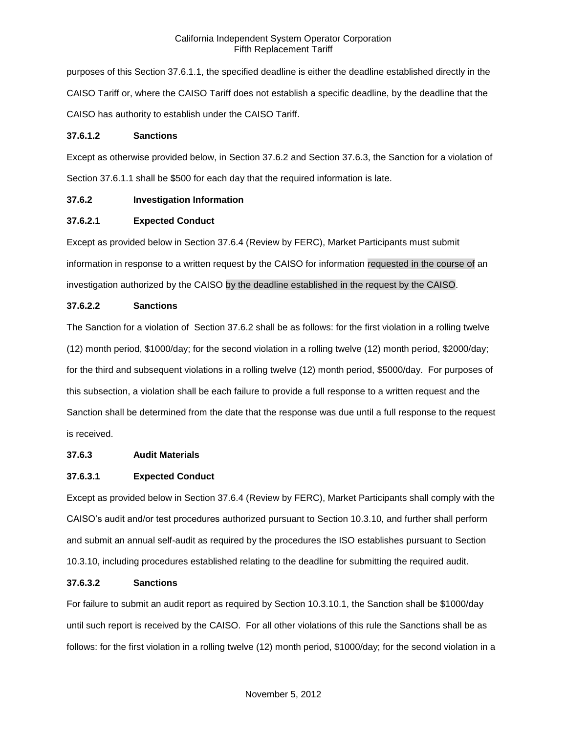purposes of this Section 37.6.1.1, the specified deadline is either the deadline established directly in the CAISO Tariff or, where the CAISO Tariff does not establish a specific deadline, by the deadline that the CAISO has authority to establish under the CAISO Tariff.

### **37.6.1.2 Sanctions**

Except as otherwise provided below, in Section 37.6.2 and Section 37.6.3, the Sanction for a violation of Section 37.6.1.1 shall be \$500 for each day that the required information is late.

# **37.6.2 Investigation Information**

# **37.6.2.1 Expected Conduct**

Except as provided below in Section 37.6.4 (Review by FERC), Market Participants must submit information in response to a written request by the CAISO for information requested in the course of an investigation authorized by the CAISO by the deadline established in the request by the CAISO.

# **37.6.2.2 Sanctions**

The Sanction for a violation of Section 37.6.2 shall be as follows: for the first violation in a rolling twelve (12) month period, \$1000/day; for the second violation in a rolling twelve (12) month period, \$2000/day; for the third and subsequent violations in a rolling twelve (12) month period, \$5000/day. For purposes of this subsection, a violation shall be each failure to provide a full response to a written request and the Sanction shall be determined from the date that the response was due until a full response to the request is received.

# **37.6.3 Audit Materials**

# **37.6.3.1 Expected Conduct**

Except as provided below in Section 37.6.4 (Review by FERC), Market Participants shall comply with the CAISO's audit and/or test procedures authorized pursuant to Section 10.3.10, and further shall perform and submit an annual self-audit as required by the procedures the ISO establishes pursuant to Section 10.3.10, including procedures established relating to the deadline for submitting the required audit.

# **37.6.3.2 Sanctions**

For failure to submit an audit report as required by Section 10.3.10.1, the Sanction shall be \$1000/day until such report is received by the CAISO. For all other violations of this rule the Sanctions shall be as follows: for the first violation in a rolling twelve (12) month period, \$1000/day; for the second violation in a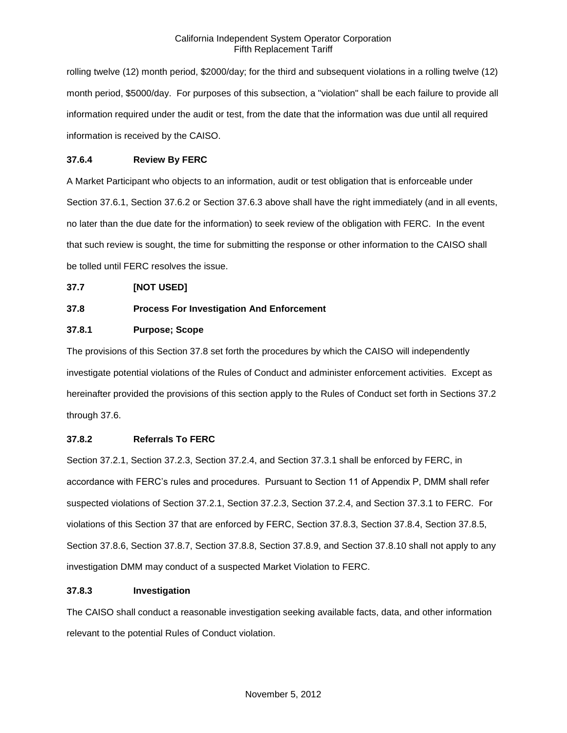rolling twelve (12) month period, \$2000/day; for the third and subsequent violations in a rolling twelve (12) month period, \$5000/day. For purposes of this subsection, a "violation" shall be each failure to provide all information required under the audit or test, from the date that the information was due until all required information is received by the CAISO.

# **37.6.4 Review By FERC**

A Market Participant who objects to an information, audit or test obligation that is enforceable under Section 37.6.1, Section 37.6.2 or Section 37.6.3 above shall have the right immediately (and in all events, no later than the due date for the information) to seek review of the obligation with FERC. In the event that such review is sought, the time for submitting the response or other information to the CAISO shall be tolled until FERC resolves the issue.

### **37.7 [NOT USED]**

# **37.8 Process For Investigation And Enforcement**

# **37.8.1 Purpose; Scope**

The provisions of this Section 37.8 set forth the procedures by which the CAISO will independently investigate potential violations of the Rules of Conduct and administer enforcement activities. Except as hereinafter provided the provisions of this section apply to the Rules of Conduct set forth in Sections 37.2 through 37.6.

## **37.8.2 Referrals To FERC**

Section 37.2.1, Section 37.2.3, Section 37.2.4, and Section 37.3.1 shall be enforced by FERC, in accordance with FERC's rules and procedures. Pursuant to Section 11 of Appendix P, DMM shall refer suspected violations of Section 37.2.1, Section 37.2.3, Section 37.2.4, and Section 37.3.1 to FERC. For violations of this Section 37 that are enforced by FERC, Section 37.8.3, Section 37.8.4, Section 37.8.5, Section 37.8.6, Section 37.8.7, Section 37.8.8, Section 37.8.9, and Section 37.8.10 shall not apply to any investigation DMM may conduct of a suspected Market Violation to FERC.

### **37.8.3 Investigation**

The CAISO shall conduct a reasonable investigation seeking available facts, data, and other information relevant to the potential Rules of Conduct violation.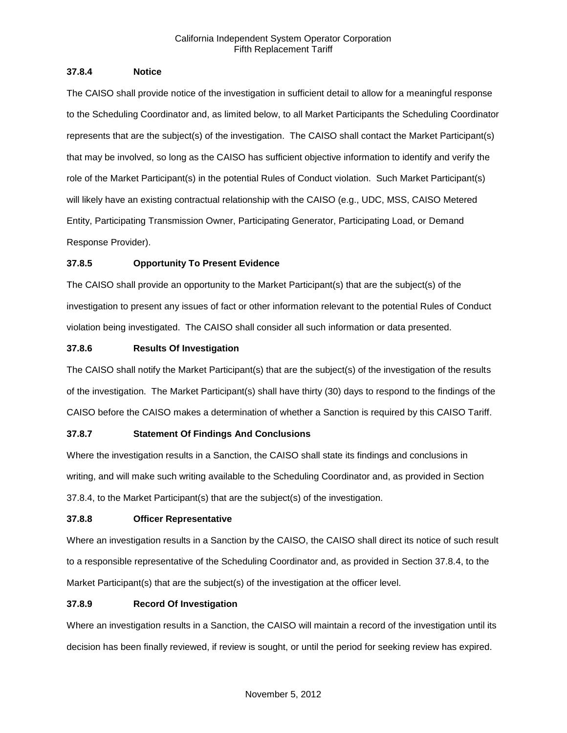## **37.8.4 Notice**

The CAISO shall provide notice of the investigation in sufficient detail to allow for a meaningful response to the Scheduling Coordinator and, as limited below, to all Market Participants the Scheduling Coordinator represents that are the subject(s) of the investigation. The CAISO shall contact the Market Participant(s) that may be involved, so long as the CAISO has sufficient objective information to identify and verify the role of the Market Participant(s) in the potential Rules of Conduct violation. Such Market Participant(s) will likely have an existing contractual relationship with the CAISO (e.g., UDC, MSS, CAISO Metered Entity, Participating Transmission Owner, Participating Generator, Participating Load, or Demand Response Provider).

# **37.8.5 Opportunity To Present Evidence**

The CAISO shall provide an opportunity to the Market Participant(s) that are the subject(s) of the investigation to present any issues of fact or other information relevant to the potential Rules of Conduct violation being investigated. The CAISO shall consider all such information or data presented.

# **37.8.6 Results Of Investigation**

The CAISO shall notify the Market Participant(s) that are the subject(s) of the investigation of the results of the investigation. The Market Participant(s) shall have thirty (30) days to respond to the findings of the CAISO before the CAISO makes a determination of whether a Sanction is required by this CAISO Tariff.

# **37.8.7 Statement Of Findings And Conclusions**

Where the investigation results in a Sanction, the CAISO shall state its findings and conclusions in writing, and will make such writing available to the Scheduling Coordinator and, as provided in Section 37.8.4, to the Market Participant(s) that are the subject(s) of the investigation.

# **37.8.8 Officer Representative**

Where an investigation results in a Sanction by the CAISO, the CAISO shall direct its notice of such result to a responsible representative of the Scheduling Coordinator and, as provided in Section 37.8.4, to the Market Participant(s) that are the subject(s) of the investigation at the officer level.

# **37.8.9 Record Of Investigation**

Where an investigation results in a Sanction, the CAISO will maintain a record of the investigation until its decision has been finally reviewed, if review is sought, or until the period for seeking review has expired.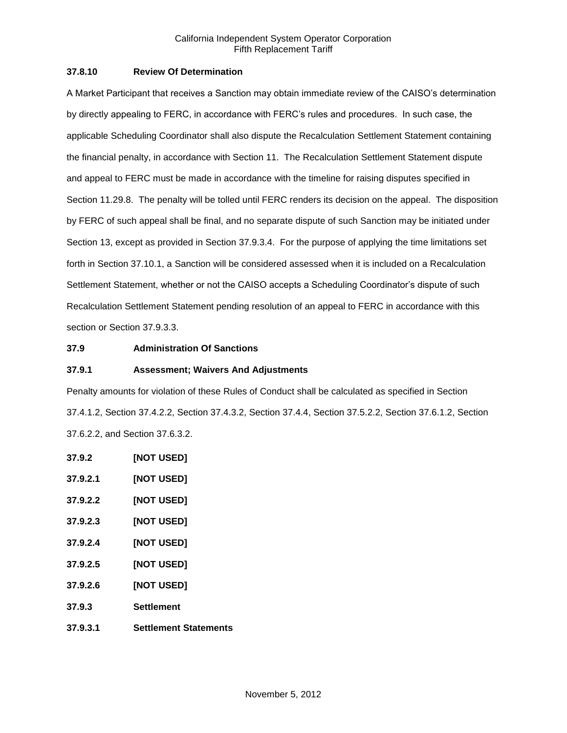## **37.8.10 Review Of Determination**

A Market Participant that receives a Sanction may obtain immediate review of the CAISO's determination by directly appealing to FERC, in accordance with FERC's rules and procedures. In such case, the applicable Scheduling Coordinator shall also dispute the Recalculation Settlement Statement containing the financial penalty, in accordance with Section 11. The Recalculation Settlement Statement dispute and appeal to FERC must be made in accordance with the timeline for raising disputes specified in Section 11.29.8. The penalty will be tolled until FERC renders its decision on the appeal. The disposition by FERC of such appeal shall be final, and no separate dispute of such Sanction may be initiated under Section 13, except as provided in Section 37.9.3.4. For the purpose of applying the time limitations set forth in Section 37.10.1, a Sanction will be considered assessed when it is included on a Recalculation Settlement Statement, whether or not the CAISO accepts a Scheduling Coordinator's dispute of such Recalculation Settlement Statement pending resolution of an appeal to FERC in accordance with this section or Section 37.9.3.3.

## **37.9 Administration Of Sanctions**

### **37.9.1 Assessment; Waivers And Adjustments**

Penalty amounts for violation of these Rules of Conduct shall be calculated as specified in Section 37.4.1.2, Section 37.4.2.2, Section 37.4.3.2, Section 37.4.4, Section 37.5.2.2, Section 37.6.1.2, Section 37.6.2.2, and Section 37.6.3.2.

**37.9.2 [NOT USED] 37.9.2.1 [NOT USED] 37.9.2.2 [NOT USED] 37.9.2.3 [NOT USED] 37.9.2.4 [NOT USED] 37.9.2.5 [NOT USED] 37.9.2.6 [NOT USED] 37.9.3 Settlement 37.9.3.1 Settlement Statements**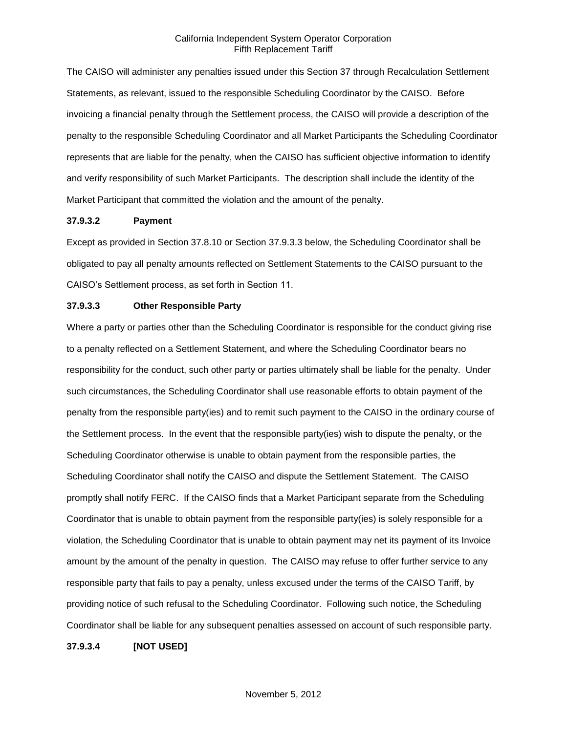The CAISO will administer any penalties issued under this Section 37 through Recalculation Settlement Statements, as relevant, issued to the responsible Scheduling Coordinator by the CAISO. Before invoicing a financial penalty through the Settlement process, the CAISO will provide a description of the penalty to the responsible Scheduling Coordinator and all Market Participants the Scheduling Coordinator represents that are liable for the penalty, when the CAISO has sufficient objective information to identify and verify responsibility of such Market Participants. The description shall include the identity of the Market Participant that committed the violation and the amount of the penalty.

#### **37.9.3.2 Payment**

Except as provided in Section 37.8.10 or Section 37.9.3.3 below, the Scheduling Coordinator shall be obligated to pay all penalty amounts reflected on Settlement Statements to the CAISO pursuant to the CAISO's Settlement process, as set forth in Section 11.

#### **37.9.3.3 Other Responsible Party**

Where a party or parties other than the Scheduling Coordinator is responsible for the conduct giving rise to a penalty reflected on a Settlement Statement, and where the Scheduling Coordinator bears no responsibility for the conduct, such other party or parties ultimately shall be liable for the penalty. Under such circumstances, the Scheduling Coordinator shall use reasonable efforts to obtain payment of the penalty from the responsible party(ies) and to remit such payment to the CAISO in the ordinary course of the Settlement process. In the event that the responsible party(ies) wish to dispute the penalty, or the Scheduling Coordinator otherwise is unable to obtain payment from the responsible parties, the Scheduling Coordinator shall notify the CAISO and dispute the Settlement Statement. The CAISO promptly shall notify FERC. If the CAISO finds that a Market Participant separate from the Scheduling Coordinator that is unable to obtain payment from the responsible party(ies) is solely responsible for a violation, the Scheduling Coordinator that is unable to obtain payment may net its payment of its Invoice amount by the amount of the penalty in question. The CAISO may refuse to offer further service to any responsible party that fails to pay a penalty, unless excused under the terms of the CAISO Tariff, by providing notice of such refusal to the Scheduling Coordinator. Following such notice, the Scheduling Coordinator shall be liable for any subsequent penalties assessed on account of such responsible party.

**37.9.3.4 [NOT USED]**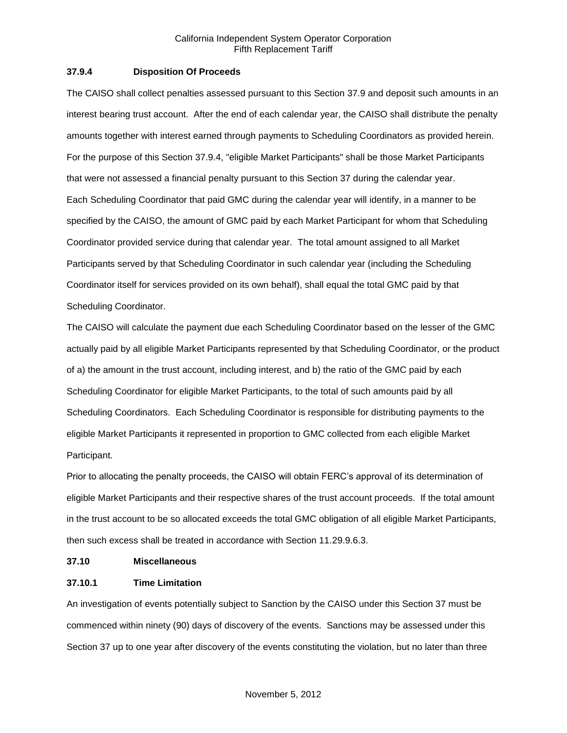## **37.9.4 Disposition Of Proceeds**

The CAISO shall collect penalties assessed pursuant to this Section 37.9 and deposit such amounts in an interest bearing trust account. After the end of each calendar year, the CAISO shall distribute the penalty amounts together with interest earned through payments to Scheduling Coordinators as provided herein. For the purpose of this Section 37.9.4, "eligible Market Participants" shall be those Market Participants that were not assessed a financial penalty pursuant to this Section 37 during the calendar year. Each Scheduling Coordinator that paid GMC during the calendar year will identify, in a manner to be specified by the CAISO, the amount of GMC paid by each Market Participant for whom that Scheduling Coordinator provided service during that calendar year. The total amount assigned to all Market Participants served by that Scheduling Coordinator in such calendar year (including the Scheduling Coordinator itself for services provided on its own behalf), shall equal the total GMC paid by that Scheduling Coordinator.

The CAISO will calculate the payment due each Scheduling Coordinator based on the lesser of the GMC actually paid by all eligible Market Participants represented by that Scheduling Coordinator, or the product of a) the amount in the trust account, including interest, and b) the ratio of the GMC paid by each Scheduling Coordinator for eligible Market Participants, to the total of such amounts paid by all Scheduling Coordinators. Each Scheduling Coordinator is responsible for distributing payments to the eligible Market Participants it represented in proportion to GMC collected from each eligible Market Participant.

Prior to allocating the penalty proceeds, the CAISO will obtain FERC's approval of its determination of eligible Market Participants and their respective shares of the trust account proceeds. If the total amount in the trust account to be so allocated exceeds the total GMC obligation of all eligible Market Participants, then such excess shall be treated in accordance with Section 11.29.9.6.3.

### **37.10 Miscellaneous**

### **37.10.1 Time Limitation**

An investigation of events potentially subject to Sanction by the CAISO under this Section 37 must be commenced within ninety (90) days of discovery of the events. Sanctions may be assessed under this Section 37 up to one year after discovery of the events constituting the violation, but no later than three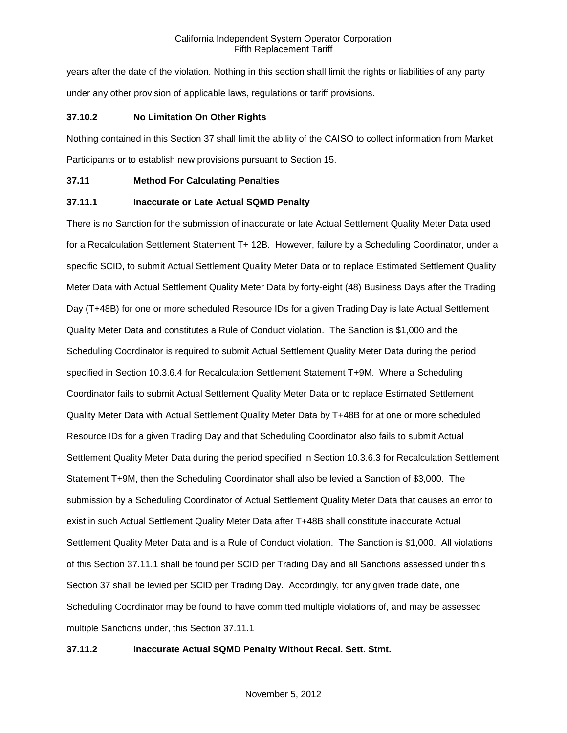years after the date of the violation. Nothing in this section shall limit the rights or liabilities of any party under any other provision of applicable laws, regulations or tariff provisions.

## **37.10.2 No Limitation On Other Rights**

Nothing contained in this Section 37 shall limit the ability of the CAISO to collect information from Market Participants or to establish new provisions pursuant to Section 15.

## **37.11 Method For Calculating Penalties**

## **37.11.1 Inaccurate or Late Actual SQMD Penalty**

There is no Sanction for the submission of inaccurate or late Actual Settlement Quality Meter Data used for a Recalculation Settlement Statement T+ 12B. However, failure by a Scheduling Coordinator, under a specific SCID, to submit Actual Settlement Quality Meter Data or to replace Estimated Settlement Quality Meter Data with Actual Settlement Quality Meter Data by forty-eight (48) Business Days after the Trading Day (T+48B) for one or more scheduled Resource IDs for a given Trading Day is late Actual Settlement Quality Meter Data and constitutes a Rule of Conduct violation. The Sanction is \$1,000 and the Scheduling Coordinator is required to submit Actual Settlement Quality Meter Data during the period specified in Section 10.3.6.4 for Recalculation Settlement Statement T+9M. Where a Scheduling Coordinator fails to submit Actual Settlement Quality Meter Data or to replace Estimated Settlement Quality Meter Data with Actual Settlement Quality Meter Data by T+48B for at one or more scheduled Resource IDs for a given Trading Day and that Scheduling Coordinator also fails to submit Actual Settlement Quality Meter Data during the period specified in Section 10.3.6.3 for Recalculation Settlement Statement T+9M, then the Scheduling Coordinator shall also be levied a Sanction of \$3,000. The submission by a Scheduling Coordinator of Actual Settlement Quality Meter Data that causes an error to exist in such Actual Settlement Quality Meter Data after T+48B shall constitute inaccurate Actual Settlement Quality Meter Data and is a Rule of Conduct violation. The Sanction is \$1,000. All violations of this Section 37.11.1 shall be found per SCID per Trading Day and all Sanctions assessed under this Section 37 shall be levied per SCID per Trading Day. Accordingly, for any given trade date, one Scheduling Coordinator may be found to have committed multiple violations of, and may be assessed multiple Sanctions under, this Section 37.11.1

# **37.11.2 Inaccurate Actual SQMD Penalty Without Recal. Sett. Stmt.**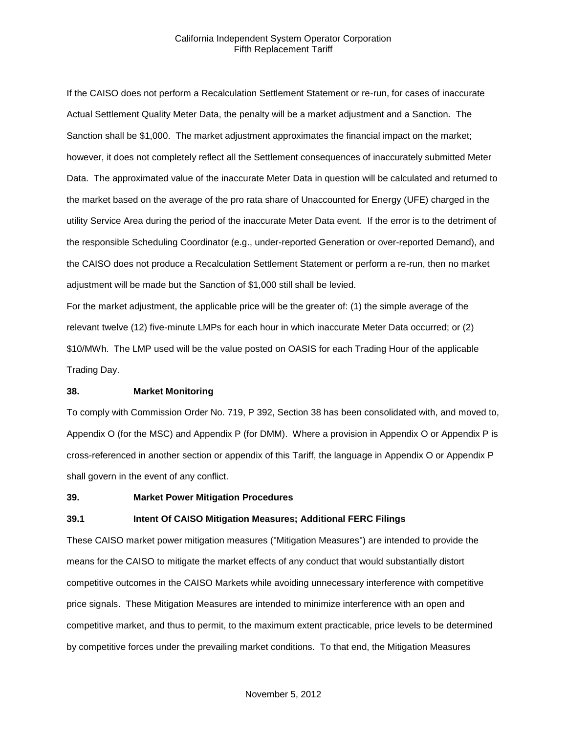If the CAISO does not perform a Recalculation Settlement Statement or re-run, for cases of inaccurate Actual Settlement Quality Meter Data, the penalty will be a market adjustment and a Sanction. The Sanction shall be \$1,000. The market adjustment approximates the financial impact on the market; however, it does not completely reflect all the Settlement consequences of inaccurately submitted Meter Data. The approximated value of the inaccurate Meter Data in question will be calculated and returned to the market based on the average of the pro rata share of Unaccounted for Energy (UFE) charged in the utility Service Area during the period of the inaccurate Meter Data event. If the error is to the detriment of the responsible Scheduling Coordinator (e.g., under-reported Generation or over-reported Demand), and the CAISO does not produce a Recalculation Settlement Statement or perform a re-run, then no market adjustment will be made but the Sanction of \$1,000 still shall be levied.

For the market adjustment, the applicable price will be the greater of: (1) the simple average of the relevant twelve (12) five-minute LMPs for each hour in which inaccurate Meter Data occurred; or (2) \$10/MWh. The LMP used will be the value posted on OASIS for each Trading Hour of the applicable Trading Day.

#### **38. Market Monitoring**

To comply with Commission Order No. 719, P 392, Section 38 has been consolidated with, and moved to, Appendix O (for the MSC) and Appendix P (for DMM). Where a provision in Appendix O or Appendix P is cross-referenced in another section or appendix of this Tariff, the language in Appendix O or Appendix P shall govern in the event of any conflict.

#### **39. Market Power Mitigation Procedures**

#### **39.1 Intent Of CAISO Mitigation Measures; Additional FERC Filings**

These CAISO market power mitigation measures ("Mitigation Measures") are intended to provide the means for the CAISO to mitigate the market effects of any conduct that would substantially distort competitive outcomes in the CAISO Markets while avoiding unnecessary interference with competitive price signals. These Mitigation Measures are intended to minimize interference with an open and competitive market, and thus to permit, to the maximum extent practicable, price levels to be determined by competitive forces under the prevailing market conditions. To that end, the Mitigation Measures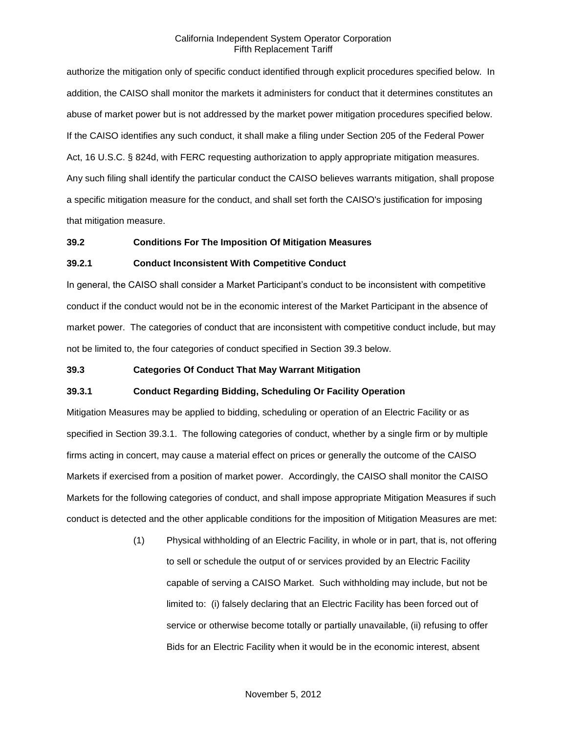authorize the mitigation only of specific conduct identified through explicit procedures specified below. In addition, the CAISO shall monitor the markets it administers for conduct that it determines constitutes an abuse of market power but is not addressed by the market power mitigation procedures specified below. If the CAISO identifies any such conduct, it shall make a filing under Section 205 of the Federal Power Act, 16 U.S.C. § 824d, with FERC requesting authorization to apply appropriate mitigation measures. Any such filing shall identify the particular conduct the CAISO believes warrants mitigation, shall propose a specific mitigation measure for the conduct, and shall set forth the CAISO's justification for imposing that mitigation measure.

### **39.2 Conditions For The Imposition Of Mitigation Measures**

#### **39.2.1 Conduct Inconsistent With Competitive Conduct**

In general, the CAISO shall consider a Market Participant's conduct to be inconsistent with competitive conduct if the conduct would not be in the economic interest of the Market Participant in the absence of market power. The categories of conduct that are inconsistent with competitive conduct include, but may not be limited to, the four categories of conduct specified in Section 39.3 below.

### **39.3 Categories Of Conduct That May Warrant Mitigation**

### **39.3.1 Conduct Regarding Bidding, Scheduling Or Facility Operation**

Mitigation Measures may be applied to bidding, scheduling or operation of an Electric Facility or as specified in Section 39.3.1. The following categories of conduct, whether by a single firm or by multiple firms acting in concert, may cause a material effect on prices or generally the outcome of the CAISO Markets if exercised from a position of market power. Accordingly, the CAISO shall monitor the CAISO Markets for the following categories of conduct, and shall impose appropriate Mitigation Measures if such conduct is detected and the other applicable conditions for the imposition of Mitigation Measures are met:

> (1) Physical withholding of an Electric Facility, in whole or in part, that is, not offering to sell or schedule the output of or services provided by an Electric Facility capable of serving a CAISO Market. Such withholding may include, but not be limited to: (i) falsely declaring that an Electric Facility has been forced out of service or otherwise become totally or partially unavailable, (ii) refusing to offer Bids for an Electric Facility when it would be in the economic interest, absent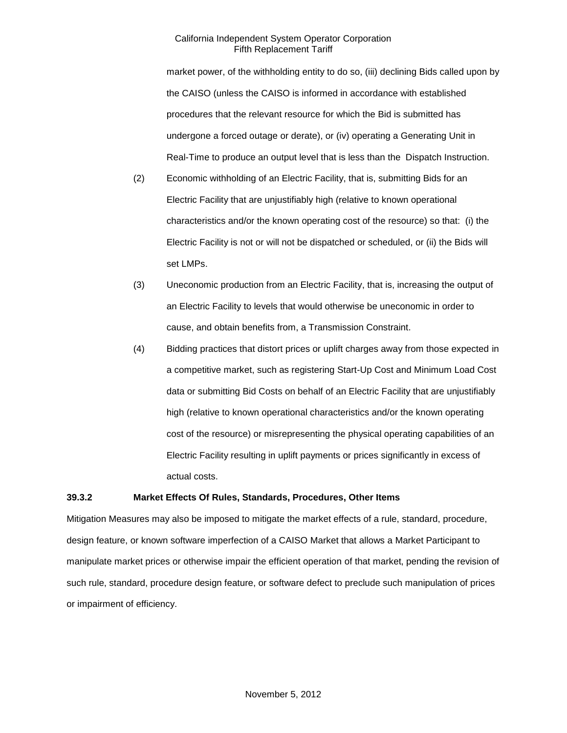market power, of the withholding entity to do so, (iii) declining Bids called upon by the CAISO (unless the CAISO is informed in accordance with established procedures that the relevant resource for which the Bid is submitted has undergone a forced outage or derate), or (iv) operating a Generating Unit in Real-Time to produce an output level that is less than the Dispatch Instruction.

- (2) Economic withholding of an Electric Facility, that is, submitting Bids for an Electric Facility that are unjustifiably high (relative to known operational characteristics and/or the known operating cost of the resource) so that: (i) the Electric Facility is not or will not be dispatched or scheduled, or (ii) the Bids will set LMPs.
- (3) Uneconomic production from an Electric Facility, that is, increasing the output of an Electric Facility to levels that would otherwise be uneconomic in order to cause, and obtain benefits from, a Transmission Constraint.
- (4) Bidding practices that distort prices or uplift charges away from those expected in a competitive market, such as registering Start-Up Cost and Minimum Load Cost data or submitting Bid Costs on behalf of an Electric Facility that are unjustifiably high (relative to known operational characteristics and/or the known operating cost of the resource) or misrepresenting the physical operating capabilities of an Electric Facility resulting in uplift payments or prices significantly in excess of actual costs.

### **39.3.2 Market Effects Of Rules, Standards, Procedures, Other Items**

Mitigation Measures may also be imposed to mitigate the market effects of a rule, standard, procedure, design feature, or known software imperfection of a CAISO Market that allows a Market Participant to manipulate market prices or otherwise impair the efficient operation of that market, pending the revision of such rule, standard, procedure design feature, or software defect to preclude such manipulation of prices or impairment of efficiency.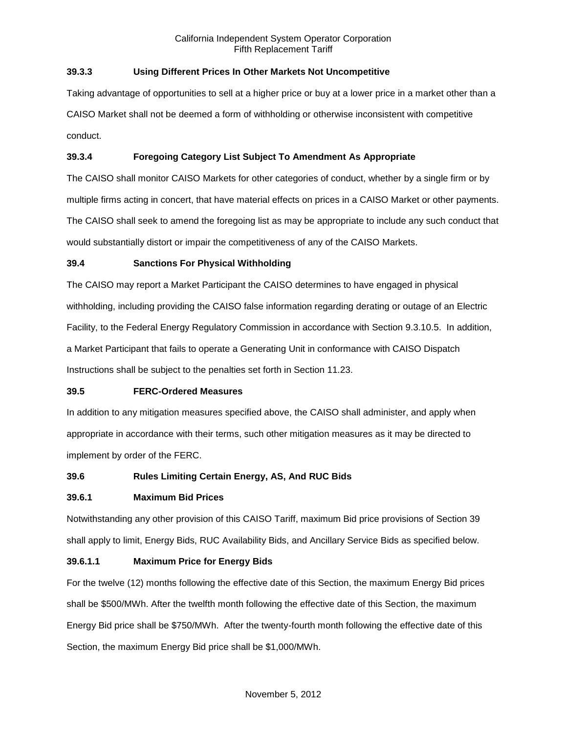# **39.3.3 Using Different Prices In Other Markets Not Uncompetitive**

Taking advantage of opportunities to sell at a higher price or buy at a lower price in a market other than a CAISO Market shall not be deemed a form of withholding or otherwise inconsistent with competitive conduct.

# **39.3.4 Foregoing Category List Subject To Amendment As Appropriate**

The CAISO shall monitor CAISO Markets for other categories of conduct, whether by a single firm or by multiple firms acting in concert, that have material effects on prices in a CAISO Market or other payments. The CAISO shall seek to amend the foregoing list as may be appropriate to include any such conduct that would substantially distort or impair the competitiveness of any of the CAISO Markets.

## **39.4 Sanctions For Physical Withholding**

The CAISO may report a Market Participant the CAISO determines to have engaged in physical withholding, including providing the CAISO false information regarding derating or outage of an Electric Facility, to the Federal Energy Regulatory Commission in accordance with Section 9.3.10.5. In addition, a Market Participant that fails to operate a Generating Unit in conformance with CAISO Dispatch Instructions shall be subject to the penalties set forth in Section 11.23.

### **39.5 FERC-Ordered Measures**

In addition to any mitigation measures specified above, the CAISO shall administer, and apply when appropriate in accordance with their terms, such other mitigation measures as it may be directed to implement by order of the FERC.

# **39.6 Rules Limiting Certain Energy, AS, And RUC Bids**

### **39.6.1 Maximum Bid Prices**

Notwithstanding any other provision of this CAISO Tariff, maximum Bid price provisions of Section 39 shall apply to limit, Energy Bids, RUC Availability Bids, and Ancillary Service Bids as specified below.

### **39.6.1.1 Maximum Price for Energy Bids**

For the twelve (12) months following the effective date of this Section, the maximum Energy Bid prices shall be \$500/MWh. After the twelfth month following the effective date of this Section, the maximum Energy Bid price shall be \$750/MWh. After the twenty-fourth month following the effective date of this Section, the maximum Energy Bid price shall be \$1,000/MWh.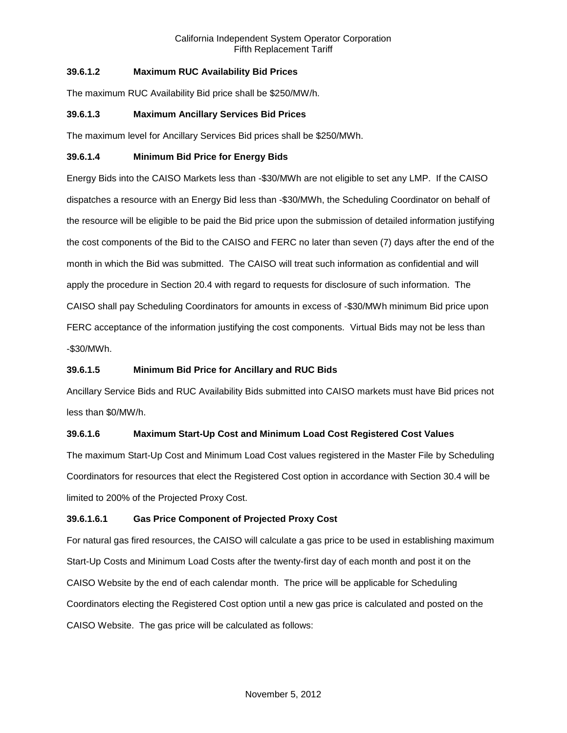# **39.6.1.2 Maximum RUC Availability Bid Prices**

The maximum RUC Availability Bid price shall be \$250/MW/h.

## **39.6.1.3 Maximum Ancillary Services Bid Prices**

The maximum level for Ancillary Services Bid prices shall be \$250/MWh.

### **39.6.1.4 Minimum Bid Price for Energy Bids**

Energy Bids into the CAISO Markets less than -\$30/MWh are not eligible to set any LMP. If the CAISO dispatches a resource with an Energy Bid less than -\$30/MWh, the Scheduling Coordinator on behalf of the resource will be eligible to be paid the Bid price upon the submission of detailed information justifying the cost components of the Bid to the CAISO and FERC no later than seven (7) days after the end of the month in which the Bid was submitted. The CAISO will treat such information as confidential and will apply the procedure in Section 20.4 with regard to requests for disclosure of such information. The CAISO shall pay Scheduling Coordinators for amounts in excess of -\$30/MWh minimum Bid price upon FERC acceptance of the information justifying the cost components. Virtual Bids may not be less than -\$30/MWh.

# **39.6.1.5 Minimum Bid Price for Ancillary and RUC Bids**

Ancillary Service Bids and RUC Availability Bids submitted into CAISO markets must have Bid prices not less than \$0/MW/h.

# **39.6.1.6 Maximum Start-Up Cost and Minimum Load Cost Registered Cost Values**

The maximum Start-Up Cost and Minimum Load Cost values registered in the Master File by Scheduling Coordinators for resources that elect the Registered Cost option in accordance with Section 30.4 will be limited to 200% of the Projected Proxy Cost.

# **39.6.1.6.1 Gas Price Component of Projected Proxy Cost**

For natural gas fired resources, the CAISO will calculate a gas price to be used in establishing maximum Start-Up Costs and Minimum Load Costs after the twenty-first day of each month and post it on the CAISO Website by the end of each calendar month. The price will be applicable for Scheduling Coordinators electing the Registered Cost option until a new gas price is calculated and posted on the CAISO Website. The gas price will be calculated as follows: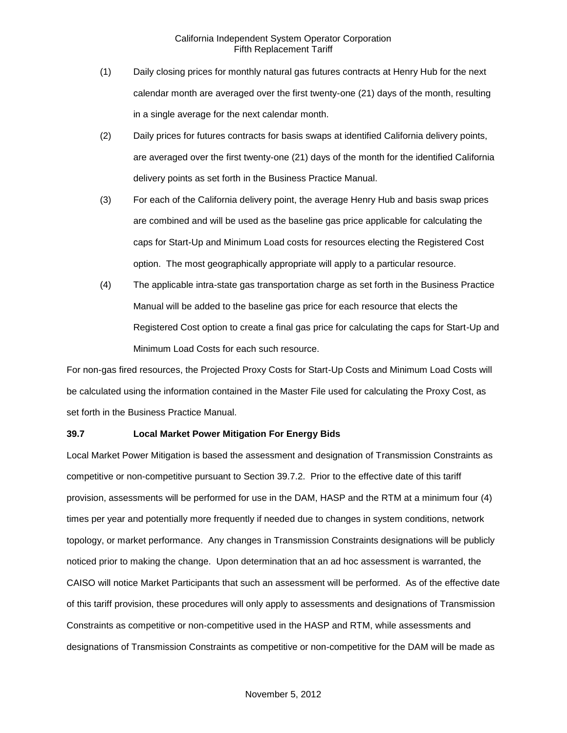- (1) Daily closing prices for monthly natural gas futures contracts at Henry Hub for the next calendar month are averaged over the first twenty-one (21) days of the month, resulting in a single average for the next calendar month.
- (2) Daily prices for futures contracts for basis swaps at identified California delivery points, are averaged over the first twenty-one (21) days of the month for the identified California delivery points as set forth in the Business Practice Manual.
- (3) For each of the California delivery point, the average Henry Hub and basis swap prices are combined and will be used as the baseline gas price applicable for calculating the caps for Start-Up and Minimum Load costs for resources electing the Registered Cost option. The most geographically appropriate will apply to a particular resource.
- (4) The applicable intra-state gas transportation charge as set forth in the Business Practice Manual will be added to the baseline gas price for each resource that elects the Registered Cost option to create a final gas price for calculating the caps for Start-Up and Minimum Load Costs for each such resource.

For non-gas fired resources, the Projected Proxy Costs for Start-Up Costs and Minimum Load Costs will be calculated using the information contained in the Master File used for calculating the Proxy Cost, as set forth in the Business Practice Manual.

### **39.7 Local Market Power Mitigation For Energy Bids**

Local Market Power Mitigation is based the assessment and designation of Transmission Constraints as competitive or non-competitive pursuant to Section 39.7.2. Prior to the effective date of this tariff provision, assessments will be performed for use in the DAM, HASP and the RTM at a minimum four (4) times per year and potentially more frequently if needed due to changes in system conditions, network topology, or market performance. Any changes in Transmission Constraints designations will be publicly noticed prior to making the change. Upon determination that an ad hoc assessment is warranted, the CAISO will notice Market Participants that such an assessment will be performed. As of the effective date of this tariff provision, these procedures will only apply to assessments and designations of Transmission Constraints as competitive or non-competitive used in the HASP and RTM, while assessments and designations of Transmission Constraints as competitive or non-competitive for the DAM will be made as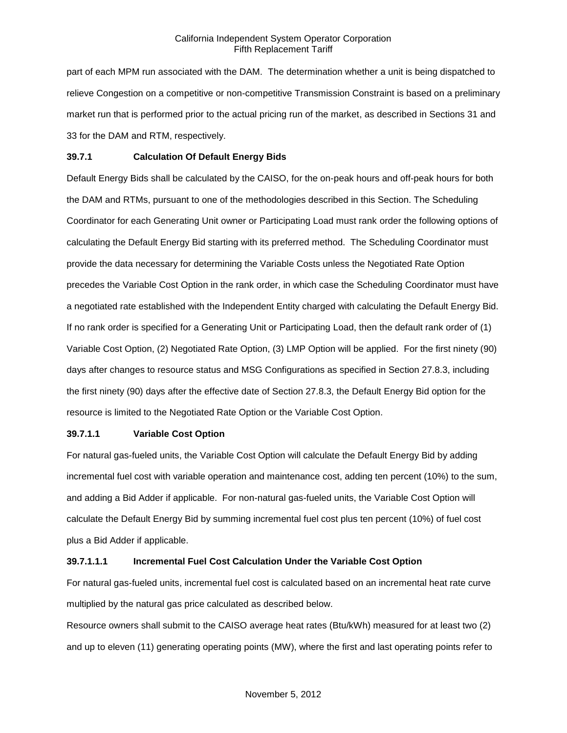part of each MPM run associated with the DAM. The determination whether a unit is being dispatched to relieve Congestion on a competitive or non-competitive Transmission Constraint is based on a preliminary market run that is performed prior to the actual pricing run of the market, as described in Sections 31 and 33 for the DAM and RTM, respectively.

## **39.7.1 Calculation Of Default Energy Bids**

Default Energy Bids shall be calculated by the CAISO, for the on-peak hours and off-peak hours for both the DAM and RTMs, pursuant to one of the methodologies described in this Section. The Scheduling Coordinator for each Generating Unit owner or Participating Load must rank order the following options of calculating the Default Energy Bid starting with its preferred method. The Scheduling Coordinator must provide the data necessary for determining the Variable Costs unless the Negotiated Rate Option precedes the Variable Cost Option in the rank order, in which case the Scheduling Coordinator must have a negotiated rate established with the Independent Entity charged with calculating the Default Energy Bid. If no rank order is specified for a Generating Unit or Participating Load, then the default rank order of (1) Variable Cost Option, (2) Negotiated Rate Option, (3) LMP Option will be applied. For the first ninety (90) days after changes to resource status and MSG Configurations as specified in Section 27.8.3, including the first ninety (90) days after the effective date of Section 27.8.3, the Default Energy Bid option for the resource is limited to the Negotiated Rate Option or the Variable Cost Option.

# **39.7.1.1 Variable Cost Option**

For natural gas-fueled units, the Variable Cost Option will calculate the Default Energy Bid by adding incremental fuel cost with variable operation and maintenance cost, adding ten percent (10%) to the sum, and adding a Bid Adder if applicable. For non-natural gas-fueled units, the Variable Cost Option will calculate the Default Energy Bid by summing incremental fuel cost plus ten percent (10%) of fuel cost plus a Bid Adder if applicable.

# **39.7.1.1.1 Incremental Fuel Cost Calculation Under the Variable Cost Option**

For natural gas-fueled units, incremental fuel cost is calculated based on an incremental heat rate curve multiplied by the natural gas price calculated as described below.

Resource owners shall submit to the CAISO average heat rates (Btu/kWh) measured for at least two (2) and up to eleven (11) generating operating points (MW), where the first and last operating points refer to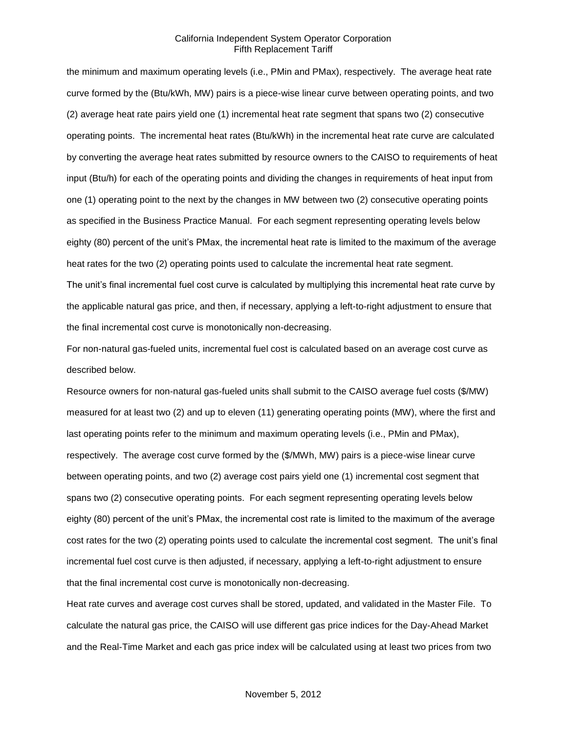the minimum and maximum operating levels (i.e., PMin and PMax), respectively. The average heat rate curve formed by the (Btu/kWh, MW) pairs is a piece-wise linear curve between operating points, and two (2) average heat rate pairs yield one (1) incremental heat rate segment that spans two (2) consecutive operating points. The incremental heat rates (Btu/kWh) in the incremental heat rate curve are calculated by converting the average heat rates submitted by resource owners to the CAISO to requirements of heat input (Btu/h) for each of the operating points and dividing the changes in requirements of heat input from one (1) operating point to the next by the changes in MW between two (2) consecutive operating points as specified in the Business Practice Manual. For each segment representing operating levels below eighty (80) percent of the unit's PMax, the incremental heat rate is limited to the maximum of the average heat rates for the two (2) operating points used to calculate the incremental heat rate segment.

The unit's final incremental fuel cost curve is calculated by multiplying this incremental heat rate curve by the applicable natural gas price, and then, if necessary, applying a left-to-right adjustment to ensure that the final incremental cost curve is monotonically non-decreasing.

For non-natural gas-fueled units, incremental fuel cost is calculated based on an average cost curve as described below.

Resource owners for non-natural gas-fueled units shall submit to the CAISO average fuel costs (\$/MW) measured for at least two (2) and up to eleven (11) generating operating points (MW), where the first and last operating points refer to the minimum and maximum operating levels (i.e., PMin and PMax), respectively. The average cost curve formed by the (\$/MWh, MW) pairs is a piece-wise linear curve between operating points, and two (2) average cost pairs yield one (1) incremental cost segment that spans two (2) consecutive operating points. For each segment representing operating levels below eighty (80) percent of the unit's PMax, the incremental cost rate is limited to the maximum of the average cost rates for the two (2) operating points used to calculate the incremental cost segment. The unit's final incremental fuel cost curve is then adjusted, if necessary, applying a left-to-right adjustment to ensure that the final incremental cost curve is monotonically non-decreasing.

Heat rate curves and average cost curves shall be stored, updated, and validated in the Master File. To calculate the natural gas price, the CAISO will use different gas price indices for the Day-Ahead Market and the Real-Time Market and each gas price index will be calculated using at least two prices from two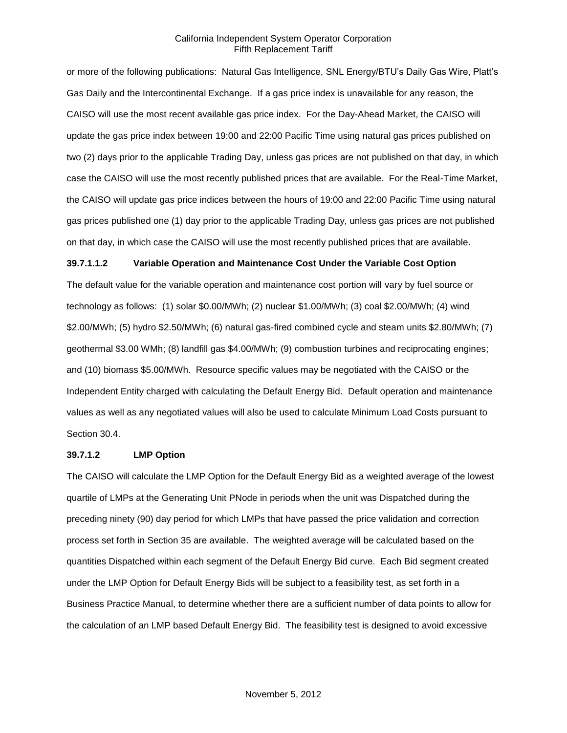or more of the following publications: Natural Gas Intelligence, SNL Energy/BTU's Daily Gas Wire, Platt's Gas Daily and the Intercontinental Exchange. If a gas price index is unavailable for any reason, the CAISO will use the most recent available gas price index. For the Day-Ahead Market, the CAISO will update the gas price index between 19:00 and 22:00 Pacific Time using natural gas prices published on two (2) days prior to the applicable Trading Day, unless gas prices are not published on that day, in which case the CAISO will use the most recently published prices that are available. For the Real-Time Market, the CAISO will update gas price indices between the hours of 19:00 and 22:00 Pacific Time using natural gas prices published one (1) day prior to the applicable Trading Day, unless gas prices are not published on that day, in which case the CAISO will use the most recently published prices that are available.

#### **39.7.1.1.2 Variable Operation and Maintenance Cost Under the Variable Cost Option**

The default value for the variable operation and maintenance cost portion will vary by fuel source or technology as follows: (1) solar \$0.00/MWh; (2) nuclear \$1.00/MWh; (3) coal \$2.00/MWh; (4) wind \$2.00/MWh; (5) hydro \$2.50/MWh; (6) natural gas-fired combined cycle and steam units \$2.80/MWh; (7) geothermal \$3.00 WMh; (8) landfill gas \$4.00/MWh; (9) combustion turbines and reciprocating engines; and (10) biomass \$5.00/MWh. Resource specific values may be negotiated with the CAISO or the Independent Entity charged with calculating the Default Energy Bid. Default operation and maintenance values as well as any negotiated values will also be used to calculate Minimum Load Costs pursuant to Section 30.4.

#### **39.7.1.2 LMP Option**

The CAISO will calculate the LMP Option for the Default Energy Bid as a weighted average of the lowest quartile of LMPs at the Generating Unit PNode in periods when the unit was Dispatched during the preceding ninety (90) day period for which LMPs that have passed the price validation and correction process set forth in Section 35 are available. The weighted average will be calculated based on the quantities Dispatched within each segment of the Default Energy Bid curve. Each Bid segment created under the LMP Option for Default Energy Bids will be subject to a feasibility test, as set forth in a Business Practice Manual, to determine whether there are a sufficient number of data points to allow for the calculation of an LMP based Default Energy Bid. The feasibility test is designed to avoid excessive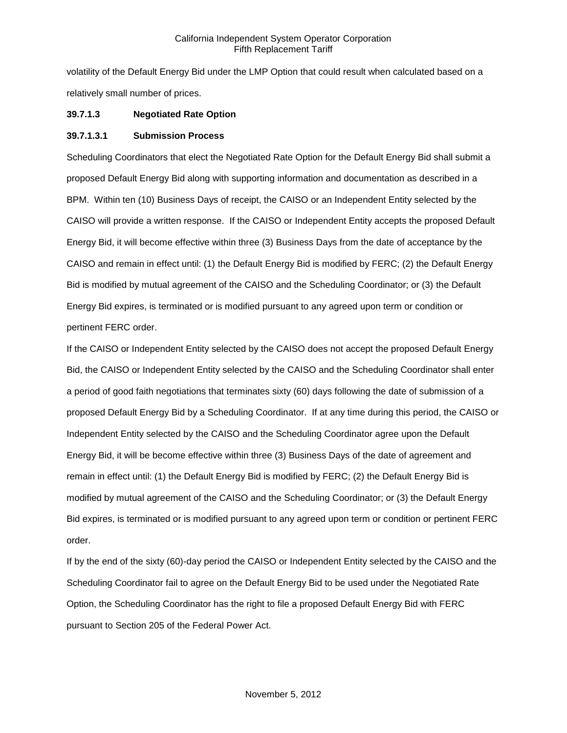volatility of the Default Energy Bid under the LMP Option that could result when calculated based on a relatively small number of prices.

# **39.7.1.3 Negotiated Rate Option**

# **39.7.1.3.1 Submission Process**

Scheduling Coordinators that elect the Negotiated Rate Option for the Default Energy Bid shall submit a proposed Default Energy Bid along with supporting information and documentation as described in a BPM. Within ten (10) Business Days of receipt, the CAISO or an Independent Entity selected by the CAISO will provide a written response. If the CAISO or Independent Entity accepts the proposed Default Energy Bid, it will become effective within three (3) Business Days from the date of acceptance by the CAISO and remain in effect until: (1) the Default Energy Bid is modified by FERC; (2) the Default Energy Bid is modified by mutual agreement of the CAISO and the Scheduling Coordinator; or (3) the Default Energy Bid expires, is terminated or is modified pursuant to any agreed upon term or condition or pertinent FERC order.

If the CAISO or Independent Entity selected by the CAISO does not accept the proposed Default Energy Bid, the CAISO or Independent Entity selected by the CAISO and the Scheduling Coordinator shall enter a period of good faith negotiations that terminates sixty (60) days following the date of submission of a proposed Default Energy Bid by a Scheduling Coordinator. If at any time during this period, the CAISO or Independent Entity selected by the CAISO and the Scheduling Coordinator agree upon the Default Energy Bid, it will be become effective within three (3) Business Days of the date of agreement and remain in effect until: (1) the Default Energy Bid is modified by FERC; (2) the Default Energy Bid is modified by mutual agreement of the CAISO and the Scheduling Coordinator; or (3) the Default Energy Bid expires, is terminated or is modified pursuant to any agreed upon term or condition or pertinent FERC order.

If by the end of the sixty (60)-day period the CAISO or Independent Entity selected by the CAISO and the Scheduling Coordinator fail to agree on the Default Energy Bid to be used under the Negotiated Rate Option, the Scheduling Coordinator has the right to file a proposed Default Energy Bid with FERC pursuant to Section 205 of the Federal Power Act.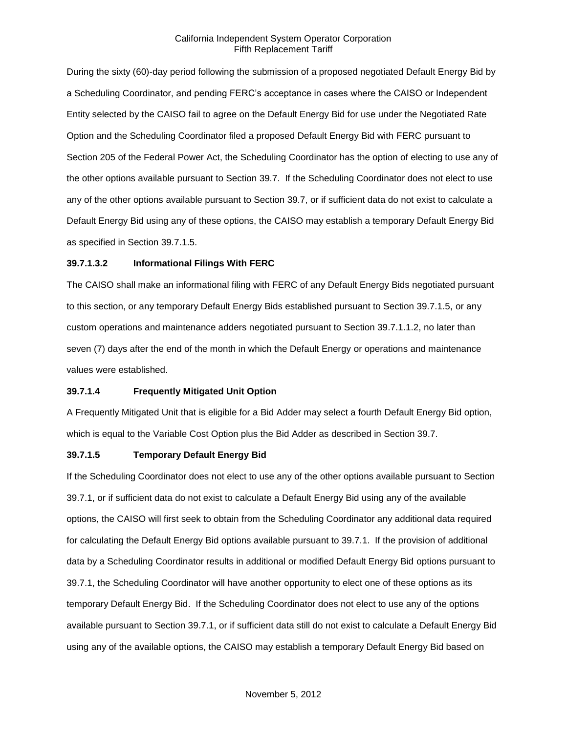During the sixty (60)-day period following the submission of a proposed negotiated Default Energy Bid by a Scheduling Coordinator, and pending FERC's acceptance in cases where the CAISO or Independent Entity selected by the CAISO fail to agree on the Default Energy Bid for use under the Negotiated Rate Option and the Scheduling Coordinator filed a proposed Default Energy Bid with FERC pursuant to Section 205 of the Federal Power Act, the Scheduling Coordinator has the option of electing to use any of the other options available pursuant to Section 39.7. If the Scheduling Coordinator does not elect to use any of the other options available pursuant to Section 39.7, or if sufficient data do not exist to calculate a Default Energy Bid using any of these options, the CAISO may establish a temporary Default Energy Bid as specified in Section 39.7.1.5.

### **39.7.1.3.2 Informational Filings With FERC**

The CAISO shall make an informational filing with FERC of any Default Energy Bids negotiated pursuant to this section, or any temporary Default Energy Bids established pursuant to Section 39.7.1.5, or any custom operations and maintenance adders negotiated pursuant to Section 39.7.1.1.2, no later than seven (7) days after the end of the month in which the Default Energy or operations and maintenance values were established.

### **39.7.1.4 Frequently Mitigated Unit Option**

A Frequently Mitigated Unit that is eligible for a Bid Adder may select a fourth Default Energy Bid option, which is equal to the Variable Cost Option plus the Bid Adder as described in Section 39.7.

### **39.7.1.5 Temporary Default Energy Bid**

If the Scheduling Coordinator does not elect to use any of the other options available pursuant to Section 39.7.1, or if sufficient data do not exist to calculate a Default Energy Bid using any of the available options, the CAISO will first seek to obtain from the Scheduling Coordinator any additional data required for calculating the Default Energy Bid options available pursuant to 39.7.1. If the provision of additional data by a Scheduling Coordinator results in additional or modified Default Energy Bid options pursuant to 39.7.1, the Scheduling Coordinator will have another opportunity to elect one of these options as its temporary Default Energy Bid. If the Scheduling Coordinator does not elect to use any of the options available pursuant to Section 39.7.1, or if sufficient data still do not exist to calculate a Default Energy Bid using any of the available options, the CAISO may establish a temporary Default Energy Bid based on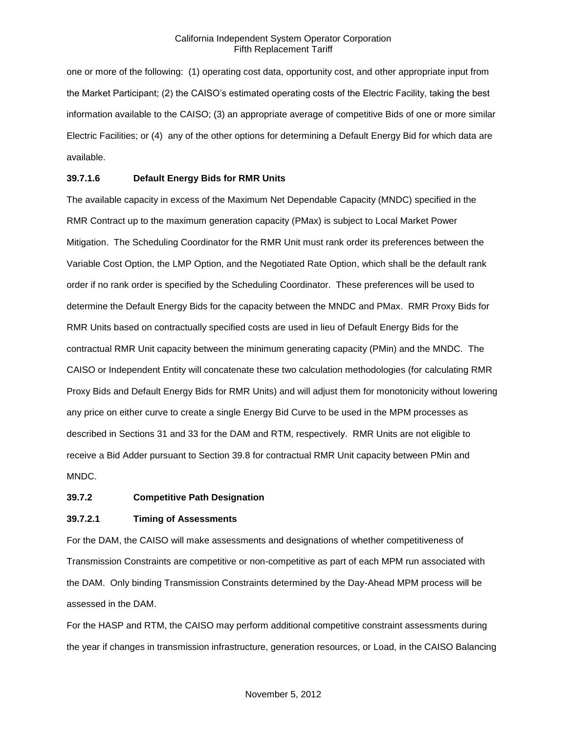one or more of the following: (1) operating cost data, opportunity cost, and other appropriate input from the Market Participant; (2) the CAISO's estimated operating costs of the Electric Facility, taking the best information available to the CAISO; (3) an appropriate average of competitive Bids of one or more similar Electric Facilities; or (4) any of the other options for determining a Default Energy Bid for which data are available.

### **39.7.1.6 Default Energy Bids for RMR Units**

The available capacity in excess of the Maximum Net Dependable Capacity (MNDC) specified in the RMR Contract up to the maximum generation capacity (PMax) is subject to Local Market Power Mitigation. The Scheduling Coordinator for the RMR Unit must rank order its preferences between the Variable Cost Option, the LMP Option, and the Negotiated Rate Option, which shall be the default rank order if no rank order is specified by the Scheduling Coordinator. These preferences will be used to determine the Default Energy Bids for the capacity between the MNDC and PMax. RMR Proxy Bids for RMR Units based on contractually specified costs are used in lieu of Default Energy Bids for the contractual RMR Unit capacity between the minimum generating capacity (PMin) and the MNDC. The CAISO or Independent Entity will concatenate these two calculation methodologies (for calculating RMR Proxy Bids and Default Energy Bids for RMR Units) and will adjust them for monotonicity without lowering any price on either curve to create a single Energy Bid Curve to be used in the MPM processes as described in Sections 31 and 33 for the DAM and RTM, respectively. RMR Units are not eligible to receive a Bid Adder pursuant to Section 39.8 for contractual RMR Unit capacity between PMin and MNDC.

#### **39.7.2 Competitive Path Designation**

### **39.7.2.1 Timing of Assessments**

For the DAM, the CAISO will make assessments and designations of whether competitiveness of Transmission Constraints are competitive or non-competitive as part of each MPM run associated with the DAM. Only binding Transmission Constraints determined by the Day-Ahead MPM process will be assessed in the DAM.

For the HASP and RTM, the CAISO may perform additional competitive constraint assessments during the year if changes in transmission infrastructure, generation resources, or Load, in the CAISO Balancing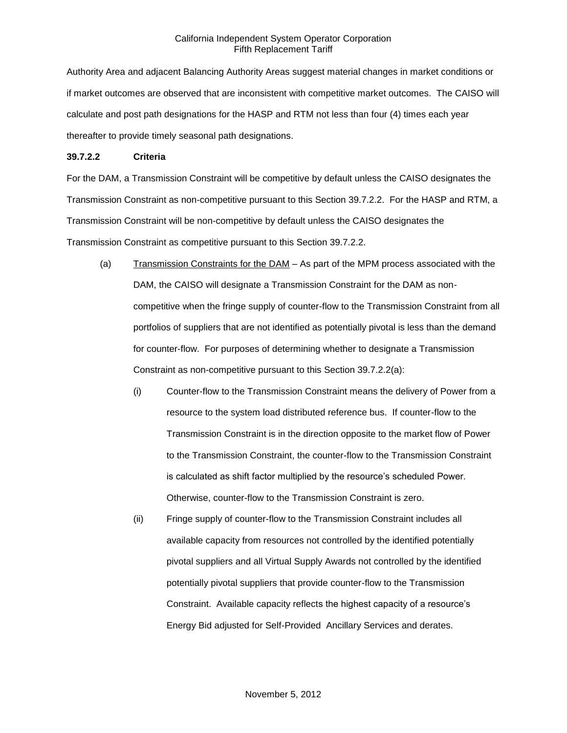Authority Area and adjacent Balancing Authority Areas suggest material changes in market conditions or if market outcomes are observed that are inconsistent with competitive market outcomes. The CAISO will calculate and post path designations for the HASP and RTM not less than four (4) times each year thereafter to provide timely seasonal path designations.

### **39.7.2.2 Criteria**

For the DAM, a Transmission Constraint will be competitive by default unless the CAISO designates the Transmission Constraint as non-competitive pursuant to this Section 39.7.2.2. For the HASP and RTM, a Transmission Constraint will be non-competitive by default unless the CAISO designates the Transmission Constraint as competitive pursuant to this Section 39.7.2.2.

- (a) Transmission Constraints for the DAM As part of the MPM process associated with the DAM, the CAISO will designate a Transmission Constraint for the DAM as noncompetitive when the fringe supply of counter-flow to the Transmission Constraint from all portfolios of suppliers that are not identified as potentially pivotal is less than the demand for counter-flow. For purposes of determining whether to designate a Transmission Constraint as non-competitive pursuant to this Section 39.7.2.2(a):
	- (i) Counter-flow to the Transmission Constraint means the delivery of Power from a resource to the system load distributed reference bus. If counter-flow to the Transmission Constraint is in the direction opposite to the market flow of Power to the Transmission Constraint, the counter-flow to the Transmission Constraint is calculated as shift factor multiplied by the resource's scheduled Power. Otherwise, counter-flow to the Transmission Constraint is zero.
	- (ii) Fringe supply of counter-flow to the Transmission Constraint includes all available capacity from resources not controlled by the identified potentially pivotal suppliers and all Virtual Supply Awards not controlled by the identified potentially pivotal suppliers that provide counter-flow to the Transmission Constraint. Available capacity reflects the highest capacity of a resource's Energy Bid adjusted for Self-Provided Ancillary Services and derates.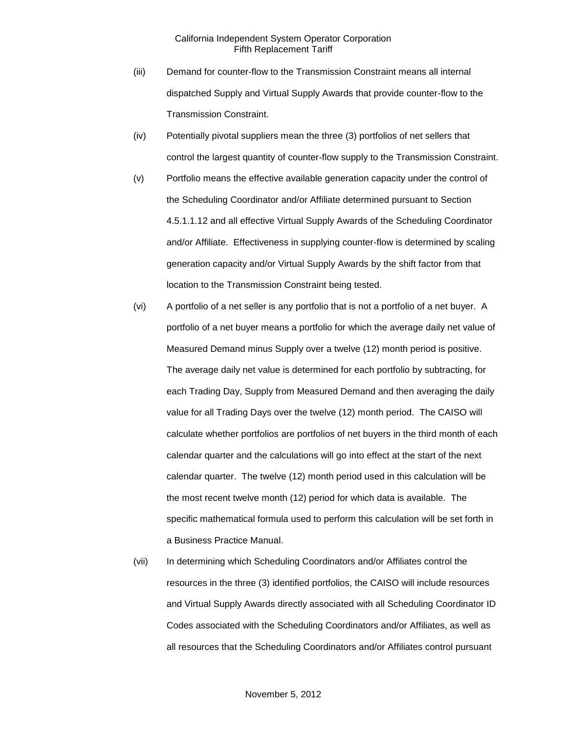- (iii) Demand for counter-flow to the Transmission Constraint means all internal dispatched Supply and Virtual Supply Awards that provide counter-flow to the Transmission Constraint.
- (iv) Potentially pivotal suppliers mean the three (3) portfolios of net sellers that control the largest quantity of counter-flow supply to the Transmission Constraint.
- (v) Portfolio means the effective available generation capacity under the control of the Scheduling Coordinator and/or Affiliate determined pursuant to Section 4.5.1.1.12 and all effective Virtual Supply Awards of the Scheduling Coordinator and/or Affiliate. Effectiveness in supplying counter-flow is determined by scaling generation capacity and/or Virtual Supply Awards by the shift factor from that location to the Transmission Constraint being tested.
- (vi) A portfolio of a net seller is any portfolio that is not a portfolio of a net buyer. A portfolio of a net buyer means a portfolio for which the average daily net value of Measured Demand minus Supply over a twelve (12) month period is positive. The average daily net value is determined for each portfolio by subtracting, for each Trading Day, Supply from Measured Demand and then averaging the daily value for all Trading Days over the twelve (12) month period. The CAISO will calculate whether portfolios are portfolios of net buyers in the third month of each calendar quarter and the calculations will go into effect at the start of the next calendar quarter. The twelve (12) month period used in this calculation will be the most recent twelve month (12) period for which data is available. The specific mathematical formula used to perform this calculation will be set forth in a Business Practice Manual.
- (vii) In determining which Scheduling Coordinators and/or Affiliates control the resources in the three (3) identified portfolios, the CAISO will include resources and Virtual Supply Awards directly associated with all Scheduling Coordinator ID Codes associated with the Scheduling Coordinators and/or Affiliates, as well as all resources that the Scheduling Coordinators and/or Affiliates control pursuant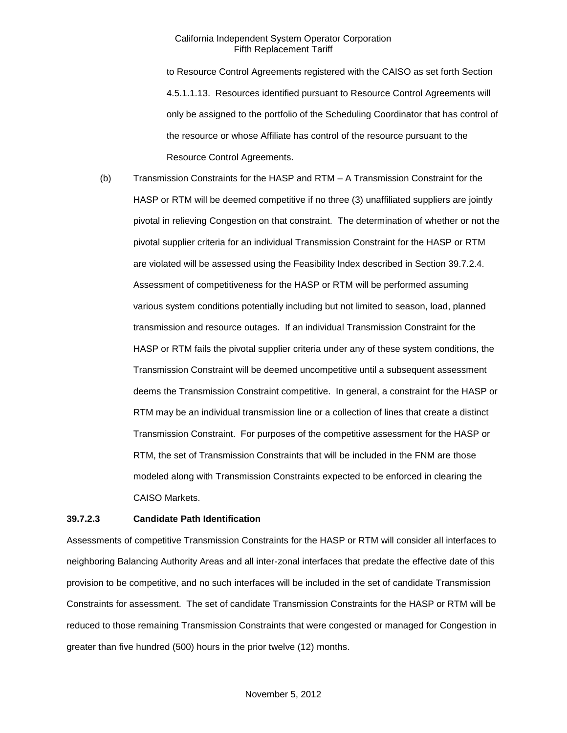to Resource Control Agreements registered with the CAISO as set forth Section 4.5.1.1.13. Resources identified pursuant to Resource Control Agreements will only be assigned to the portfolio of the Scheduling Coordinator that has control of the resource or whose Affiliate has control of the resource pursuant to the Resource Control Agreements.

(b) Transmission Constraints for the HASP and RTM – A Transmission Constraint for the HASP or RTM will be deemed competitive if no three (3) unaffiliated suppliers are jointly pivotal in relieving Congestion on that constraint. The determination of whether or not the pivotal supplier criteria for an individual Transmission Constraint for the HASP or RTM are violated will be assessed using the Feasibility Index described in Section 39.7.2.4. Assessment of competitiveness for the HASP or RTM will be performed assuming various system conditions potentially including but not limited to season, load, planned transmission and resource outages. If an individual Transmission Constraint for the HASP or RTM fails the pivotal supplier criteria under any of these system conditions, the Transmission Constraint will be deemed uncompetitive until a subsequent assessment deems the Transmission Constraint competitive. In general, a constraint for the HASP or RTM may be an individual transmission line or a collection of lines that create a distinct Transmission Constraint. For purposes of the competitive assessment for the HASP or RTM, the set of Transmission Constraints that will be included in the FNM are those modeled along with Transmission Constraints expected to be enforced in clearing the CAISO Markets.

### **39.7.2.3 Candidate Path Identification**

Assessments of competitive Transmission Constraints for the HASP or RTM will consider all interfaces to neighboring Balancing Authority Areas and all inter-zonal interfaces that predate the effective date of this provision to be competitive, and no such interfaces will be included in the set of candidate Transmission Constraints for assessment. The set of candidate Transmission Constraints for the HASP or RTM will be reduced to those remaining Transmission Constraints that were congested or managed for Congestion in greater than five hundred (500) hours in the prior twelve (12) months.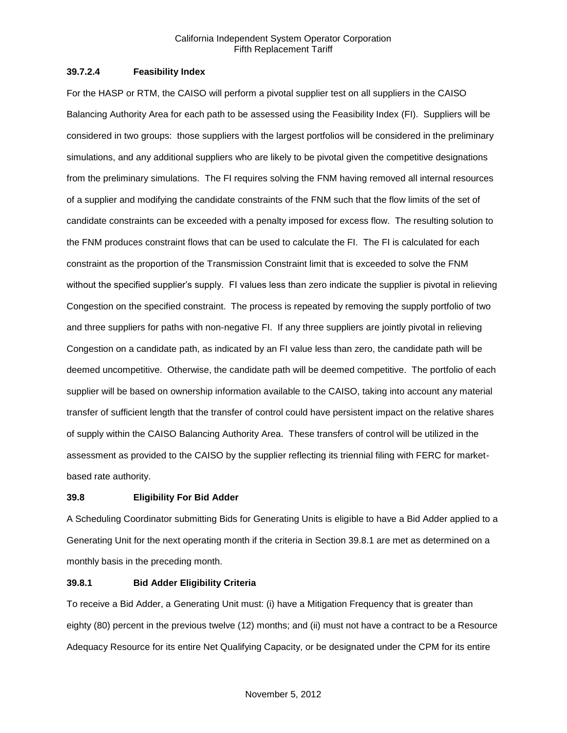### **39.7.2.4 Feasibility Index**

For the HASP or RTM, the CAISO will perform a pivotal supplier test on all suppliers in the CAISO Balancing Authority Area for each path to be assessed using the Feasibility Index (FI). Suppliers will be considered in two groups: those suppliers with the largest portfolios will be considered in the preliminary simulations, and any additional suppliers who are likely to be pivotal given the competitive designations from the preliminary simulations. The FI requires solving the FNM having removed all internal resources of a supplier and modifying the candidate constraints of the FNM such that the flow limits of the set of candidate constraints can be exceeded with a penalty imposed for excess flow. The resulting solution to the FNM produces constraint flows that can be used to calculate the FI. The FI is calculated for each constraint as the proportion of the Transmission Constraint limit that is exceeded to solve the FNM without the specified supplier's supply. FI values less than zero indicate the supplier is pivotal in relieving Congestion on the specified constraint. The process is repeated by removing the supply portfolio of two and three suppliers for paths with non-negative FI. If any three suppliers are jointly pivotal in relieving Congestion on a candidate path, as indicated by an FI value less than zero, the candidate path will be deemed uncompetitive. Otherwise, the candidate path will be deemed competitive. The portfolio of each supplier will be based on ownership information available to the CAISO, taking into account any material transfer of sufficient length that the transfer of control could have persistent impact on the relative shares of supply within the CAISO Balancing Authority Area. These transfers of control will be utilized in the assessment as provided to the CAISO by the supplier reflecting its triennial filing with FERC for marketbased rate authority.

### **39.8 Eligibility For Bid Adder**

A Scheduling Coordinator submitting Bids for Generating Units is eligible to have a Bid Adder applied to a Generating Unit for the next operating month if the criteria in Section 39.8.1 are met as determined on a monthly basis in the preceding month.

### **39.8.1 Bid Adder Eligibility Criteria**

To receive a Bid Adder, a Generating Unit must: (i) have a Mitigation Frequency that is greater than eighty (80) percent in the previous twelve (12) months; and (ii) must not have a contract to be a Resource Adequacy Resource for its entire Net Qualifying Capacity, or be designated under the CPM for its entire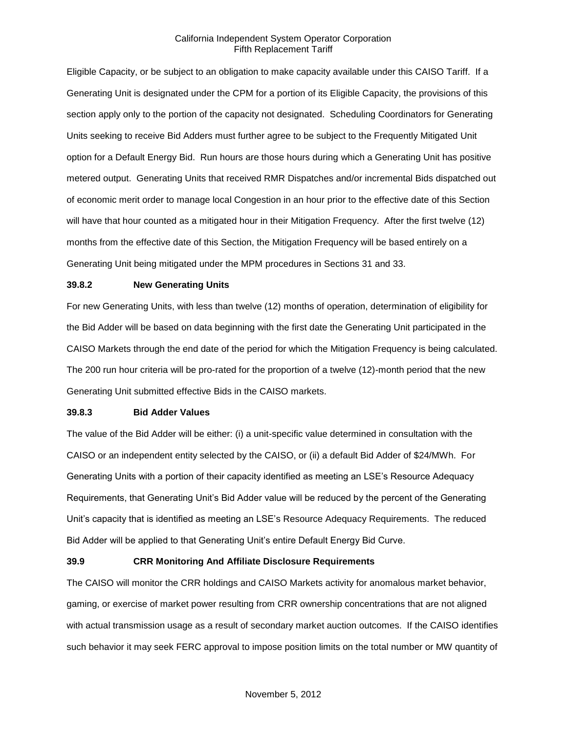Eligible Capacity, or be subject to an obligation to make capacity available under this CAISO Tariff. If a Generating Unit is designated under the CPM for a portion of its Eligible Capacity, the provisions of this section apply only to the portion of the capacity not designated. Scheduling Coordinators for Generating Units seeking to receive Bid Adders must further agree to be subject to the Frequently Mitigated Unit option for a Default Energy Bid. Run hours are those hours during which a Generating Unit has positive metered output. Generating Units that received RMR Dispatches and/or incremental Bids dispatched out of economic merit order to manage local Congestion in an hour prior to the effective date of this Section will have that hour counted as a mitigated hour in their Mitigation Frequency. After the first twelve (12) months from the effective date of this Section, the Mitigation Frequency will be based entirely on a Generating Unit being mitigated under the MPM procedures in Sections 31 and 33.

#### **39.8.2 New Generating Units**

For new Generating Units, with less than twelve (12) months of operation, determination of eligibility for the Bid Adder will be based on data beginning with the first date the Generating Unit participated in the CAISO Markets through the end date of the period for which the Mitigation Frequency is being calculated. The 200 run hour criteria will be pro-rated for the proportion of a twelve (12)-month period that the new Generating Unit submitted effective Bids in the CAISO markets.

### **39.8.3 Bid Adder Values**

The value of the Bid Adder will be either: (i) a unit-specific value determined in consultation with the CAISO or an independent entity selected by the CAISO, or (ii) a default Bid Adder of \$24/MWh. For Generating Units with a portion of their capacity identified as meeting an LSE's Resource Adequacy Requirements, that Generating Unit's Bid Adder value will be reduced by the percent of the Generating Unit's capacity that is identified as meeting an LSE's Resource Adequacy Requirements. The reduced Bid Adder will be applied to that Generating Unit's entire Default Energy Bid Curve.

### **39.9 CRR Monitoring And Affiliate Disclosure Requirements**

The CAISO will monitor the CRR holdings and CAISO Markets activity for anomalous market behavior, gaming, or exercise of market power resulting from CRR ownership concentrations that are not aligned with actual transmission usage as a result of secondary market auction outcomes. If the CAISO identifies such behavior it may seek FERC approval to impose position limits on the total number or MW quantity of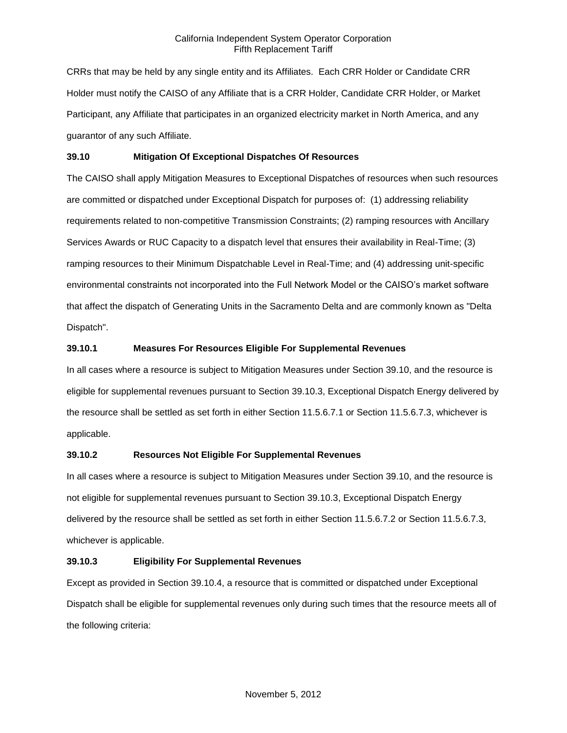CRRs that may be held by any single entity and its Affiliates. Each CRR Holder or Candidate CRR Holder must notify the CAISO of any Affiliate that is a CRR Holder, Candidate CRR Holder, or Market Participant, any Affiliate that participates in an organized electricity market in North America, and any guarantor of any such Affiliate.

### **39.10 Mitigation Of Exceptional Dispatches Of Resources**

The CAISO shall apply Mitigation Measures to Exceptional Dispatches of resources when such resources are committed or dispatched under Exceptional Dispatch for purposes of: (1) addressing reliability requirements related to non-competitive Transmission Constraints; (2) ramping resources with Ancillary Services Awards or RUC Capacity to a dispatch level that ensures their availability in Real-Time; (3) ramping resources to their Minimum Dispatchable Level in Real-Time; and (4) addressing unit-specific environmental constraints not incorporated into the Full Network Model or the CAISO's market software that affect the dispatch of Generating Units in the Sacramento Delta and are commonly known as "Delta Dispatch".

# **39.10.1 Measures For Resources Eligible For Supplemental Revenues**

In all cases where a resource is subject to Mitigation Measures under Section 39.10, and the resource is eligible for supplemental revenues pursuant to Section 39.10.3, Exceptional Dispatch Energy delivered by the resource shall be settled as set forth in either Section 11.5.6.7.1 or Section 11.5.6.7.3, whichever is applicable.

### **39.10.2 Resources Not Eligible For Supplemental Revenues**

In all cases where a resource is subject to Mitigation Measures under Section 39.10, and the resource is not eligible for supplemental revenues pursuant to Section 39.10.3, Exceptional Dispatch Energy delivered by the resource shall be settled as set forth in either Section 11.5.6.7.2 or Section 11.5.6.7.3, whichever is applicable.

### **39.10.3 Eligibility For Supplemental Revenues**

Except as provided in Section 39.10.4, a resource that is committed or dispatched under Exceptional Dispatch shall be eligible for supplemental revenues only during such times that the resource meets all of the following criteria: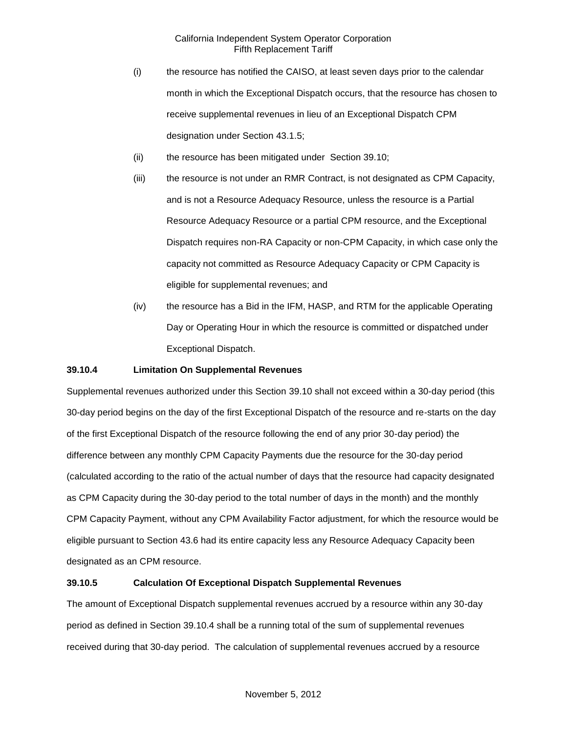- (i) the resource has notified the CAISO, at least seven days prior to the calendar month in which the Exceptional Dispatch occurs, that the resource has chosen to receive supplemental revenues in lieu of an Exceptional Dispatch CPM designation under Section 43.1.5;
- (ii) the resource has been mitigated under Section 39.10;
- (iii) the resource is not under an RMR Contract, is not designated as CPM Capacity, and is not a Resource Adequacy Resource, unless the resource is a Partial Resource Adequacy Resource or a partial CPM resource, and the Exceptional Dispatch requires non-RA Capacity or non-CPM Capacity, in which case only the capacity not committed as Resource Adequacy Capacity or CPM Capacity is eligible for supplemental revenues; and
- (iv) the resource has a Bid in the IFM, HASP, and RTM for the applicable Operating Day or Operating Hour in which the resource is committed or dispatched under Exceptional Dispatch.

# **39.10.4 Limitation On Supplemental Revenues**

Supplemental revenues authorized under this Section 39.10 shall not exceed within a 30-day period (this 30-day period begins on the day of the first Exceptional Dispatch of the resource and re-starts on the day of the first Exceptional Dispatch of the resource following the end of any prior 30-day period) the difference between any monthly CPM Capacity Payments due the resource for the 30-day period (calculated according to the ratio of the actual number of days that the resource had capacity designated as CPM Capacity during the 30-day period to the total number of days in the month) and the monthly CPM Capacity Payment, without any CPM Availability Factor adjustment, for which the resource would be eligible pursuant to Section 43.6 had its entire capacity less any Resource Adequacy Capacity been designated as an CPM resource.

# **39.10.5 Calculation Of Exceptional Dispatch Supplemental Revenues**

The amount of Exceptional Dispatch supplemental revenues accrued by a resource within any 30-day period as defined in Section 39.10.4 shall be a running total of the sum of supplemental revenues received during that 30-day period. The calculation of supplemental revenues accrued by a resource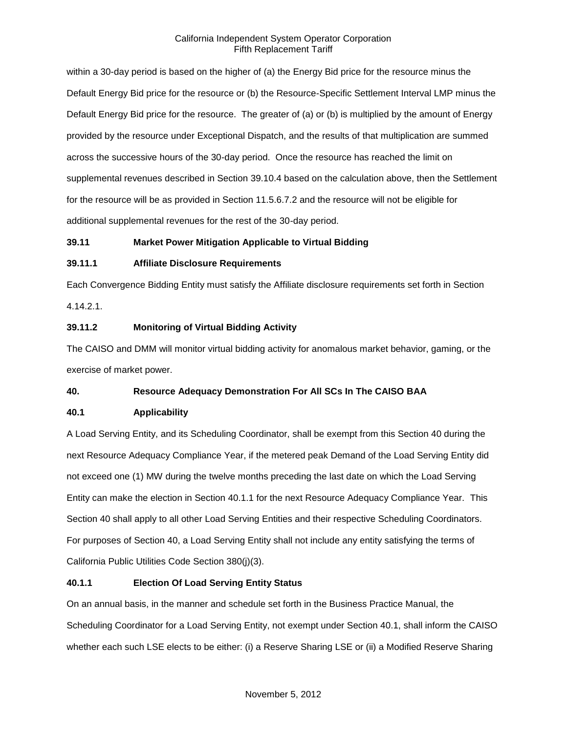within a 30-day period is based on the higher of (a) the Energy Bid price for the resource minus the Default Energy Bid price for the resource or (b) the Resource-Specific Settlement Interval LMP minus the Default Energy Bid price for the resource. The greater of (a) or (b) is multiplied by the amount of Energy provided by the resource under Exceptional Dispatch, and the results of that multiplication are summed across the successive hours of the 30-day period. Once the resource has reached the limit on supplemental revenues described in Section 39.10.4 based on the calculation above, then the Settlement for the resource will be as provided in Section 11.5.6.7.2 and the resource will not be eligible for additional supplemental revenues for the rest of the 30-day period.

# **39.11 Market Power Mitigation Applicable to Virtual Bidding**

# **39.11.1 Affiliate Disclosure Requirements**

Each Convergence Bidding Entity must satisfy the Affiliate disclosure requirements set forth in Section 4.14.2.1.

# **39.11.2 Monitoring of Virtual Bidding Activity**

The CAISO and DMM will monitor virtual bidding activity for anomalous market behavior, gaming, or the exercise of market power.

### **40. Resource Adequacy Demonstration For All SCs In The CAISO BAA**

### **40.1 Applicability**

A Load Serving Entity, and its Scheduling Coordinator, shall be exempt from this Section 40 during the next Resource Adequacy Compliance Year, if the metered peak Demand of the Load Serving Entity did not exceed one (1) MW during the twelve months preceding the last date on which the Load Serving Entity can make the election in Section 40.1.1 for the next Resource Adequacy Compliance Year. This Section 40 shall apply to all other Load Serving Entities and their respective Scheduling Coordinators. For purposes of Section 40, a Load Serving Entity shall not include any entity satisfying the terms of California Public Utilities Code Section 380(j)(3).

# **40.1.1 Election Of Load Serving Entity Status**

On an annual basis, in the manner and schedule set forth in the Business Practice Manual, the Scheduling Coordinator for a Load Serving Entity, not exempt under Section 40.1, shall inform the CAISO whether each such LSE elects to be either: (i) a Reserve Sharing LSE or (ii) a Modified Reserve Sharing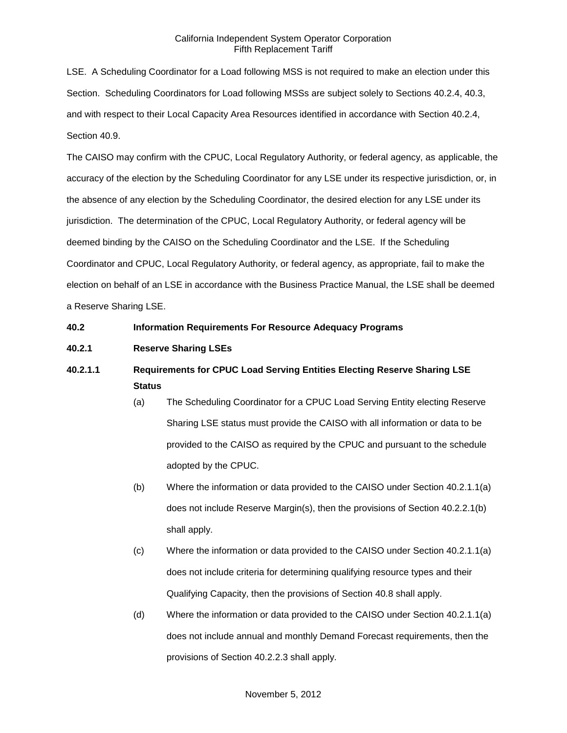LSE. A Scheduling Coordinator for a Load following MSS is not required to make an election under this Section. Scheduling Coordinators for Load following MSSs are subject solely to Sections 40.2.4, 40.3, and with respect to their Local Capacity Area Resources identified in accordance with Section 40.2.4, Section 40.9.

The CAISO may confirm with the CPUC, Local Regulatory Authority, or federal agency, as applicable, the accuracy of the election by the Scheduling Coordinator for any LSE under its respective jurisdiction, or, in the absence of any election by the Scheduling Coordinator, the desired election for any LSE under its jurisdiction. The determination of the CPUC, Local Regulatory Authority, or federal agency will be deemed binding by the CAISO on the Scheduling Coordinator and the LSE. If the Scheduling Coordinator and CPUC, Local Regulatory Authority, or federal agency, as appropriate, fail to make the election on behalf of an LSE in accordance with the Business Practice Manual, the LSE shall be deemed a Reserve Sharing LSE.

### **40.2 Information Requirements For Resource Adequacy Programs**

# **40.2.1 Reserve Sharing LSEs**

# **40.2.1.1 Requirements for CPUC Load Serving Entities Electing Reserve Sharing LSE Status**

- (a) The Scheduling Coordinator for a CPUC Load Serving Entity electing Reserve Sharing LSE status must provide the CAISO with all information or data to be provided to the CAISO as required by the CPUC and pursuant to the schedule adopted by the CPUC.
- (b) Where the information or data provided to the CAISO under Section 40.2.1.1(a) does not include Reserve Margin(s), then the provisions of Section 40.2.2.1(b) shall apply.
- (c) Where the information or data provided to the CAISO under Section 40.2.1.1(a) does not include criteria for determining qualifying resource types and their Qualifying Capacity, then the provisions of Section 40.8 shall apply.
- (d) Where the information or data provided to the CAISO under Section 40.2.1.1(a) does not include annual and monthly Demand Forecast requirements, then the provisions of Section 40.2.2.3 shall apply.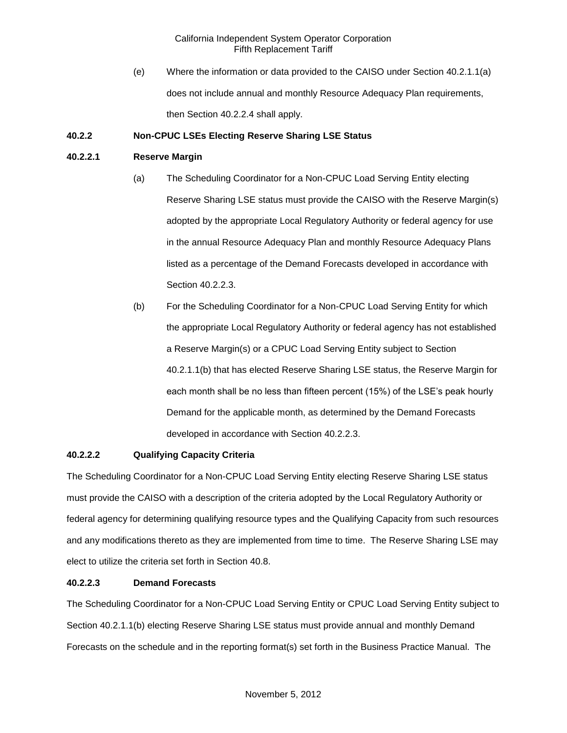(e) Where the information or data provided to the CAISO under Section 40.2.1.1(a) does not include annual and monthly Resource Adequacy Plan requirements, then Section 40.2.2.4 shall apply.

# **40.2.2 Non-CPUC LSEs Electing Reserve Sharing LSE Status**

### **40.2.2.1 Reserve Margin**

- (a) The Scheduling Coordinator for a Non-CPUC Load Serving Entity electing Reserve Sharing LSE status must provide the CAISO with the Reserve Margin(s) adopted by the appropriate Local Regulatory Authority or federal agency for use in the annual Resource Adequacy Plan and monthly Resource Adequacy Plans listed as a percentage of the Demand Forecasts developed in accordance with Section 40.2.2.3.
- (b) For the Scheduling Coordinator for a Non-CPUC Load Serving Entity for which the appropriate Local Regulatory Authority or federal agency has not established a Reserve Margin(s) or a CPUC Load Serving Entity subject to Section 40.2.1.1(b) that has elected Reserve Sharing LSE status, the Reserve Margin for each month shall be no less than fifteen percent (15%) of the LSE's peak hourly Demand for the applicable month, as determined by the Demand Forecasts developed in accordance with Section 40.2.2.3.

### **40.2.2.2 Qualifying Capacity Criteria**

The Scheduling Coordinator for a Non-CPUC Load Serving Entity electing Reserve Sharing LSE status must provide the CAISO with a description of the criteria adopted by the Local Regulatory Authority or federal agency for determining qualifying resource types and the Qualifying Capacity from such resources and any modifications thereto as they are implemented from time to time. The Reserve Sharing LSE may elect to utilize the criteria set forth in Section 40.8.

### **40.2.2.3 Demand Forecasts**

The Scheduling Coordinator for a Non-CPUC Load Serving Entity or CPUC Load Serving Entity subject to Section 40.2.1.1(b) electing Reserve Sharing LSE status must provide annual and monthly Demand Forecasts on the schedule and in the reporting format(s) set forth in the Business Practice Manual. The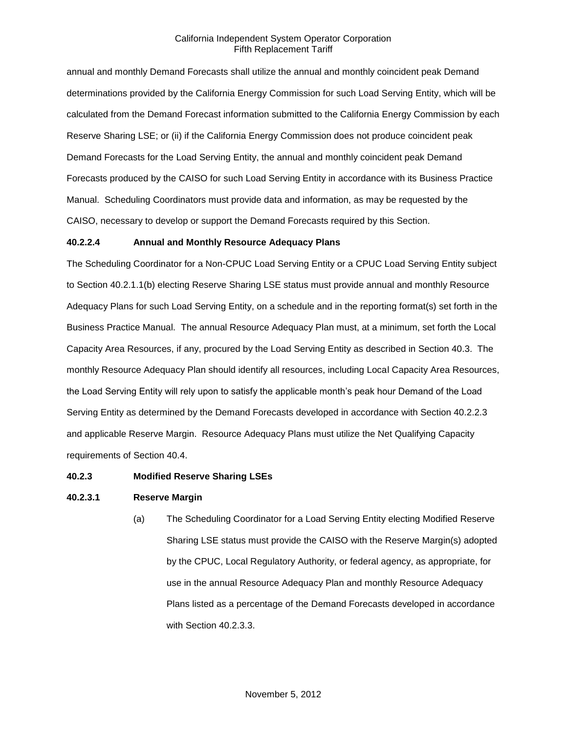annual and monthly Demand Forecasts shall utilize the annual and monthly coincident peak Demand determinations provided by the California Energy Commission for such Load Serving Entity, which will be calculated from the Demand Forecast information submitted to the California Energy Commission by each Reserve Sharing LSE; or (ii) if the California Energy Commission does not produce coincident peak Demand Forecasts for the Load Serving Entity, the annual and monthly coincident peak Demand Forecasts produced by the CAISO for such Load Serving Entity in accordance with its Business Practice Manual. Scheduling Coordinators must provide data and information, as may be requested by the CAISO, necessary to develop or support the Demand Forecasts required by this Section.

#### **40.2.2.4 Annual and Monthly Resource Adequacy Plans**

The Scheduling Coordinator for a Non-CPUC Load Serving Entity or a CPUC Load Serving Entity subject to Section 40.2.1.1(b) electing Reserve Sharing LSE status must provide annual and monthly Resource Adequacy Plans for such Load Serving Entity, on a schedule and in the reporting format(s) set forth in the Business Practice Manual. The annual Resource Adequacy Plan must, at a minimum, set forth the Local Capacity Area Resources, if any, procured by the Load Serving Entity as described in Section 40.3. The monthly Resource Adequacy Plan should identify all resources, including Local Capacity Area Resources, the Load Serving Entity will rely upon to satisfy the applicable month's peak hour Demand of the Load Serving Entity as determined by the Demand Forecasts developed in accordance with Section 40.2.2.3 and applicable Reserve Margin. Resource Adequacy Plans must utilize the Net Qualifying Capacity requirements of Section 40.4.

#### **40.2.3 Modified Reserve Sharing LSEs**

#### **40.2.3.1 Reserve Margin**

(a) The Scheduling Coordinator for a Load Serving Entity electing Modified Reserve Sharing LSE status must provide the CAISO with the Reserve Margin(s) adopted by the CPUC, Local Regulatory Authority, or federal agency, as appropriate, for use in the annual Resource Adequacy Plan and monthly Resource Adequacy Plans listed as a percentage of the Demand Forecasts developed in accordance with Section 40.2.3.3.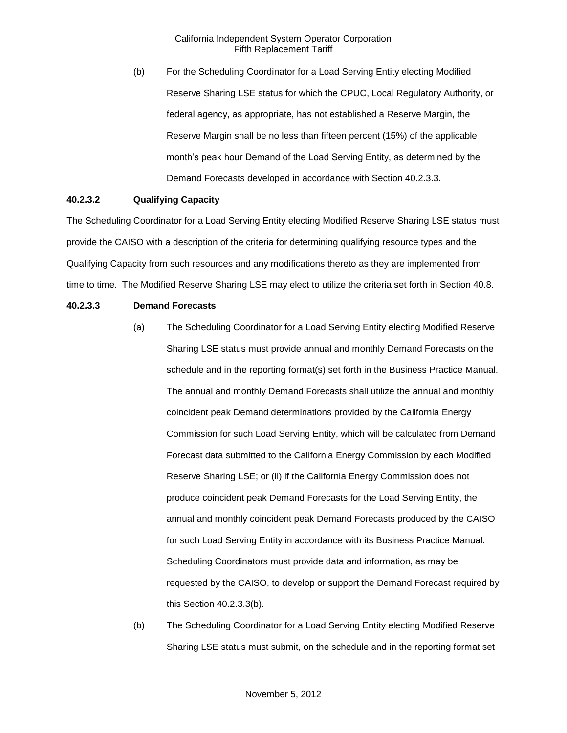(b) For the Scheduling Coordinator for a Load Serving Entity electing Modified Reserve Sharing LSE status for which the CPUC, Local Regulatory Authority, or federal agency, as appropriate, has not established a Reserve Margin, the Reserve Margin shall be no less than fifteen percent (15%) of the applicable month's peak hour Demand of the Load Serving Entity, as determined by the Demand Forecasts developed in accordance with Section 40.2.3.3.

# **40.2.3.2 Qualifying Capacity**

The Scheduling Coordinator for a Load Serving Entity electing Modified Reserve Sharing LSE status must provide the CAISO with a description of the criteria for determining qualifying resource types and the Qualifying Capacity from such resources and any modifications thereto as they are implemented from time to time. The Modified Reserve Sharing LSE may elect to utilize the criteria set forth in Section 40.8.

# **40.2.3.3 Demand Forecasts**

- (a) The Scheduling Coordinator for a Load Serving Entity electing Modified Reserve Sharing LSE status must provide annual and monthly Demand Forecasts on the schedule and in the reporting format(s) set forth in the Business Practice Manual. The annual and monthly Demand Forecasts shall utilize the annual and monthly coincident peak Demand determinations provided by the California Energy Commission for such Load Serving Entity, which will be calculated from Demand Forecast data submitted to the California Energy Commission by each Modified Reserve Sharing LSE; or (ii) if the California Energy Commission does not produce coincident peak Demand Forecasts for the Load Serving Entity, the annual and monthly coincident peak Demand Forecasts produced by the CAISO for such Load Serving Entity in accordance with its Business Practice Manual. Scheduling Coordinators must provide data and information, as may be requested by the CAISO, to develop or support the Demand Forecast required by this Section 40.2.3.3(b).
- (b) The Scheduling Coordinator for a Load Serving Entity electing Modified Reserve Sharing LSE status must submit, on the schedule and in the reporting format set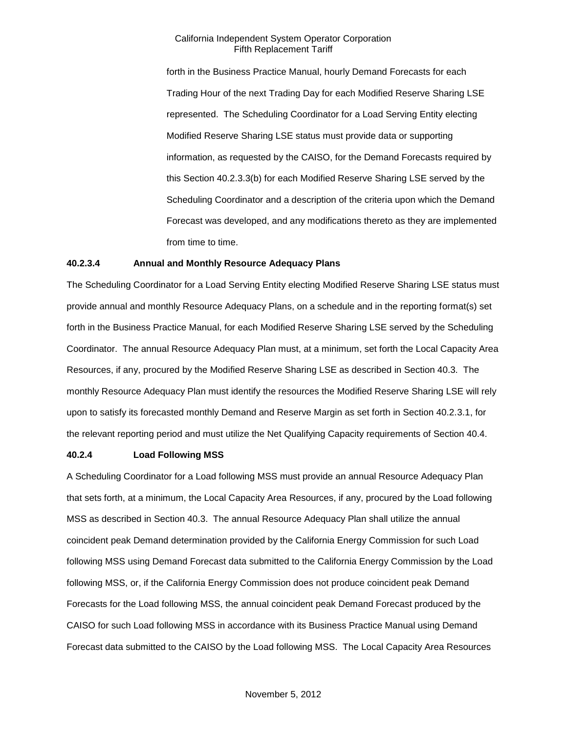forth in the Business Practice Manual, hourly Demand Forecasts for each Trading Hour of the next Trading Day for each Modified Reserve Sharing LSE represented. The Scheduling Coordinator for a Load Serving Entity electing Modified Reserve Sharing LSE status must provide data or supporting information, as requested by the CAISO, for the Demand Forecasts required by this Section 40.2.3.3(b) for each Modified Reserve Sharing LSE served by the Scheduling Coordinator and a description of the criteria upon which the Demand Forecast was developed, and any modifications thereto as they are implemented from time to time.

### **40.2.3.4 Annual and Monthly Resource Adequacy Plans**

The Scheduling Coordinator for a Load Serving Entity electing Modified Reserve Sharing LSE status must provide annual and monthly Resource Adequacy Plans, on a schedule and in the reporting format(s) set forth in the Business Practice Manual, for each Modified Reserve Sharing LSE served by the Scheduling Coordinator. The annual Resource Adequacy Plan must, at a minimum, set forth the Local Capacity Area Resources, if any, procured by the Modified Reserve Sharing LSE as described in Section 40.3. The monthly Resource Adequacy Plan must identify the resources the Modified Reserve Sharing LSE will rely upon to satisfy its forecasted monthly Demand and Reserve Margin as set forth in Section 40.2.3.1, for the relevant reporting period and must utilize the Net Qualifying Capacity requirements of Section 40.4.

#### **40.2.4 Load Following MSS**

A Scheduling Coordinator for a Load following MSS must provide an annual Resource Adequacy Plan that sets forth, at a minimum, the Local Capacity Area Resources, if any, procured by the Load following MSS as described in Section 40.3. The annual Resource Adequacy Plan shall utilize the annual coincident peak Demand determination provided by the California Energy Commission for such Load following MSS using Demand Forecast data submitted to the California Energy Commission by the Load following MSS, or, if the California Energy Commission does not produce coincident peak Demand Forecasts for the Load following MSS, the annual coincident peak Demand Forecast produced by the CAISO for such Load following MSS in accordance with its Business Practice Manual using Demand Forecast data submitted to the CAISO by the Load following MSS. The Local Capacity Area Resources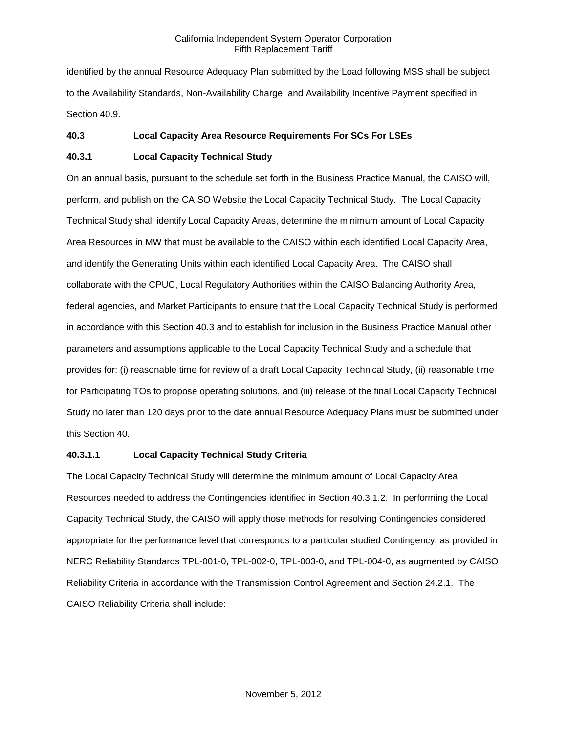identified by the annual Resource Adequacy Plan submitted by the Load following MSS shall be subject to the Availability Standards, Non-Availability Charge, and Availability Incentive Payment specified in Section 40.9.

### **40.3 Local Capacity Area Resource Requirements For SCs For LSEs**

# **40.3.1 Local Capacity Technical Study**

On an annual basis, pursuant to the schedule set forth in the Business Practice Manual, the CAISO will, perform, and publish on the CAISO Website the Local Capacity Technical Study. The Local Capacity Technical Study shall identify Local Capacity Areas, determine the minimum amount of Local Capacity Area Resources in MW that must be available to the CAISO within each identified Local Capacity Area, and identify the Generating Units within each identified Local Capacity Area. The CAISO shall collaborate with the CPUC, Local Regulatory Authorities within the CAISO Balancing Authority Area, federal agencies, and Market Participants to ensure that the Local Capacity Technical Study is performed in accordance with this Section 40.3 and to establish for inclusion in the Business Practice Manual other parameters and assumptions applicable to the Local Capacity Technical Study and a schedule that provides for: (i) reasonable time for review of a draft Local Capacity Technical Study, (ii) reasonable time for Participating TOs to propose operating solutions, and (iii) release of the final Local Capacity Technical Study no later than 120 days prior to the date annual Resource Adequacy Plans must be submitted under this Section 40.

### **40.3.1.1 Local Capacity Technical Study Criteria**

The Local Capacity Technical Study will determine the minimum amount of Local Capacity Area Resources needed to address the Contingencies identified in Section 40.3.1.2. In performing the Local Capacity Technical Study, the CAISO will apply those methods for resolving Contingencies considered appropriate for the performance level that corresponds to a particular studied Contingency, as provided in NERC Reliability Standards TPL-001-0, TPL-002-0, TPL-003-0, and TPL-004-0, as augmented by CAISO Reliability Criteria in accordance with the Transmission Control Agreement and Section 24.2.1. The CAISO Reliability Criteria shall include: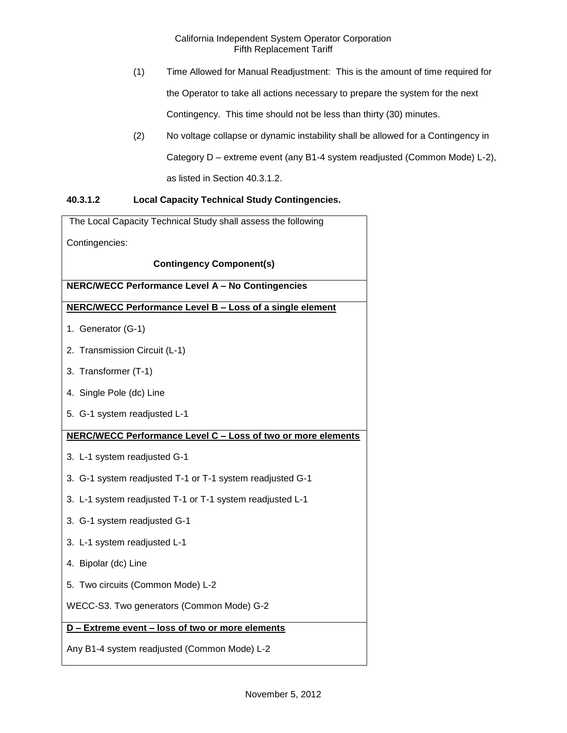- (1) Time Allowed for Manual Readjustment: This is the amount of time required for the Operator to take all actions necessary to prepare the system for the next Contingency. This time should not be less than thirty (30) minutes.
- (2) No voltage collapse or dynamic instability shall be allowed for a Contingency in Category D – extreme event (any B1-4 system readjusted (Common Mode) L-2), as listed in Section 40.3.1.2.

# **40.3.1.2 Local Capacity Technical Study Contingencies.**

| The Local Capacity Technical Study shall assess the following |
|---------------------------------------------------------------|
| Contingencies:                                                |
| <b>Contingency Component(s)</b>                               |
| NERC/WECC Performance Level A - No Contingencies              |
| NERC/WECC Performance Level B - Loss of a single element      |
| 1. Generator (G-1)                                            |
| 2. Transmission Circuit (L-1)                                 |
| 3. Transformer (T-1)                                          |
| 4. Single Pole (dc) Line                                      |
| 5. G-1 system readjusted L-1                                  |
| NERC/WECC Performance Level C - Loss of two or more elements  |
| 3. L-1 system readjusted G-1                                  |
| 3. G-1 system readjusted T-1 or T-1 system readjusted G-1     |
| 3. L-1 system readjusted T-1 or T-1 system readjusted L-1     |
| 3. G-1 system readjusted G-1                                  |
| 3. L-1 system readjusted L-1                                  |
| 4. Bipolar (dc) Line                                          |
| 5. Two circuits (Common Mode) L-2                             |
| WECC-S3. Two generators (Common Mode) G-2                     |
| D - Extreme event - loss of two or more elements              |
| Any B1-4 system readjusted (Common Mode) L-2                  |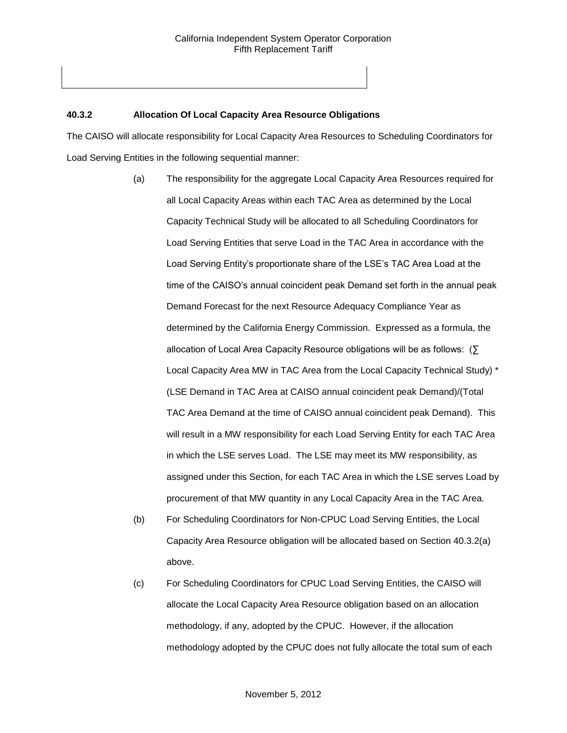# **40.3.2 Allocation Of Local Capacity Area Resource Obligations**

The CAISO will allocate responsibility for Local Capacity Area Resources to Scheduling Coordinators for Load Serving Entities in the following sequential manner:

- (a) The responsibility for the aggregate Local Capacity Area Resources required for all Local Capacity Areas within each TAC Area as determined by the Local Capacity Technical Study will be allocated to all Scheduling Coordinators for Load Serving Entities that serve Load in the TAC Area in accordance with the Load Serving Entity's proportionate share of the LSE's TAC Area Load at the time of the CAISO's annual coincident peak Demand set forth in the annual peak Demand Forecast for the next Resource Adequacy Compliance Year as determined by the California Energy Commission. Expressed as a formula, the allocation of Local Area Capacity Resource obligations will be as follows: (∑ Local Capacity Area MW in TAC Area from the Local Capacity Technical Study) \* (LSE Demand in TAC Area at CAISO annual coincident peak Demand)/(Total TAC Area Demand at the time of CAISO annual coincident peak Demand). This will result in a MW responsibility for each Load Serving Entity for each TAC Area in which the LSE serves Load. The LSE may meet its MW responsibility, as assigned under this Section, for each TAC Area in which the LSE serves Load by procurement of that MW quantity in any Local Capacity Area in the TAC Area.
- (b) For Scheduling Coordinators for Non-CPUC Load Serving Entities, the Local Capacity Area Resource obligation will be allocated based on Section 40.3.2(a) above.
- (c) For Scheduling Coordinators for CPUC Load Serving Entities, the CAISO will allocate the Local Capacity Area Resource obligation based on an allocation methodology, if any, adopted by the CPUC. However, if the allocation methodology adopted by the CPUC does not fully allocate the total sum of each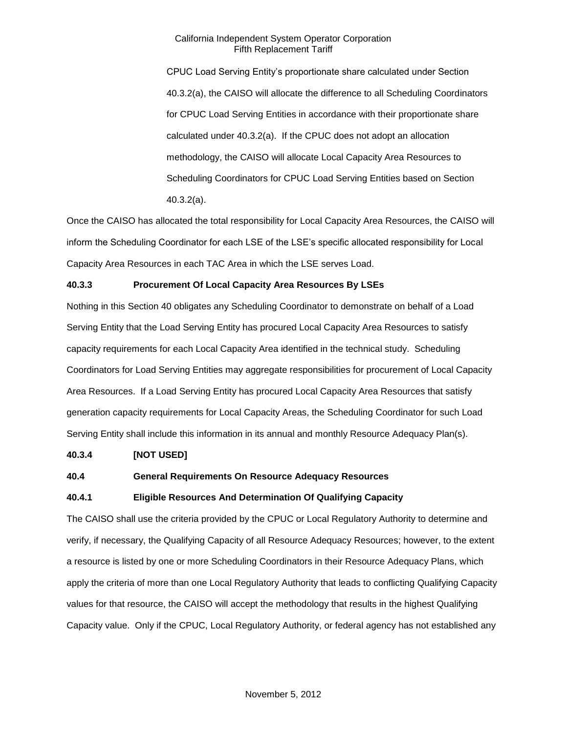CPUC Load Serving Entity's proportionate share calculated under Section 40.3.2(a), the CAISO will allocate the difference to all Scheduling Coordinators for CPUC Load Serving Entities in accordance with their proportionate share calculated under 40.3.2(a). If the CPUC does not adopt an allocation methodology, the CAISO will allocate Local Capacity Area Resources to Scheduling Coordinators for CPUC Load Serving Entities based on Section 40.3.2(a).

Once the CAISO has allocated the total responsibility for Local Capacity Area Resources, the CAISO will inform the Scheduling Coordinator for each LSE of the LSE's specific allocated responsibility for Local Capacity Area Resources in each TAC Area in which the LSE serves Load.

# **40.3.3 Procurement Of Local Capacity Area Resources By LSEs**

Nothing in this Section 40 obligates any Scheduling Coordinator to demonstrate on behalf of a Load Serving Entity that the Load Serving Entity has procured Local Capacity Area Resources to satisfy capacity requirements for each Local Capacity Area identified in the technical study. Scheduling Coordinators for Load Serving Entities may aggregate responsibilities for procurement of Local Capacity Area Resources. If a Load Serving Entity has procured Local Capacity Area Resources that satisfy generation capacity requirements for Local Capacity Areas, the Scheduling Coordinator for such Load Serving Entity shall include this information in its annual and monthly Resource Adequacy Plan(s).

### **40.3.4 [NOT USED]**

### **40.4 General Requirements On Resource Adequacy Resources**

### **40.4.1 Eligible Resources And Determination Of Qualifying Capacity**

The CAISO shall use the criteria provided by the CPUC or Local Regulatory Authority to determine and verify, if necessary, the Qualifying Capacity of all Resource Adequacy Resources; however, to the extent a resource is listed by one or more Scheduling Coordinators in their Resource Adequacy Plans, which apply the criteria of more than one Local Regulatory Authority that leads to conflicting Qualifying Capacity values for that resource, the CAISO will accept the methodology that results in the highest Qualifying Capacity value. Only if the CPUC, Local Regulatory Authority, or federal agency has not established any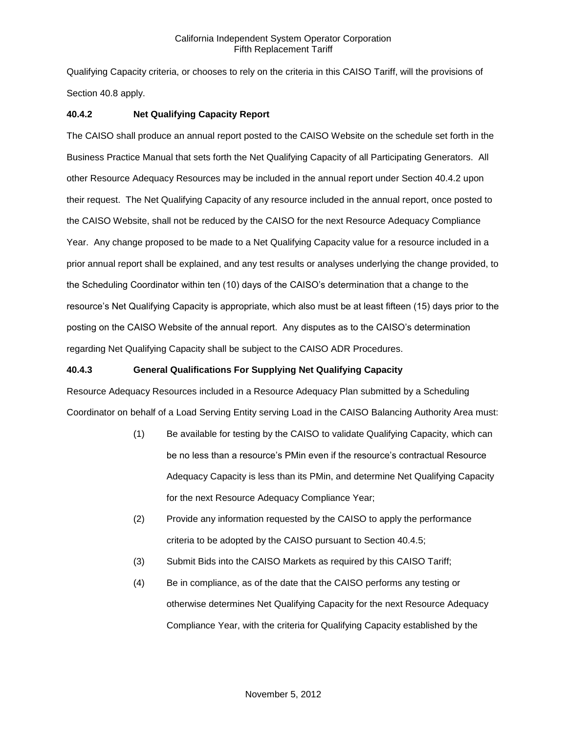Qualifying Capacity criteria, or chooses to rely on the criteria in this CAISO Tariff, will the provisions of Section 40.8 apply.

# **40.4.2 Net Qualifying Capacity Report**

The CAISO shall produce an annual report posted to the CAISO Website on the schedule set forth in the Business Practice Manual that sets forth the Net Qualifying Capacity of all Participating Generators. All other Resource Adequacy Resources may be included in the annual report under Section 40.4.2 upon their request. The Net Qualifying Capacity of any resource included in the annual report, once posted to the CAISO Website, shall not be reduced by the CAISO for the next Resource Adequacy Compliance Year. Any change proposed to be made to a Net Qualifying Capacity value for a resource included in a prior annual report shall be explained, and any test results or analyses underlying the change provided, to the Scheduling Coordinator within ten (10) days of the CAISO's determination that a change to the resource's Net Qualifying Capacity is appropriate, which also must be at least fifteen (15) days prior to the posting on the CAISO Website of the annual report. Any disputes as to the CAISO's determination regarding Net Qualifying Capacity shall be subject to the CAISO ADR Procedures.

### **40.4.3 General Qualifications For Supplying Net Qualifying Capacity**

Resource Adequacy Resources included in a Resource Adequacy Plan submitted by a Scheduling Coordinator on behalf of a Load Serving Entity serving Load in the CAISO Balancing Authority Area must:

- (1) Be available for testing by the CAISO to validate Qualifying Capacity, which can be no less than a resource's PMin even if the resource's contractual Resource Adequacy Capacity is less than its PMin, and determine Net Qualifying Capacity for the next Resource Adequacy Compliance Year;
- (2) Provide any information requested by the CAISO to apply the performance criteria to be adopted by the CAISO pursuant to Section 40.4.5;
- (3) Submit Bids into the CAISO Markets as required by this CAISO Tariff;
- (4) Be in compliance, as of the date that the CAISO performs any testing or otherwise determines Net Qualifying Capacity for the next Resource Adequacy Compliance Year, with the criteria for Qualifying Capacity established by the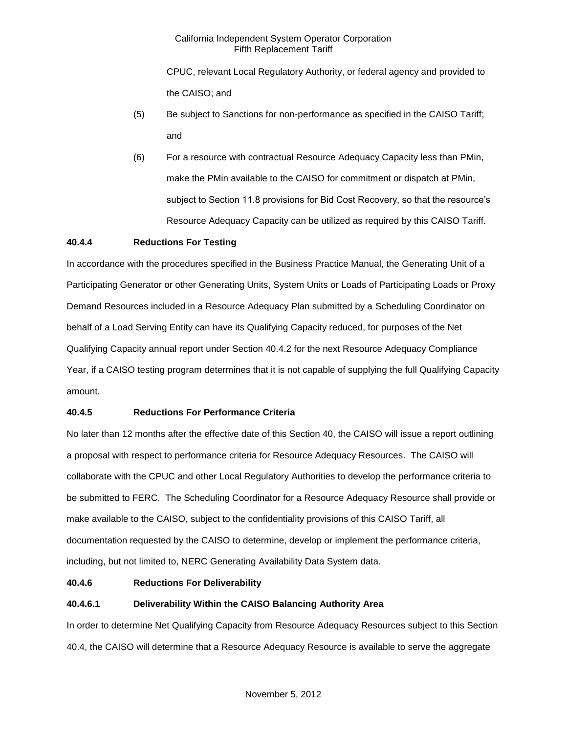CPUC, relevant Local Regulatory Authority, or federal agency and provided to the CAISO; and

- (5) Be subject to Sanctions for non-performance as specified in the CAISO Tariff; and
- (6) For a resource with contractual Resource Adequacy Capacity less than PMin, make the PMin available to the CAISO for commitment or dispatch at PMin, subject to Section 11.8 provisions for Bid Cost Recovery, so that the resource's Resource Adequacy Capacity can be utilized as required by this CAISO Tariff.

# **40.4.4 Reductions For Testing**

In accordance with the procedures specified in the Business Practice Manual, the Generating Unit of a Participating Generator or other Generating Units, System Units or Loads of Participating Loads or Proxy Demand Resources included in a Resource Adequacy Plan submitted by a Scheduling Coordinator on behalf of a Load Serving Entity can have its Qualifying Capacity reduced, for purposes of the Net Qualifying Capacity annual report under Section 40.4.2 for the next Resource Adequacy Compliance Year, if a CAISO testing program determines that it is not capable of supplying the full Qualifying Capacity amount.

# **40.4.5 Reductions For Performance Criteria**

No later than 12 months after the effective date of this Section 40, the CAISO will issue a report outlining a proposal with respect to performance criteria for Resource Adequacy Resources. The CAISO will collaborate with the CPUC and other Local Regulatory Authorities to develop the performance criteria to be submitted to FERC. The Scheduling Coordinator for a Resource Adequacy Resource shall provide or make available to the CAISO, subject to the confidentiality provisions of this CAISO Tariff, all documentation requested by the CAISO to determine, develop or implement the performance criteria, including, but not limited to, NERC Generating Availability Data System data.

### **40.4.6 Reductions For Deliverability**

# **40.4.6.1 Deliverability Within the CAISO Balancing Authority Area**

In order to determine Net Qualifying Capacity from Resource Adequacy Resources subject to this Section 40.4, the CAISO will determine that a Resource Adequacy Resource is available to serve the aggregate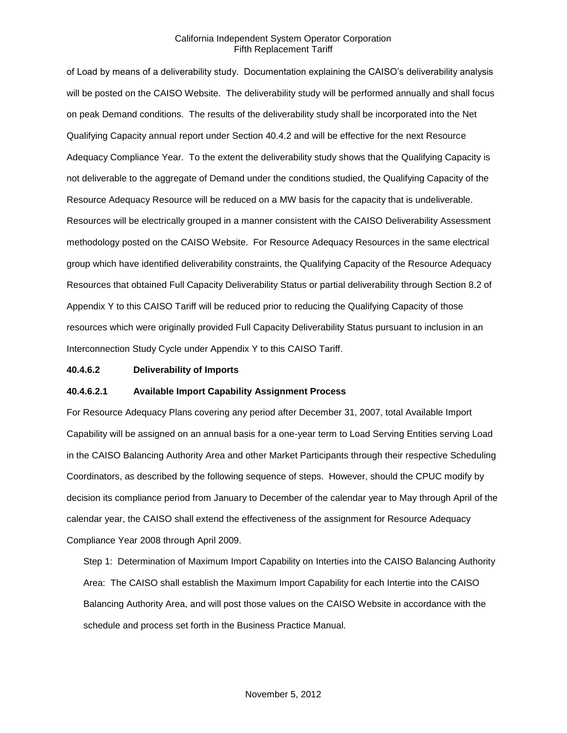of Load by means of a deliverability study. Documentation explaining the CAISO's deliverability analysis will be posted on the CAISO Website. The deliverability study will be performed annually and shall focus on peak Demand conditions. The results of the deliverability study shall be incorporated into the Net Qualifying Capacity annual report under Section 40.4.2 and will be effective for the next Resource Adequacy Compliance Year. To the extent the deliverability study shows that the Qualifying Capacity is not deliverable to the aggregate of Demand under the conditions studied, the Qualifying Capacity of the Resource Adequacy Resource will be reduced on a MW basis for the capacity that is undeliverable. Resources will be electrically grouped in a manner consistent with the CAISO Deliverability Assessment methodology posted on the CAISO Website. For Resource Adequacy Resources in the same electrical group which have identified deliverability constraints, the Qualifying Capacity of the Resource Adequacy Resources that obtained Full Capacity Deliverability Status or partial deliverability through Section 8.2 of Appendix Y to this CAISO Tariff will be reduced prior to reducing the Qualifying Capacity of those resources which were originally provided Full Capacity Deliverability Status pursuant to inclusion in an Interconnection Study Cycle under Appendix Y to this CAISO Tariff.

### **40.4.6.2 Deliverability of Imports**

#### **40.4.6.2.1 Available Import Capability Assignment Process**

For Resource Adequacy Plans covering any period after December 31, 2007, total Available Import Capability will be assigned on an annual basis for a one-year term to Load Serving Entities serving Load in the CAISO Balancing Authority Area and other Market Participants through their respective Scheduling Coordinators, as described by the following sequence of steps. However, should the CPUC modify by decision its compliance period from January to December of the calendar year to May through April of the calendar year, the CAISO shall extend the effectiveness of the assignment for Resource Adequacy Compliance Year 2008 through April 2009.

Step 1: Determination of Maximum Import Capability on Interties into the CAISO Balancing Authority Area: The CAISO shall establish the Maximum Import Capability for each Intertie into the CAISO Balancing Authority Area, and will post those values on the CAISO Website in accordance with the schedule and process set forth in the Business Practice Manual.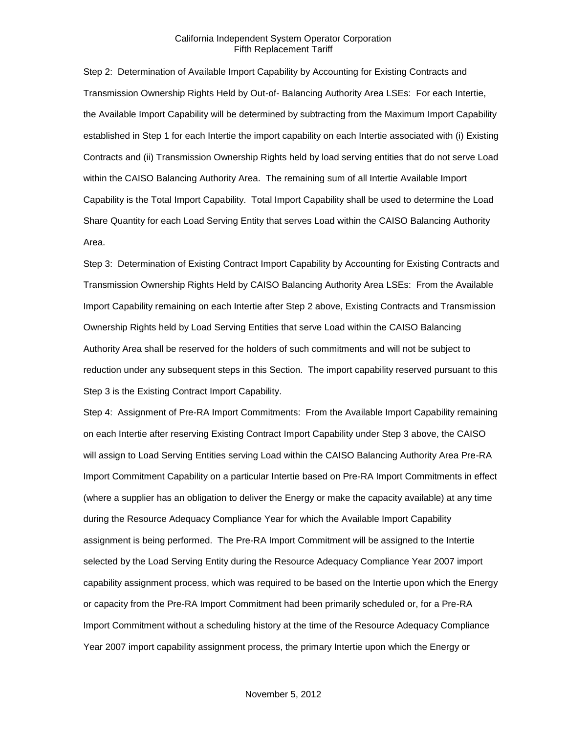Step 2: Determination of Available Import Capability by Accounting for Existing Contracts and Transmission Ownership Rights Held by Out-of- Balancing Authority Area LSEs: For each Intertie, the Available Import Capability will be determined by subtracting from the Maximum Import Capability established in Step 1 for each Intertie the import capability on each Intertie associated with (i) Existing Contracts and (ii) Transmission Ownership Rights held by load serving entities that do not serve Load within the CAISO Balancing Authority Area. The remaining sum of all Intertie Available Import Capability is the Total Import Capability. Total Import Capability shall be used to determine the Load Share Quantity for each Load Serving Entity that serves Load within the CAISO Balancing Authority Area.

Step 3: Determination of Existing Contract Import Capability by Accounting for Existing Contracts and Transmission Ownership Rights Held by CAISO Balancing Authority Area LSEs: From the Available Import Capability remaining on each Intertie after Step 2 above, Existing Contracts and Transmission Ownership Rights held by Load Serving Entities that serve Load within the CAISO Balancing Authority Area shall be reserved for the holders of such commitments and will not be subject to reduction under any subsequent steps in this Section. The import capability reserved pursuant to this Step 3 is the Existing Contract Import Capability.

Step 4: Assignment of Pre-RA Import Commitments: From the Available Import Capability remaining on each Intertie after reserving Existing Contract Import Capability under Step 3 above, the CAISO will assign to Load Serving Entities serving Load within the CAISO Balancing Authority Area Pre-RA Import Commitment Capability on a particular Intertie based on Pre-RA Import Commitments in effect (where a supplier has an obligation to deliver the Energy or make the capacity available) at any time during the Resource Adequacy Compliance Year for which the Available Import Capability assignment is being performed. The Pre-RA Import Commitment will be assigned to the Intertie selected by the Load Serving Entity during the Resource Adequacy Compliance Year 2007 import capability assignment process, which was required to be based on the Intertie upon which the Energy or capacity from the Pre-RA Import Commitment had been primarily scheduled or, for a Pre-RA Import Commitment without a scheduling history at the time of the Resource Adequacy Compliance Year 2007 import capability assignment process, the primary Intertie upon which the Energy or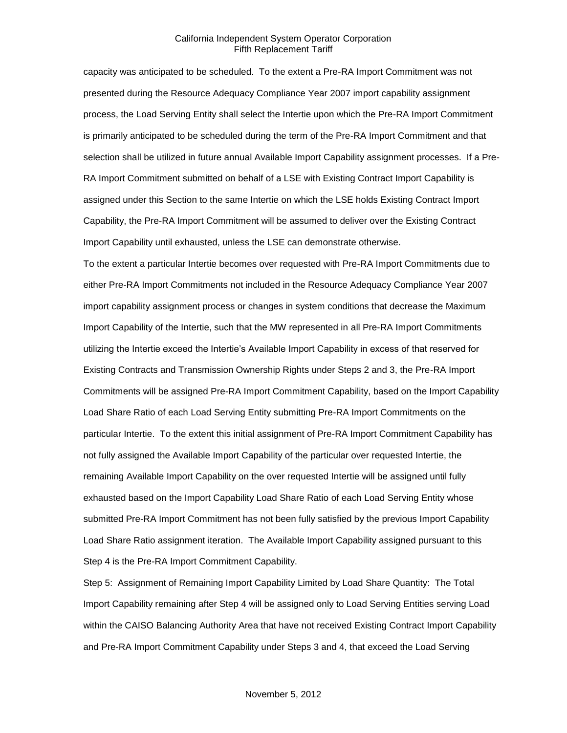capacity was anticipated to be scheduled. To the extent a Pre-RA Import Commitment was not presented during the Resource Adequacy Compliance Year 2007 import capability assignment process, the Load Serving Entity shall select the Intertie upon which the Pre-RA Import Commitment is primarily anticipated to be scheduled during the term of the Pre-RA Import Commitment and that selection shall be utilized in future annual Available Import Capability assignment processes. If a Pre-RA Import Commitment submitted on behalf of a LSE with Existing Contract Import Capability is assigned under this Section to the same Intertie on which the LSE holds Existing Contract Import Capability, the Pre-RA Import Commitment will be assumed to deliver over the Existing Contract Import Capability until exhausted, unless the LSE can demonstrate otherwise.

To the extent a particular Intertie becomes over requested with Pre-RA Import Commitments due to either Pre-RA Import Commitments not included in the Resource Adequacy Compliance Year 2007 import capability assignment process or changes in system conditions that decrease the Maximum Import Capability of the Intertie, such that the MW represented in all Pre-RA Import Commitments utilizing the Intertie exceed the Intertie's Available Import Capability in excess of that reserved for Existing Contracts and Transmission Ownership Rights under Steps 2 and 3, the Pre-RA Import Commitments will be assigned Pre-RA Import Commitment Capability, based on the Import Capability Load Share Ratio of each Load Serving Entity submitting Pre-RA Import Commitments on the particular Intertie. To the extent this initial assignment of Pre-RA Import Commitment Capability has not fully assigned the Available Import Capability of the particular over requested Intertie, the remaining Available Import Capability on the over requested Intertie will be assigned until fully exhausted based on the Import Capability Load Share Ratio of each Load Serving Entity whose submitted Pre-RA Import Commitment has not been fully satisfied by the previous Import Capability Load Share Ratio assignment iteration. The Available Import Capability assigned pursuant to this Step 4 is the Pre-RA Import Commitment Capability.

Step 5: Assignment of Remaining Import Capability Limited by Load Share Quantity: The Total Import Capability remaining after Step 4 will be assigned only to Load Serving Entities serving Load within the CAISO Balancing Authority Area that have not received Existing Contract Import Capability and Pre-RA Import Commitment Capability under Steps 3 and 4, that exceed the Load Serving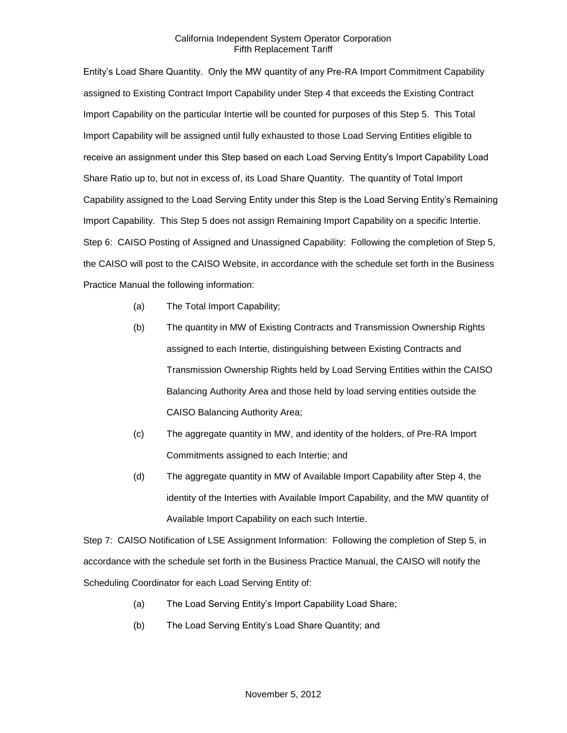Entity's Load Share Quantity. Only the MW quantity of any Pre-RA Import Commitment Capability assigned to Existing Contract Import Capability under Step 4 that exceeds the Existing Contract Import Capability on the particular Intertie will be counted for purposes of this Step 5. This Total Import Capability will be assigned until fully exhausted to those Load Serving Entities eligible to receive an assignment under this Step based on each Load Serving Entity's Import Capability Load Share Ratio up to, but not in excess of, its Load Share Quantity. The quantity of Total Import Capability assigned to the Load Serving Entity under this Step is the Load Serving Entity's Remaining Import Capability. This Step 5 does not assign Remaining Import Capability on a specific Intertie. Step 6: CAISO Posting of Assigned and Unassigned Capability: Following the completion of Step 5, the CAISO will post to the CAISO Website, in accordance with the schedule set forth in the Business Practice Manual the following information:

- (a) The Total Import Capability;
- (b) The quantity in MW of Existing Contracts and Transmission Ownership Rights assigned to each Intertie, distinguishing between Existing Contracts and Transmission Ownership Rights held by Load Serving Entities within the CAISO Balancing Authority Area and those held by load serving entities outside the CAISO Balancing Authority Area;
- (c) The aggregate quantity in MW, and identity of the holders, of Pre-RA Import Commitments assigned to each Intertie; and
- (d) The aggregate quantity in MW of Available Import Capability after Step 4, the identity of the Interties with Available Import Capability, and the MW quantity of Available Import Capability on each such Intertie.

Step 7: CAISO Notification of LSE Assignment Information: Following the completion of Step 5, in accordance with the schedule set forth in the Business Practice Manual, the CAISO will notify the Scheduling Coordinator for each Load Serving Entity of:

- (a) The Load Serving Entity's Import Capability Load Share;
- (b) The Load Serving Entity's Load Share Quantity; and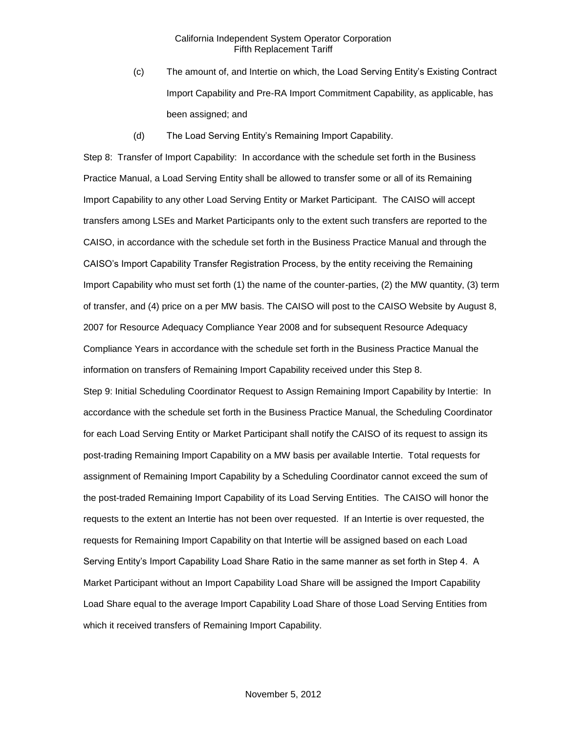- (c) The amount of, and Intertie on which, the Load Serving Entity's Existing Contract Import Capability and Pre-RA Import Commitment Capability, as applicable, has been assigned; and
- (d) The Load Serving Entity's Remaining Import Capability.

Step 8: Transfer of Import Capability: In accordance with the schedule set forth in the Business Practice Manual, a Load Serving Entity shall be allowed to transfer some or all of its Remaining Import Capability to any other Load Serving Entity or Market Participant. The CAISO will accept transfers among LSEs and Market Participants only to the extent such transfers are reported to the CAISO, in accordance with the schedule set forth in the Business Practice Manual and through the CAISO's Import Capability Transfer Registration Process, by the entity receiving the Remaining Import Capability who must set forth (1) the name of the counter-parties, (2) the MW quantity, (3) term of transfer, and (4) price on a per MW basis. The CAISO will post to the CAISO Website by August 8, 2007 for Resource Adequacy Compliance Year 2008 and for subsequent Resource Adequacy Compliance Years in accordance with the schedule set forth in the Business Practice Manual the information on transfers of Remaining Import Capability received under this Step 8. Step 9: Initial Scheduling Coordinator Request to Assign Remaining Import Capability by Intertie: In

accordance with the schedule set forth in the Business Practice Manual, the Scheduling Coordinator for each Load Serving Entity or Market Participant shall notify the CAISO of its request to assign its post-trading Remaining Import Capability on a MW basis per available Intertie. Total requests for assignment of Remaining Import Capability by a Scheduling Coordinator cannot exceed the sum of the post-traded Remaining Import Capability of its Load Serving Entities. The CAISO will honor the requests to the extent an Intertie has not been over requested. If an Intertie is over requested, the requests for Remaining Import Capability on that Intertie will be assigned based on each Load Serving Entity's Import Capability Load Share Ratio in the same manner as set forth in Step 4. A Market Participant without an Import Capability Load Share will be assigned the Import Capability Load Share equal to the average Import Capability Load Share of those Load Serving Entities from which it received transfers of Remaining Import Capability.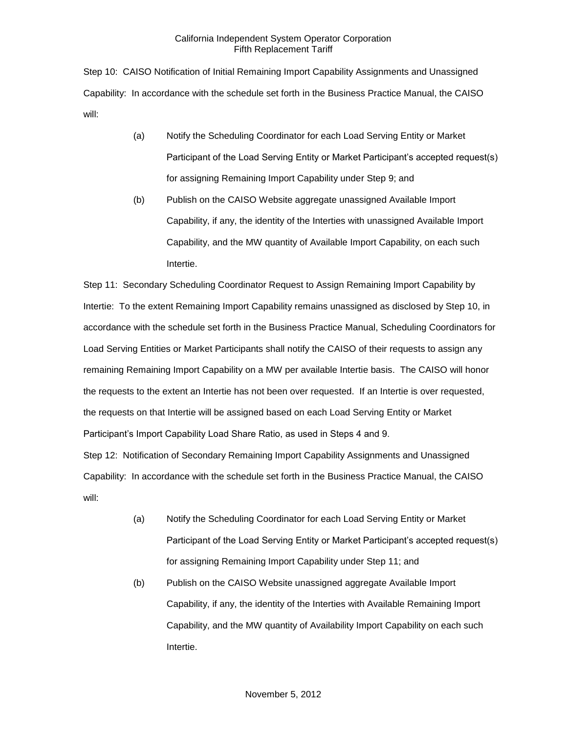Step 10: CAISO Notification of Initial Remaining Import Capability Assignments and Unassigned Capability: In accordance with the schedule set forth in the Business Practice Manual, the CAISO will:

- (a) Notify the Scheduling Coordinator for each Load Serving Entity or Market Participant of the Load Serving Entity or Market Participant's accepted request(s) for assigning Remaining Import Capability under Step 9; and
- (b) Publish on the CAISO Website aggregate unassigned Available Import Capability, if any, the identity of the Interties with unassigned Available Import Capability, and the MW quantity of Available Import Capability, on each such Intertie.

Step 11: Secondary Scheduling Coordinator Request to Assign Remaining Import Capability by Intertie: To the extent Remaining Import Capability remains unassigned as disclosed by Step 10, in accordance with the schedule set forth in the Business Practice Manual, Scheduling Coordinators for Load Serving Entities or Market Participants shall notify the CAISO of their requests to assign any remaining Remaining Import Capability on a MW per available Intertie basis. The CAISO will honor the requests to the extent an Intertie has not been over requested. If an Intertie is over requested, the requests on that Intertie will be assigned based on each Load Serving Entity or Market Participant's Import Capability Load Share Ratio, as used in Steps 4 and 9.

Step 12: Notification of Secondary Remaining Import Capability Assignments and Unassigned Capability: In accordance with the schedule set forth in the Business Practice Manual, the CAISO will:

- (a) Notify the Scheduling Coordinator for each Load Serving Entity or Market Participant of the Load Serving Entity or Market Participant's accepted request(s) for assigning Remaining Import Capability under Step 11; and
- (b) Publish on the CAISO Website unassigned aggregate Available Import Capability, if any, the identity of the Interties with Available Remaining Import Capability, and the MW quantity of Availability Import Capability on each such Intertie.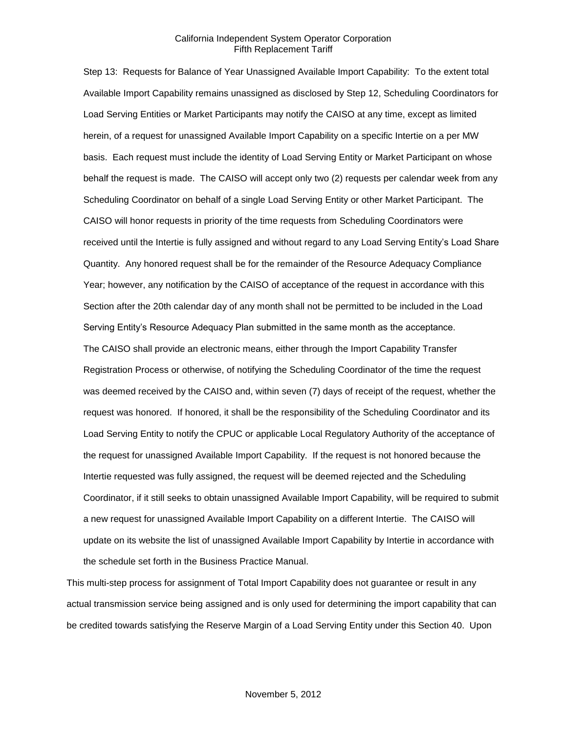Step 13: Requests for Balance of Year Unassigned Available Import Capability: To the extent total Available Import Capability remains unassigned as disclosed by Step 12, Scheduling Coordinators for Load Serving Entities or Market Participants may notify the CAISO at any time, except as limited herein, of a request for unassigned Available Import Capability on a specific Intertie on a per MW basis. Each request must include the identity of Load Serving Entity or Market Participant on whose behalf the request is made. The CAISO will accept only two (2) requests per calendar week from any Scheduling Coordinator on behalf of a single Load Serving Entity or other Market Participant. The CAISO will honor requests in priority of the time requests from Scheduling Coordinators were received until the Intertie is fully assigned and without regard to any Load Serving Entity's Load Share Quantity. Any honored request shall be for the remainder of the Resource Adequacy Compliance Year; however, any notification by the CAISO of acceptance of the request in accordance with this Section after the 20th calendar day of any month shall not be permitted to be included in the Load Serving Entity's Resource Adequacy Plan submitted in the same month as the acceptance. The CAISO shall provide an electronic means, either through the Import Capability Transfer Registration Process or otherwise, of notifying the Scheduling Coordinator of the time the request was deemed received by the CAISO and, within seven (7) days of receipt of the request, whether the request was honored. If honored, it shall be the responsibility of the Scheduling Coordinator and its Load Serving Entity to notify the CPUC or applicable Local Regulatory Authority of the acceptance of the request for unassigned Available Import Capability. If the request is not honored because the Intertie requested was fully assigned, the request will be deemed rejected and the Scheduling Coordinator, if it still seeks to obtain unassigned Available Import Capability, will be required to submit a new request for unassigned Available Import Capability on a different Intertie. The CAISO will update on its website the list of unassigned Available Import Capability by Intertie in accordance with the schedule set forth in the Business Practice Manual.

This multi-step process for assignment of Total Import Capability does not guarantee or result in any actual transmission service being assigned and is only used for determining the import capability that can be credited towards satisfying the Reserve Margin of a Load Serving Entity under this Section 40. Upon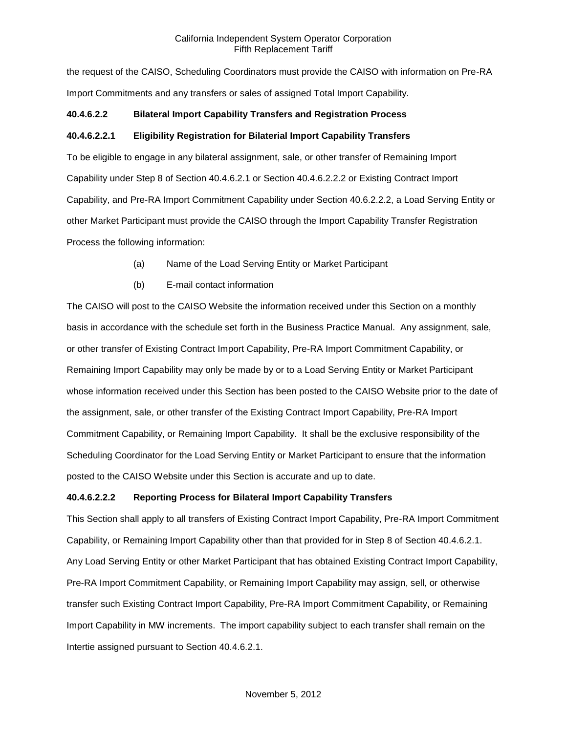the request of the CAISO, Scheduling Coordinators must provide the CAISO with information on Pre-RA Import Commitments and any transfers or sales of assigned Total Import Capability.

# **40.4.6.2.2 Bilateral Import Capability Transfers and Registration Process**

# **40.4.6.2.2.1 Eligibility Registration for Bilaterial Import Capability Transfers**

To be eligible to engage in any bilateral assignment, sale, or other transfer of Remaining Import Capability under Step 8 of Section 40.4.6.2.1 or Section 40.4.6.2.2.2 or Existing Contract Import Capability, and Pre-RA Import Commitment Capability under Section 40.6.2.2.2, a Load Serving Entity or other Market Participant must provide the CAISO through the Import Capability Transfer Registration Process the following information:

- (a) Name of the Load Serving Entity or Market Participant
- (b) E-mail contact information

The CAISO will post to the CAISO Website the information received under this Section on a monthly basis in accordance with the schedule set forth in the Business Practice Manual. Any assignment, sale, or other transfer of Existing Contract Import Capability, Pre-RA Import Commitment Capability, or Remaining Import Capability may only be made by or to a Load Serving Entity or Market Participant whose information received under this Section has been posted to the CAISO Website prior to the date of the assignment, sale, or other transfer of the Existing Contract Import Capability, Pre-RA Import Commitment Capability, or Remaining Import Capability. It shall be the exclusive responsibility of the Scheduling Coordinator for the Load Serving Entity or Market Participant to ensure that the information posted to the CAISO Website under this Section is accurate and up to date.

### **40.4.6.2.2.2 Reporting Process for Bilateral Import Capability Transfers**

This Section shall apply to all transfers of Existing Contract Import Capability, Pre-RA Import Commitment Capability, or Remaining Import Capability other than that provided for in Step 8 of Section 40.4.6.2.1. Any Load Serving Entity or other Market Participant that has obtained Existing Contract Import Capability, Pre-RA Import Commitment Capability, or Remaining Import Capability may assign, sell, or otherwise transfer such Existing Contract Import Capability, Pre-RA Import Commitment Capability, or Remaining Import Capability in MW increments. The import capability subject to each transfer shall remain on the Intertie assigned pursuant to Section 40.4.6.2.1.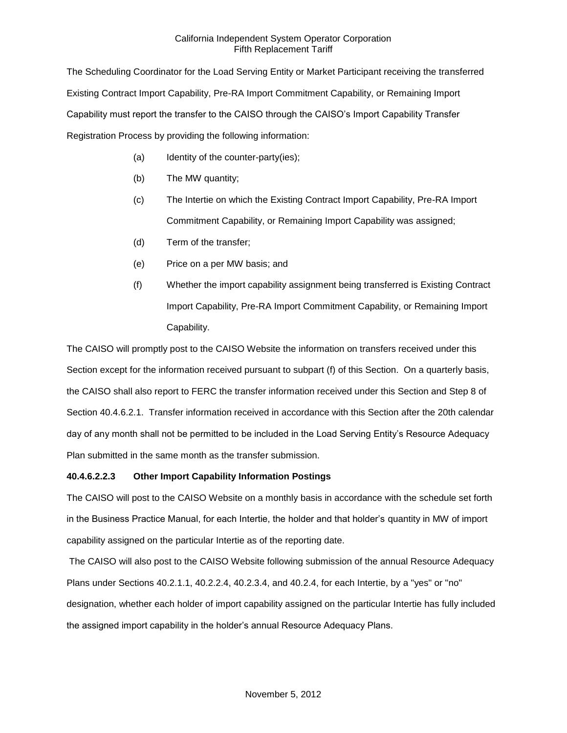The Scheduling Coordinator for the Load Serving Entity or Market Participant receiving the transferred Existing Contract Import Capability, Pre-RA Import Commitment Capability, or Remaining Import Capability must report the transfer to the CAISO through the CAISO's Import Capability Transfer Registration Process by providing the following information:

- (a) Identity of the counter-party(ies);
- (b) The MW quantity;
- (c) The Intertie on which the Existing Contract Import Capability, Pre-RA Import Commitment Capability, or Remaining Import Capability was assigned;
- (d) Term of the transfer;
- (e) Price on a per MW basis; and
- (f) Whether the import capability assignment being transferred is Existing Contract Import Capability, Pre-RA Import Commitment Capability, or Remaining Import Capability.

The CAISO will promptly post to the CAISO Website the information on transfers received under this Section except for the information received pursuant to subpart (f) of this Section. On a quarterly basis, the CAISO shall also report to FERC the transfer information received under this Section and Step 8 of Section 40.4.6.2.1. Transfer information received in accordance with this Section after the 20th calendar day of any month shall not be permitted to be included in the Load Serving Entity's Resource Adequacy Plan submitted in the same month as the transfer submission.

### **40.4.6.2.2.3 Other Import Capability Information Postings**

The CAISO will post to the CAISO Website on a monthly basis in accordance with the schedule set forth in the Business Practice Manual, for each Intertie, the holder and that holder's quantity in MW of import capability assigned on the particular Intertie as of the reporting date.

The CAISO will also post to the CAISO Website following submission of the annual Resource Adequacy Plans under Sections 40.2.1.1, 40.2.2.4, 40.2.3.4, and 40.2.4, for each Intertie, by a "yes" or "no" designation, whether each holder of import capability assigned on the particular Intertie has fully included the assigned import capability in the holder's annual Resource Adequacy Plans.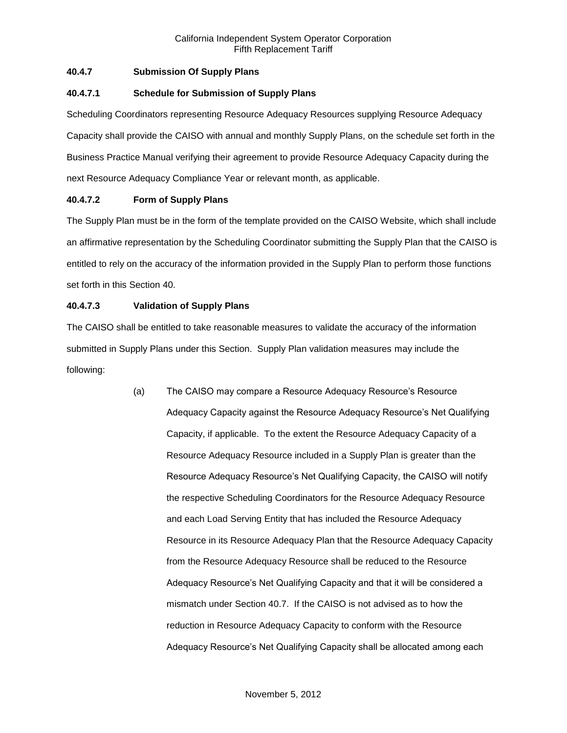# **40.4.7 Submission Of Supply Plans**

### **40.4.7.1 Schedule for Submission of Supply Plans**

Scheduling Coordinators representing Resource Adequacy Resources supplying Resource Adequacy Capacity shall provide the CAISO with annual and monthly Supply Plans, on the schedule set forth in the Business Practice Manual verifying their agreement to provide Resource Adequacy Capacity during the next Resource Adequacy Compliance Year or relevant month, as applicable.

# **40.4.7.2 Form of Supply Plans**

The Supply Plan must be in the form of the template provided on the CAISO Website, which shall include an affirmative representation by the Scheduling Coordinator submitting the Supply Plan that the CAISO is entitled to rely on the accuracy of the information provided in the Supply Plan to perform those functions set forth in this Section 40.

### **40.4.7.3 Validation of Supply Plans**

The CAISO shall be entitled to take reasonable measures to validate the accuracy of the information submitted in Supply Plans under this Section. Supply Plan validation measures may include the following:

> (a) The CAISO may compare a Resource Adequacy Resource's Resource Adequacy Capacity against the Resource Adequacy Resource's Net Qualifying Capacity, if applicable. To the extent the Resource Adequacy Capacity of a Resource Adequacy Resource included in a Supply Plan is greater than the Resource Adequacy Resource's Net Qualifying Capacity, the CAISO will notify the respective Scheduling Coordinators for the Resource Adequacy Resource and each Load Serving Entity that has included the Resource Adequacy Resource in its Resource Adequacy Plan that the Resource Adequacy Capacity from the Resource Adequacy Resource shall be reduced to the Resource Adequacy Resource's Net Qualifying Capacity and that it will be considered a mismatch under Section 40.7. If the CAISO is not advised as to how the reduction in Resource Adequacy Capacity to conform with the Resource Adequacy Resource's Net Qualifying Capacity shall be allocated among each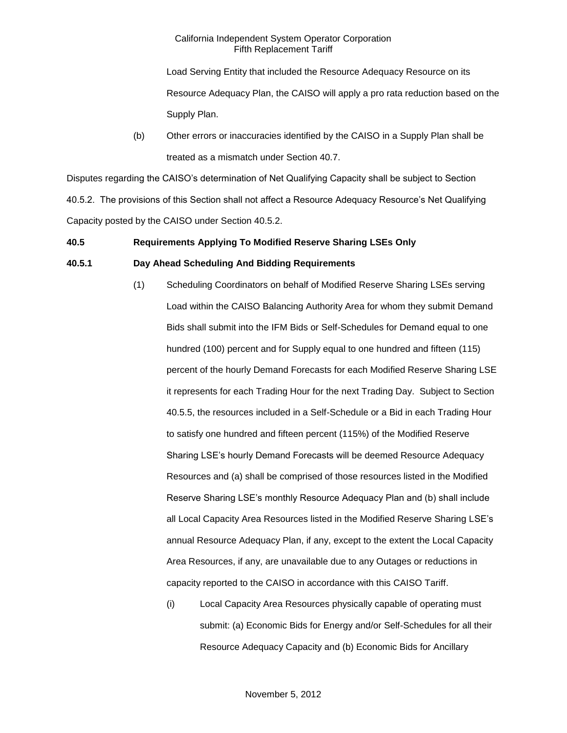Load Serving Entity that included the Resource Adequacy Resource on its Resource Adequacy Plan, the CAISO will apply a pro rata reduction based on the Supply Plan.

(b) Other errors or inaccuracies identified by the CAISO in a Supply Plan shall be treated as a mismatch under Section 40.7.

Disputes regarding the CAISO's determination of Net Qualifying Capacity shall be subject to Section 40.5.2. The provisions of this Section shall not affect a Resource Adequacy Resource's Net Qualifying Capacity posted by the CAISO under Section 40.5.2.

# **40.5 Requirements Applying To Modified Reserve Sharing LSEs Only**

# **40.5.1 Day Ahead Scheduling And Bidding Requirements**

- (1) Scheduling Coordinators on behalf of Modified Reserve Sharing LSEs serving Load within the CAISO Balancing Authority Area for whom they submit Demand Bids shall submit into the IFM Bids or Self-Schedules for Demand equal to one hundred (100) percent and for Supply equal to one hundred and fifteen (115) percent of the hourly Demand Forecasts for each Modified Reserve Sharing LSE it represents for each Trading Hour for the next Trading Day. Subject to Section 40.5.5, the resources included in a Self-Schedule or a Bid in each Trading Hour to satisfy one hundred and fifteen percent (115%) of the Modified Reserve Sharing LSE's hourly Demand Forecasts will be deemed Resource Adequacy Resources and (a) shall be comprised of those resources listed in the Modified Reserve Sharing LSE's monthly Resource Adequacy Plan and (b) shall include all Local Capacity Area Resources listed in the Modified Reserve Sharing LSE's annual Resource Adequacy Plan, if any, except to the extent the Local Capacity Area Resources, if any, are unavailable due to any Outages or reductions in capacity reported to the CAISO in accordance with this CAISO Tariff.
	- (i) Local Capacity Area Resources physically capable of operating must submit: (a) Economic Bids for Energy and/or Self-Schedules for all their Resource Adequacy Capacity and (b) Economic Bids for Ancillary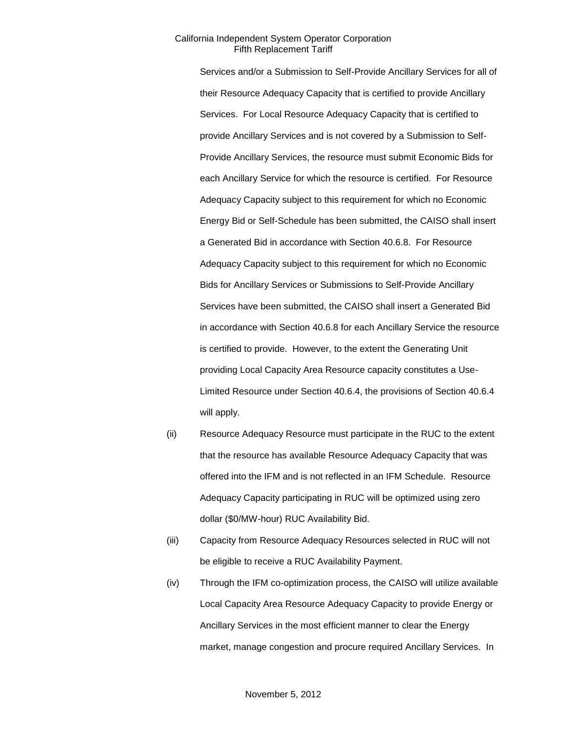Services and/or a Submission to Self-Provide Ancillary Services for all of their Resource Adequacy Capacity that is certified to provide Ancillary Services. For Local Resource Adequacy Capacity that is certified to provide Ancillary Services and is not covered by a Submission to Self-Provide Ancillary Services, the resource must submit Economic Bids for each Ancillary Service for which the resource is certified. For Resource Adequacy Capacity subject to this requirement for which no Economic Energy Bid or Self-Schedule has been submitted, the CAISO shall insert a Generated Bid in accordance with Section 40.6.8. For Resource Adequacy Capacity subject to this requirement for which no Economic Bids for Ancillary Services or Submissions to Self-Provide Ancillary Services have been submitted, the CAISO shall insert a Generated Bid in accordance with Section 40.6.8 for each Ancillary Service the resource is certified to provide. However, to the extent the Generating Unit providing Local Capacity Area Resource capacity constitutes a Use-Limited Resource under Section 40.6.4, the provisions of Section 40.6.4 will apply.

- (ii) Resource Adequacy Resource must participate in the RUC to the extent that the resource has available Resource Adequacy Capacity that was offered into the IFM and is not reflected in an IFM Schedule. Resource Adequacy Capacity participating in RUC will be optimized using zero dollar (\$0/MW-hour) RUC Availability Bid.
- (iii) Capacity from Resource Adequacy Resources selected in RUC will not be eligible to receive a RUC Availability Payment.
- (iv) Through the IFM co-optimization process, the CAISO will utilize available Local Capacity Area Resource Adequacy Capacity to provide Energy or Ancillary Services in the most efficient manner to clear the Energy market, manage congestion and procure required Ancillary Services. In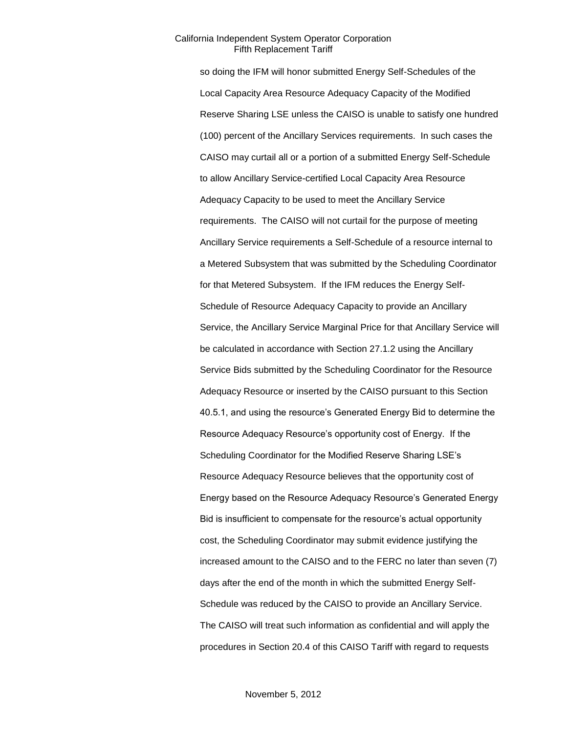so doing the IFM will honor submitted Energy Self-Schedules of the Local Capacity Area Resource Adequacy Capacity of the Modified Reserve Sharing LSE unless the CAISO is unable to satisfy one hundred (100) percent of the Ancillary Services requirements. In such cases the CAISO may curtail all or a portion of a submitted Energy Self-Schedule to allow Ancillary Service-certified Local Capacity Area Resource Adequacy Capacity to be used to meet the Ancillary Service requirements. The CAISO will not curtail for the purpose of meeting Ancillary Service requirements a Self-Schedule of a resource internal to a Metered Subsystem that was submitted by the Scheduling Coordinator for that Metered Subsystem. If the IFM reduces the Energy Self-Schedule of Resource Adequacy Capacity to provide an Ancillary Service, the Ancillary Service Marginal Price for that Ancillary Service will be calculated in accordance with Section 27.1.2 using the Ancillary Service Bids submitted by the Scheduling Coordinator for the Resource Adequacy Resource or inserted by the CAISO pursuant to this Section 40.5.1, and using the resource's Generated Energy Bid to determine the Resource Adequacy Resource's opportunity cost of Energy. If the Scheduling Coordinator for the Modified Reserve Sharing LSE's Resource Adequacy Resource believes that the opportunity cost of Energy based on the Resource Adequacy Resource's Generated Energy Bid is insufficient to compensate for the resource's actual opportunity cost, the Scheduling Coordinator may submit evidence justifying the increased amount to the CAISO and to the FERC no later than seven (7) days after the end of the month in which the submitted Energy Self-Schedule was reduced by the CAISO to provide an Ancillary Service. The CAISO will treat such information as confidential and will apply the procedures in Section 20.4 of this CAISO Tariff with regard to requests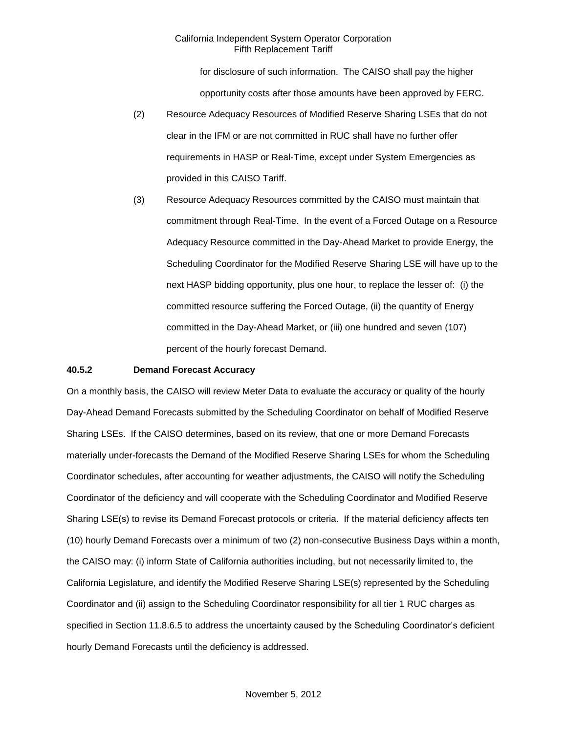for disclosure of such information. The CAISO shall pay the higher opportunity costs after those amounts have been approved by FERC.

- (2) Resource Adequacy Resources of Modified Reserve Sharing LSEs that do not clear in the IFM or are not committed in RUC shall have no further offer requirements in HASP or Real-Time, except under System Emergencies as provided in this CAISO Tariff.
- (3) Resource Adequacy Resources committed by the CAISO must maintain that commitment through Real-Time. In the event of a Forced Outage on a Resource Adequacy Resource committed in the Day-Ahead Market to provide Energy, the Scheduling Coordinator for the Modified Reserve Sharing LSE will have up to the next HASP bidding opportunity, plus one hour, to replace the lesser of: (i) the committed resource suffering the Forced Outage, (ii) the quantity of Energy committed in the Day-Ahead Market, or (iii) one hundred and seven (107) percent of the hourly forecast Demand.

### **40.5.2 Demand Forecast Accuracy**

On a monthly basis, the CAISO will review Meter Data to evaluate the accuracy or quality of the hourly Day-Ahead Demand Forecasts submitted by the Scheduling Coordinator on behalf of Modified Reserve Sharing LSEs. If the CAISO determines, based on its review, that one or more Demand Forecasts materially under-forecasts the Demand of the Modified Reserve Sharing LSEs for whom the Scheduling Coordinator schedules, after accounting for weather adjustments, the CAISO will notify the Scheduling Coordinator of the deficiency and will cooperate with the Scheduling Coordinator and Modified Reserve Sharing LSE(s) to revise its Demand Forecast protocols or criteria. If the material deficiency affects ten (10) hourly Demand Forecasts over a minimum of two (2) non-consecutive Business Days within a month, the CAISO may: (i) inform State of California authorities including, but not necessarily limited to, the California Legislature, and identify the Modified Reserve Sharing LSE(s) represented by the Scheduling Coordinator and (ii) assign to the Scheduling Coordinator responsibility for all tier 1 RUC charges as specified in Section 11.8.6.5 to address the uncertainty caused by the Scheduling Coordinator's deficient hourly Demand Forecasts until the deficiency is addressed.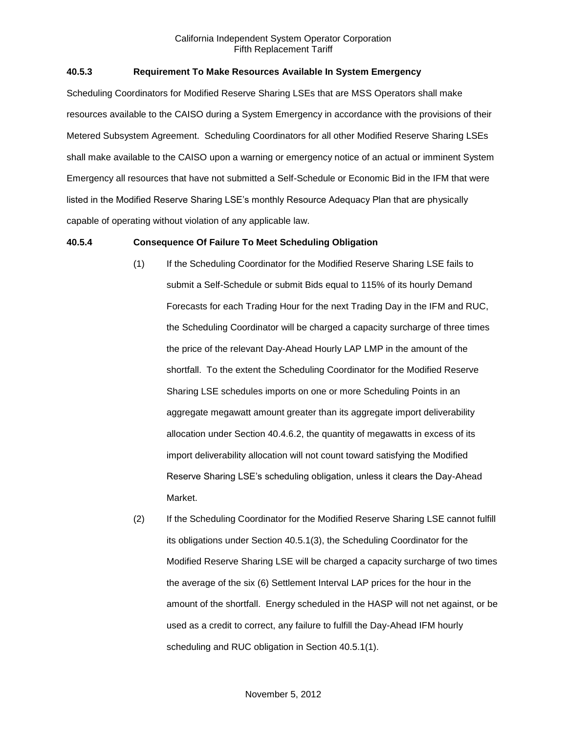# **40.5.3 Requirement To Make Resources Available In System Emergency**

Scheduling Coordinators for Modified Reserve Sharing LSEs that are MSS Operators shall make resources available to the CAISO during a System Emergency in accordance with the provisions of their Metered Subsystem Agreement. Scheduling Coordinators for all other Modified Reserve Sharing LSEs shall make available to the CAISO upon a warning or emergency notice of an actual or imminent System Emergency all resources that have not submitted a Self-Schedule or Economic Bid in the IFM that were listed in the Modified Reserve Sharing LSE's monthly Resource Adequacy Plan that are physically capable of operating without violation of any applicable law.

### **40.5.4 Consequence Of Failure To Meet Scheduling Obligation**

- (1) If the Scheduling Coordinator for the Modified Reserve Sharing LSE fails to submit a Self-Schedule or submit Bids equal to 115% of its hourly Demand Forecasts for each Trading Hour for the next Trading Day in the IFM and RUC, the Scheduling Coordinator will be charged a capacity surcharge of three times the price of the relevant Day-Ahead Hourly LAP LMP in the amount of the shortfall. To the extent the Scheduling Coordinator for the Modified Reserve Sharing LSE schedules imports on one or more Scheduling Points in an aggregate megawatt amount greater than its aggregate import deliverability allocation under Section 40.4.6.2, the quantity of megawatts in excess of its import deliverability allocation will not count toward satisfying the Modified Reserve Sharing LSE's scheduling obligation, unless it clears the Day-Ahead Market.
- (2) If the Scheduling Coordinator for the Modified Reserve Sharing LSE cannot fulfill its obligations under Section 40.5.1(3), the Scheduling Coordinator for the Modified Reserve Sharing LSE will be charged a capacity surcharge of two times the average of the six (6) Settlement Interval LAP prices for the hour in the amount of the shortfall. Energy scheduled in the HASP will not net against, or be used as a credit to correct, any failure to fulfill the Day-Ahead IFM hourly scheduling and RUC obligation in Section 40.5.1(1).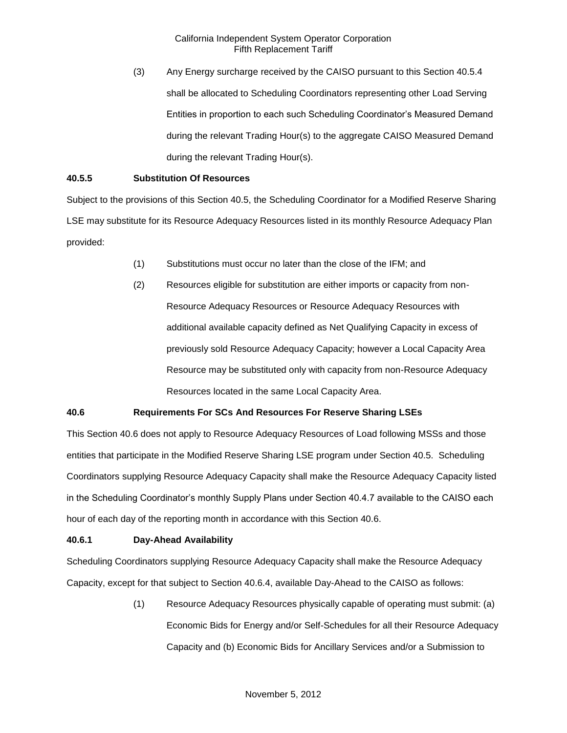(3) Any Energy surcharge received by the CAISO pursuant to this Section 40.5.4 shall be allocated to Scheduling Coordinators representing other Load Serving Entities in proportion to each such Scheduling Coordinator's Measured Demand during the relevant Trading Hour(s) to the aggregate CAISO Measured Demand during the relevant Trading Hour(s).

# **40.5.5 Substitution Of Resources**

Subject to the provisions of this Section 40.5, the Scheduling Coordinator for a Modified Reserve Sharing LSE may substitute for its Resource Adequacy Resources listed in its monthly Resource Adequacy Plan provided:

- (1) Substitutions must occur no later than the close of the IFM; and
- (2) Resources eligible for substitution are either imports or capacity from non-Resource Adequacy Resources or Resource Adequacy Resources with additional available capacity defined as Net Qualifying Capacity in excess of previously sold Resource Adequacy Capacity; however a Local Capacity Area Resource may be substituted only with capacity from non-Resource Adequacy Resources located in the same Local Capacity Area.

# **40.6 Requirements For SCs And Resources For Reserve Sharing LSEs**

This Section 40.6 does not apply to Resource Adequacy Resources of Load following MSSs and those entities that participate in the Modified Reserve Sharing LSE program under Section 40.5. Scheduling Coordinators supplying Resource Adequacy Capacity shall make the Resource Adequacy Capacity listed in the Scheduling Coordinator's monthly Supply Plans under Section 40.4.7 available to the CAISO each hour of each day of the reporting month in accordance with this Section 40.6.

### **40.6.1 Day-Ahead Availability**

Scheduling Coordinators supplying Resource Adequacy Capacity shall make the Resource Adequacy Capacity, except for that subject to Section 40.6.4, available Day-Ahead to the CAISO as follows:

> (1) Resource Adequacy Resources physically capable of operating must submit: (a) Economic Bids for Energy and/or Self-Schedules for all their Resource Adequacy Capacity and (b) Economic Bids for Ancillary Services and/or a Submission to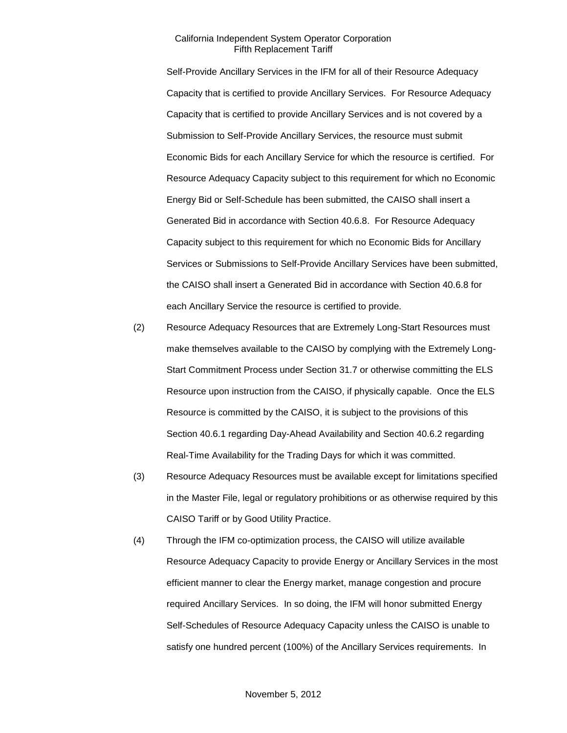Self-Provide Ancillary Services in the IFM for all of their Resource Adequacy Capacity that is certified to provide Ancillary Services. For Resource Adequacy Capacity that is certified to provide Ancillary Services and is not covered by a Submission to Self-Provide Ancillary Services, the resource must submit Economic Bids for each Ancillary Service for which the resource is certified. For Resource Adequacy Capacity subject to this requirement for which no Economic Energy Bid or Self-Schedule has been submitted, the CAISO shall insert a Generated Bid in accordance with Section 40.6.8. For Resource Adequacy Capacity subject to this requirement for which no Economic Bids for Ancillary Services or Submissions to Self-Provide Ancillary Services have been submitted, the CAISO shall insert a Generated Bid in accordance with Section 40.6.8 for each Ancillary Service the resource is certified to provide.

- (2) Resource Adequacy Resources that are Extremely Long-Start Resources must make themselves available to the CAISO by complying with the Extremely Long-Start Commitment Process under Section 31.7 or otherwise committing the ELS Resource upon instruction from the CAISO, if physically capable. Once the ELS Resource is committed by the CAISO, it is subject to the provisions of this Section 40.6.1 regarding Day-Ahead Availability and Section 40.6.2 regarding Real-Time Availability for the Trading Days for which it was committed.
- (3) Resource Adequacy Resources must be available except for limitations specified in the Master File, legal or regulatory prohibitions or as otherwise required by this CAISO Tariff or by Good Utility Practice.
- (4) Through the IFM co-optimization process, the CAISO will utilize available Resource Adequacy Capacity to provide Energy or Ancillary Services in the most efficient manner to clear the Energy market, manage congestion and procure required Ancillary Services. In so doing, the IFM will honor submitted Energy Self-Schedules of Resource Adequacy Capacity unless the CAISO is unable to satisfy one hundred percent (100%) of the Ancillary Services requirements. In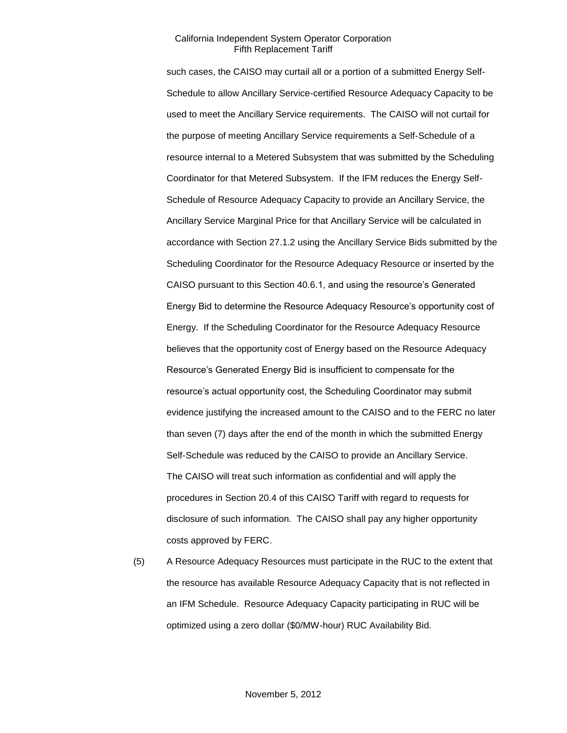such cases, the CAISO may curtail all or a portion of a submitted Energy Self-Schedule to allow Ancillary Service-certified Resource Adequacy Capacity to be used to meet the Ancillary Service requirements. The CAISO will not curtail for the purpose of meeting Ancillary Service requirements a Self-Schedule of a resource internal to a Metered Subsystem that was submitted by the Scheduling Coordinator for that Metered Subsystem. If the IFM reduces the Energy Self-Schedule of Resource Adequacy Capacity to provide an Ancillary Service, the Ancillary Service Marginal Price for that Ancillary Service will be calculated in accordance with Section 27.1.2 using the Ancillary Service Bids submitted by the Scheduling Coordinator for the Resource Adequacy Resource or inserted by the CAISO pursuant to this Section 40.6.1, and using the resource's Generated Energy Bid to determine the Resource Adequacy Resource's opportunity cost of Energy. If the Scheduling Coordinator for the Resource Adequacy Resource believes that the opportunity cost of Energy based on the Resource Adequacy Resource's Generated Energy Bid is insufficient to compensate for the resource's actual opportunity cost, the Scheduling Coordinator may submit evidence justifying the increased amount to the CAISO and to the FERC no later than seven (7) days after the end of the month in which the submitted Energy Self-Schedule was reduced by the CAISO to provide an Ancillary Service. The CAISO will treat such information as confidential and will apply the procedures in Section 20.4 of this CAISO Tariff with regard to requests for disclosure of such information. The CAISO shall pay any higher opportunity costs approved by FERC.

(5) A Resource Adequacy Resources must participate in the RUC to the extent that the resource has available Resource Adequacy Capacity that is not reflected in an IFM Schedule. Resource Adequacy Capacity participating in RUC will be optimized using a zero dollar (\$0/MW-hour) RUC Availability Bid.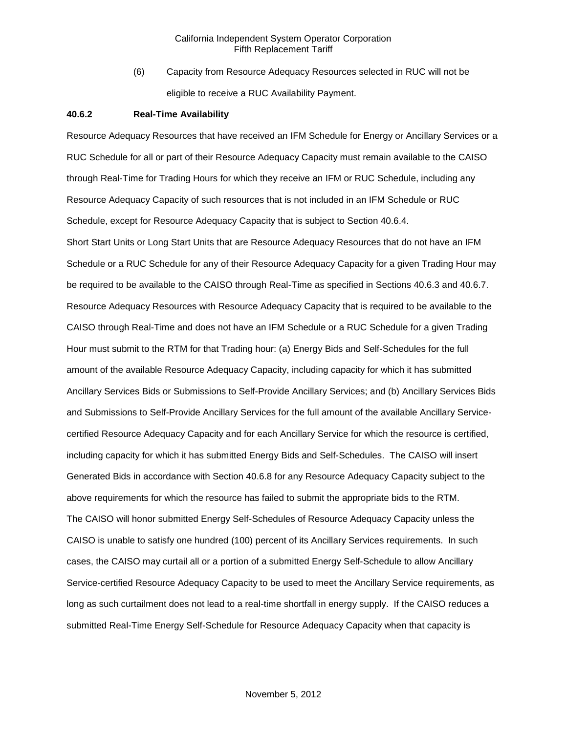(6) Capacity from Resource Adequacy Resources selected in RUC will not be eligible to receive a RUC Availability Payment.

#### **40.6.2 Real-Time Availability**

Resource Adequacy Resources that have received an IFM Schedule for Energy or Ancillary Services or a RUC Schedule for all or part of their Resource Adequacy Capacity must remain available to the CAISO through Real-Time for Trading Hours for which they receive an IFM or RUC Schedule, including any Resource Adequacy Capacity of such resources that is not included in an IFM Schedule or RUC Schedule, except for Resource Adequacy Capacity that is subject to Section 40.6.4.

Short Start Units or Long Start Units that are Resource Adequacy Resources that do not have an IFM Schedule or a RUC Schedule for any of their Resource Adequacy Capacity for a given Trading Hour may be required to be available to the CAISO through Real-Time as specified in Sections 40.6.3 and 40.6.7. Resource Adequacy Resources with Resource Adequacy Capacity that is required to be available to the CAISO through Real-Time and does not have an IFM Schedule or a RUC Schedule for a given Trading Hour must submit to the RTM for that Trading hour: (a) Energy Bids and Self-Schedules for the full amount of the available Resource Adequacy Capacity, including capacity for which it has submitted Ancillary Services Bids or Submissions to Self-Provide Ancillary Services; and (b) Ancillary Services Bids and Submissions to Self-Provide Ancillary Services for the full amount of the available Ancillary Servicecertified Resource Adequacy Capacity and for each Ancillary Service for which the resource is certified, including capacity for which it has submitted Energy Bids and Self-Schedules. The CAISO will insert Generated Bids in accordance with Section 40.6.8 for any Resource Adequacy Capacity subject to the above requirements for which the resource has failed to submit the appropriate bids to the RTM. The CAISO will honor submitted Energy Self-Schedules of Resource Adequacy Capacity unless the CAISO is unable to satisfy one hundred (100) percent of its Ancillary Services requirements. In such cases, the CAISO may curtail all or a portion of a submitted Energy Self-Schedule to allow Ancillary Service-certified Resource Adequacy Capacity to be used to meet the Ancillary Service requirements, as long as such curtailment does not lead to a real-time shortfall in energy supply. If the CAISO reduces a submitted Real-Time Energy Self-Schedule for Resource Adequacy Capacity when that capacity is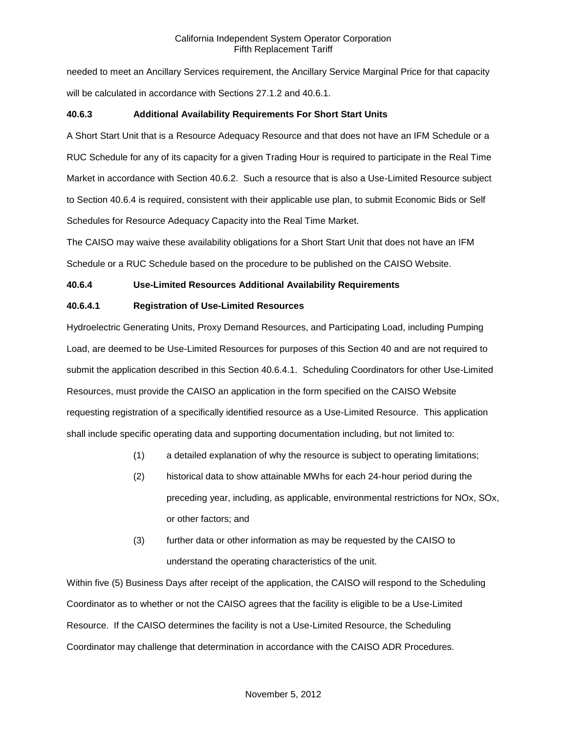needed to meet an Ancillary Services requirement, the Ancillary Service Marginal Price for that capacity will be calculated in accordance with Sections 27.1.2 and 40.6.1.

# **40.6.3 Additional Availability Requirements For Short Start Units**

A Short Start Unit that is a Resource Adequacy Resource and that does not have an IFM Schedule or a RUC Schedule for any of its capacity for a given Trading Hour is required to participate in the Real Time Market in accordance with Section 40.6.2. Such a resource that is also a Use-Limited Resource subject to Section 40.6.4 is required, consistent with their applicable use plan, to submit Economic Bids or Self Schedules for Resource Adequacy Capacity into the Real Time Market.

The CAISO may waive these availability obligations for a Short Start Unit that does not have an IFM Schedule or a RUC Schedule based on the procedure to be published on the CAISO Website.

# **40.6.4 Use-Limited Resources Additional Availability Requirements**

# **40.6.4.1 Registration of Use-Limited Resources**

Hydroelectric Generating Units, Proxy Demand Resources, and Participating Load, including Pumping Load, are deemed to be Use-Limited Resources for purposes of this Section 40 and are not required to submit the application described in this Section 40.6.4.1. Scheduling Coordinators for other Use-Limited Resources, must provide the CAISO an application in the form specified on the CAISO Website requesting registration of a specifically identified resource as a Use-Limited Resource. This application shall include specific operating data and supporting documentation including, but not limited to:

- (1) a detailed explanation of why the resource is subject to operating limitations;
- (2) historical data to show attainable MWhs for each 24-hour period during the preceding year, including, as applicable, environmental restrictions for NOx, SOx, or other factors; and
- (3) further data or other information as may be requested by the CAISO to understand the operating characteristics of the unit.

Within five (5) Business Days after receipt of the application, the CAISO will respond to the Scheduling Coordinator as to whether or not the CAISO agrees that the facility is eligible to be a Use-Limited Resource. If the CAISO determines the facility is not a Use-Limited Resource, the Scheduling Coordinator may challenge that determination in accordance with the CAISO ADR Procedures.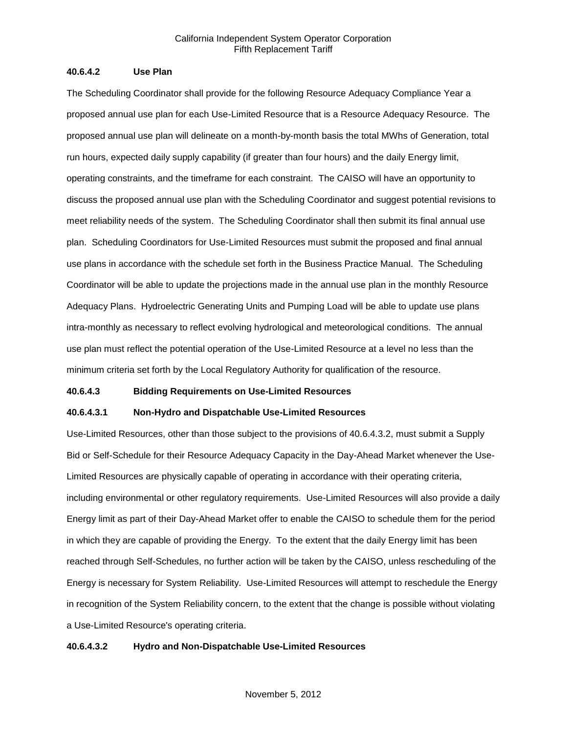## **40.6.4.2 Use Plan**

The Scheduling Coordinator shall provide for the following Resource Adequacy Compliance Year a proposed annual use plan for each Use-Limited Resource that is a Resource Adequacy Resource. The proposed annual use plan will delineate on a month-by-month basis the total MWhs of Generation, total run hours, expected daily supply capability (if greater than four hours) and the daily Energy limit, operating constraints, and the timeframe for each constraint. The CAISO will have an opportunity to discuss the proposed annual use plan with the Scheduling Coordinator and suggest potential revisions to meet reliability needs of the system. The Scheduling Coordinator shall then submit its final annual use plan. Scheduling Coordinators for Use-Limited Resources must submit the proposed and final annual use plans in accordance with the schedule set forth in the Business Practice Manual. The Scheduling Coordinator will be able to update the projections made in the annual use plan in the monthly Resource Adequacy Plans. Hydroelectric Generating Units and Pumping Load will be able to update use plans intra-monthly as necessary to reflect evolving hydrological and meteorological conditions. The annual use plan must reflect the potential operation of the Use-Limited Resource at a level no less than the minimum criteria set forth by the Local Regulatory Authority for qualification of the resource.

#### **40.6.4.3 Bidding Requirements on Use-Limited Resources**

## **40.6.4.3.1 Non-Hydro and Dispatchable Use-Limited Resources**

Use-Limited Resources, other than those subject to the provisions of 40.6.4.3.2, must submit a Supply Bid or Self-Schedule for their Resource Adequacy Capacity in the Day-Ahead Market whenever the Use-Limited Resources are physically capable of operating in accordance with their operating criteria, including environmental or other regulatory requirements. Use-Limited Resources will also provide a daily Energy limit as part of their Day-Ahead Market offer to enable the CAISO to schedule them for the period in which they are capable of providing the Energy. To the extent that the daily Energy limit has been reached through Self-Schedules, no further action will be taken by the CAISO, unless rescheduling of the Energy is necessary for System Reliability. Use-Limited Resources will attempt to reschedule the Energy in recognition of the System Reliability concern, to the extent that the change is possible without violating a Use-Limited Resource's operating criteria.

## **40.6.4.3.2 Hydro and Non-Dispatchable Use-Limited Resources**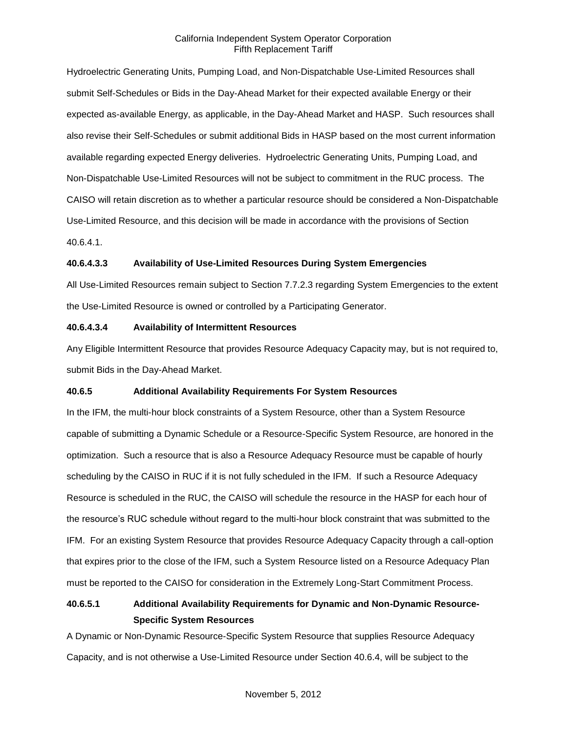Hydroelectric Generating Units, Pumping Load, and Non-Dispatchable Use-Limited Resources shall submit Self-Schedules or Bids in the Day-Ahead Market for their expected available Energy or their expected as-available Energy, as applicable, in the Day-Ahead Market and HASP. Such resources shall also revise their Self-Schedules or submit additional Bids in HASP based on the most current information available regarding expected Energy deliveries. Hydroelectric Generating Units, Pumping Load, and Non-Dispatchable Use-Limited Resources will not be subject to commitment in the RUC process. The CAISO will retain discretion as to whether a particular resource should be considered a Non-Dispatchable Use-Limited Resource, and this decision will be made in accordance with the provisions of Section 40.6.4.1.

## **40.6.4.3.3 Availability of Use-Limited Resources During System Emergencies**

All Use-Limited Resources remain subject to Section 7.7.2.3 regarding System Emergencies to the extent the Use-Limited Resource is owned or controlled by a Participating Generator.

## **40.6.4.3.4 Availability of Intermittent Resources**

Any Eligible Intermittent Resource that provides Resource Adequacy Capacity may, but is not required to, submit Bids in the Day-Ahead Market.

## **40.6.5 Additional Availability Requirements For System Resources**

In the IFM, the multi-hour block constraints of a System Resource, other than a System Resource capable of submitting a Dynamic Schedule or a Resource-Specific System Resource, are honored in the optimization. Such a resource that is also a Resource Adequacy Resource must be capable of hourly scheduling by the CAISO in RUC if it is not fully scheduled in the IFM. If such a Resource Adequacy Resource is scheduled in the RUC, the CAISO will schedule the resource in the HASP for each hour of the resource's RUC schedule without regard to the multi-hour block constraint that was submitted to the IFM. For an existing System Resource that provides Resource Adequacy Capacity through a call-option that expires prior to the close of the IFM, such a System Resource listed on a Resource Adequacy Plan must be reported to the CAISO for consideration in the Extremely Long-Start Commitment Process.

# **40.6.5.1 Additional Availability Requirements for Dynamic and Non-Dynamic Resource-Specific System Resources**

A Dynamic or Non-Dynamic Resource-Specific System Resource that supplies Resource Adequacy Capacity, and is not otherwise a Use-Limited Resource under Section 40.6.4, will be subject to the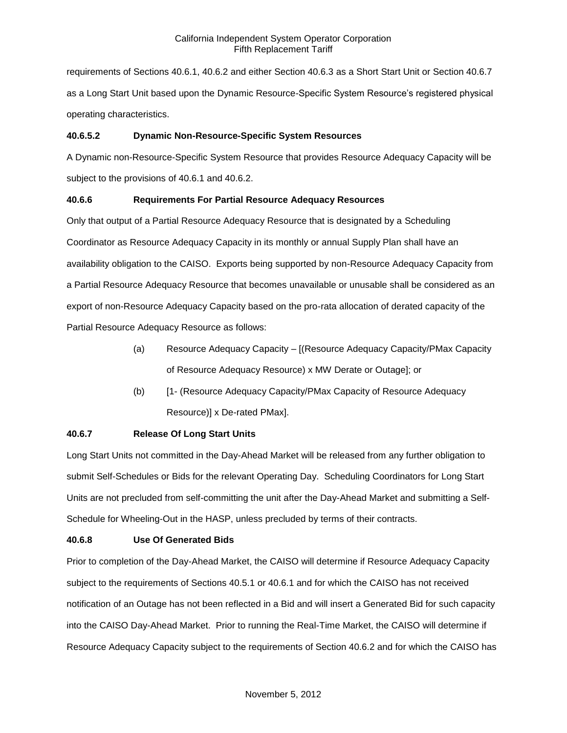requirements of Sections 40.6.1, 40.6.2 and either Section 40.6.3 as a Short Start Unit or Section 40.6.7 as a Long Start Unit based upon the Dynamic Resource-Specific System Resource's registered physical operating characteristics.

# **40.6.5.2 Dynamic Non-Resource-Specific System Resources**

A Dynamic non-Resource-Specific System Resource that provides Resource Adequacy Capacity will be subject to the provisions of 40.6.1 and 40.6.2.

# **40.6.6 Requirements For Partial Resource Adequacy Resources**

Only that output of a Partial Resource Adequacy Resource that is designated by a Scheduling Coordinator as Resource Adequacy Capacity in its monthly or annual Supply Plan shall have an availability obligation to the CAISO. Exports being supported by non-Resource Adequacy Capacity from a Partial Resource Adequacy Resource that becomes unavailable or unusable shall be considered as an export of non-Resource Adequacy Capacity based on the pro-rata allocation of derated capacity of the Partial Resource Adequacy Resource as follows:

- (a) Resource Adequacy Capacity [(Resource Adequacy Capacity/PMax Capacity of Resource Adequacy Resource) x MW Derate or Outage]; or
- (b) [1- (Resource Adequacy Capacity/PMax Capacity of Resource Adequacy Resource)] x De-rated PMax].

# **40.6.7 Release Of Long Start Units**

Long Start Units not committed in the Day-Ahead Market will be released from any further obligation to submit Self-Schedules or Bids for the relevant Operating Day. Scheduling Coordinators for Long Start Units are not precluded from self-committing the unit after the Day-Ahead Market and submitting a Self-Schedule for Wheeling-Out in the HASP, unless precluded by terms of their contracts.

# **40.6.8 Use Of Generated Bids**

Prior to completion of the Day-Ahead Market, the CAISO will determine if Resource Adequacy Capacity subject to the requirements of Sections 40.5.1 or 40.6.1 and for which the CAISO has not received notification of an Outage has not been reflected in a Bid and will insert a Generated Bid for such capacity into the CAISO Day-Ahead Market. Prior to running the Real-Time Market, the CAISO will determine if Resource Adequacy Capacity subject to the requirements of Section 40.6.2 and for which the CAISO has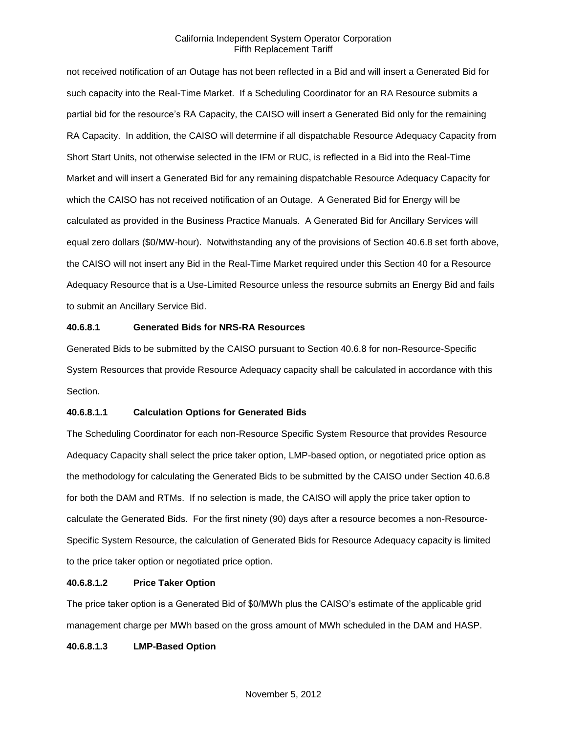not received notification of an Outage has not been reflected in a Bid and will insert a Generated Bid for such capacity into the Real-Time Market. If a Scheduling Coordinator for an RA Resource submits a partial bid for the resource's RA Capacity, the CAISO will insert a Generated Bid only for the remaining RA Capacity. In addition, the CAISO will determine if all dispatchable Resource Adequacy Capacity from Short Start Units, not otherwise selected in the IFM or RUC, is reflected in a Bid into the Real-Time Market and will insert a Generated Bid for any remaining dispatchable Resource Adequacy Capacity for which the CAISO has not received notification of an Outage. A Generated Bid for Energy will be calculated as provided in the Business Practice Manuals. A Generated Bid for Ancillary Services will equal zero dollars (\$0/MW-hour). Notwithstanding any of the provisions of Section 40.6.8 set forth above, the CAISO will not insert any Bid in the Real-Time Market required under this Section 40 for a Resource Adequacy Resource that is a Use-Limited Resource unless the resource submits an Energy Bid and fails to submit an Ancillary Service Bid.

## **40.6.8.1 Generated Bids for NRS-RA Resources**

Generated Bids to be submitted by the CAISO pursuant to Section 40.6.8 for non-Resource-Specific System Resources that provide Resource Adequacy capacity shall be calculated in accordance with this Section.

## **40.6.8.1.1 Calculation Options for Generated Bids**

The Scheduling Coordinator for each non-Resource Specific System Resource that provides Resource Adequacy Capacity shall select the price taker option, LMP-based option, or negotiated price option as the methodology for calculating the Generated Bids to be submitted by the CAISO under Section 40.6.8 for both the DAM and RTMs. If no selection is made, the CAISO will apply the price taker option to calculate the Generated Bids. For the first ninety (90) days after a resource becomes a non-Resource-Specific System Resource, the calculation of Generated Bids for Resource Adequacy capacity is limited to the price taker option or negotiated price option.

# **40.6.8.1.2 Price Taker Option**

The price taker option is a Generated Bid of \$0/MWh plus the CAISO's estimate of the applicable grid management charge per MWh based on the gross amount of MWh scheduled in the DAM and HASP.

## **40.6.8.1.3 LMP-Based Option**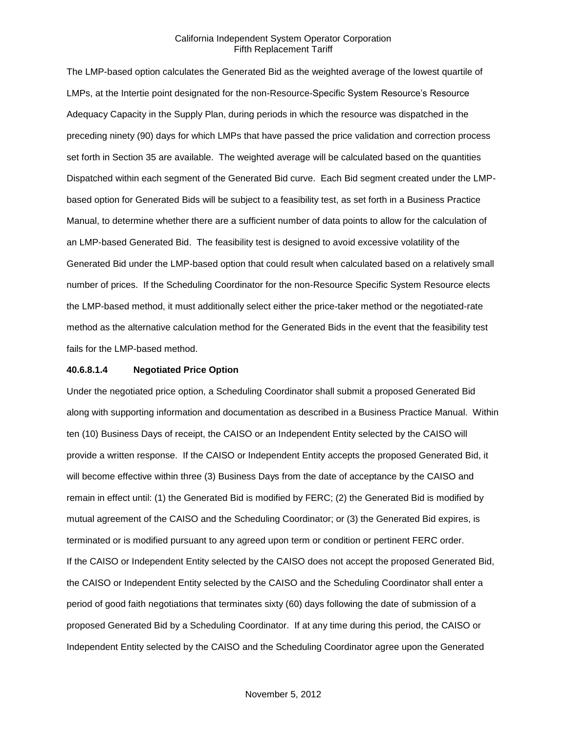The LMP-based option calculates the Generated Bid as the weighted average of the lowest quartile of LMPs, at the Intertie point designated for the non-Resource-Specific System Resource's Resource Adequacy Capacity in the Supply Plan, during periods in which the resource was dispatched in the preceding ninety (90) days for which LMPs that have passed the price validation and correction process set forth in Section 35 are available. The weighted average will be calculated based on the quantities Dispatched within each segment of the Generated Bid curve. Each Bid segment created under the LMPbased option for Generated Bids will be subject to a feasibility test, as set forth in a Business Practice Manual, to determine whether there are a sufficient number of data points to allow for the calculation of an LMP-based Generated Bid. The feasibility test is designed to avoid excessive volatility of the Generated Bid under the LMP-based option that could result when calculated based on a relatively small number of prices. If the Scheduling Coordinator for the non-Resource Specific System Resource elects the LMP-based method, it must additionally select either the price-taker method or the negotiated-rate method as the alternative calculation method for the Generated Bids in the event that the feasibility test fails for the LMP-based method.

#### **40.6.8.1.4 Negotiated Price Option**

Under the negotiated price option, a Scheduling Coordinator shall submit a proposed Generated Bid along with supporting information and documentation as described in a Business Practice Manual. Within ten (10) Business Days of receipt, the CAISO or an Independent Entity selected by the CAISO will provide a written response. If the CAISO or Independent Entity accepts the proposed Generated Bid, it will become effective within three (3) Business Days from the date of acceptance by the CAISO and remain in effect until: (1) the Generated Bid is modified by FERC; (2) the Generated Bid is modified by mutual agreement of the CAISO and the Scheduling Coordinator; or (3) the Generated Bid expires, is terminated or is modified pursuant to any agreed upon term or condition or pertinent FERC order. If the CAISO or Independent Entity selected by the CAISO does not accept the proposed Generated Bid, the CAISO or Independent Entity selected by the CAISO and the Scheduling Coordinator shall enter a period of good faith negotiations that terminates sixty (60) days following the date of submission of a proposed Generated Bid by a Scheduling Coordinator. If at any time during this period, the CAISO or Independent Entity selected by the CAISO and the Scheduling Coordinator agree upon the Generated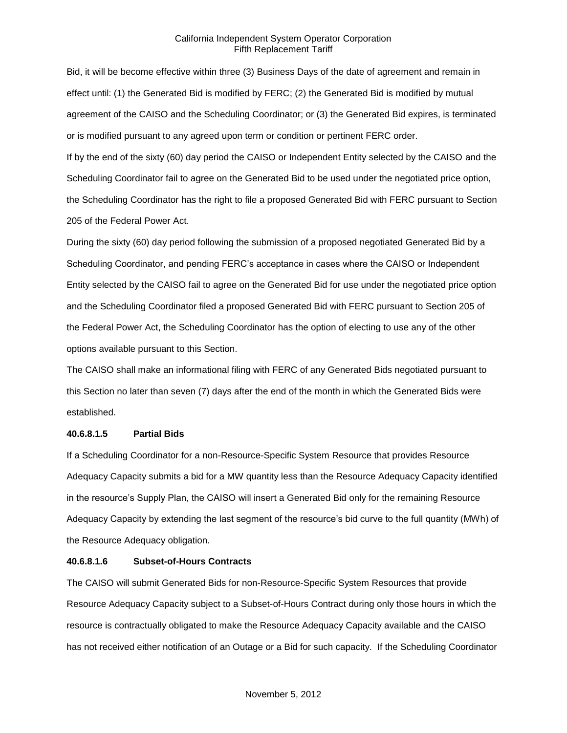Bid, it will be become effective within three (3) Business Days of the date of agreement and remain in effect until: (1) the Generated Bid is modified by FERC; (2) the Generated Bid is modified by mutual agreement of the CAISO and the Scheduling Coordinator; or (3) the Generated Bid expires, is terminated or is modified pursuant to any agreed upon term or condition or pertinent FERC order.

If by the end of the sixty (60) day period the CAISO or Independent Entity selected by the CAISO and the Scheduling Coordinator fail to agree on the Generated Bid to be used under the negotiated price option, the Scheduling Coordinator has the right to file a proposed Generated Bid with FERC pursuant to Section 205 of the Federal Power Act.

During the sixty (60) day period following the submission of a proposed negotiated Generated Bid by a Scheduling Coordinator, and pending FERC's acceptance in cases where the CAISO or Independent Entity selected by the CAISO fail to agree on the Generated Bid for use under the negotiated price option and the Scheduling Coordinator filed a proposed Generated Bid with FERC pursuant to Section 205 of the Federal Power Act, the Scheduling Coordinator has the option of electing to use any of the other options available pursuant to this Section.

The CAISO shall make an informational filing with FERC of any Generated Bids negotiated pursuant to this Section no later than seven (7) days after the end of the month in which the Generated Bids were established.

## **40.6.8.1.5 Partial Bids**

If a Scheduling Coordinator for a non-Resource-Specific System Resource that provides Resource Adequacy Capacity submits a bid for a MW quantity less than the Resource Adequacy Capacity identified in the resource's Supply Plan, the CAISO will insert a Generated Bid only for the remaining Resource Adequacy Capacity by extending the last segment of the resource's bid curve to the full quantity (MWh) of the Resource Adequacy obligation.

## **40.6.8.1.6 Subset-of-Hours Contracts**

The CAISO will submit Generated Bids for non-Resource-Specific System Resources that provide Resource Adequacy Capacity subject to a Subset-of-Hours Contract during only those hours in which the resource is contractually obligated to make the Resource Adequacy Capacity available and the CAISO has not received either notification of an Outage or a Bid for such capacity. If the Scheduling Coordinator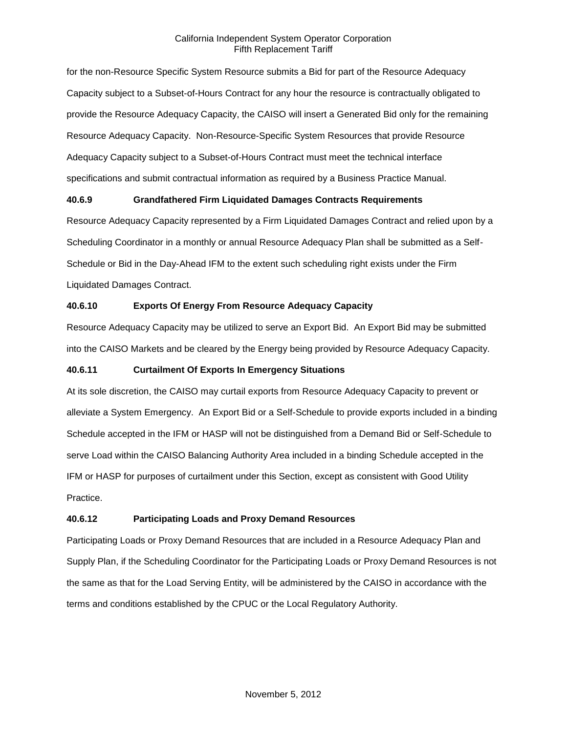for the non-Resource Specific System Resource submits a Bid for part of the Resource Adequacy Capacity subject to a Subset-of-Hours Contract for any hour the resource is contractually obligated to provide the Resource Adequacy Capacity, the CAISO will insert a Generated Bid only for the remaining Resource Adequacy Capacity. Non-Resource-Specific System Resources that provide Resource Adequacy Capacity subject to a Subset-of-Hours Contract must meet the technical interface specifications and submit contractual information as required by a Business Practice Manual.

# **40.6.9 Grandfathered Firm Liquidated Damages Contracts Requirements**

Resource Adequacy Capacity represented by a Firm Liquidated Damages Contract and relied upon by a Scheduling Coordinator in a monthly or annual Resource Adequacy Plan shall be submitted as a Self-Schedule or Bid in the Day-Ahead IFM to the extent such scheduling right exists under the Firm Liquidated Damages Contract.

# **40.6.10 Exports Of Energy From Resource Adequacy Capacity**

Resource Adequacy Capacity may be utilized to serve an Export Bid. An Export Bid may be submitted into the CAISO Markets and be cleared by the Energy being provided by Resource Adequacy Capacity.

# **40.6.11 Curtailment Of Exports In Emergency Situations**

At its sole discretion, the CAISO may curtail exports from Resource Adequacy Capacity to prevent or alleviate a System Emergency. An Export Bid or a Self-Schedule to provide exports included in a binding Schedule accepted in the IFM or HASP will not be distinguished from a Demand Bid or Self-Schedule to serve Load within the CAISO Balancing Authority Area included in a binding Schedule accepted in the IFM or HASP for purposes of curtailment under this Section, except as consistent with Good Utility Practice.

# **40.6.12 Participating Loads and Proxy Demand Resources**

Participating Loads or Proxy Demand Resources that are included in a Resource Adequacy Plan and Supply Plan, if the Scheduling Coordinator for the Participating Loads or Proxy Demand Resources is not the same as that for the Load Serving Entity, will be administered by the CAISO in accordance with the terms and conditions established by the CPUC or the Local Regulatory Authority.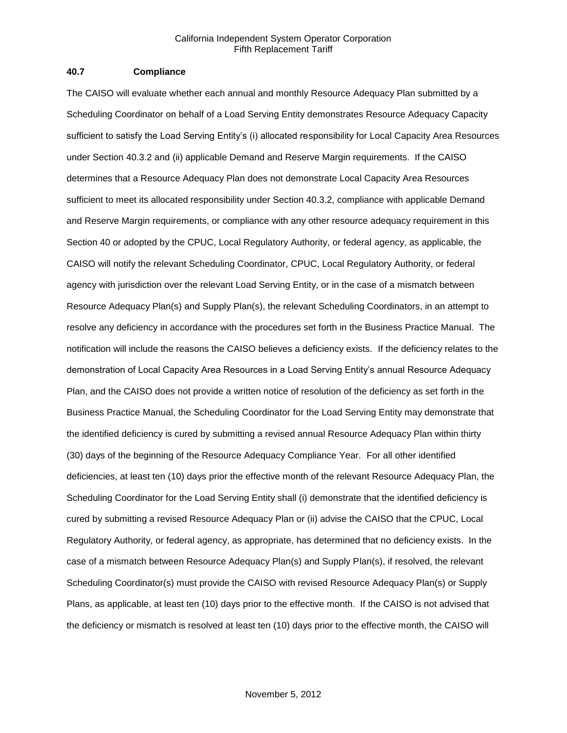#### **40.7 Compliance**

The CAISO will evaluate whether each annual and monthly Resource Adequacy Plan submitted by a Scheduling Coordinator on behalf of a Load Serving Entity demonstrates Resource Adequacy Capacity sufficient to satisfy the Load Serving Entity's (i) allocated responsibility for Local Capacity Area Resources under Section 40.3.2 and (ii) applicable Demand and Reserve Margin requirements. If the CAISO determines that a Resource Adequacy Plan does not demonstrate Local Capacity Area Resources sufficient to meet its allocated responsibility under Section 40.3.2, compliance with applicable Demand and Reserve Margin requirements, or compliance with any other resource adequacy requirement in this Section 40 or adopted by the CPUC, Local Regulatory Authority, or federal agency, as applicable, the CAISO will notify the relevant Scheduling Coordinator, CPUC, Local Regulatory Authority, or federal agency with jurisdiction over the relevant Load Serving Entity, or in the case of a mismatch between Resource Adequacy Plan(s) and Supply Plan(s), the relevant Scheduling Coordinators, in an attempt to resolve any deficiency in accordance with the procedures set forth in the Business Practice Manual. The notification will include the reasons the CAISO believes a deficiency exists. If the deficiency relates to the demonstration of Local Capacity Area Resources in a Load Serving Entity's annual Resource Adequacy Plan, and the CAISO does not provide a written notice of resolution of the deficiency as set forth in the Business Practice Manual, the Scheduling Coordinator for the Load Serving Entity may demonstrate that the identified deficiency is cured by submitting a revised annual Resource Adequacy Plan within thirty (30) days of the beginning of the Resource Adequacy Compliance Year. For all other identified deficiencies, at least ten (10) days prior the effective month of the relevant Resource Adequacy Plan, the Scheduling Coordinator for the Load Serving Entity shall (i) demonstrate that the identified deficiency is cured by submitting a revised Resource Adequacy Plan or (ii) advise the CAISO that the CPUC, Local Regulatory Authority, or federal agency, as appropriate, has determined that no deficiency exists. In the case of a mismatch between Resource Adequacy Plan(s) and Supply Plan(s), if resolved, the relevant Scheduling Coordinator(s) must provide the CAISO with revised Resource Adequacy Plan(s) or Supply Plans, as applicable, at least ten (10) days prior to the effective month. If the CAISO is not advised that the deficiency or mismatch is resolved at least ten (10) days prior to the effective month, the CAISO will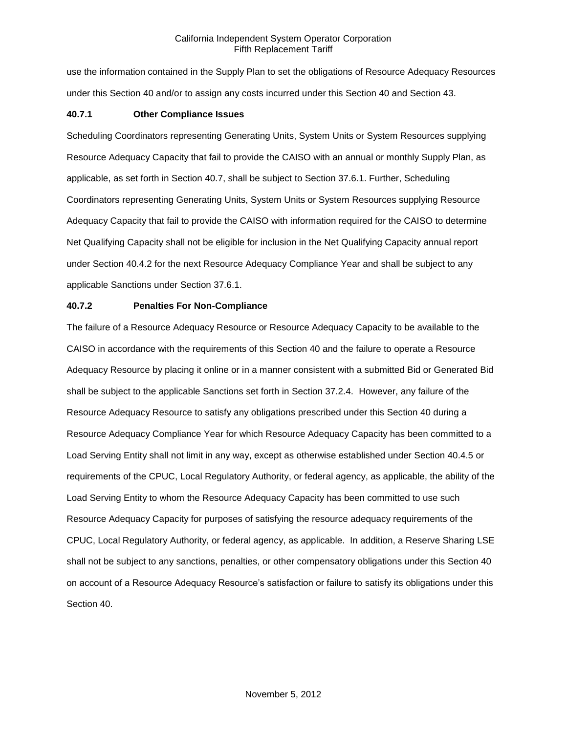use the information contained in the Supply Plan to set the obligations of Resource Adequacy Resources under this Section 40 and/or to assign any costs incurred under this Section 40 and Section 43.

## **40.7.1 Other Compliance Issues**

Scheduling Coordinators representing Generating Units, System Units or System Resources supplying Resource Adequacy Capacity that fail to provide the CAISO with an annual or monthly Supply Plan, as applicable, as set forth in Section 40.7, shall be subject to Section 37.6.1. Further, Scheduling Coordinators representing Generating Units, System Units or System Resources supplying Resource Adequacy Capacity that fail to provide the CAISO with information required for the CAISO to determine Net Qualifying Capacity shall not be eligible for inclusion in the Net Qualifying Capacity annual report under Section 40.4.2 for the next Resource Adequacy Compliance Year and shall be subject to any applicable Sanctions under Section 37.6.1.

## **40.7.2 Penalties For Non-Compliance**

The failure of a Resource Adequacy Resource or Resource Adequacy Capacity to be available to the CAISO in accordance with the requirements of this Section 40 and the failure to operate a Resource Adequacy Resource by placing it online or in a manner consistent with a submitted Bid or Generated Bid shall be subject to the applicable Sanctions set forth in Section 37.2.4. However, any failure of the Resource Adequacy Resource to satisfy any obligations prescribed under this Section 40 during a Resource Adequacy Compliance Year for which Resource Adequacy Capacity has been committed to a Load Serving Entity shall not limit in any way, except as otherwise established under Section 40.4.5 or requirements of the CPUC, Local Regulatory Authority, or federal agency, as applicable, the ability of the Load Serving Entity to whom the Resource Adequacy Capacity has been committed to use such Resource Adequacy Capacity for purposes of satisfying the resource adequacy requirements of the CPUC, Local Regulatory Authority, or federal agency, as applicable. In addition, a Reserve Sharing LSE shall not be subject to any sanctions, penalties, or other compensatory obligations under this Section 40 on account of a Resource Adequacy Resource's satisfaction or failure to satisfy its obligations under this Section 40.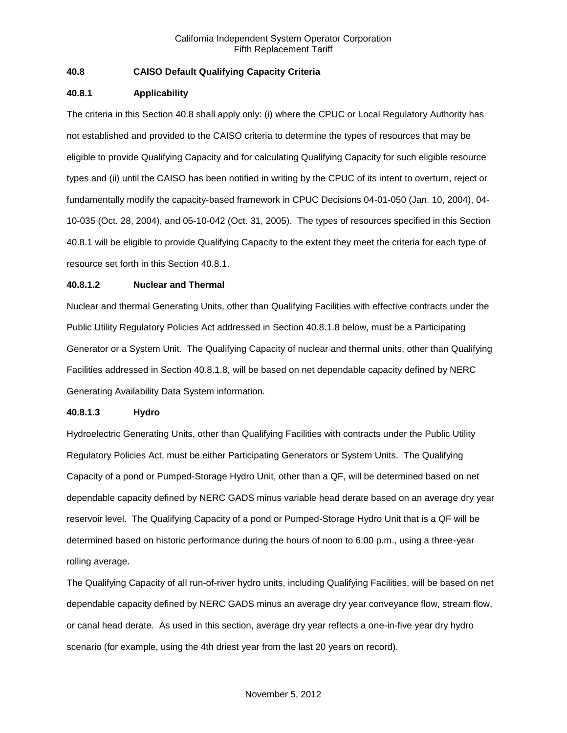# **40.8 CAISO Default Qualifying Capacity Criteria**

## **40.8.1 Applicability**

The criteria in this Section 40.8 shall apply only: (i) where the CPUC or Local Regulatory Authority has not established and provided to the CAISO criteria to determine the types of resources that may be eligible to provide Qualifying Capacity and for calculating Qualifying Capacity for such eligible resource types and (ii) until the CAISO has been notified in writing by the CPUC of its intent to overturn, reject or fundamentally modify the capacity-based framework in CPUC Decisions 04-01-050 (Jan. 10, 2004), 04- 10-035 (Oct. 28, 2004), and 05-10-042 (Oct. 31, 2005). The types of resources specified in this Section 40.8.1 will be eligible to provide Qualifying Capacity to the extent they meet the criteria for each type of resource set forth in this Section 40.8.1.

# **40.8.1.2 Nuclear and Thermal**

Nuclear and thermal Generating Units, other than Qualifying Facilities with effective contracts under the Public Utility Regulatory Policies Act addressed in Section 40.8.1.8 below, must be a Participating Generator or a System Unit. The Qualifying Capacity of nuclear and thermal units, other than Qualifying Facilities addressed in Section 40.8.1.8, will be based on net dependable capacity defined by NERC Generating Availability Data System information.

## **40.8.1.3 Hydro**

Hydroelectric Generating Units, other than Qualifying Facilities with contracts under the Public Utility Regulatory Policies Act, must be either Participating Generators or System Units. The Qualifying Capacity of a pond or Pumped-Storage Hydro Unit, other than a QF, will be determined based on net dependable capacity defined by NERC GADS minus variable head derate based on an average dry year reservoir level. The Qualifying Capacity of a pond or Pumped-Storage Hydro Unit that is a QF will be determined based on historic performance during the hours of noon to 6:00 p.m., using a three-year rolling average.

The Qualifying Capacity of all run-of-river hydro units, including Qualifying Facilities, will be based on net dependable capacity defined by NERC GADS minus an average dry year conveyance flow, stream flow, or canal head derate. As used in this section, average dry year reflects a one-in-five year dry hydro scenario (for example, using the 4th driest year from the last 20 years on record).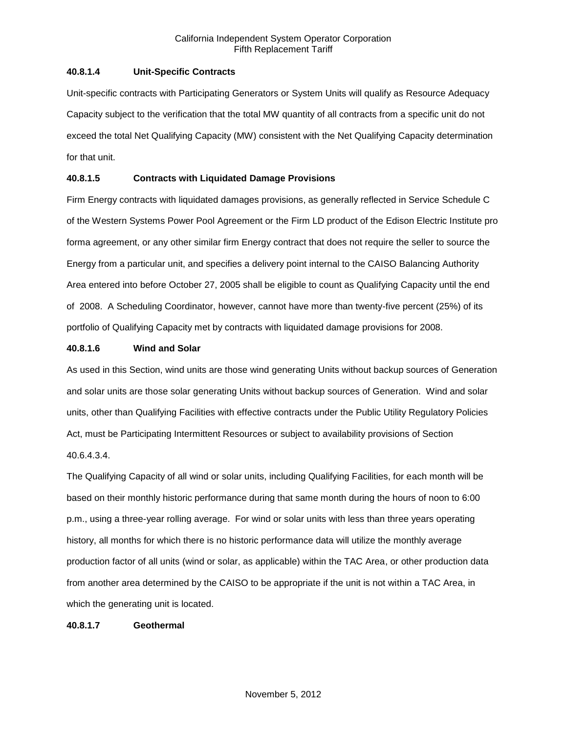# **40.8.1.4 Unit-Specific Contracts**

Unit-specific contracts with Participating Generators or System Units will qualify as Resource Adequacy Capacity subject to the verification that the total MW quantity of all contracts from a specific unit do not exceed the total Net Qualifying Capacity (MW) consistent with the Net Qualifying Capacity determination for that unit.

# **40.8.1.5 Contracts with Liquidated Damage Provisions**

Firm Energy contracts with liquidated damages provisions, as generally reflected in Service Schedule C of the Western Systems Power Pool Agreement or the Firm LD product of the Edison Electric Institute pro forma agreement, or any other similar firm Energy contract that does not require the seller to source the Energy from a particular unit, and specifies a delivery point internal to the CAISO Balancing Authority Area entered into before October 27, 2005 shall be eligible to count as Qualifying Capacity until the end of 2008. A Scheduling Coordinator, however, cannot have more than twenty-five percent (25%) of its portfolio of Qualifying Capacity met by contracts with liquidated damage provisions for 2008.

## **40.8.1.6 Wind and Solar**

As used in this Section, wind units are those wind generating Units without backup sources of Generation and solar units are those solar generating Units without backup sources of Generation. Wind and solar units, other than Qualifying Facilities with effective contracts under the Public Utility Regulatory Policies Act, must be Participating Intermittent Resources or subject to availability provisions of Section 40.6.4.3.4.

The Qualifying Capacity of all wind or solar units, including Qualifying Facilities, for each month will be based on their monthly historic performance during that same month during the hours of noon to 6:00 p.m., using a three-year rolling average. For wind or solar units with less than three years operating history, all months for which there is no historic performance data will utilize the monthly average production factor of all units (wind or solar, as applicable) within the TAC Area, or other production data from another area determined by the CAISO to be appropriate if the unit is not within a TAC Area, in which the generating unit is located.

## **40.8.1.7 Geothermal**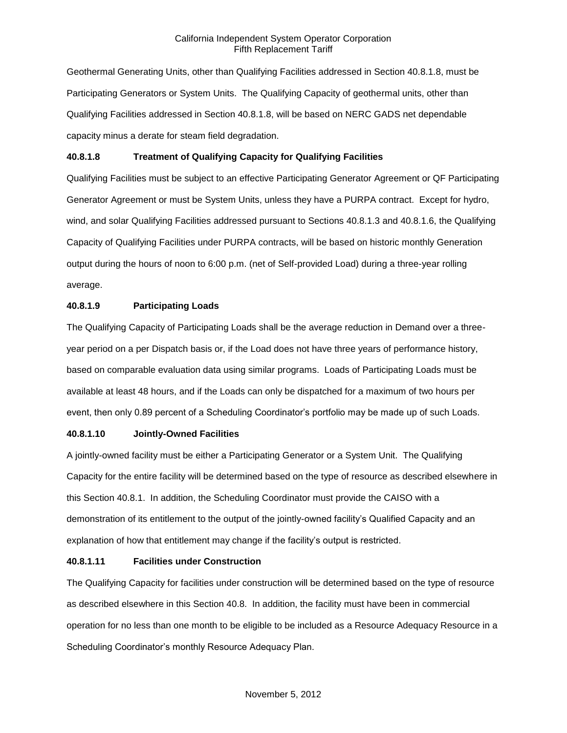Geothermal Generating Units, other than Qualifying Facilities addressed in Section 40.8.1.8, must be Participating Generators or System Units. The Qualifying Capacity of geothermal units, other than Qualifying Facilities addressed in Section 40.8.1.8, will be based on NERC GADS net dependable capacity minus a derate for steam field degradation.

# **40.8.1.8 Treatment of Qualifying Capacity for Qualifying Facilities**

Qualifying Facilities must be subject to an effective Participating Generator Agreement or QF Participating Generator Agreement or must be System Units, unless they have a PURPA contract. Except for hydro, wind, and solar Qualifying Facilities addressed pursuant to Sections 40.8.1.3 and 40.8.1.6, the Qualifying Capacity of Qualifying Facilities under PURPA contracts, will be based on historic monthly Generation output during the hours of noon to 6:00 p.m. (net of Self-provided Load) during a three-year rolling average.

# **40.8.1.9 Participating Loads**

The Qualifying Capacity of Participating Loads shall be the average reduction in Demand over a threeyear period on a per Dispatch basis or, if the Load does not have three years of performance history, based on comparable evaluation data using similar programs. Loads of Participating Loads must be available at least 48 hours, and if the Loads can only be dispatched for a maximum of two hours per event, then only 0.89 percent of a Scheduling Coordinator's portfolio may be made up of such Loads.

# **40.8.1.10 Jointly-Owned Facilities**

A jointly-owned facility must be either a Participating Generator or a System Unit. The Qualifying Capacity for the entire facility will be determined based on the type of resource as described elsewhere in this Section 40.8.1. In addition, the Scheduling Coordinator must provide the CAISO with a demonstration of its entitlement to the output of the jointly-owned facility's Qualified Capacity and an explanation of how that entitlement may change if the facility's output is restricted.

## **40.8.1.11 Facilities under Construction**

The Qualifying Capacity for facilities under construction will be determined based on the type of resource as described elsewhere in this Section 40.8. In addition, the facility must have been in commercial operation for no less than one month to be eligible to be included as a Resource Adequacy Resource in a Scheduling Coordinator's monthly Resource Adequacy Plan.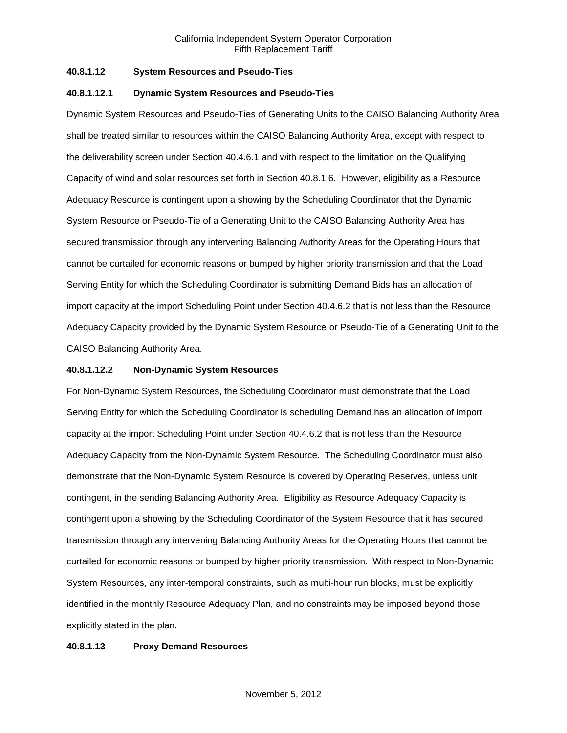# **40.8.1.12 System Resources and Pseudo-Ties**

## **40.8.1.12.1 Dynamic System Resources and Pseudo-Ties**

Dynamic System Resources and Pseudo-Ties of Generating Units to the CAISO Balancing Authority Area shall be treated similar to resources within the CAISO Balancing Authority Area, except with respect to the deliverability screen under Section 40.4.6.1 and with respect to the limitation on the Qualifying Capacity of wind and solar resources set forth in Section 40.8.1.6. However, eligibility as a Resource Adequacy Resource is contingent upon a showing by the Scheduling Coordinator that the Dynamic System Resource or Pseudo-Tie of a Generating Unit to the CAISO Balancing Authority Area has secured transmission through any intervening Balancing Authority Areas for the Operating Hours that cannot be curtailed for economic reasons or bumped by higher priority transmission and that the Load Serving Entity for which the Scheduling Coordinator is submitting Demand Bids has an allocation of import capacity at the import Scheduling Point under Section 40.4.6.2 that is not less than the Resource Adequacy Capacity provided by the Dynamic System Resource or Pseudo-Tie of a Generating Unit to the CAISO Balancing Authority Area.

## **40.8.1.12.2 Non-Dynamic System Resources**

For Non-Dynamic System Resources, the Scheduling Coordinator must demonstrate that the Load Serving Entity for which the Scheduling Coordinator is scheduling Demand has an allocation of import capacity at the import Scheduling Point under Section 40.4.6.2 that is not less than the Resource Adequacy Capacity from the Non-Dynamic System Resource. The Scheduling Coordinator must also demonstrate that the Non-Dynamic System Resource is covered by Operating Reserves, unless unit contingent, in the sending Balancing Authority Area. Eligibility as Resource Adequacy Capacity is contingent upon a showing by the Scheduling Coordinator of the System Resource that it has secured transmission through any intervening Balancing Authority Areas for the Operating Hours that cannot be curtailed for economic reasons or bumped by higher priority transmission. With respect to Non-Dynamic System Resources, any inter-temporal constraints, such as multi-hour run blocks, must be explicitly identified in the monthly Resource Adequacy Plan, and no constraints may be imposed beyond those explicitly stated in the plan.

## **40.8.1.13 Proxy Demand Resources**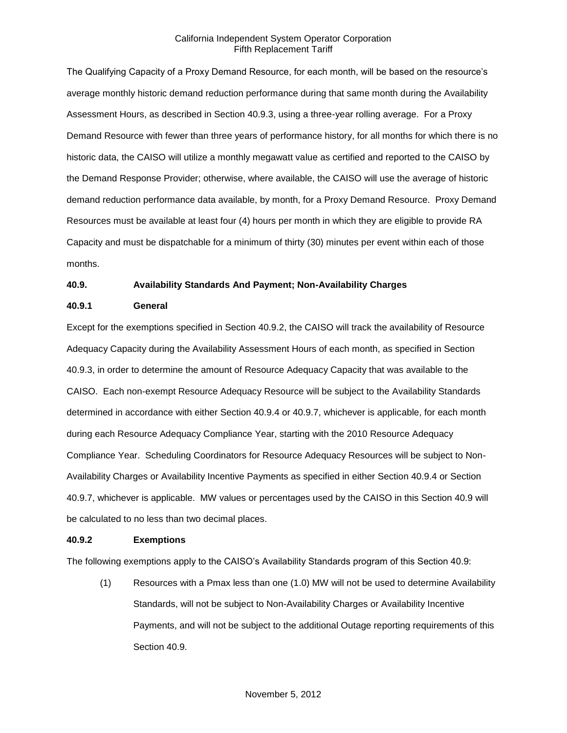The Qualifying Capacity of a Proxy Demand Resource, for each month, will be based on the resource's average monthly historic demand reduction performance during that same month during the Availability Assessment Hours, as described in Section 40.9.3, using a three-year rolling average. For a Proxy Demand Resource with fewer than three years of performance history, for all months for which there is no historic data, the CAISO will utilize a monthly megawatt value as certified and reported to the CAISO by the Demand Response Provider; otherwise, where available, the CAISO will use the average of historic demand reduction performance data available, by month, for a Proxy Demand Resource. Proxy Demand Resources must be available at least four (4) hours per month in which they are eligible to provide RA Capacity and must be dispatchable for a minimum of thirty (30) minutes per event within each of those months.

# **40.9. Availability Standards And Payment; Non-Availability Charges**

## **40.9.1 General**

Except for the exemptions specified in Section 40.9.2, the CAISO will track the availability of Resource Adequacy Capacity during the Availability Assessment Hours of each month, as specified in Section 40.9.3, in order to determine the amount of Resource Adequacy Capacity that was available to the CAISO. Each non-exempt Resource Adequacy Resource will be subject to the Availability Standards determined in accordance with either Section 40.9.4 or 40.9.7, whichever is applicable, for each month during each Resource Adequacy Compliance Year, starting with the 2010 Resource Adequacy Compliance Year. Scheduling Coordinators for Resource Adequacy Resources will be subject to Non-Availability Charges or Availability Incentive Payments as specified in either Section 40.9.4 or Section 40.9.7, whichever is applicable. MW values or percentages used by the CAISO in this Section 40.9 will be calculated to no less than two decimal places.

## **40.9.2 Exemptions**

The following exemptions apply to the CAISO's Availability Standards program of this Section 40.9:

(1) Resources with a Pmax less than one (1.0) MW will not be used to determine Availability Standards, will not be subject to Non-Availability Charges or Availability Incentive Payments, and will not be subject to the additional Outage reporting requirements of this Section 40.9.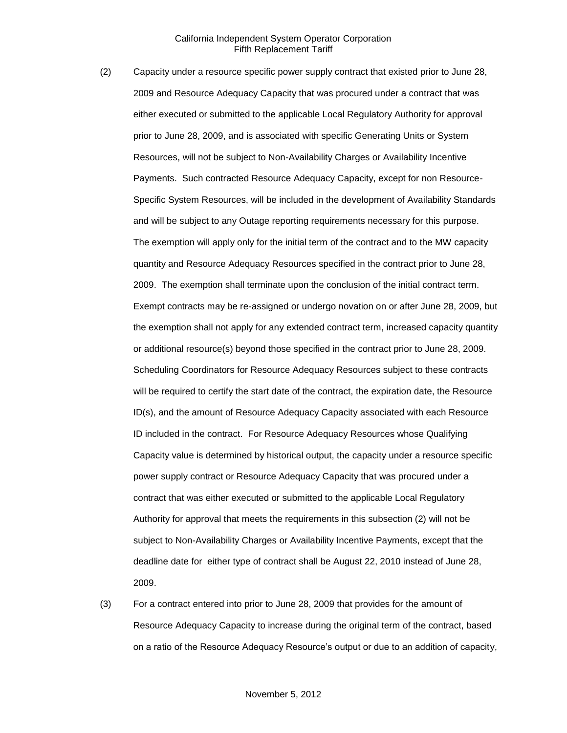- (2) Capacity under a resource specific power supply contract that existed prior to June 28, 2009 and Resource Adequacy Capacity that was procured under a contract that was either executed or submitted to the applicable Local Regulatory Authority for approval prior to June 28, 2009, and is associated with specific Generating Units or System Resources, will not be subject to Non-Availability Charges or Availability Incentive Payments. Such contracted Resource Adequacy Capacity, except for non Resource-Specific System Resources, will be included in the development of Availability Standards and will be subject to any Outage reporting requirements necessary for this purpose. The exemption will apply only for the initial term of the contract and to the MW capacity quantity and Resource Adequacy Resources specified in the contract prior to June 28, 2009. The exemption shall terminate upon the conclusion of the initial contract term. Exempt contracts may be re-assigned or undergo novation on or after June 28, 2009, but the exemption shall not apply for any extended contract term, increased capacity quantity or additional resource(s) beyond those specified in the contract prior to June 28, 2009. Scheduling Coordinators for Resource Adequacy Resources subject to these contracts will be required to certify the start date of the contract, the expiration date, the Resource ID(s), and the amount of Resource Adequacy Capacity associated with each Resource ID included in the contract. For Resource Adequacy Resources whose Qualifying Capacity value is determined by historical output, the capacity under a resource specific power supply contract or Resource Adequacy Capacity that was procured under a contract that was either executed or submitted to the applicable Local Regulatory Authority for approval that meets the requirements in this subsection (2) will not be subject to Non-Availability Charges or Availability Incentive Payments, except that the deadline date for either type of contract shall be August 22, 2010 instead of June 28, 2009.
- (3) For a contract entered into prior to June 28, 2009 that provides for the amount of Resource Adequacy Capacity to increase during the original term of the contract, based on a ratio of the Resource Adequacy Resource's output or due to an addition of capacity,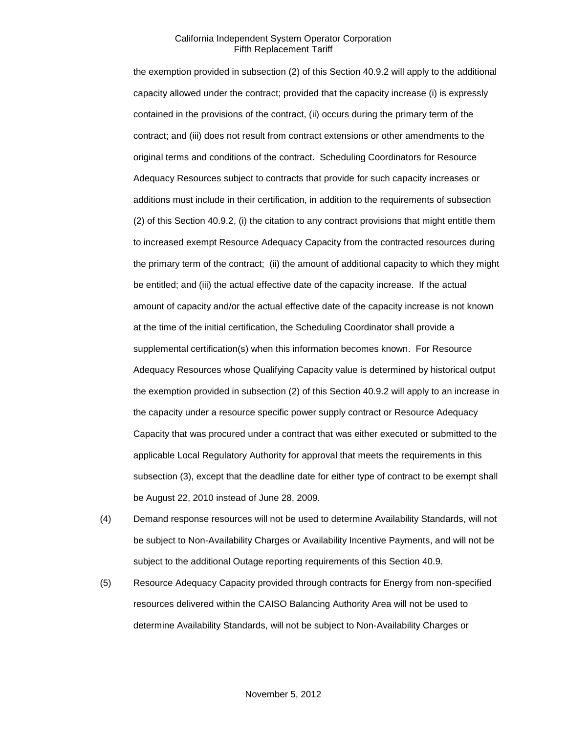the exemption provided in subsection (2) of this Section 40.9.2 will apply to the additional capacity allowed under the contract; provided that the capacity increase (i) is expressly contained in the provisions of the contract, (ii) occurs during the primary term of the contract; and (iii) does not result from contract extensions or other amendments to the original terms and conditions of the contract. Scheduling Coordinators for Resource Adequacy Resources subject to contracts that provide for such capacity increases or additions must include in their certification, in addition to the requirements of subsection (2) of this Section 40.9.2, (i) the citation to any contract provisions that might entitle them to increased exempt Resource Adequacy Capacity from the contracted resources during the primary term of the contract; (ii) the amount of additional capacity to which they might be entitled; and (iii) the actual effective date of the capacity increase. If the actual amount of capacity and/or the actual effective date of the capacity increase is not known at the time of the initial certification, the Scheduling Coordinator shall provide a supplemental certification(s) when this information becomes known. For Resource Adequacy Resources whose Qualifying Capacity value is determined by historical output the exemption provided in subsection (2) of this Section 40.9.2 will apply to an increase in the capacity under a resource specific power supply contract or Resource Adequacy Capacity that was procured under a contract that was either executed or submitted to the applicable Local Regulatory Authority for approval that meets the requirements in this subsection (3), except that the deadline date for either type of contract to be exempt shall be August 22, 2010 instead of June 28, 2009.

- (4) Demand response resources will not be used to determine Availability Standards, will not be subject to Non-Availability Charges or Availability Incentive Payments, and will not be subject to the additional Outage reporting requirements of this Section 40.9.
- (5) Resource Adequacy Capacity provided through contracts for Energy from non-specified resources delivered within the CAISO Balancing Authority Area will not be used to determine Availability Standards, will not be subject to Non-Availability Charges or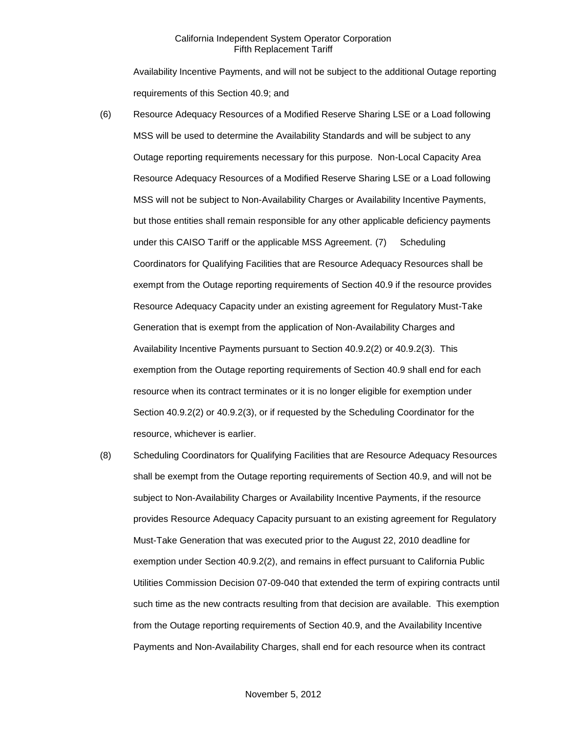Availability Incentive Payments, and will not be subject to the additional Outage reporting requirements of this Section 40.9; and

- (6) Resource Adequacy Resources of a Modified Reserve Sharing LSE or a Load following MSS will be used to determine the Availability Standards and will be subject to any Outage reporting requirements necessary for this purpose. Non-Local Capacity Area Resource Adequacy Resources of a Modified Reserve Sharing LSE or a Load following MSS will not be subject to Non-Availability Charges or Availability Incentive Payments, but those entities shall remain responsible for any other applicable deficiency payments under this CAISO Tariff or the applicable MSS Agreement. (7) Scheduling Coordinators for Qualifying Facilities that are Resource Adequacy Resources shall be exempt from the Outage reporting requirements of Section 40.9 if the resource provides Resource Adequacy Capacity under an existing agreement for Regulatory Must-Take Generation that is exempt from the application of Non-Availability Charges and Availability Incentive Payments pursuant to Section 40.9.2(2) or 40.9.2(3). This exemption from the Outage reporting requirements of Section 40.9 shall end for each resource when its contract terminates or it is no longer eligible for exemption under Section 40.9.2(2) or 40.9.2(3), or if requested by the Scheduling Coordinator for the resource, whichever is earlier.
- (8) Scheduling Coordinators for Qualifying Facilities that are Resource Adequacy Resources shall be exempt from the Outage reporting requirements of Section 40.9, and will not be subject to Non-Availability Charges or Availability Incentive Payments, if the resource provides Resource Adequacy Capacity pursuant to an existing agreement for Regulatory Must-Take Generation that was executed prior to the August 22, 2010 deadline for exemption under Section 40.9.2(2), and remains in effect pursuant to California Public Utilities Commission Decision 07-09-040 that extended the term of expiring contracts until such time as the new contracts resulting from that decision are available. This exemption from the Outage reporting requirements of Section 40.9, and the Availability Incentive Payments and Non-Availability Charges, shall end for each resource when its contract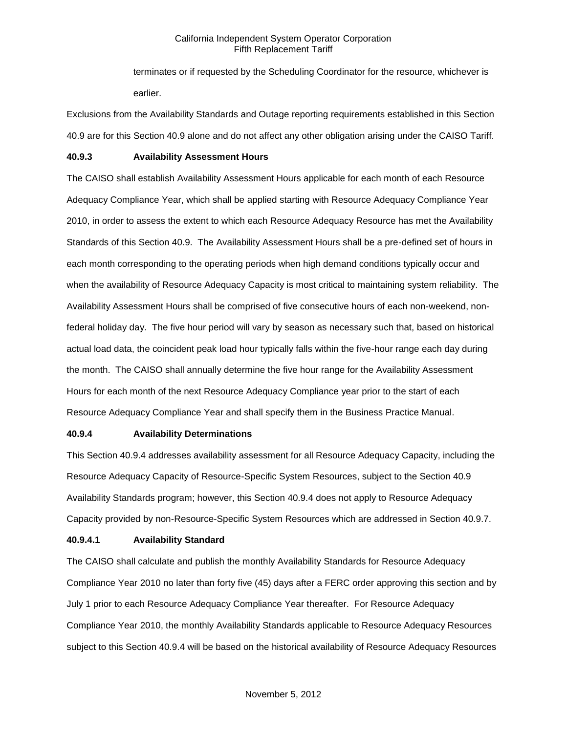terminates or if requested by the Scheduling Coordinator for the resource, whichever is earlier.

Exclusions from the Availability Standards and Outage reporting requirements established in this Section 40.9 are for this Section 40.9 alone and do not affect any other obligation arising under the CAISO Tariff.

#### **40.9.3 Availability Assessment Hours**

The CAISO shall establish Availability Assessment Hours applicable for each month of each Resource Adequacy Compliance Year, which shall be applied starting with Resource Adequacy Compliance Year 2010, in order to assess the extent to which each Resource Adequacy Resource has met the Availability Standards of this Section 40.9. The Availability Assessment Hours shall be a pre-defined set of hours in each month corresponding to the operating periods when high demand conditions typically occur and when the availability of Resource Adequacy Capacity is most critical to maintaining system reliability. The Availability Assessment Hours shall be comprised of five consecutive hours of each non-weekend, nonfederal holiday day. The five hour period will vary by season as necessary such that, based on historical actual load data, the coincident peak load hour typically falls within the five-hour range each day during the month. The CAISO shall annually determine the five hour range for the Availability Assessment Hours for each month of the next Resource Adequacy Compliance year prior to the start of each Resource Adequacy Compliance Year and shall specify them in the Business Practice Manual.

## **40.9.4 Availability Determinations**

This Section 40.9.4 addresses availability assessment for all Resource Adequacy Capacity, including the Resource Adequacy Capacity of Resource-Specific System Resources, subject to the Section 40.9 Availability Standards program; however, this Section 40.9.4 does not apply to Resource Adequacy Capacity provided by non-Resource-Specific System Resources which are addressed in Section 40.9.7.

## **40.9.4.1 Availability Standard**

The CAISO shall calculate and publish the monthly Availability Standards for Resource Adequacy Compliance Year 2010 no later than forty five (45) days after a FERC order approving this section and by July 1 prior to each Resource Adequacy Compliance Year thereafter. For Resource Adequacy Compliance Year 2010, the monthly Availability Standards applicable to Resource Adequacy Resources subject to this Section 40.9.4 will be based on the historical availability of Resource Adequacy Resources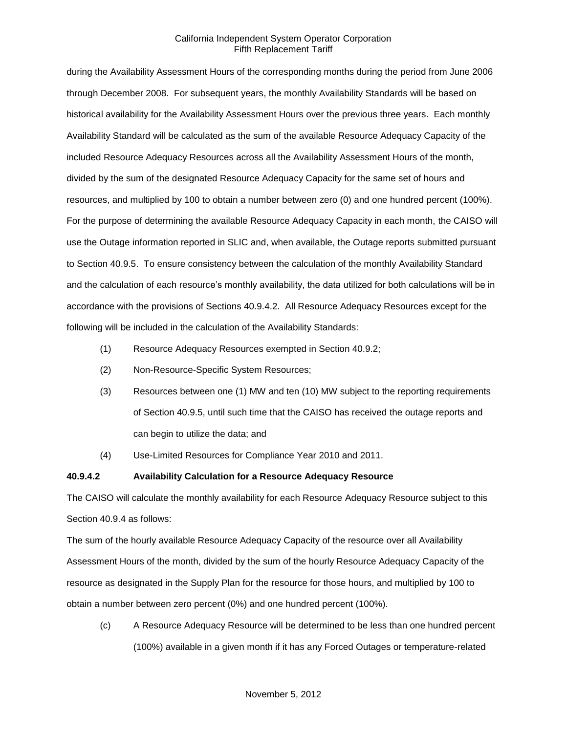during the Availability Assessment Hours of the corresponding months during the period from June 2006 through December 2008. For subsequent years, the monthly Availability Standards will be based on historical availability for the Availability Assessment Hours over the previous three years. Each monthly Availability Standard will be calculated as the sum of the available Resource Adequacy Capacity of the included Resource Adequacy Resources across all the Availability Assessment Hours of the month, divided by the sum of the designated Resource Adequacy Capacity for the same set of hours and resources, and multiplied by 100 to obtain a number between zero (0) and one hundred percent (100%). For the purpose of determining the available Resource Adequacy Capacity in each month, the CAISO will use the Outage information reported in SLIC and, when available, the Outage reports submitted pursuant to Section 40.9.5. To ensure consistency between the calculation of the monthly Availability Standard and the calculation of each resource's monthly availability, the data utilized for both calculations will be in accordance with the provisions of Sections 40.9.4.2. All Resource Adequacy Resources except for the following will be included in the calculation of the Availability Standards:

- (1) Resource Adequacy Resources exempted in Section 40.9.2;
- (2) Non-Resource-Specific System Resources;
- (3) Resources between one (1) MW and ten (10) MW subject to the reporting requirements of Section 40.9.5, until such time that the CAISO has received the outage reports and can begin to utilize the data; and
- (4) Use-Limited Resources for Compliance Year 2010 and 2011.

#### **40.9.4.2 Availability Calculation for a Resource Adequacy Resource**

The CAISO will calculate the monthly availability for each Resource Adequacy Resource subject to this Section 40.9.4 as follows:

The sum of the hourly available Resource Adequacy Capacity of the resource over all Availability Assessment Hours of the month, divided by the sum of the hourly Resource Adequacy Capacity of the resource as designated in the Supply Plan for the resource for those hours, and multiplied by 100 to obtain a number between zero percent (0%) and one hundred percent (100%).

(c) A Resource Adequacy Resource will be determined to be less than one hundred percent (100%) available in a given month if it has any Forced Outages or temperature-related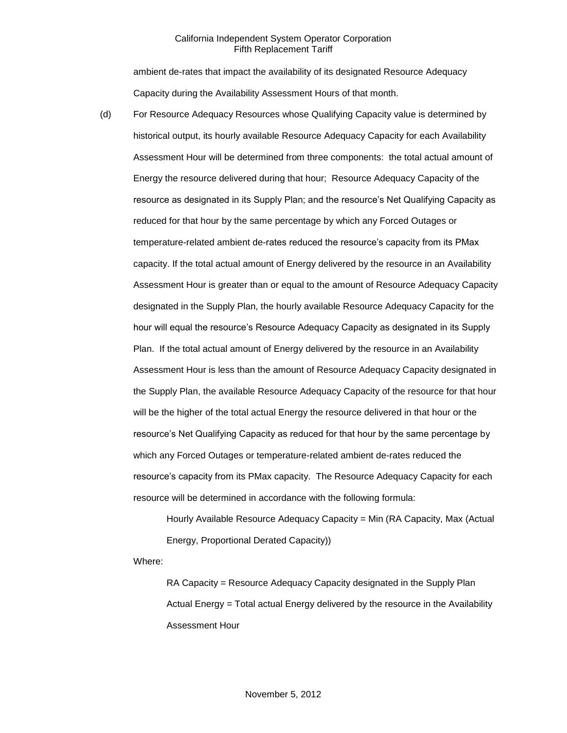ambient de-rates that impact the availability of its designated Resource Adequacy Capacity during the Availability Assessment Hours of that month.

(d) For Resource Adequacy Resources whose Qualifying Capacity value is determined by historical output, its hourly available Resource Adequacy Capacity for each Availability Assessment Hour will be determined from three components: the total actual amount of Energy the resource delivered during that hour; Resource Adequacy Capacity of the resource as designated in its Supply Plan; and the resource's Net Qualifying Capacity as reduced for that hour by the same percentage by which any Forced Outages or temperature-related ambient de-rates reduced the resource's capacity from its PMax capacity. If the total actual amount of Energy delivered by the resource in an Availability Assessment Hour is greater than or equal to the amount of Resource Adequacy Capacity designated in the Supply Plan, the hourly available Resource Adequacy Capacity for the hour will equal the resource's Resource Adequacy Capacity as designated in its Supply Plan. If the total actual amount of Energy delivered by the resource in an Availability Assessment Hour is less than the amount of Resource Adequacy Capacity designated in the Supply Plan, the available Resource Adequacy Capacity of the resource for that hour will be the higher of the total actual Energy the resource delivered in that hour or the resource's Net Qualifying Capacity as reduced for that hour by the same percentage by which any Forced Outages or temperature-related ambient de-rates reduced the resource's capacity from its PMax capacity. The Resource Adequacy Capacity for each resource will be determined in accordance with the following formula:

> Hourly Available Resource Adequacy Capacity = Min (RA Capacity, Max (Actual Energy, Proportional Derated Capacity))

Where:

RA Capacity = Resource Adequacy Capacity designated in the Supply Plan Actual Energy = Total actual Energy delivered by the resource in the Availability Assessment Hour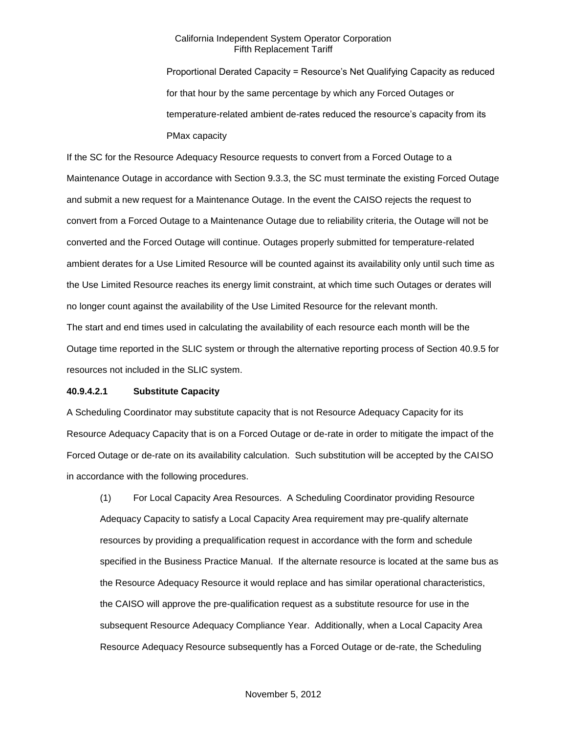Proportional Derated Capacity = Resource's Net Qualifying Capacity as reduced for that hour by the same percentage by which any Forced Outages or temperature-related ambient de-rates reduced the resource's capacity from its PMax capacity

If the SC for the Resource Adequacy Resource requests to convert from a Forced Outage to a Maintenance Outage in accordance with Section 9.3.3, the SC must terminate the existing Forced Outage and submit a new request for a Maintenance Outage. In the event the CAISO rejects the request to convert from a Forced Outage to a Maintenance Outage due to reliability criteria, the Outage will not be converted and the Forced Outage will continue. Outages properly submitted for temperature-related ambient derates for a Use Limited Resource will be counted against its availability only until such time as the Use Limited Resource reaches its energy limit constraint, at which time such Outages or derates will no longer count against the availability of the Use Limited Resource for the relevant month. The start and end times used in calculating the availability of each resource each month will be the Outage time reported in the SLIC system or through the alternative reporting process of Section 40.9.5 for resources not included in the SLIC system.

#### **40.9.4.2.1 Substitute Capacity**

A Scheduling Coordinator may substitute capacity that is not Resource Adequacy Capacity for its Resource Adequacy Capacity that is on a Forced Outage or de-rate in order to mitigate the impact of the Forced Outage or de-rate on its availability calculation. Such substitution will be accepted by the CAISO in accordance with the following procedures.

(1) For Local Capacity Area Resources. A Scheduling Coordinator providing Resource Adequacy Capacity to satisfy a Local Capacity Area requirement may pre-qualify alternate resources by providing a prequalification request in accordance with the form and schedule specified in the Business Practice Manual. If the alternate resource is located at the same bus as the Resource Adequacy Resource it would replace and has similar operational characteristics, the CAISO will approve the pre-qualification request as a substitute resource for use in the subsequent Resource Adequacy Compliance Year. Additionally, when a Local Capacity Area Resource Adequacy Resource subsequently has a Forced Outage or de-rate, the Scheduling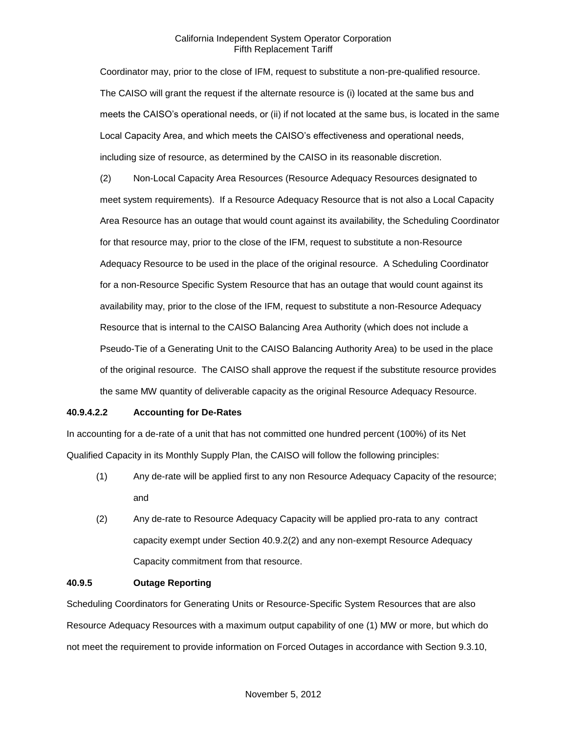Coordinator may, prior to the close of IFM, request to substitute a non-pre-qualified resource. The CAISO will grant the request if the alternate resource is (i) located at the same bus and meets the CAISO's operational needs, or (ii) if not located at the same bus, is located in the same Local Capacity Area, and which meets the CAISO's effectiveness and operational needs, including size of resource, as determined by the CAISO in its reasonable discretion.

(2) Non-Local Capacity Area Resources (Resource Adequacy Resources designated to meet system requirements). If a Resource Adequacy Resource that is not also a Local Capacity Area Resource has an outage that would count against its availability, the Scheduling Coordinator for that resource may, prior to the close of the IFM, request to substitute a non-Resource Adequacy Resource to be used in the place of the original resource. A Scheduling Coordinator for a non-Resource Specific System Resource that has an outage that would count against its availability may, prior to the close of the IFM, request to substitute a non-Resource Adequacy Resource that is internal to the CAISO Balancing Area Authority (which does not include a Pseudo-Tie of a Generating Unit to the CAISO Balancing Authority Area) to be used in the place of the original resource. The CAISO shall approve the request if the substitute resource provides the same MW quantity of deliverable capacity as the original Resource Adequacy Resource.

## **40.9.4.2.2 Accounting for De-Rates**

In accounting for a de-rate of a unit that has not committed one hundred percent (100%) of its Net Qualified Capacity in its Monthly Supply Plan, the CAISO will follow the following principles:

- (1) Any de-rate will be applied first to any non Resource Adequacy Capacity of the resource; and
- (2) Any de-rate to Resource Adequacy Capacity will be applied pro-rata to any contract capacity exempt under Section 40.9.2(2) and any non-exempt Resource Adequacy Capacity commitment from that resource.

# **40.9.5 Outage Reporting**

Scheduling Coordinators for Generating Units or Resource-Specific System Resources that are also Resource Adequacy Resources with a maximum output capability of one (1) MW or more, but which do not meet the requirement to provide information on Forced Outages in accordance with Section 9.3.10,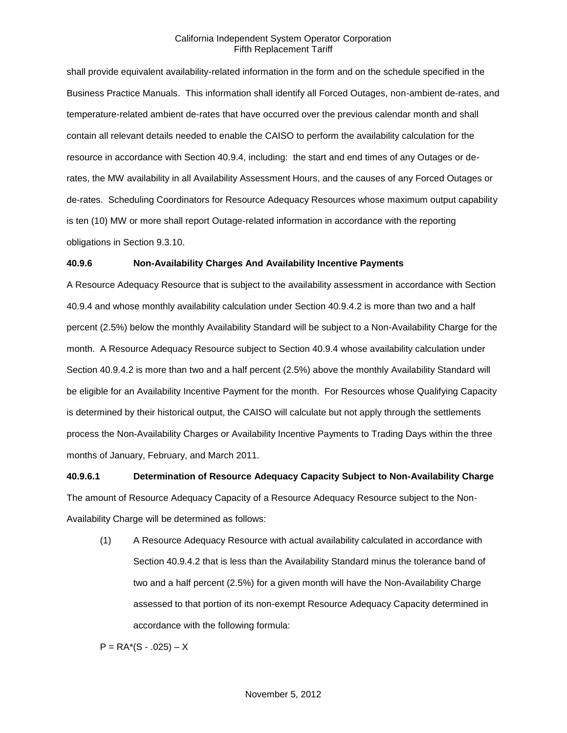shall provide equivalent availability-related information in the form and on the schedule specified in the Business Practice Manuals. This information shall identify all Forced Outages, non-ambient de-rates, and temperature-related ambient de-rates that have occurred over the previous calendar month and shall contain all relevant details needed to enable the CAISO to perform the availability calculation for the resource in accordance with Section 40.9.4, including: the start and end times of any Outages or derates, the MW availability in all Availability Assessment Hours, and the causes of any Forced Outages or de-rates. Scheduling Coordinators for Resource Adequacy Resources whose maximum output capability is ten (10) MW or more shall report Outage-related information in accordance with the reporting obligations in Section 9.3.10.

## **40.9.6 Non-Availability Charges And Availability Incentive Payments**

A Resource Adequacy Resource that is subject to the availability assessment in accordance with Section 40.9.4 and whose monthly availability calculation under Section 40.9.4.2 is more than two and a half percent (2.5%) below the monthly Availability Standard will be subject to a Non-Availability Charge for the month. A Resource Adequacy Resource subject to Section 40.9.4 whose availability calculation under Section 40.9.4.2 is more than two and a half percent (2.5%) above the monthly Availability Standard will be eligible for an Availability Incentive Payment for the month. For Resources whose Qualifying Capacity is determined by their historical output, the CAISO will calculate but not apply through the settlements process the Non-Availability Charges or Availability Incentive Payments to Trading Days within the three months of January, February, and March 2011.

# **40.9.6.1 Determination of Resource Adequacy Capacity Subject to Non-Availability Charge**

The amount of Resource Adequacy Capacity of a Resource Adequacy Resource subject to the Non-Availability Charge will be determined as follows:

(1) A Resource Adequacy Resource with actual availability calculated in accordance with Section 40.9.4.2 that is less than the Availability Standard minus the tolerance band of two and a half percent (2.5%) for a given month will have the Non-Availability Charge assessed to that portion of its non-exempt Resource Adequacy Capacity determined in accordance with the following formula:

 $P = RA*(S - .025) - X$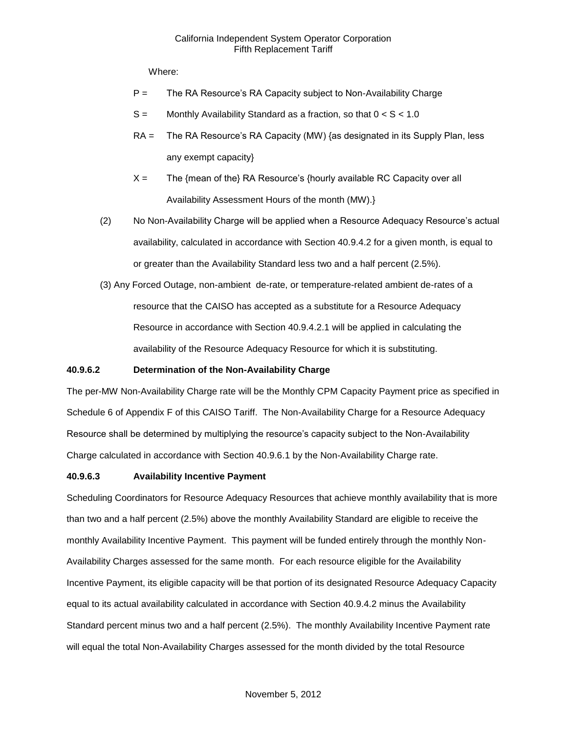Where:

- P = The RA Resource's RA Capacity subject to Non-Availability Charge
- $S =$  Monthly Availability Standard as a fraction, so that  $0 < S < 1.0$
- RA = The RA Resource's RA Capacity (MW) {as designated in its Supply Plan, less any exempt capacity}
- $X =$  The {mean of the} RA Resource's {hourly available RC Capacity over all Availability Assessment Hours of the month (MW).}
- (2) No Non-Availability Charge will be applied when a Resource Adequacy Resource's actual availability, calculated in accordance with Section 40.9.4.2 for a given month, is equal to or greater than the Availability Standard less two and a half percent (2.5%).
- (3) Any Forced Outage, non-ambient de-rate, or temperature-related ambient de-rates of a resource that the CAISO has accepted as a substitute for a Resource Adequacy Resource in accordance with Section 40.9.4.2.1 will be applied in calculating the availability of the Resource Adequacy Resource for which it is substituting.

# **40.9.6.2 Determination of the Non-Availability Charge**

The per-MW Non-Availability Charge rate will be the Monthly CPM Capacity Payment price as specified in Schedule 6 of Appendix F of this CAISO Tariff. The Non-Availability Charge for a Resource Adequacy Resource shall be determined by multiplying the resource's capacity subject to the Non-Availability Charge calculated in accordance with Section 40.9.6.1 by the Non-Availability Charge rate.

## **40.9.6.3 Availability Incentive Payment**

Scheduling Coordinators for Resource Adequacy Resources that achieve monthly availability that is more than two and a half percent (2.5%) above the monthly Availability Standard are eligible to receive the monthly Availability Incentive Payment. This payment will be funded entirely through the monthly Non-Availability Charges assessed for the same month. For each resource eligible for the Availability Incentive Payment, its eligible capacity will be that portion of its designated Resource Adequacy Capacity equal to its actual availability calculated in accordance with Section 40.9.4.2 minus the Availability Standard percent minus two and a half percent (2.5%). The monthly Availability Incentive Payment rate will equal the total Non-Availability Charges assessed for the month divided by the total Resource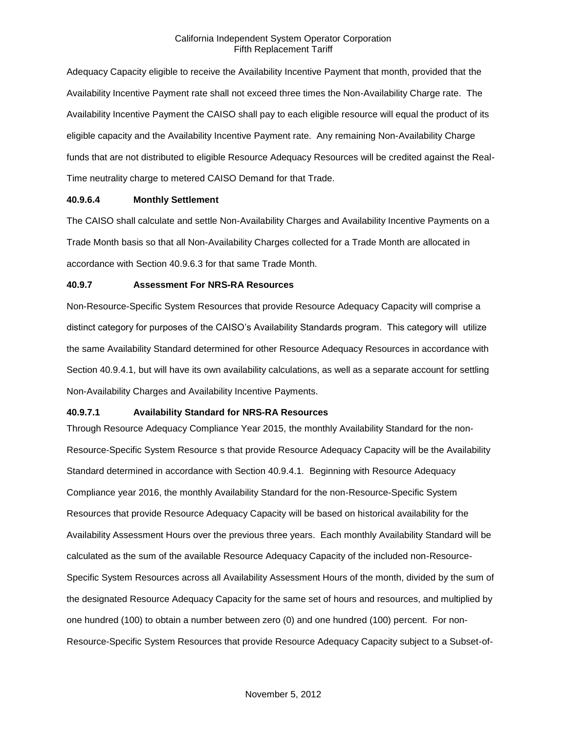Adequacy Capacity eligible to receive the Availability Incentive Payment that month, provided that the Availability Incentive Payment rate shall not exceed three times the Non-Availability Charge rate. The Availability Incentive Payment the CAISO shall pay to each eligible resource will equal the product of its eligible capacity and the Availability Incentive Payment rate. Any remaining Non-Availability Charge funds that are not distributed to eligible Resource Adequacy Resources will be credited against the Real-Time neutrality charge to metered CAISO Demand for that Trade.

#### **40.9.6.4 Monthly Settlement**

The CAISO shall calculate and settle Non-Availability Charges and Availability Incentive Payments on a Trade Month basis so that all Non-Availability Charges collected for a Trade Month are allocated in accordance with Section 40.9.6.3 for that same Trade Month.

# **40.9.7 Assessment For NRS-RA Resources**

Non-Resource-Specific System Resources that provide Resource Adequacy Capacity will comprise a distinct category for purposes of the CAISO's Availability Standards program. This category will utilize the same Availability Standard determined for other Resource Adequacy Resources in accordance with Section 40.9.4.1, but will have its own availability calculations, as well as a separate account for settling Non-Availability Charges and Availability Incentive Payments.

## **40.9.7.1 Availability Standard for NRS-RA Resources**

Through Resource Adequacy Compliance Year 2015, the monthly Availability Standard for the non-Resource-Specific System Resource s that provide Resource Adequacy Capacity will be the Availability Standard determined in accordance with Section 40.9.4.1. Beginning with Resource Adequacy Compliance year 2016, the monthly Availability Standard for the non-Resource-Specific System Resources that provide Resource Adequacy Capacity will be based on historical availability for the Availability Assessment Hours over the previous three years. Each monthly Availability Standard will be calculated as the sum of the available Resource Adequacy Capacity of the included non-Resource-Specific System Resources across all Availability Assessment Hours of the month, divided by the sum of the designated Resource Adequacy Capacity for the same set of hours and resources, and multiplied by one hundred (100) to obtain a number between zero (0) and one hundred (100) percent. For non-Resource-Specific System Resources that provide Resource Adequacy Capacity subject to a Subset-of-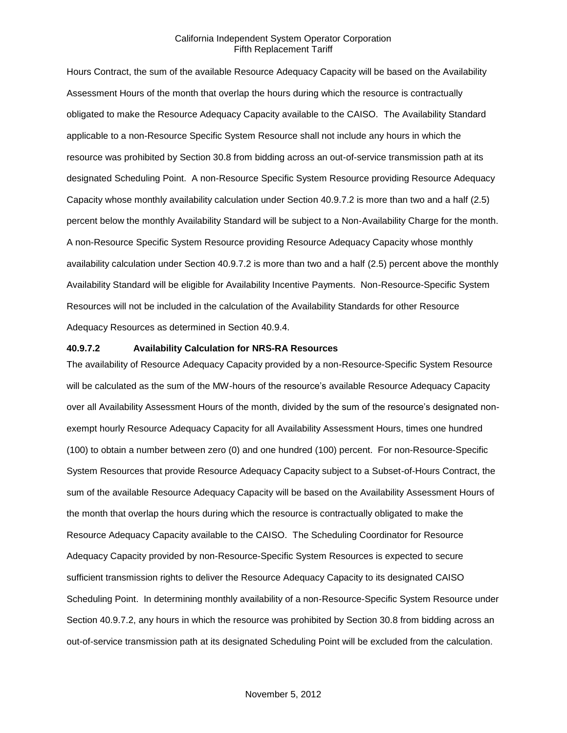Hours Contract, the sum of the available Resource Adequacy Capacity will be based on the Availability Assessment Hours of the month that overlap the hours during which the resource is contractually obligated to make the Resource Adequacy Capacity available to the CAISO. The Availability Standard applicable to a non-Resource Specific System Resource shall not include any hours in which the resource was prohibited by Section 30.8 from bidding across an out-of-service transmission path at its designated Scheduling Point. A non-Resource Specific System Resource providing Resource Adequacy Capacity whose monthly availability calculation under Section 40.9.7.2 is more than two and a half (2.5) percent below the monthly Availability Standard will be subject to a Non-Availability Charge for the month. A non-Resource Specific System Resource providing Resource Adequacy Capacity whose monthly availability calculation under Section 40.9.7.2 is more than two and a half (2.5) percent above the monthly Availability Standard will be eligible for Availability Incentive Payments. Non-Resource-Specific System Resources will not be included in the calculation of the Availability Standards for other Resource Adequacy Resources as determined in Section 40.9.4.

## **40.9.7.2 Availability Calculation for NRS-RA Resources**

The availability of Resource Adequacy Capacity provided by a non-Resource-Specific System Resource will be calculated as the sum of the MW-hours of the resource's available Resource Adequacy Capacity over all Availability Assessment Hours of the month, divided by the sum of the resource's designated nonexempt hourly Resource Adequacy Capacity for all Availability Assessment Hours, times one hundred (100) to obtain a number between zero (0) and one hundred (100) percent. For non-Resource-Specific System Resources that provide Resource Adequacy Capacity subject to a Subset-of-Hours Contract, the sum of the available Resource Adequacy Capacity will be based on the Availability Assessment Hours of the month that overlap the hours during which the resource is contractually obligated to make the Resource Adequacy Capacity available to the CAISO. The Scheduling Coordinator for Resource Adequacy Capacity provided by non-Resource-Specific System Resources is expected to secure sufficient transmission rights to deliver the Resource Adequacy Capacity to its designated CAISO Scheduling Point. In determining monthly availability of a non-Resource-Specific System Resource under Section 40.9.7.2, any hours in which the resource was prohibited by Section 30.8 from bidding across an out-of-service transmission path at its designated Scheduling Point will be excluded from the calculation.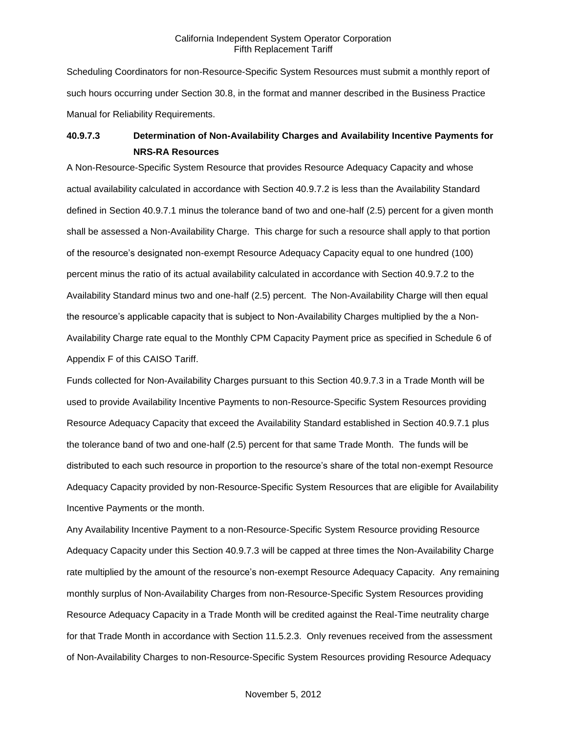Scheduling Coordinators for non-Resource-Specific System Resources must submit a monthly report of such hours occurring under Section 30.8, in the format and manner described in the Business Practice Manual for Reliability Requirements.

# **40.9.7.3 Determination of Non-Availability Charges and Availability Incentive Payments for NRS-RA Resources**

A Non-Resource-Specific System Resource that provides Resource Adequacy Capacity and whose actual availability calculated in accordance with Section 40.9.7.2 is less than the Availability Standard defined in Section 40.9.7.1 minus the tolerance band of two and one-half (2.5) percent for a given month shall be assessed a Non-Availability Charge. This charge for such a resource shall apply to that portion of the resource's designated non-exempt Resource Adequacy Capacity equal to one hundred (100) percent minus the ratio of its actual availability calculated in accordance with Section 40.9.7.2 to the Availability Standard minus two and one-half (2.5) percent. The Non-Availability Charge will then equal the resource's applicable capacity that is subject to Non-Availability Charges multiplied by the a Non-Availability Charge rate equal to the Monthly CPM Capacity Payment price as specified in Schedule 6 of Appendix F of this CAISO Tariff.

Funds collected for Non-Availability Charges pursuant to this Section 40.9.7.3 in a Trade Month will be used to provide Availability Incentive Payments to non-Resource-Specific System Resources providing Resource Adequacy Capacity that exceed the Availability Standard established in Section 40.9.7.1 plus the tolerance band of two and one-half (2.5) percent for that same Trade Month. The funds will be distributed to each such resource in proportion to the resource's share of the total non-exempt Resource Adequacy Capacity provided by non-Resource-Specific System Resources that are eligible for Availability Incentive Payments or the month.

Any Availability Incentive Payment to a non-Resource-Specific System Resource providing Resource Adequacy Capacity under this Section 40.9.7.3 will be capped at three times the Non-Availability Charge rate multiplied by the amount of the resource's non-exempt Resource Adequacy Capacity. Any remaining monthly surplus of Non-Availability Charges from non-Resource-Specific System Resources providing Resource Adequacy Capacity in a Trade Month will be credited against the Real-Time neutrality charge for that Trade Month in accordance with Section 11.5.2.3. Only revenues received from the assessment of Non-Availability Charges to non-Resource-Specific System Resources providing Resource Adequacy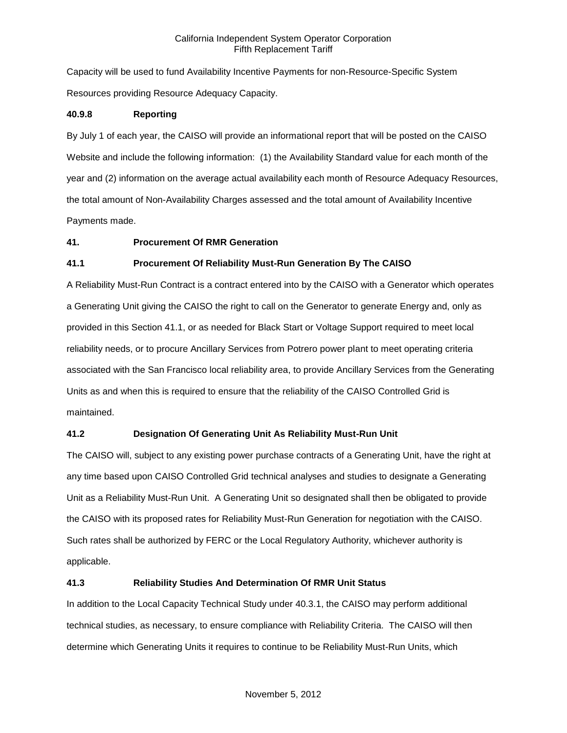Capacity will be used to fund Availability Incentive Payments for non-Resource-Specific System Resources providing Resource Adequacy Capacity.

# **40.9.8 Reporting**

By July 1 of each year, the CAISO will provide an informational report that will be posted on the CAISO Website and include the following information: (1) the Availability Standard value for each month of the year and (2) information on the average actual availability each month of Resource Adequacy Resources, the total amount of Non-Availability Charges assessed and the total amount of Availability Incentive Payments made.

# **41. Procurement Of RMR Generation**

# **41.1 Procurement Of Reliability Must-Run Generation By The CAISO**

A Reliability Must-Run Contract is a contract entered into by the CAISO with a Generator which operates a Generating Unit giving the CAISO the right to call on the Generator to generate Energy and, only as provided in this Section 41.1, or as needed for Black Start or Voltage Support required to meet local reliability needs, or to procure Ancillary Services from Potrero power plant to meet operating criteria associated with the San Francisco local reliability area, to provide Ancillary Services from the Generating Units as and when this is required to ensure that the reliability of the CAISO Controlled Grid is maintained.

# **41.2 Designation Of Generating Unit As Reliability Must-Run Unit**

The CAISO will, subject to any existing power purchase contracts of a Generating Unit, have the right at any time based upon CAISO Controlled Grid technical analyses and studies to designate a Generating Unit as a Reliability Must-Run Unit. A Generating Unit so designated shall then be obligated to provide the CAISO with its proposed rates for Reliability Must-Run Generation for negotiation with the CAISO. Such rates shall be authorized by FERC or the Local Regulatory Authority, whichever authority is applicable.

## **41.3 Reliability Studies And Determination Of RMR Unit Status**

In addition to the Local Capacity Technical Study under 40.3.1, the CAISO may perform additional technical studies, as necessary, to ensure compliance with Reliability Criteria. The CAISO will then determine which Generating Units it requires to continue to be Reliability Must-Run Units, which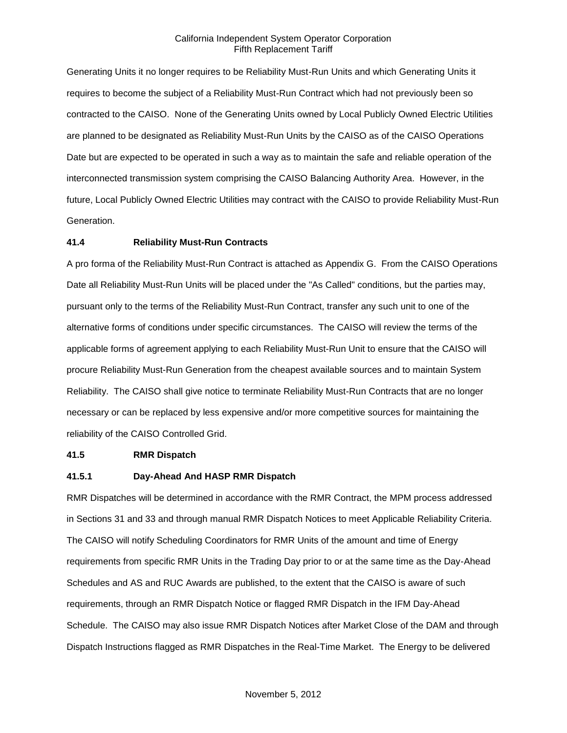Generating Units it no longer requires to be Reliability Must-Run Units and which Generating Units it requires to become the subject of a Reliability Must-Run Contract which had not previously been so contracted to the CAISO. None of the Generating Units owned by Local Publicly Owned Electric Utilities are planned to be designated as Reliability Must-Run Units by the CAISO as of the CAISO Operations Date but are expected to be operated in such a way as to maintain the safe and reliable operation of the interconnected transmission system comprising the CAISO Balancing Authority Area. However, in the future, Local Publicly Owned Electric Utilities may contract with the CAISO to provide Reliability Must-Run Generation.

#### **41.4 Reliability Must-Run Contracts**

A pro forma of the Reliability Must-Run Contract is attached as Appendix G. From the CAISO Operations Date all Reliability Must-Run Units will be placed under the "As Called" conditions, but the parties may, pursuant only to the terms of the Reliability Must-Run Contract, transfer any such unit to one of the alternative forms of conditions under specific circumstances. The CAISO will review the terms of the applicable forms of agreement applying to each Reliability Must-Run Unit to ensure that the CAISO will procure Reliability Must-Run Generation from the cheapest available sources and to maintain System Reliability. The CAISO shall give notice to terminate Reliability Must-Run Contracts that are no longer necessary or can be replaced by less expensive and/or more competitive sources for maintaining the reliability of the CAISO Controlled Grid.

#### **41.5 RMR Dispatch**

#### **41.5.1 Day-Ahead And HASP RMR Dispatch**

RMR Dispatches will be determined in accordance with the RMR Contract, the MPM process addressed in Sections 31 and 33 and through manual RMR Dispatch Notices to meet Applicable Reliability Criteria. The CAISO will notify Scheduling Coordinators for RMR Units of the amount and time of Energy requirements from specific RMR Units in the Trading Day prior to or at the same time as the Day-Ahead Schedules and AS and RUC Awards are published, to the extent that the CAISO is aware of such requirements, through an RMR Dispatch Notice or flagged RMR Dispatch in the IFM Day-Ahead Schedule. The CAISO may also issue RMR Dispatch Notices after Market Close of the DAM and through Dispatch Instructions flagged as RMR Dispatches in the Real-Time Market. The Energy to be delivered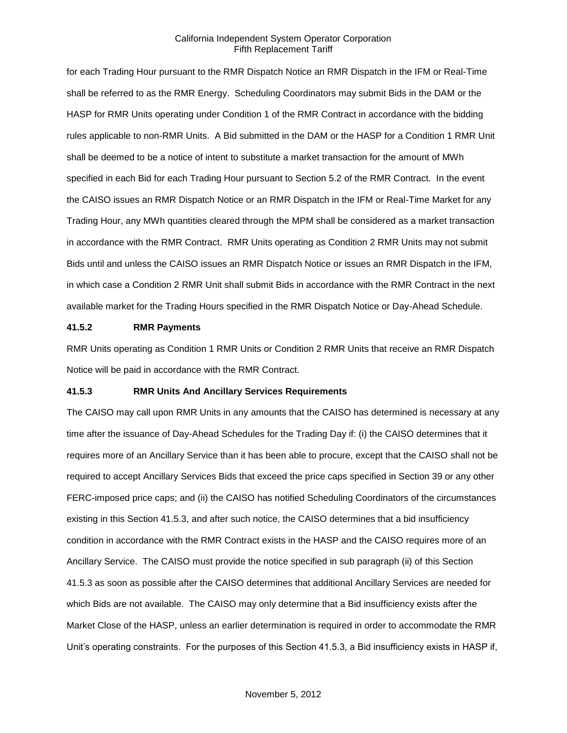for each Trading Hour pursuant to the RMR Dispatch Notice an RMR Dispatch in the IFM or Real-Time shall be referred to as the RMR Energy. Scheduling Coordinators may submit Bids in the DAM or the HASP for RMR Units operating under Condition 1 of the RMR Contract in accordance with the bidding rules applicable to non-RMR Units. A Bid submitted in the DAM or the HASP for a Condition 1 RMR Unit shall be deemed to be a notice of intent to substitute a market transaction for the amount of MWh specified in each Bid for each Trading Hour pursuant to Section 5.2 of the RMR Contract. In the event the CAISO issues an RMR Dispatch Notice or an RMR Dispatch in the IFM or Real-Time Market for any Trading Hour, any MWh quantities cleared through the MPM shall be considered as a market transaction in accordance with the RMR Contract. RMR Units operating as Condition 2 RMR Units may not submit Bids until and unless the CAISO issues an RMR Dispatch Notice or issues an RMR Dispatch in the IFM, in which case a Condition 2 RMR Unit shall submit Bids in accordance with the RMR Contract in the next available market for the Trading Hours specified in the RMR Dispatch Notice or Day-Ahead Schedule.

#### **41.5.2 RMR Payments**

RMR Units operating as Condition 1 RMR Units or Condition 2 RMR Units that receive an RMR Dispatch Notice will be paid in accordance with the RMR Contract.

#### **41.5.3 RMR Units And Ancillary Services Requirements**

The CAISO may call upon RMR Units in any amounts that the CAISO has determined is necessary at any time after the issuance of Day-Ahead Schedules for the Trading Day if: (i) the CAISO determines that it requires more of an Ancillary Service than it has been able to procure, except that the CAISO shall not be required to accept Ancillary Services Bids that exceed the price caps specified in Section 39 or any other FERC-imposed price caps; and (ii) the CAISO has notified Scheduling Coordinators of the circumstances existing in this Section 41.5.3, and after such notice, the CAISO determines that a bid insufficiency condition in accordance with the RMR Contract exists in the HASP and the CAISO requires more of an Ancillary Service. The CAISO must provide the notice specified in sub paragraph (ii) of this Section 41.5.3 as soon as possible after the CAISO determines that additional Ancillary Services are needed for which Bids are not available. The CAISO may only determine that a Bid insufficiency exists after the Market Close of the HASP, unless an earlier determination is required in order to accommodate the RMR Unit's operating constraints. For the purposes of this Section 41.5.3, a Bid insufficiency exists in HASP if,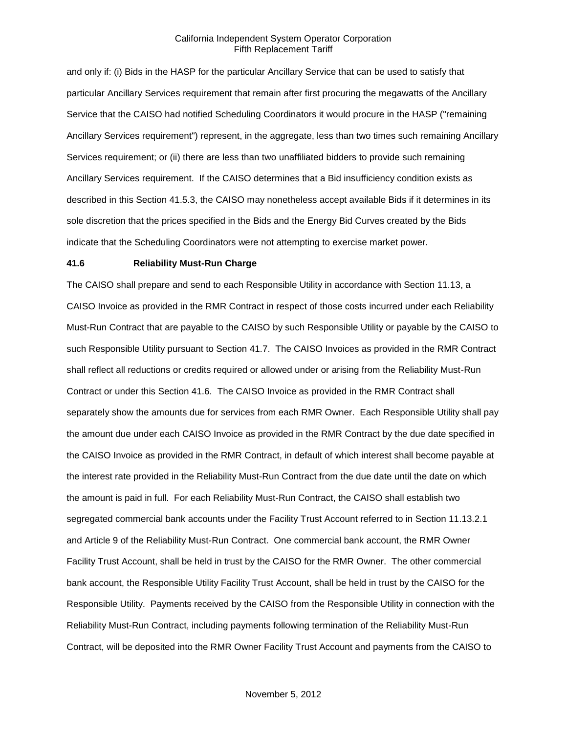and only if: (i) Bids in the HASP for the particular Ancillary Service that can be used to satisfy that particular Ancillary Services requirement that remain after first procuring the megawatts of the Ancillary Service that the CAISO had notified Scheduling Coordinators it would procure in the HASP ("remaining Ancillary Services requirement") represent, in the aggregate, less than two times such remaining Ancillary Services requirement; or (ii) there are less than two unaffiliated bidders to provide such remaining Ancillary Services requirement. If the CAISO determines that a Bid insufficiency condition exists as described in this Section 41.5.3, the CAISO may nonetheless accept available Bids if it determines in its sole discretion that the prices specified in the Bids and the Energy Bid Curves created by the Bids indicate that the Scheduling Coordinators were not attempting to exercise market power.

#### **41.6 Reliability Must-Run Charge**

The CAISO shall prepare and send to each Responsible Utility in accordance with Section 11.13, a CAISO Invoice as provided in the RMR Contract in respect of those costs incurred under each Reliability Must-Run Contract that are payable to the CAISO by such Responsible Utility or payable by the CAISO to such Responsible Utility pursuant to Section 41.7. The CAISO Invoices as provided in the RMR Contract shall reflect all reductions or credits required or allowed under or arising from the Reliability Must-Run Contract or under this Section 41.6. The CAISO Invoice as provided in the RMR Contract shall separately show the amounts due for services from each RMR Owner. Each Responsible Utility shall pay the amount due under each CAISO Invoice as provided in the RMR Contract by the due date specified in the CAISO Invoice as provided in the RMR Contract, in default of which interest shall become payable at the interest rate provided in the Reliability Must-Run Contract from the due date until the date on which the amount is paid in full. For each Reliability Must-Run Contract, the CAISO shall establish two segregated commercial bank accounts under the Facility Trust Account referred to in Section 11.13.2.1 and Article 9 of the Reliability Must-Run Contract. One commercial bank account, the RMR Owner Facility Trust Account, shall be held in trust by the CAISO for the RMR Owner. The other commercial bank account, the Responsible Utility Facility Trust Account, shall be held in trust by the CAISO for the Responsible Utility. Payments received by the CAISO from the Responsible Utility in connection with the Reliability Must-Run Contract, including payments following termination of the Reliability Must-Run Contract, will be deposited into the RMR Owner Facility Trust Account and payments from the CAISO to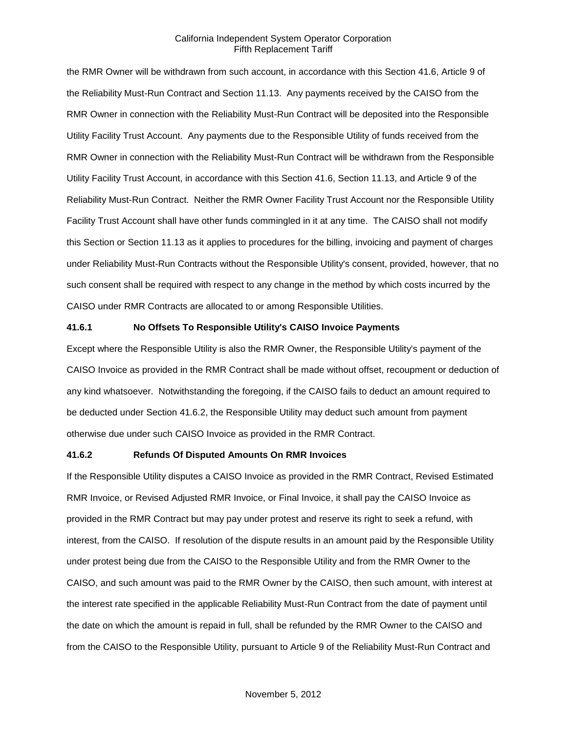the RMR Owner will be withdrawn from such account, in accordance with this Section 41.6, Article 9 of the Reliability Must-Run Contract and Section 11.13. Any payments received by the CAISO from the RMR Owner in connection with the Reliability Must-Run Contract will be deposited into the Responsible Utility Facility Trust Account. Any payments due to the Responsible Utility of funds received from the RMR Owner in connection with the Reliability Must-Run Contract will be withdrawn from the Responsible Utility Facility Trust Account, in accordance with this Section 41.6, Section 11.13, and Article 9 of the Reliability Must-Run Contract. Neither the RMR Owner Facility Trust Account nor the Responsible Utility Facility Trust Account shall have other funds commingled in it at any time. The CAISO shall not modify this Section or Section 11.13 as it applies to procedures for the billing, invoicing and payment of charges under Reliability Must-Run Contracts without the Responsible Utility's consent, provided, however, that no such consent shall be required with respect to any change in the method by which costs incurred by the CAISO under RMR Contracts are allocated to or among Responsible Utilities.

#### **41.6.1 No Offsets To Responsible Utility's CAISO Invoice Payments**

Except where the Responsible Utility is also the RMR Owner, the Responsible Utility's payment of the CAISO Invoice as provided in the RMR Contract shall be made without offset, recoupment or deduction of any kind whatsoever. Notwithstanding the foregoing, if the CAISO fails to deduct an amount required to be deducted under Section 41.6.2, the Responsible Utility may deduct such amount from payment otherwise due under such CAISO Invoice as provided in the RMR Contract.

#### **41.6.2 Refunds Of Disputed Amounts On RMR Invoices**

If the Responsible Utility disputes a CAISO Invoice as provided in the RMR Contract, Revised Estimated RMR Invoice, or Revised Adjusted RMR Invoice, or Final Invoice, it shall pay the CAISO Invoice as provided in the RMR Contract but may pay under protest and reserve its right to seek a refund, with interest, from the CAISO. If resolution of the dispute results in an amount paid by the Responsible Utility under protest being due from the CAISO to the Responsible Utility and from the RMR Owner to the CAISO, and such amount was paid to the RMR Owner by the CAISO, then such amount, with interest at the interest rate specified in the applicable Reliability Must-Run Contract from the date of payment until the date on which the amount is repaid in full, shall be refunded by the RMR Owner to the CAISO and from the CAISO to the Responsible Utility, pursuant to Article 9 of the Reliability Must-Run Contract and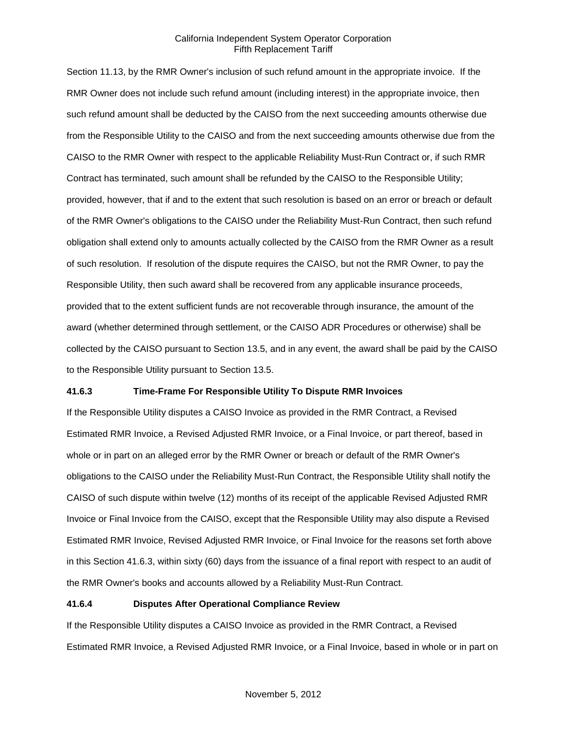Section 11.13, by the RMR Owner's inclusion of such refund amount in the appropriate invoice. If the RMR Owner does not include such refund amount (including interest) in the appropriate invoice, then such refund amount shall be deducted by the CAISO from the next succeeding amounts otherwise due from the Responsible Utility to the CAISO and from the next succeeding amounts otherwise due from the CAISO to the RMR Owner with respect to the applicable Reliability Must-Run Contract or, if such RMR Contract has terminated, such amount shall be refunded by the CAISO to the Responsible Utility; provided, however, that if and to the extent that such resolution is based on an error or breach or default of the RMR Owner's obligations to the CAISO under the Reliability Must-Run Contract, then such refund obligation shall extend only to amounts actually collected by the CAISO from the RMR Owner as a result of such resolution. If resolution of the dispute requires the CAISO, but not the RMR Owner, to pay the Responsible Utility, then such award shall be recovered from any applicable insurance proceeds, provided that to the extent sufficient funds are not recoverable through insurance, the amount of the award (whether determined through settlement, or the CAISO ADR Procedures or otherwise) shall be collected by the CAISO pursuant to Section 13.5, and in any event, the award shall be paid by the CAISO to the Responsible Utility pursuant to Section 13.5.

## **41.6.3 Time-Frame For Responsible Utility To Dispute RMR Invoices**

If the Responsible Utility disputes a CAISO Invoice as provided in the RMR Contract, a Revised Estimated RMR Invoice, a Revised Adjusted RMR Invoice, or a Final Invoice, or part thereof, based in whole or in part on an alleged error by the RMR Owner or breach or default of the RMR Owner's obligations to the CAISO under the Reliability Must-Run Contract, the Responsible Utility shall notify the CAISO of such dispute within twelve (12) months of its receipt of the applicable Revised Adjusted RMR Invoice or Final Invoice from the CAISO, except that the Responsible Utility may also dispute a Revised Estimated RMR Invoice, Revised Adjusted RMR Invoice, or Final Invoice for the reasons set forth above in this Section 41.6.3, within sixty (60) days from the issuance of a final report with respect to an audit of the RMR Owner's books and accounts allowed by a Reliability Must-Run Contract.

#### **41.6.4 Disputes After Operational Compliance Review**

If the Responsible Utility disputes a CAISO Invoice as provided in the RMR Contract, a Revised Estimated RMR Invoice, a Revised Adjusted RMR Invoice, or a Final Invoice, based in whole or in part on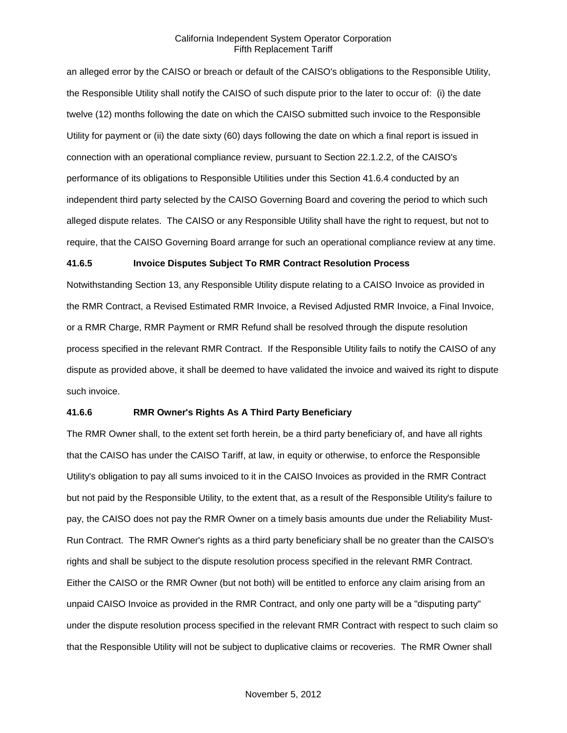an alleged error by the CAISO or breach or default of the CAISO's obligations to the Responsible Utility, the Responsible Utility shall notify the CAISO of such dispute prior to the later to occur of: (i) the date twelve (12) months following the date on which the CAISO submitted such invoice to the Responsible Utility for payment or (ii) the date sixty (60) days following the date on which a final report is issued in connection with an operational compliance review, pursuant to Section 22.1.2.2, of the CAISO's performance of its obligations to Responsible Utilities under this Section 41.6.4 conducted by an independent third party selected by the CAISO Governing Board and covering the period to which such alleged dispute relates. The CAISO or any Responsible Utility shall have the right to request, but not to require, that the CAISO Governing Board arrange for such an operational compliance review at any time.

#### **41.6.5 Invoice Disputes Subject To RMR Contract Resolution Process**

Notwithstanding Section 13, any Responsible Utility dispute relating to a CAISO Invoice as provided in the RMR Contract, a Revised Estimated RMR Invoice, a Revised Adjusted RMR Invoice, a Final Invoice, or a RMR Charge, RMR Payment or RMR Refund shall be resolved through the dispute resolution process specified in the relevant RMR Contract. If the Responsible Utility fails to notify the CAISO of any dispute as provided above, it shall be deemed to have validated the invoice and waived its right to dispute such invoice.

#### **41.6.6 RMR Owner's Rights As A Third Party Beneficiary**

The RMR Owner shall, to the extent set forth herein, be a third party beneficiary of, and have all rights that the CAISO has under the CAISO Tariff, at law, in equity or otherwise, to enforce the Responsible Utility's obligation to pay all sums invoiced to it in the CAISO Invoices as provided in the RMR Contract but not paid by the Responsible Utility, to the extent that, as a result of the Responsible Utility's failure to pay, the CAISO does not pay the RMR Owner on a timely basis amounts due under the Reliability Must-Run Contract. The RMR Owner's rights as a third party beneficiary shall be no greater than the CAISO's rights and shall be subject to the dispute resolution process specified in the relevant RMR Contract. Either the CAISO or the RMR Owner (but not both) will be entitled to enforce any claim arising from an unpaid CAISO Invoice as provided in the RMR Contract, and only one party will be a "disputing party" under the dispute resolution process specified in the relevant RMR Contract with respect to such claim so that the Responsible Utility will not be subject to duplicative claims or recoveries. The RMR Owner shall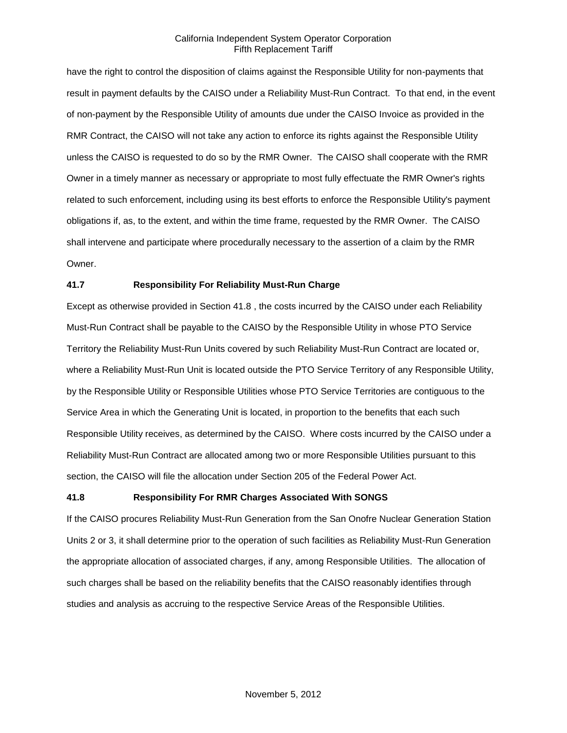have the right to control the disposition of claims against the Responsible Utility for non-payments that result in payment defaults by the CAISO under a Reliability Must-Run Contract. To that end, in the event of non-payment by the Responsible Utility of amounts due under the CAISO Invoice as provided in the RMR Contract, the CAISO will not take any action to enforce its rights against the Responsible Utility unless the CAISO is requested to do so by the RMR Owner. The CAISO shall cooperate with the RMR Owner in a timely manner as necessary or appropriate to most fully effectuate the RMR Owner's rights related to such enforcement, including using its best efforts to enforce the Responsible Utility's payment obligations if, as, to the extent, and within the time frame, requested by the RMR Owner. The CAISO shall intervene and participate where procedurally necessary to the assertion of a claim by the RMR Owner.

# **41.7 Responsibility For Reliability Must-Run Charge**

Except as otherwise provided in Section 41.8 , the costs incurred by the CAISO under each Reliability Must-Run Contract shall be payable to the CAISO by the Responsible Utility in whose PTO Service Territory the Reliability Must-Run Units covered by such Reliability Must-Run Contract are located or, where a Reliability Must-Run Unit is located outside the PTO Service Territory of any Responsible Utility, by the Responsible Utility or Responsible Utilities whose PTO Service Territories are contiguous to the Service Area in which the Generating Unit is located, in proportion to the benefits that each such Responsible Utility receives, as determined by the CAISO. Where costs incurred by the CAISO under a Reliability Must-Run Contract are allocated among two or more Responsible Utilities pursuant to this section, the CAISO will file the allocation under Section 205 of the Federal Power Act.

#### **41.8 Responsibility For RMR Charges Associated With SONGS**

If the CAISO procures Reliability Must-Run Generation from the San Onofre Nuclear Generation Station Units 2 or 3, it shall determine prior to the operation of such facilities as Reliability Must-Run Generation the appropriate allocation of associated charges, if any, among Responsible Utilities. The allocation of such charges shall be based on the reliability benefits that the CAISO reasonably identifies through studies and analysis as accruing to the respective Service Areas of the Responsible Utilities.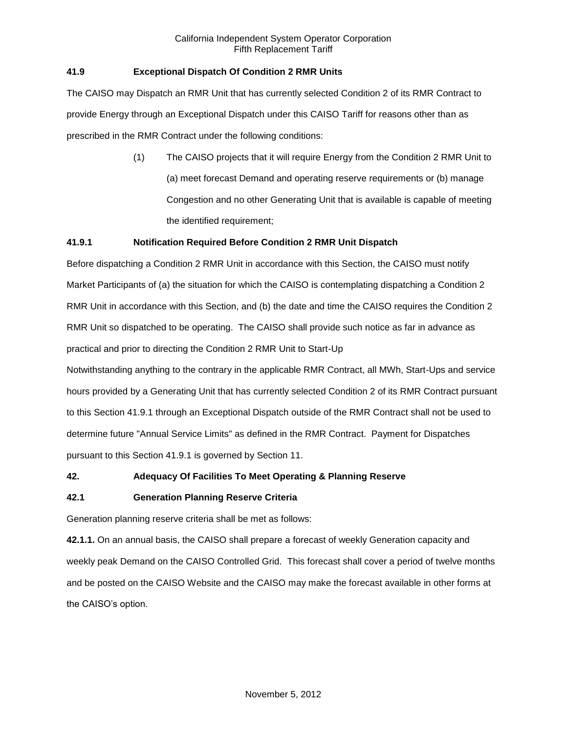# **41.9 Exceptional Dispatch Of Condition 2 RMR Units**

The CAISO may Dispatch an RMR Unit that has currently selected Condition 2 of its RMR Contract to provide Energy through an Exceptional Dispatch under this CAISO Tariff for reasons other than as prescribed in the RMR Contract under the following conditions:

> (1) The CAISO projects that it will require Energy from the Condition 2 RMR Unit to (a) meet forecast Demand and operating reserve requirements or (b) manage Congestion and no other Generating Unit that is available is capable of meeting the identified requirement;

# **41.9.1 Notification Required Before Condition 2 RMR Unit Dispatch**

Before dispatching a Condition 2 RMR Unit in accordance with this Section, the CAISO must notify Market Participants of (a) the situation for which the CAISO is contemplating dispatching a Condition 2 RMR Unit in accordance with this Section, and (b) the date and time the CAISO requires the Condition 2 RMR Unit so dispatched to be operating. The CAISO shall provide such notice as far in advance as practical and prior to directing the Condition 2 RMR Unit to Start-Up

Notwithstanding anything to the contrary in the applicable RMR Contract, all MWh, Start-Ups and service hours provided by a Generating Unit that has currently selected Condition 2 of its RMR Contract pursuant to this Section 41.9.1 through an Exceptional Dispatch outside of the RMR Contract shall not be used to determine future "Annual Service Limits" as defined in the RMR Contract. Payment for Dispatches pursuant to this Section 41.9.1 is governed by Section 11.

# **42. Adequacy Of Facilities To Meet Operating & Planning Reserve**

# **42.1 Generation Planning Reserve Criteria**

Generation planning reserve criteria shall be met as follows:

**42.1.1.** On an annual basis, the CAISO shall prepare a forecast of weekly Generation capacity and weekly peak Demand on the CAISO Controlled Grid. This forecast shall cover a period of twelve months and be posted on the CAISO Website and the CAISO may make the forecast available in other forms at the CAISO's option.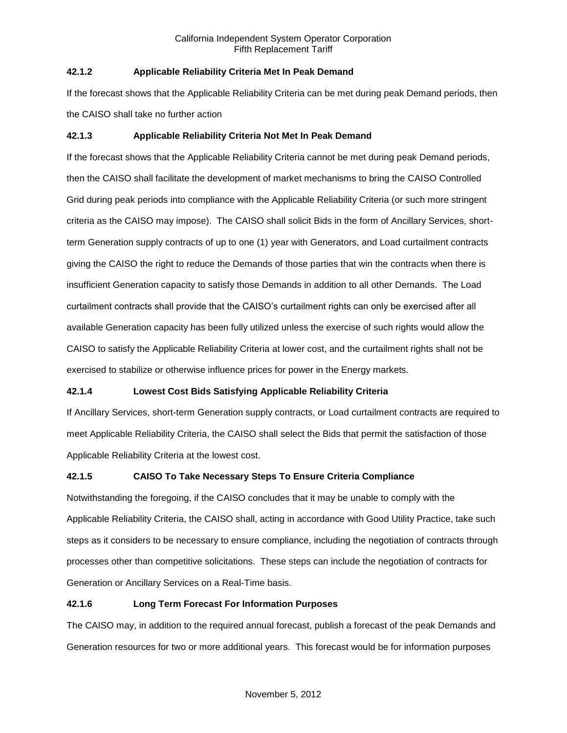# **42.1.2 Applicable Reliability Criteria Met In Peak Demand**

If the forecast shows that the Applicable Reliability Criteria can be met during peak Demand periods, then the CAISO shall take no further action

# **42.1.3 Applicable Reliability Criteria Not Met In Peak Demand**

If the forecast shows that the Applicable Reliability Criteria cannot be met during peak Demand periods, then the CAISO shall facilitate the development of market mechanisms to bring the CAISO Controlled Grid during peak periods into compliance with the Applicable Reliability Criteria (or such more stringent criteria as the CAISO may impose). The CAISO shall solicit Bids in the form of Ancillary Services, shortterm Generation supply contracts of up to one (1) year with Generators, and Load curtailment contracts giving the CAISO the right to reduce the Demands of those parties that win the contracts when there is insufficient Generation capacity to satisfy those Demands in addition to all other Demands. The Load curtailment contracts shall provide that the CAISO's curtailment rights can only be exercised after all available Generation capacity has been fully utilized unless the exercise of such rights would allow the CAISO to satisfy the Applicable Reliability Criteria at lower cost, and the curtailment rights shall not be exercised to stabilize or otherwise influence prices for power in the Energy markets.

# **42.1.4 Lowest Cost Bids Satisfying Applicable Reliability Criteria**

If Ancillary Services, short-term Generation supply contracts, or Load curtailment contracts are required to meet Applicable Reliability Criteria, the CAISO shall select the Bids that permit the satisfaction of those Applicable Reliability Criteria at the lowest cost.

# **42.1.5 CAISO To Take Necessary Steps To Ensure Criteria Compliance**

Notwithstanding the foregoing, if the CAISO concludes that it may be unable to comply with the Applicable Reliability Criteria, the CAISO shall, acting in accordance with Good Utility Practice, take such steps as it considers to be necessary to ensure compliance, including the negotiation of contracts through processes other than competitive solicitations. These steps can include the negotiation of contracts for Generation or Ancillary Services on a Real-Time basis.

# **42.1.6 Long Term Forecast For Information Purposes**

The CAISO may, in addition to the required annual forecast, publish a forecast of the peak Demands and Generation resources for two or more additional years. This forecast would be for information purposes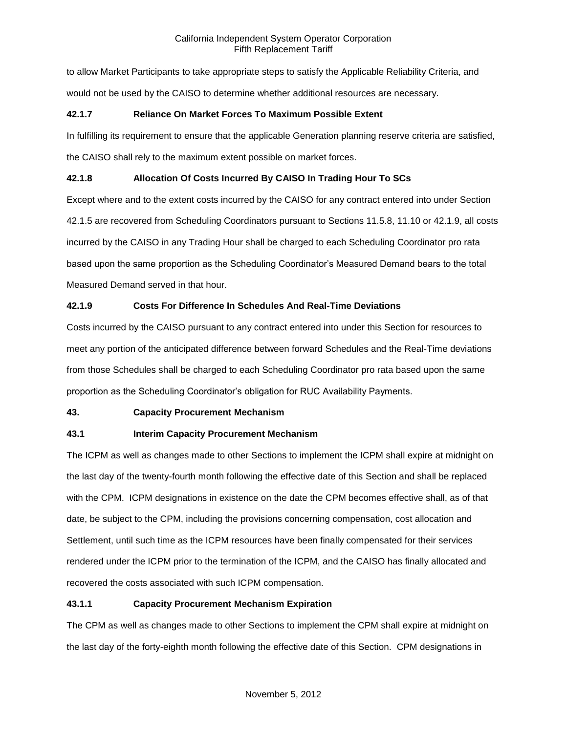to allow Market Participants to take appropriate steps to satisfy the Applicable Reliability Criteria, and would not be used by the CAISO to determine whether additional resources are necessary.

## **42.1.7 Reliance On Market Forces To Maximum Possible Extent**

In fulfilling its requirement to ensure that the applicable Generation planning reserve criteria are satisfied, the CAISO shall rely to the maximum extent possible on market forces.

# **42.1.8 Allocation Of Costs Incurred By CAISO In Trading Hour To SCs**

Except where and to the extent costs incurred by the CAISO for any contract entered into under Section 42.1.5 are recovered from Scheduling Coordinators pursuant to Sections 11.5.8, 11.10 or 42.1.9, all costs incurred by the CAISO in any Trading Hour shall be charged to each Scheduling Coordinator pro rata based upon the same proportion as the Scheduling Coordinator's Measured Demand bears to the total Measured Demand served in that hour.

# **42.1.9 Costs For Difference In Schedules And Real-Time Deviations**

Costs incurred by the CAISO pursuant to any contract entered into under this Section for resources to meet any portion of the anticipated difference between forward Schedules and the Real-Time deviations from those Schedules shall be charged to each Scheduling Coordinator pro rata based upon the same proportion as the Scheduling Coordinator's obligation for RUC Availability Payments.

# **43. Capacity Procurement Mechanism**

# **43.1 Interim Capacity Procurement Mechanism**

The ICPM as well as changes made to other Sections to implement the ICPM shall expire at midnight on the last day of the twenty-fourth month following the effective date of this Section and shall be replaced with the CPM. ICPM designations in existence on the date the CPM becomes effective shall, as of that date, be subject to the CPM, including the provisions concerning compensation, cost allocation and Settlement, until such time as the ICPM resources have been finally compensated for their services rendered under the ICPM prior to the termination of the ICPM, and the CAISO has finally allocated and recovered the costs associated with such ICPM compensation.

# **43.1.1 Capacity Procurement Mechanism Expiration**

The CPM as well as changes made to other Sections to implement the CPM shall expire at midnight on the last day of the forty-eighth month following the effective date of this Section. CPM designations in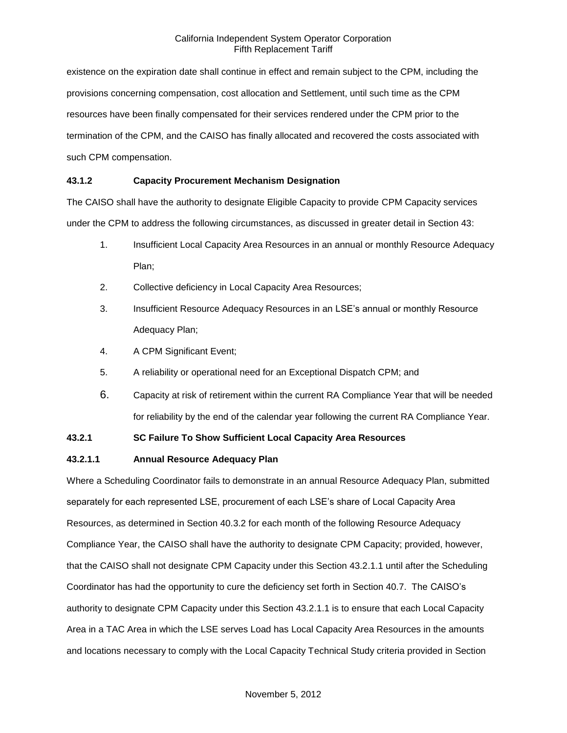existence on the expiration date shall continue in effect and remain subject to the CPM, including the provisions concerning compensation, cost allocation and Settlement, until such time as the CPM resources have been finally compensated for their services rendered under the CPM prior to the termination of the CPM, and the CAISO has finally allocated and recovered the costs associated with such CPM compensation.

# **43.1.2 Capacity Procurement Mechanism Designation**

The CAISO shall have the authority to designate Eligible Capacity to provide CPM Capacity services under the CPM to address the following circumstances, as discussed in greater detail in Section 43:

- 1. Insufficient Local Capacity Area Resources in an annual or monthly Resource Adequacy Plan;
- 2. Collective deficiency in Local Capacity Area Resources;
- 3. Insufficient Resource Adequacy Resources in an LSE's annual or monthly Resource Adequacy Plan;
- 4. A CPM Significant Event;
- 5. A reliability or operational need for an Exceptional Dispatch CPM; and
- 6. Capacity at risk of retirement within the current RA Compliance Year that will be needed for reliability by the end of the calendar year following the current RA Compliance Year.

# **43.2.1 SC Failure To Show Sufficient Local Capacity Area Resources**

## **43.2.1.1 Annual Resource Adequacy Plan**

Where a Scheduling Coordinator fails to demonstrate in an annual Resource Adequacy Plan, submitted separately for each represented LSE, procurement of each LSE's share of Local Capacity Area Resources, as determined in Section 40.3.2 for each month of the following Resource Adequacy Compliance Year, the CAISO shall have the authority to designate CPM Capacity; provided, however, that the CAISO shall not designate CPM Capacity under this Section 43.2.1.1 until after the Scheduling Coordinator has had the opportunity to cure the deficiency set forth in Section 40.7. The CAISO's authority to designate CPM Capacity under this Section 43.2.1.1 is to ensure that each Local Capacity Area in a TAC Area in which the LSE serves Load has Local Capacity Area Resources in the amounts and locations necessary to comply with the Local Capacity Technical Study criteria provided in Section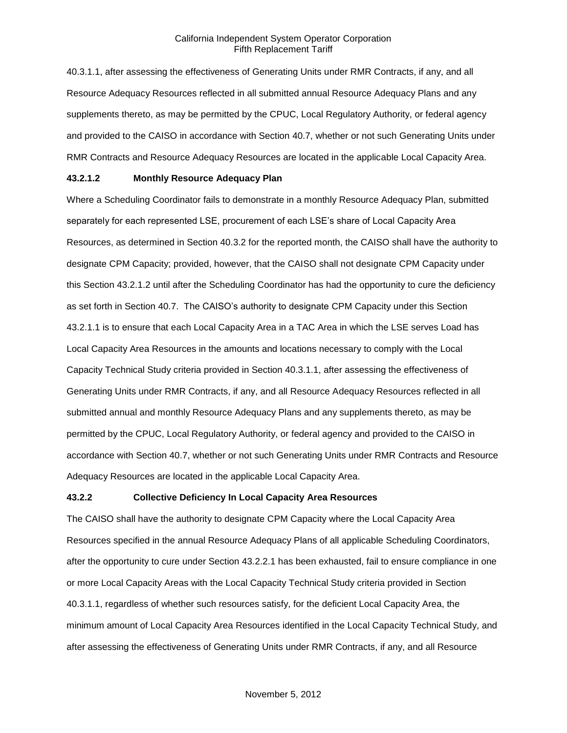40.3.1.1, after assessing the effectiveness of Generating Units under RMR Contracts, if any, and all Resource Adequacy Resources reflected in all submitted annual Resource Adequacy Plans and any supplements thereto, as may be permitted by the CPUC, Local Regulatory Authority, or federal agency and provided to the CAISO in accordance with Section 40.7, whether or not such Generating Units under RMR Contracts and Resource Adequacy Resources are located in the applicable Local Capacity Area.

### **43.2.1.2 Monthly Resource Adequacy Plan**

Where a Scheduling Coordinator fails to demonstrate in a monthly Resource Adequacy Plan, submitted separately for each represented LSE, procurement of each LSE's share of Local Capacity Area Resources, as determined in Section 40.3.2 for the reported month, the CAISO shall have the authority to designate CPM Capacity; provided, however, that the CAISO shall not designate CPM Capacity under this Section 43.2.1.2 until after the Scheduling Coordinator has had the opportunity to cure the deficiency as set forth in Section 40.7. The CAISO's authority to designate CPM Capacity under this Section 43.2.1.1 is to ensure that each Local Capacity Area in a TAC Area in which the LSE serves Load has Local Capacity Area Resources in the amounts and locations necessary to comply with the Local Capacity Technical Study criteria provided in Section 40.3.1.1, after assessing the effectiveness of Generating Units under RMR Contracts, if any, and all Resource Adequacy Resources reflected in all submitted annual and monthly Resource Adequacy Plans and any supplements thereto, as may be permitted by the CPUC, Local Regulatory Authority, or federal agency and provided to the CAISO in accordance with Section 40.7, whether or not such Generating Units under RMR Contracts and Resource Adequacy Resources are located in the applicable Local Capacity Area.

#### **43.2.2 Collective Deficiency In Local Capacity Area Resources**

The CAISO shall have the authority to designate CPM Capacity where the Local Capacity Area Resources specified in the annual Resource Adequacy Plans of all applicable Scheduling Coordinators, after the opportunity to cure under Section 43.2.2.1 has been exhausted, fail to ensure compliance in one or more Local Capacity Areas with the Local Capacity Technical Study criteria provided in Section 40.3.1.1, regardless of whether such resources satisfy, for the deficient Local Capacity Area, the minimum amount of Local Capacity Area Resources identified in the Local Capacity Technical Study, and after assessing the effectiveness of Generating Units under RMR Contracts, if any, and all Resource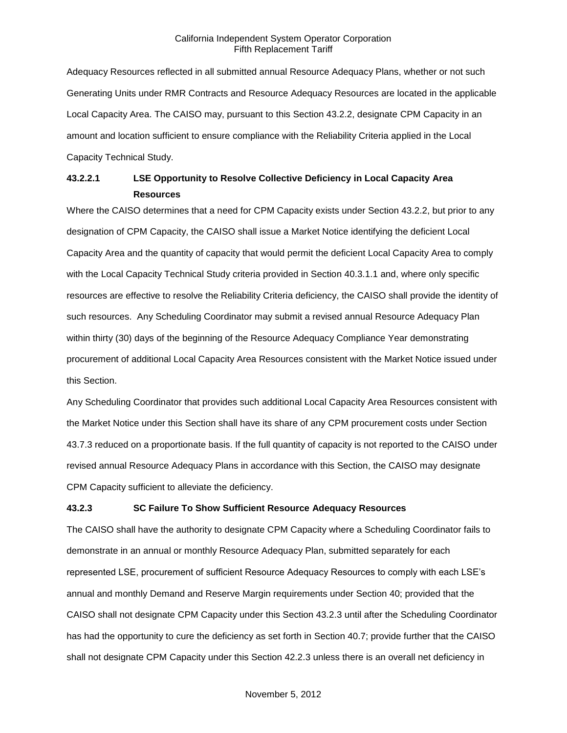Adequacy Resources reflected in all submitted annual Resource Adequacy Plans, whether or not such Generating Units under RMR Contracts and Resource Adequacy Resources are located in the applicable Local Capacity Area. The CAISO may, pursuant to this Section 43.2.2, designate CPM Capacity in an amount and location sufficient to ensure compliance with the Reliability Criteria applied in the Local Capacity Technical Study.

# **43.2.2.1 LSE Opportunity to Resolve Collective Deficiency in Local Capacity Area Resources**

Where the CAISO determines that a need for CPM Capacity exists under Section 43.2.2, but prior to any designation of CPM Capacity, the CAISO shall issue a Market Notice identifying the deficient Local Capacity Area and the quantity of capacity that would permit the deficient Local Capacity Area to comply with the Local Capacity Technical Study criteria provided in Section 40.3.1.1 and, where only specific resources are effective to resolve the Reliability Criteria deficiency, the CAISO shall provide the identity of such resources. Any Scheduling Coordinator may submit a revised annual Resource Adequacy Plan within thirty (30) days of the beginning of the Resource Adequacy Compliance Year demonstrating procurement of additional Local Capacity Area Resources consistent with the Market Notice issued under this Section.

Any Scheduling Coordinator that provides such additional Local Capacity Area Resources consistent with the Market Notice under this Section shall have its share of any CPM procurement costs under Section 43.7.3 reduced on a proportionate basis. If the full quantity of capacity is not reported to the CAISO under revised annual Resource Adequacy Plans in accordance with this Section, the CAISO may designate CPM Capacity sufficient to alleviate the deficiency.

# **43.2.3 SC Failure To Show Sufficient Resource Adequacy Resources**

The CAISO shall have the authority to designate CPM Capacity where a Scheduling Coordinator fails to demonstrate in an annual or monthly Resource Adequacy Plan, submitted separately for each represented LSE, procurement of sufficient Resource Adequacy Resources to comply with each LSE's annual and monthly Demand and Reserve Margin requirements under Section 40; provided that the CAISO shall not designate CPM Capacity under this Section 43.2.3 until after the Scheduling Coordinator has had the opportunity to cure the deficiency as set forth in Section 40.7; provide further that the CAISO shall not designate CPM Capacity under this Section 42.2.3 unless there is an overall net deficiency in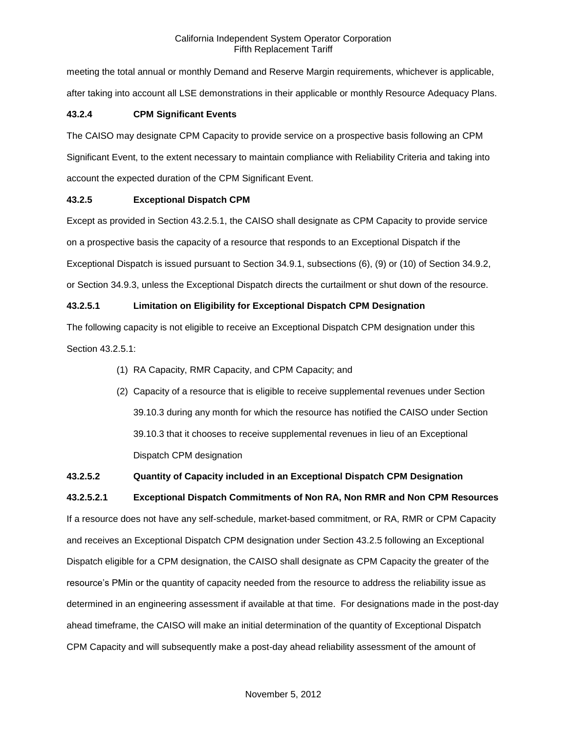meeting the total annual or monthly Demand and Reserve Margin requirements, whichever is applicable, after taking into account all LSE demonstrations in their applicable or monthly Resource Adequacy Plans.

# **43.2.4 CPM Significant Events**

The CAISO may designate CPM Capacity to provide service on a prospective basis following an CPM Significant Event, to the extent necessary to maintain compliance with Reliability Criteria and taking into account the expected duration of the CPM Significant Event.

# **43.2.5 Exceptional Dispatch CPM**

Except as provided in Section 43.2.5.1, the CAISO shall designate as CPM Capacity to provide service on a prospective basis the capacity of a resource that responds to an Exceptional Dispatch if the Exceptional Dispatch is issued pursuant to Section 34.9.1, subsections (6), (9) or (10) of Section 34.9.2, or Section 34.9.3, unless the Exceptional Dispatch directs the curtailment or shut down of the resource.

# **43.2.5.1 Limitation on Eligibility for Exceptional Dispatch CPM Designation**

The following capacity is not eligible to receive an Exceptional Dispatch CPM designation under this Section 43.2.5.1:

- (1) RA Capacity, RMR Capacity, and CPM Capacity; and
- (2) Capacity of a resource that is eligible to receive supplemental revenues under Section 39.10.3 during any month for which the resource has notified the CAISO under Section 39.10.3 that it chooses to receive supplemental revenues in lieu of an Exceptional Dispatch CPM designation

# **43.2.5.2 Quantity of Capacity included in an Exceptional Dispatch CPM Designation**

**43.2.5.2.1 Exceptional Dispatch Commitments of Non RA, Non RMR and Non CPM Resources** If a resource does not have any self-schedule, market-based commitment, or RA, RMR or CPM Capacity and receives an Exceptional Dispatch CPM designation under Section 43.2.5 following an Exceptional Dispatch eligible for a CPM designation, the CAISO shall designate as CPM Capacity the greater of the resource's PMin or the quantity of capacity needed from the resource to address the reliability issue as determined in an engineering assessment if available at that time. For designations made in the post-day ahead timeframe, the CAISO will make an initial determination of the quantity of Exceptional Dispatch CPM Capacity and will subsequently make a post-day ahead reliability assessment of the amount of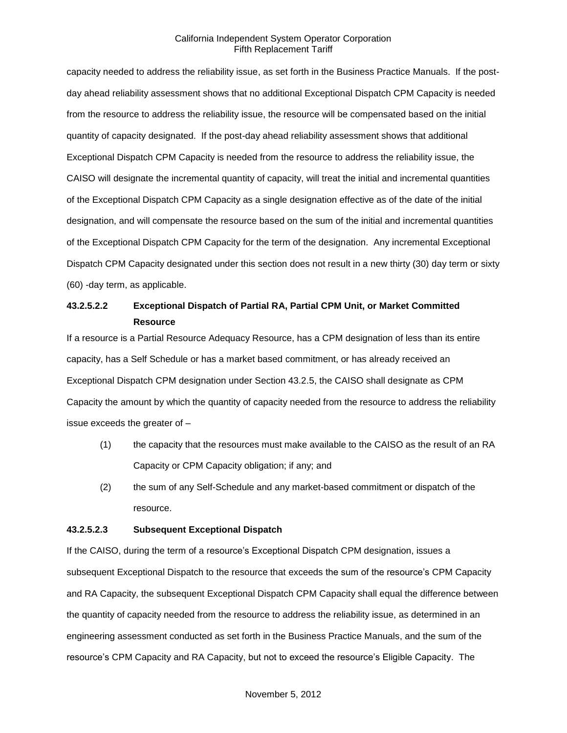capacity needed to address the reliability issue, as set forth in the Business Practice Manuals. If the postday ahead reliability assessment shows that no additional Exceptional Dispatch CPM Capacity is needed from the resource to address the reliability issue, the resource will be compensated based on the initial quantity of capacity designated. If the post-day ahead reliability assessment shows that additional Exceptional Dispatch CPM Capacity is needed from the resource to address the reliability issue, the CAISO will designate the incremental quantity of capacity, will treat the initial and incremental quantities of the Exceptional Dispatch CPM Capacity as a single designation effective as of the date of the initial designation, and will compensate the resource based on the sum of the initial and incremental quantities of the Exceptional Dispatch CPM Capacity for the term of the designation. Any incremental Exceptional Dispatch CPM Capacity designated under this section does not result in a new thirty (30) day term or sixty (60) -day term, as applicable.

# **43.2.5.2.2 Exceptional Dispatch of Partial RA, Partial CPM Unit, or Market Committed Resource**

If a resource is a Partial Resource Adequacy Resource, has a CPM designation of less than its entire capacity, has a Self Schedule or has a market based commitment, or has already received an Exceptional Dispatch CPM designation under Section 43.2.5, the CAISO shall designate as CPM Capacity the amount by which the quantity of capacity needed from the resource to address the reliability issue exceeds the greater of –

- (1) the capacity that the resources must make available to the CAISO as the result of an RA Capacity or CPM Capacity obligation; if any; and
- (2) the sum of any Self-Schedule and any market-based commitment or dispatch of the resource.

## **43.2.5.2.3 Subsequent Exceptional Dispatch**

If the CAISO, during the term of a resource's Exceptional Dispatch CPM designation, issues a subsequent Exceptional Dispatch to the resource that exceeds the sum of the resource's CPM Capacity and RA Capacity, the subsequent Exceptional Dispatch CPM Capacity shall equal the difference between the quantity of capacity needed from the resource to address the reliability issue, as determined in an engineering assessment conducted as set forth in the Business Practice Manuals, and the sum of the resource's CPM Capacity and RA Capacity, but not to exceed the resource's Eligible Capacity. The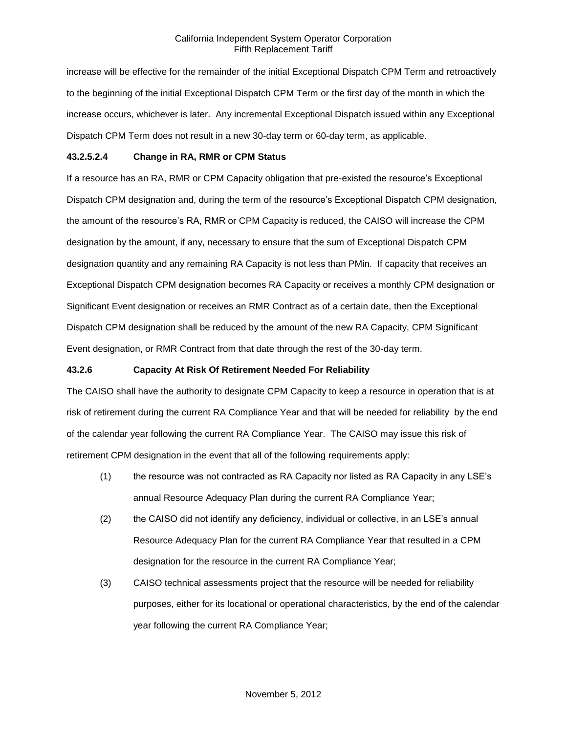increase will be effective for the remainder of the initial Exceptional Dispatch CPM Term and retroactively to the beginning of the initial Exceptional Dispatch CPM Term or the first day of the month in which the increase occurs, whichever is later. Any incremental Exceptional Dispatch issued within any Exceptional Dispatch CPM Term does not result in a new 30-day term or 60-day term, as applicable.

## **43.2.5.2.4 Change in RA, RMR or CPM Status**

If a resource has an RA, RMR or CPM Capacity obligation that pre-existed the resource's Exceptional Dispatch CPM designation and, during the term of the resource's Exceptional Dispatch CPM designation, the amount of the resource's RA, RMR or CPM Capacity is reduced, the CAISO will increase the CPM designation by the amount, if any, necessary to ensure that the sum of Exceptional Dispatch CPM designation quantity and any remaining RA Capacity is not less than PMin. If capacity that receives an Exceptional Dispatch CPM designation becomes RA Capacity or receives a monthly CPM designation or Significant Event designation or receives an RMR Contract as of a certain date, then the Exceptional Dispatch CPM designation shall be reduced by the amount of the new RA Capacity, CPM Significant Event designation, or RMR Contract from that date through the rest of the 30-day term.

## **43.2.6 Capacity At Risk Of Retirement Needed For Reliability**

The CAISO shall have the authority to designate CPM Capacity to keep a resource in operation that is at risk of retirement during the current RA Compliance Year and that will be needed for reliability by the end of the calendar year following the current RA Compliance Year. The CAISO may issue this risk of retirement CPM designation in the event that all of the following requirements apply:

- (1) the resource was not contracted as RA Capacity nor listed as RA Capacity in any LSE's annual Resource Adequacy Plan during the current RA Compliance Year;
- (2) the CAISO did not identify any deficiency, individual or collective, in an LSE's annual Resource Adequacy Plan for the current RA Compliance Year that resulted in a CPM designation for the resource in the current RA Compliance Year;
- (3) CAISO technical assessments project that the resource will be needed for reliability purposes, either for its locational or operational characteristics, by the end of the calendar year following the current RA Compliance Year;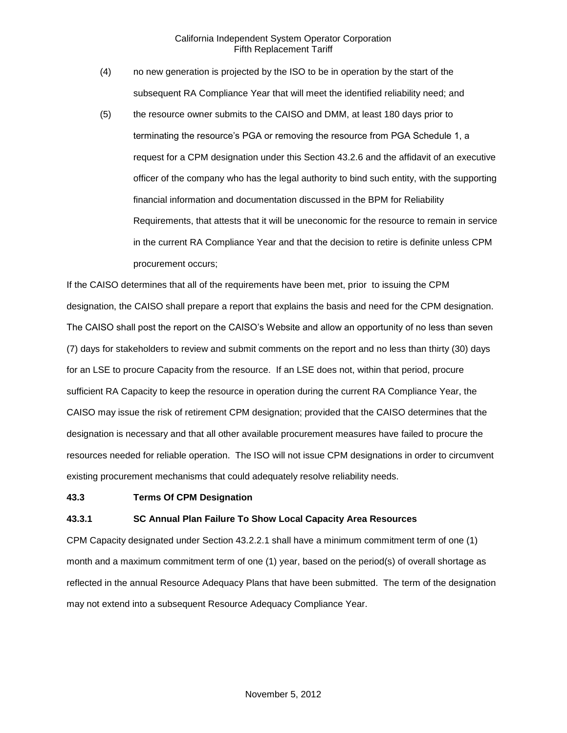- (4) no new generation is projected by the ISO to be in operation by the start of the subsequent RA Compliance Year that will meet the identified reliability need; and
- (5) the resource owner submits to the CAISO and DMM, at least 180 days prior to terminating the resource's PGA or removing the resource from PGA Schedule 1, a request for a CPM designation under this Section 43.2.6 and the affidavit of an executive officer of the company who has the legal authority to bind such entity, with the supporting financial information and documentation discussed in the BPM for Reliability Requirements, that attests that it will be uneconomic for the resource to remain in service in the current RA Compliance Year and that the decision to retire is definite unless CPM procurement occurs;

If the CAISO determines that all of the requirements have been met, prior to issuing the CPM designation, the CAISO shall prepare a report that explains the basis and need for the CPM designation. The CAISO shall post the report on the CAISO's Website and allow an opportunity of no less than seven (7) days for stakeholders to review and submit comments on the report and no less than thirty (30) days for an LSE to procure Capacity from the resource. If an LSE does not, within that period, procure sufficient RA Capacity to keep the resource in operation during the current RA Compliance Year, the CAISO may issue the risk of retirement CPM designation; provided that the CAISO determines that the designation is necessary and that all other available procurement measures have failed to procure the resources needed for reliable operation. The ISO will not issue CPM designations in order to circumvent existing procurement mechanisms that could adequately resolve reliability needs.

#### **43.3 Terms Of CPM Designation**

#### **43.3.1 SC Annual Plan Failure To Show Local Capacity Area Resources**

CPM Capacity designated under Section 43.2.2.1 shall have a minimum commitment term of one (1) month and a maximum commitment term of one (1) year, based on the period(s) of overall shortage as reflected in the annual Resource Adequacy Plans that have been submitted. The term of the designation may not extend into a subsequent Resource Adequacy Compliance Year.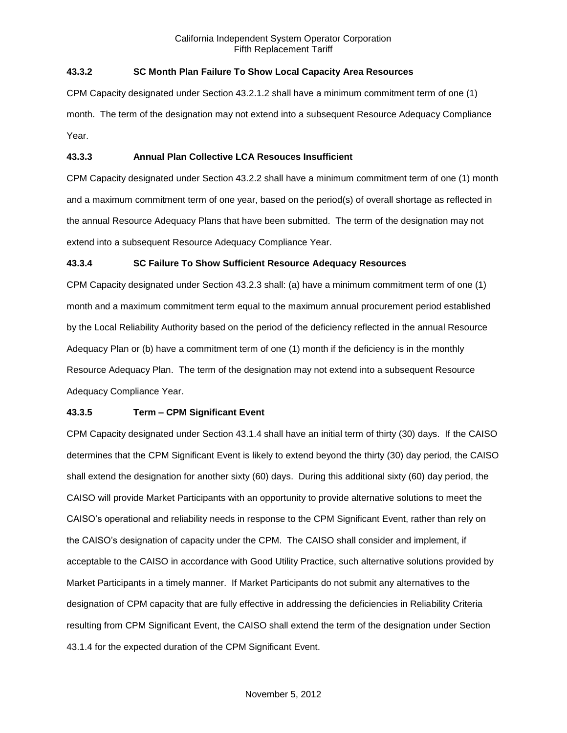## **43.3.2 SC Month Plan Failure To Show Local Capacity Area Resources**

CPM Capacity designated under Section 43.2.1.2 shall have a minimum commitment term of one (1) month. The term of the designation may not extend into a subsequent Resource Adequacy Compliance Year.

### **43.3.3 Annual Plan Collective LCA Resouces Insufficient**

CPM Capacity designated under Section 43.2.2 shall have a minimum commitment term of one (1) month and a maximum commitment term of one year, based on the period(s) of overall shortage as reflected in the annual Resource Adequacy Plans that have been submitted. The term of the designation may not extend into a subsequent Resource Adequacy Compliance Year.

## **43.3.4 SC Failure To Show Sufficient Resource Adequacy Resources**

CPM Capacity designated under Section 43.2.3 shall: (a) have a minimum commitment term of one (1) month and a maximum commitment term equal to the maximum annual procurement period established by the Local Reliability Authority based on the period of the deficiency reflected in the annual Resource Adequacy Plan or (b) have a commitment term of one (1) month if the deficiency is in the monthly Resource Adequacy Plan. The term of the designation may not extend into a subsequent Resource Adequacy Compliance Year.

## **43.3.5 Term – CPM Significant Event**

CPM Capacity designated under Section 43.1.4 shall have an initial term of thirty (30) days. If the CAISO determines that the CPM Significant Event is likely to extend beyond the thirty (30) day period, the CAISO shall extend the designation for another sixty (60) days. During this additional sixty (60) day period, the CAISO will provide Market Participants with an opportunity to provide alternative solutions to meet the CAISO's operational and reliability needs in response to the CPM Significant Event, rather than rely on the CAISO's designation of capacity under the CPM. The CAISO shall consider and implement, if acceptable to the CAISO in accordance with Good Utility Practice, such alternative solutions provided by Market Participants in a timely manner. If Market Participants do not submit any alternatives to the designation of CPM capacity that are fully effective in addressing the deficiencies in Reliability Criteria resulting from CPM Significant Event, the CAISO shall extend the term of the designation under Section 43.1.4 for the expected duration of the CPM Significant Event.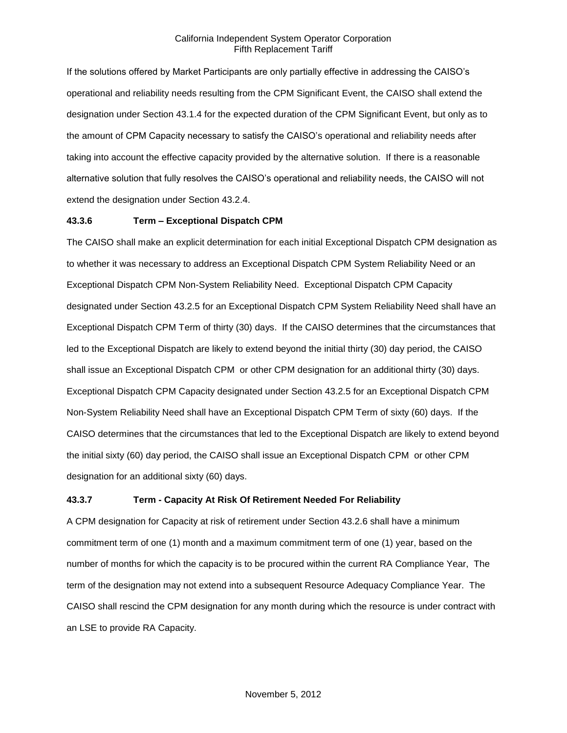If the solutions offered by Market Participants are only partially effective in addressing the CAISO's operational and reliability needs resulting from the CPM Significant Event, the CAISO shall extend the designation under Section 43.1.4 for the expected duration of the CPM Significant Event, but only as to the amount of CPM Capacity necessary to satisfy the CAISO's operational and reliability needs after taking into account the effective capacity provided by the alternative solution. If there is a reasonable alternative solution that fully resolves the CAISO's operational and reliability needs, the CAISO will not extend the designation under Section 43.2.4.

## **43.3.6 Term – Exceptional Dispatch CPM**

The CAISO shall make an explicit determination for each initial Exceptional Dispatch CPM designation as to whether it was necessary to address an Exceptional Dispatch CPM System Reliability Need or an Exceptional Dispatch CPM Non-System Reliability Need. Exceptional Dispatch CPM Capacity designated under Section 43.2.5 for an Exceptional Dispatch CPM System Reliability Need shall have an Exceptional Dispatch CPM Term of thirty (30) days. If the CAISO determines that the circumstances that led to the Exceptional Dispatch are likely to extend beyond the initial thirty (30) day period, the CAISO shall issue an Exceptional Dispatch CPM or other CPM designation for an additional thirty (30) days. Exceptional Dispatch CPM Capacity designated under Section 43.2.5 for an Exceptional Dispatch CPM Non-System Reliability Need shall have an Exceptional Dispatch CPM Term of sixty (60) days. If the CAISO determines that the circumstances that led to the Exceptional Dispatch are likely to extend beyond the initial sixty (60) day period, the CAISO shall issue an Exceptional Dispatch CPM or other CPM designation for an additional sixty (60) days.

### **43.3.7 Term - Capacity At Risk Of Retirement Needed For Reliability**

A CPM designation for Capacity at risk of retirement under Section 43.2.6 shall have a minimum commitment term of one (1) month and a maximum commitment term of one (1) year, based on the number of months for which the capacity is to be procured within the current RA Compliance Year, The term of the designation may not extend into a subsequent Resource Adequacy Compliance Year. The CAISO shall rescind the CPM designation for any month during which the resource is under contract with an LSE to provide RA Capacity.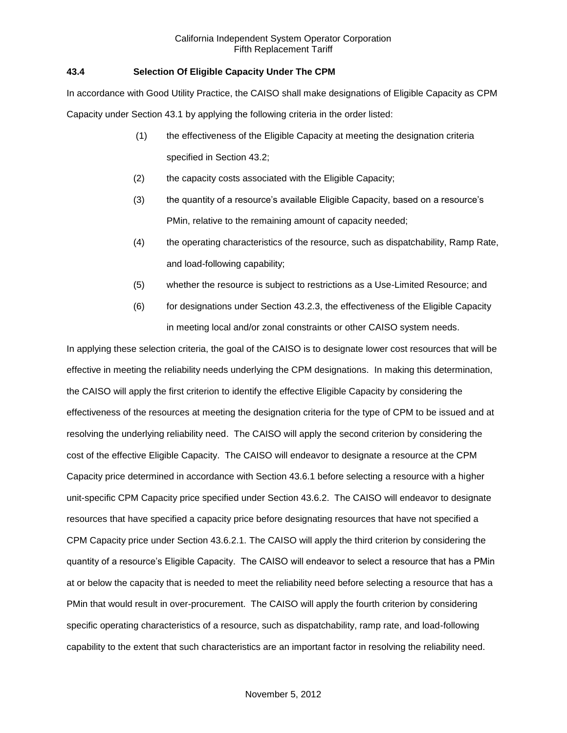# **43.4 Selection Of Eligible Capacity Under The CPM**

In accordance with Good Utility Practice, the CAISO shall make designations of Eligible Capacity as CPM Capacity under Section 43.1 by applying the following criteria in the order listed:

- (1) the effectiveness of the Eligible Capacity at meeting the designation criteria specified in Section 43.2;
- (2) the capacity costs associated with the Eligible Capacity;
- (3) the quantity of a resource's available Eligible Capacity, based on a resource's PMin, relative to the remaining amount of capacity needed;
- (4) the operating characteristics of the resource, such as dispatchability, Ramp Rate, and load-following capability;
- (5) whether the resource is subject to restrictions as a Use-Limited Resource; and
- (6) for designations under Section 43.2.3, the effectiveness of the Eligible Capacity in meeting local and/or zonal constraints or other CAISO system needs.

In applying these selection criteria, the goal of the CAISO is to designate lower cost resources that will be effective in meeting the reliability needs underlying the CPM designations. In making this determination, the CAISO will apply the first criterion to identify the effective Eligible Capacity by considering the effectiveness of the resources at meeting the designation criteria for the type of CPM to be issued and at resolving the underlying reliability need. The CAISO will apply the second criterion by considering the cost of the effective Eligible Capacity. The CAISO will endeavor to designate a resource at the CPM Capacity price determined in accordance with Section 43.6.1 before selecting a resource with a higher unit-specific CPM Capacity price specified under Section 43.6.2. The CAISO will endeavor to designate resources that have specified a capacity price before designating resources that have not specified a CPM Capacity price under Section 43.6.2.1. The CAISO will apply the third criterion by considering the quantity of a resource's Eligible Capacity. The CAISO will endeavor to select a resource that has a PMin at or below the capacity that is needed to meet the reliability need before selecting a resource that has a PMin that would result in over-procurement. The CAISO will apply the fourth criterion by considering specific operating characteristics of a resource, such as dispatchability, ramp rate, and load-following capability to the extent that such characteristics are an important factor in resolving the reliability need.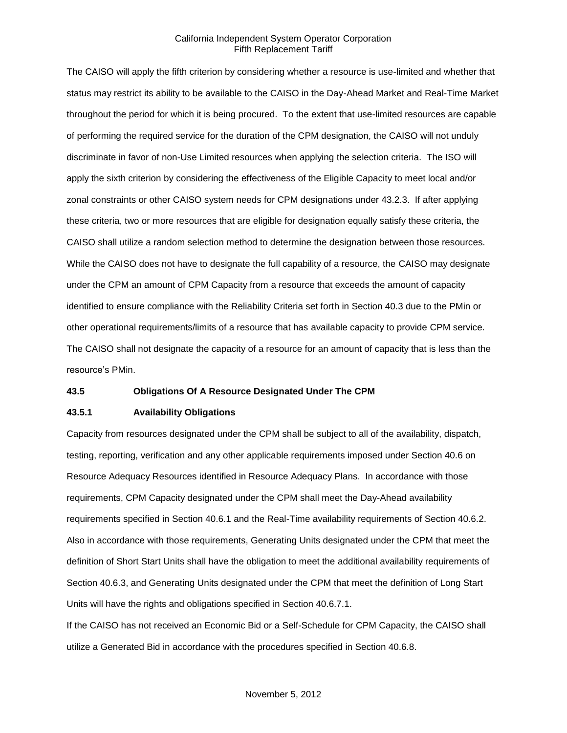The CAISO will apply the fifth criterion by considering whether a resource is use-limited and whether that status may restrict its ability to be available to the CAISO in the Day-Ahead Market and Real-Time Market throughout the period for which it is being procured. To the extent that use-limited resources are capable of performing the required service for the duration of the CPM designation, the CAISO will not unduly discriminate in favor of non-Use Limited resources when applying the selection criteria. The ISO will apply the sixth criterion by considering the effectiveness of the Eligible Capacity to meet local and/or zonal constraints or other CAISO system needs for CPM designations under 43.2.3. If after applying these criteria, two or more resources that are eligible for designation equally satisfy these criteria, the CAISO shall utilize a random selection method to determine the designation between those resources. While the CAISO does not have to designate the full capability of a resource, the CAISO may designate under the CPM an amount of CPM Capacity from a resource that exceeds the amount of capacity identified to ensure compliance with the Reliability Criteria set forth in Section 40.3 due to the PMin or other operational requirements/limits of a resource that has available capacity to provide CPM service. The CAISO shall not designate the capacity of a resource for an amount of capacity that is less than the resource's PMin.

#### **43.5 Obligations Of A Resource Designated Under The CPM**

#### **43.5.1 Availability Obligations**

Capacity from resources designated under the CPM shall be subject to all of the availability, dispatch, testing, reporting, verification and any other applicable requirements imposed under Section 40.6 on Resource Adequacy Resources identified in Resource Adequacy Plans. In accordance with those requirements, CPM Capacity designated under the CPM shall meet the Day-Ahead availability requirements specified in Section 40.6.1 and the Real-Time availability requirements of Section 40.6.2. Also in accordance with those requirements, Generating Units designated under the CPM that meet the definition of Short Start Units shall have the obligation to meet the additional availability requirements of Section 40.6.3, and Generating Units designated under the CPM that meet the definition of Long Start Units will have the rights and obligations specified in Section 40.6.7.1.

If the CAISO has not received an Economic Bid or a Self-Schedule for CPM Capacity, the CAISO shall utilize a Generated Bid in accordance with the procedures specified in Section 40.6.8.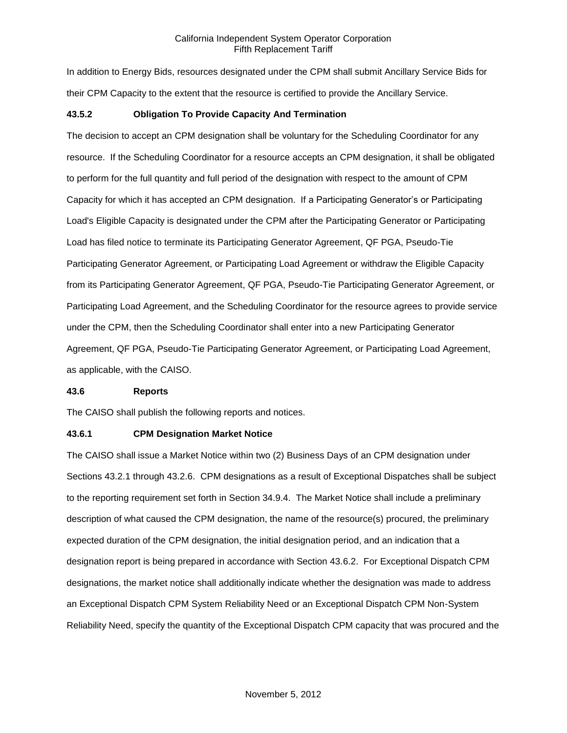In addition to Energy Bids, resources designated under the CPM shall submit Ancillary Service Bids for their CPM Capacity to the extent that the resource is certified to provide the Ancillary Service.

## **43.5.2 Obligation To Provide Capacity And Termination**

The decision to accept an CPM designation shall be voluntary for the Scheduling Coordinator for any resource. If the Scheduling Coordinator for a resource accepts an CPM designation, it shall be obligated to perform for the full quantity and full period of the designation with respect to the amount of CPM Capacity for which it has accepted an CPM designation. If a Participating Generator's or Participating Load's Eligible Capacity is designated under the CPM after the Participating Generator or Participating Load has filed notice to terminate its Participating Generator Agreement, QF PGA, Pseudo-Tie Participating Generator Agreement, or Participating Load Agreement or withdraw the Eligible Capacity from its Participating Generator Agreement, QF PGA, Pseudo-Tie Participating Generator Agreement, or Participating Load Agreement, and the Scheduling Coordinator for the resource agrees to provide service under the CPM, then the Scheduling Coordinator shall enter into a new Participating Generator Agreement, QF PGA, Pseudo-Tie Participating Generator Agreement, or Participating Load Agreement, as applicable, with the CAISO.

#### **43.6 Reports**

The CAISO shall publish the following reports and notices.

#### **43.6.1 CPM Designation Market Notice**

The CAISO shall issue a Market Notice within two (2) Business Days of an CPM designation under Sections 43.2.1 through 43.2.6. CPM designations as a result of Exceptional Dispatches shall be subject to the reporting requirement set forth in Section 34.9.4. The Market Notice shall include a preliminary description of what caused the CPM designation, the name of the resource(s) procured, the preliminary expected duration of the CPM designation, the initial designation period, and an indication that a designation report is being prepared in accordance with Section 43.6.2. For Exceptional Dispatch CPM designations, the market notice shall additionally indicate whether the designation was made to address an Exceptional Dispatch CPM System Reliability Need or an Exceptional Dispatch CPM Non-System Reliability Need, specify the quantity of the Exceptional Dispatch CPM capacity that was procured and the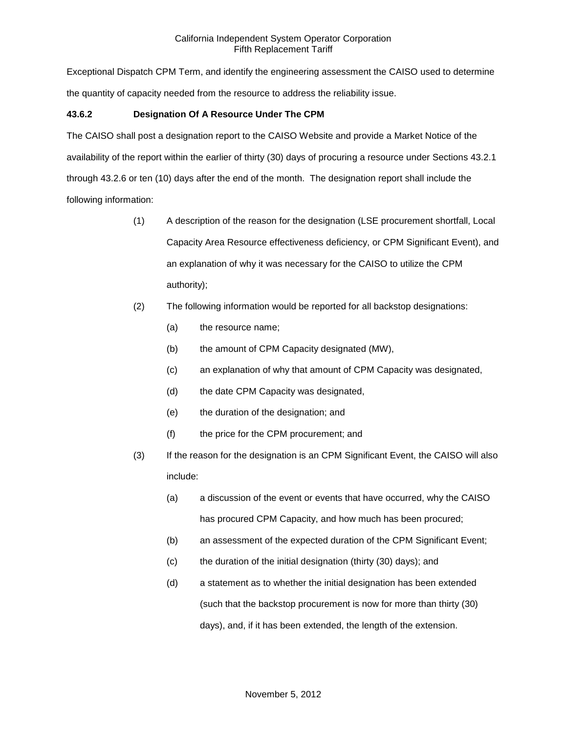Exceptional Dispatch CPM Term, and identify the engineering assessment the CAISO used to determine the quantity of capacity needed from the resource to address the reliability issue.

# **43.6.2 Designation Of A Resource Under The CPM**

The CAISO shall post a designation report to the CAISO Website and provide a Market Notice of the availability of the report within the earlier of thirty (30) days of procuring a resource under Sections 43.2.1 through 43.2.6 or ten (10) days after the end of the month. The designation report shall include the following information:

- (1) A description of the reason for the designation (LSE procurement shortfall, Local Capacity Area Resource effectiveness deficiency, or CPM Significant Event), and an explanation of why it was necessary for the CAISO to utilize the CPM authority);
- (2) The following information would be reported for all backstop designations:
	- (a) the resource name;
	- (b) the amount of CPM Capacity designated (MW),
	- (c) an explanation of why that amount of CPM Capacity was designated,
	- (d) the date CPM Capacity was designated,
	- (e) the duration of the designation; and
	- (f) the price for the CPM procurement; and
- (3) If the reason for the designation is an CPM Significant Event, the CAISO will also include:
	- (a) a discussion of the event or events that have occurred, why the CAISO has procured CPM Capacity, and how much has been procured;
	- (b) an assessment of the expected duration of the CPM Significant Event;
	- (c) the duration of the initial designation (thirty (30) days); and
	- (d) a statement as to whether the initial designation has been extended (such that the backstop procurement is now for more than thirty (30) days), and, if it has been extended, the length of the extension.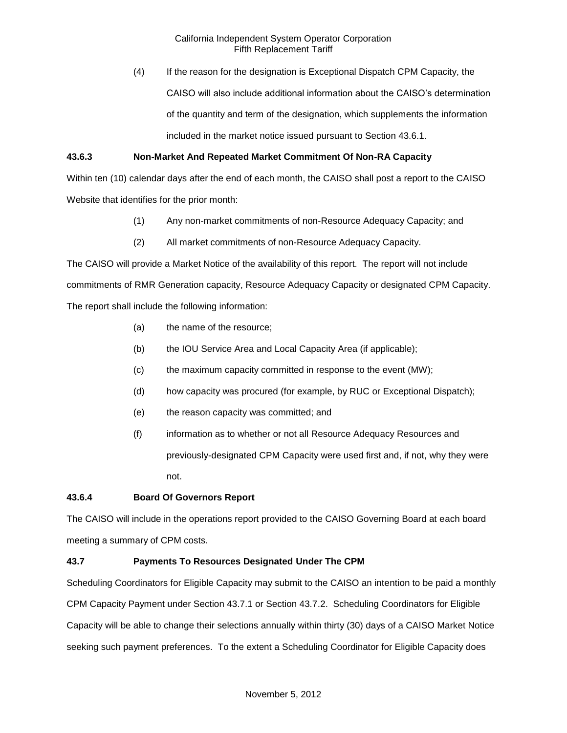(4) If the reason for the designation is Exceptional Dispatch CPM Capacity, the CAISO will also include additional information about the CAISO's determination of the quantity and term of the designation, which supplements the information included in the market notice issued pursuant to Section 43.6.1.

# **43.6.3 Non-Market And Repeated Market Commitment Of Non-RA Capacity**

Within ten (10) calendar days after the end of each month, the CAISO shall post a report to the CAISO Website that identifies for the prior month:

- (1) Any non-market commitments of non-Resource Adequacy Capacity; and
- (2) All market commitments of non-Resource Adequacy Capacity.

The CAISO will provide a Market Notice of the availability of this report. The report will not include commitments of RMR Generation capacity, Resource Adequacy Capacity or designated CPM Capacity. The report shall include the following information:

- (a) the name of the resource;
- (b) the IOU Service Area and Local Capacity Area (if applicable);
- (c) the maximum capacity committed in response to the event (MW);
- (d) how capacity was procured (for example, by RUC or Exceptional Dispatch);
- (e) the reason capacity was committed; and
- (f) information as to whether or not all Resource Adequacy Resources and previously-designated CPM Capacity were used first and, if not, why they were not.

# **43.6.4 Board Of Governors Report**

The CAISO will include in the operations report provided to the CAISO Governing Board at each board meeting a summary of CPM costs.

# **43.7 Payments To Resources Designated Under The CPM**

Scheduling Coordinators for Eligible Capacity may submit to the CAISO an intention to be paid a monthly CPM Capacity Payment under Section 43.7.1 or Section 43.7.2. Scheduling Coordinators for Eligible Capacity will be able to change their selections annually within thirty (30) days of a CAISO Market Notice seeking such payment preferences. To the extent a Scheduling Coordinator for Eligible Capacity does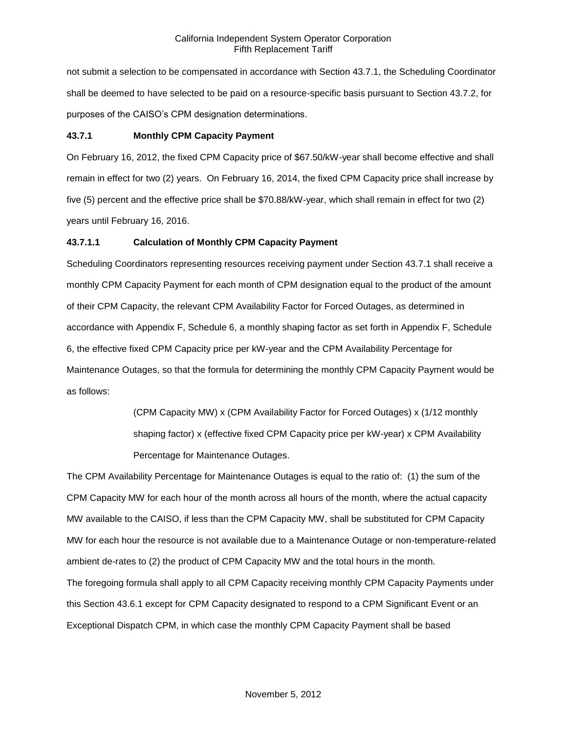not submit a selection to be compensated in accordance with Section 43.7.1, the Scheduling Coordinator shall be deemed to have selected to be paid on a resource-specific basis pursuant to Section 43.7.2, for purposes of the CAISO's CPM designation determinations.

## **43.7.1 Monthly CPM Capacity Payment**

On February 16, 2012, the fixed CPM Capacity price of \$67.50/kW-year shall become effective and shall remain in effect for two (2) years. On February 16, 2014, the fixed CPM Capacity price shall increase by five (5) percent and the effective price shall be \$70.88/kW-year, which shall remain in effect for two (2) years until February 16, 2016.

# **43.7.1.1 Calculation of Monthly CPM Capacity Payment**

Scheduling Coordinators representing resources receiving payment under Section 43.7.1 shall receive a monthly CPM Capacity Payment for each month of CPM designation equal to the product of the amount of their CPM Capacity, the relevant CPM Availability Factor for Forced Outages, as determined in accordance with Appendix F, Schedule 6, a monthly shaping factor as set forth in Appendix F, Schedule 6, the effective fixed CPM Capacity price per kW-year and the CPM Availability Percentage for Maintenance Outages, so that the formula for determining the monthly CPM Capacity Payment would be as follows:

> (CPM Capacity MW) x (CPM Availability Factor for Forced Outages) x (1/12 monthly shaping factor) x (effective fixed CPM Capacity price per kW-year) x CPM Availability Percentage for Maintenance Outages.

The CPM Availability Percentage for Maintenance Outages is equal to the ratio of: (1) the sum of the CPM Capacity MW for each hour of the month across all hours of the month, where the actual capacity MW available to the CAISO, if less than the CPM Capacity MW, shall be substituted for CPM Capacity MW for each hour the resource is not available due to a Maintenance Outage or non-temperature-related ambient de-rates to (2) the product of CPM Capacity MW and the total hours in the month. The foregoing formula shall apply to all CPM Capacity receiving monthly CPM Capacity Payments under this Section 43.6.1 except for CPM Capacity designated to respond to a CPM Significant Event or an Exceptional Dispatch CPM, in which case the monthly CPM Capacity Payment shall be based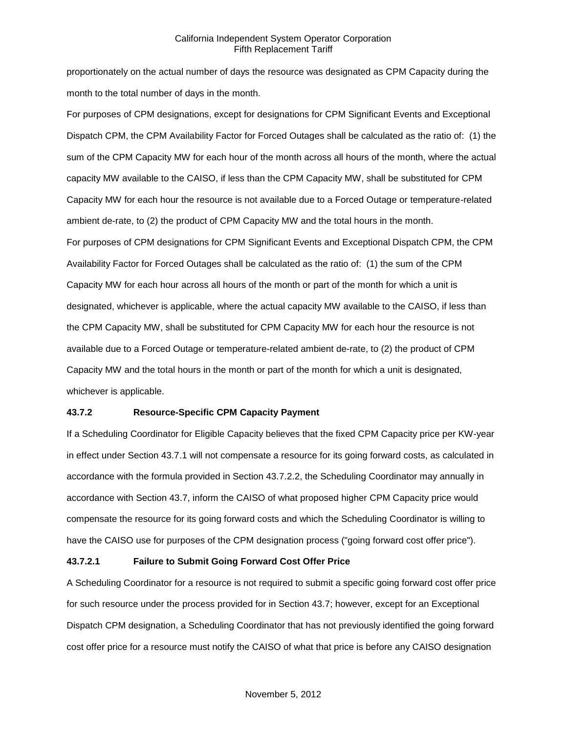proportionately on the actual number of days the resource was designated as CPM Capacity during the month to the total number of days in the month.

For purposes of CPM designations, except for designations for CPM Significant Events and Exceptional Dispatch CPM, the CPM Availability Factor for Forced Outages shall be calculated as the ratio of: (1) the sum of the CPM Capacity MW for each hour of the month across all hours of the month, where the actual capacity MW available to the CAISO, if less than the CPM Capacity MW, shall be substituted for CPM Capacity MW for each hour the resource is not available due to a Forced Outage or temperature-related ambient de-rate, to (2) the product of CPM Capacity MW and the total hours in the month. For purposes of CPM designations for CPM Significant Events and Exceptional Dispatch CPM, the CPM Availability Factor for Forced Outages shall be calculated as the ratio of: (1) the sum of the CPM Capacity MW for each hour across all hours of the month or part of the month for which a unit is designated, whichever is applicable, where the actual capacity MW available to the CAISO, if less than the CPM Capacity MW, shall be substituted for CPM Capacity MW for each hour the resource is not available due to a Forced Outage or temperature-related ambient de-rate, to (2) the product of CPM Capacity MW and the total hours in the month or part of the month for which a unit is designated, whichever is applicable.

## **43.7.2 Resource-Specific CPM Capacity Payment**

If a Scheduling Coordinator for Eligible Capacity believes that the fixed CPM Capacity price per KW-year in effect under Section 43.7.1 will not compensate a resource for its going forward costs, as calculated in accordance with the formula provided in Section 43.7.2.2, the Scheduling Coordinator may annually in accordance with Section 43.7, inform the CAISO of what proposed higher CPM Capacity price would compensate the resource for its going forward costs and which the Scheduling Coordinator is willing to have the CAISO use for purposes of the CPM designation process ("going forward cost offer price").

## **43.7.2.1 Failure to Submit Going Forward Cost Offer Price**

A Scheduling Coordinator for a resource is not required to submit a specific going forward cost offer price for such resource under the process provided for in Section 43.7; however, except for an Exceptional Dispatch CPM designation, a Scheduling Coordinator that has not previously identified the going forward cost offer price for a resource must notify the CAISO of what that price is before any CAISO designation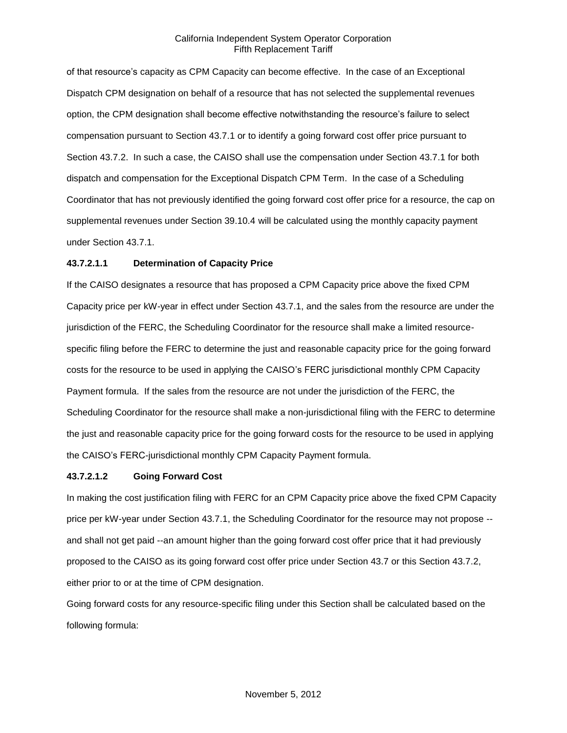of that resource's capacity as CPM Capacity can become effective. In the case of an Exceptional Dispatch CPM designation on behalf of a resource that has not selected the supplemental revenues option, the CPM designation shall become effective notwithstanding the resource's failure to select compensation pursuant to Section 43.7.1 or to identify a going forward cost offer price pursuant to Section 43.7.2. In such a case, the CAISO shall use the compensation under Section 43.7.1 for both dispatch and compensation for the Exceptional Dispatch CPM Term. In the case of a Scheduling Coordinator that has not previously identified the going forward cost offer price for a resource, the cap on supplemental revenues under Section 39.10.4 will be calculated using the monthly capacity payment under Section 43.7.1.

## **43.7.2.1.1 Determination of Capacity Price**

If the CAISO designates a resource that has proposed a CPM Capacity price above the fixed CPM Capacity price per kW-year in effect under Section 43.7.1, and the sales from the resource are under the jurisdiction of the FERC, the Scheduling Coordinator for the resource shall make a limited resourcespecific filing before the FERC to determine the just and reasonable capacity price for the going forward costs for the resource to be used in applying the CAISO's FERC jurisdictional monthly CPM Capacity Payment formula. If the sales from the resource are not under the jurisdiction of the FERC, the Scheduling Coordinator for the resource shall make a non-jurisdictional filing with the FERC to determine the just and reasonable capacity price for the going forward costs for the resource to be used in applying the CAISO's FERC-jurisdictional monthly CPM Capacity Payment formula.

#### **43.7.2.1.2 Going Forward Cost**

In making the cost justification filing with FERC for an CPM Capacity price above the fixed CPM Capacity price per kW-year under Section 43.7.1, the Scheduling Coordinator for the resource may not propose - and shall not get paid --an amount higher than the going forward cost offer price that it had previously proposed to the CAISO as its going forward cost offer price under Section 43.7 or this Section 43.7.2, either prior to or at the time of CPM designation.

Going forward costs for any resource-specific filing under this Section shall be calculated based on the following formula: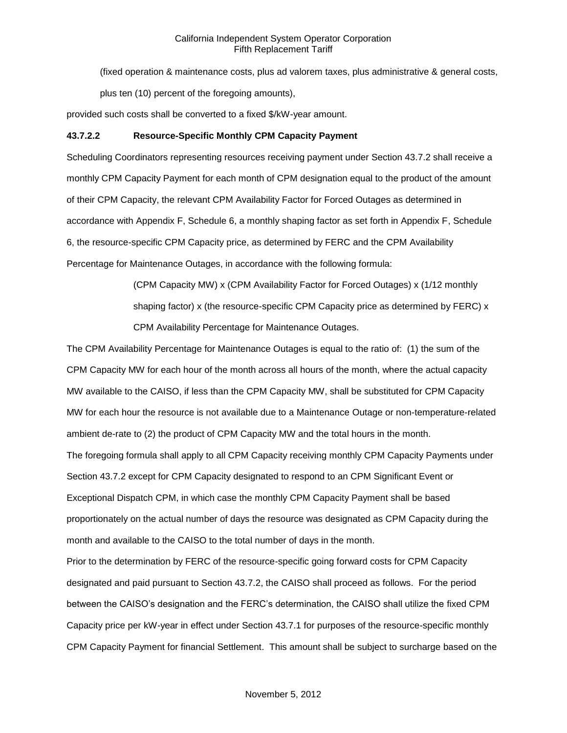(fixed operation & maintenance costs, plus ad valorem taxes, plus administrative & general costs, plus ten (10) percent of the foregoing amounts),

provided such costs shall be converted to a fixed \$/kW-year amount.

## **43.7.2.2 Resource-Specific Monthly CPM Capacity Payment**

Scheduling Coordinators representing resources receiving payment under Section 43.7.2 shall receive a monthly CPM Capacity Payment for each month of CPM designation equal to the product of the amount of their CPM Capacity, the relevant CPM Availability Factor for Forced Outages as determined in accordance with Appendix F, Schedule 6, a monthly shaping factor as set forth in Appendix F, Schedule 6, the resource-specific CPM Capacity price, as determined by FERC and the CPM Availability Percentage for Maintenance Outages, in accordance with the following formula:

> (CPM Capacity MW) x (CPM Availability Factor for Forced Outages) x (1/12 monthly shaping factor) x (the resource-specific CPM Capacity price as determined by FERC) x CPM Availability Percentage for Maintenance Outages.

The CPM Availability Percentage for Maintenance Outages is equal to the ratio of: (1) the sum of the CPM Capacity MW for each hour of the month across all hours of the month, where the actual capacity MW available to the CAISO, if less than the CPM Capacity MW, shall be substituted for CPM Capacity MW for each hour the resource is not available due to a Maintenance Outage or non-temperature-related ambient de-rate to (2) the product of CPM Capacity MW and the total hours in the month. The foregoing formula shall apply to all CPM Capacity receiving monthly CPM Capacity Payments under Section 43.7.2 except for CPM Capacity designated to respond to an CPM Significant Event or Exceptional Dispatch CPM, in which case the monthly CPM Capacity Payment shall be based proportionately on the actual number of days the resource was designated as CPM Capacity during the month and available to the CAISO to the total number of days in the month.

Prior to the determination by FERC of the resource-specific going forward costs for CPM Capacity designated and paid pursuant to Section 43.7.2, the CAISO shall proceed as follows. For the period between the CAISO's designation and the FERC's determination, the CAISO shall utilize the fixed CPM Capacity price per kW-year in effect under Section 43.7.1 for purposes of the resource-specific monthly CPM Capacity Payment for financial Settlement. This amount shall be subject to surcharge based on the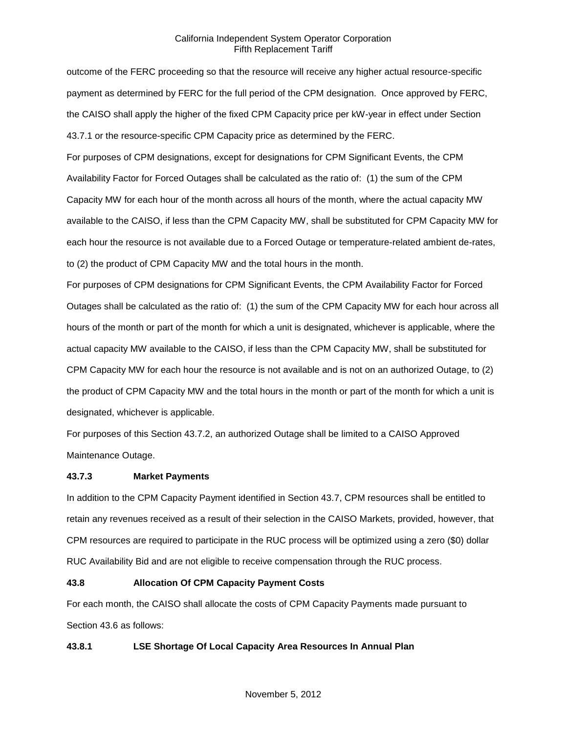outcome of the FERC proceeding so that the resource will receive any higher actual resource-specific payment as determined by FERC for the full period of the CPM designation. Once approved by FERC, the CAISO shall apply the higher of the fixed CPM Capacity price per kW-year in effect under Section 43.7.1 or the resource-specific CPM Capacity price as determined by the FERC.

For purposes of CPM designations, except for designations for CPM Significant Events, the CPM Availability Factor for Forced Outages shall be calculated as the ratio of: (1) the sum of the CPM Capacity MW for each hour of the month across all hours of the month, where the actual capacity MW available to the CAISO, if less than the CPM Capacity MW, shall be substituted for CPM Capacity MW for each hour the resource is not available due to a Forced Outage or temperature-related ambient de-rates, to (2) the product of CPM Capacity MW and the total hours in the month.

For purposes of CPM designations for CPM Significant Events, the CPM Availability Factor for Forced Outages shall be calculated as the ratio of: (1) the sum of the CPM Capacity MW for each hour across all hours of the month or part of the month for which a unit is designated, whichever is applicable, where the actual capacity MW available to the CAISO, if less than the CPM Capacity MW, shall be substituted for CPM Capacity MW for each hour the resource is not available and is not on an authorized Outage, to (2) the product of CPM Capacity MW and the total hours in the month or part of the month for which a unit is designated, whichever is applicable.

For purposes of this Section 43.7.2, an authorized Outage shall be limited to a CAISO Approved Maintenance Outage.

## **43.7.3 Market Payments**

In addition to the CPM Capacity Payment identified in Section 43.7, CPM resources shall be entitled to retain any revenues received as a result of their selection in the CAISO Markets, provided, however, that CPM resources are required to participate in the RUC process will be optimized using a zero (\$0) dollar RUC Availability Bid and are not eligible to receive compensation through the RUC process.

### **43.8 Allocation Of CPM Capacity Payment Costs**

For each month, the CAISO shall allocate the costs of CPM Capacity Payments made pursuant to Section 43.6 as follows:

## **43.8.1 LSE Shortage Of Local Capacity Area Resources In Annual Plan**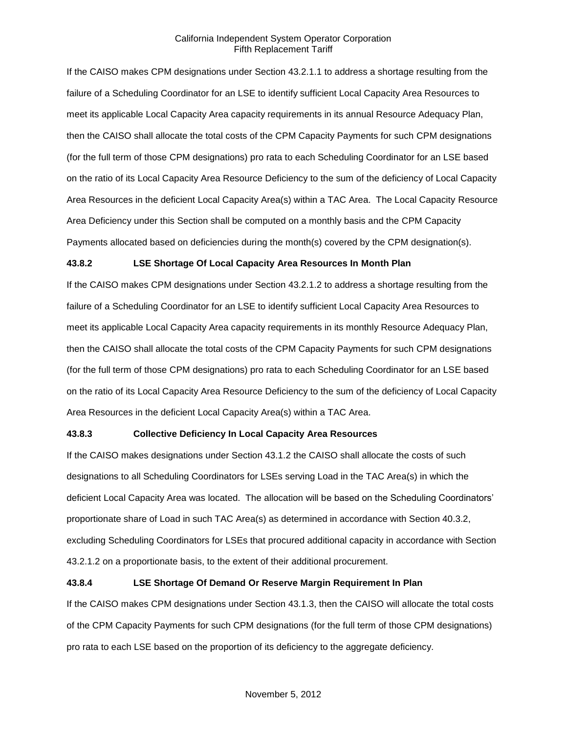If the CAISO makes CPM designations under Section 43.2.1.1 to address a shortage resulting from the failure of a Scheduling Coordinator for an LSE to identify sufficient Local Capacity Area Resources to meet its applicable Local Capacity Area capacity requirements in its annual Resource Adequacy Plan, then the CAISO shall allocate the total costs of the CPM Capacity Payments for such CPM designations (for the full term of those CPM designations) pro rata to each Scheduling Coordinator for an LSE based on the ratio of its Local Capacity Area Resource Deficiency to the sum of the deficiency of Local Capacity Area Resources in the deficient Local Capacity Area(s) within a TAC Area. The Local Capacity Resource Area Deficiency under this Section shall be computed on a monthly basis and the CPM Capacity Payments allocated based on deficiencies during the month(s) covered by the CPM designation(s).

#### **43.8.2 LSE Shortage Of Local Capacity Area Resources In Month Plan**

If the CAISO makes CPM designations under Section 43.2.1.2 to address a shortage resulting from the failure of a Scheduling Coordinator for an LSE to identify sufficient Local Capacity Area Resources to meet its applicable Local Capacity Area capacity requirements in its monthly Resource Adequacy Plan, then the CAISO shall allocate the total costs of the CPM Capacity Payments for such CPM designations (for the full term of those CPM designations) pro rata to each Scheduling Coordinator for an LSE based on the ratio of its Local Capacity Area Resource Deficiency to the sum of the deficiency of Local Capacity Area Resources in the deficient Local Capacity Area(s) within a TAC Area.

#### **43.8.3 Collective Deficiency In Local Capacity Area Resources**

If the CAISO makes designations under Section 43.1.2 the CAISO shall allocate the costs of such designations to all Scheduling Coordinators for LSEs serving Load in the TAC Area(s) in which the deficient Local Capacity Area was located. The allocation will be based on the Scheduling Coordinators' proportionate share of Load in such TAC Area(s) as determined in accordance with Section 40.3.2, excluding Scheduling Coordinators for LSEs that procured additional capacity in accordance with Section 43.2.1.2 on a proportionate basis, to the extent of their additional procurement.

#### **43.8.4 LSE Shortage Of Demand Or Reserve Margin Requirement In Plan**

If the CAISO makes CPM designations under Section 43.1.3, then the CAISO will allocate the total costs of the CPM Capacity Payments for such CPM designations (for the full term of those CPM designations) pro rata to each LSE based on the proportion of its deficiency to the aggregate deficiency.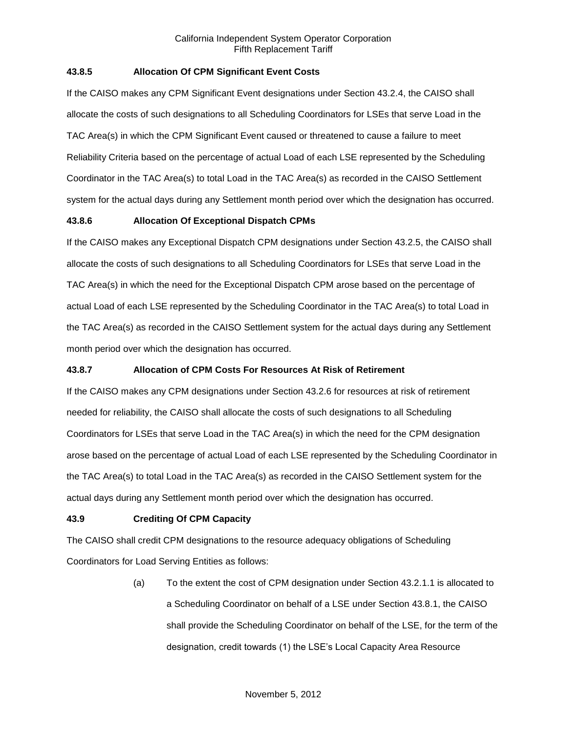## **43.8.5 Allocation Of CPM Significant Event Costs**

If the CAISO makes any CPM Significant Event designations under Section 43.2.4, the CAISO shall allocate the costs of such designations to all Scheduling Coordinators for LSEs that serve Load in the TAC Area(s) in which the CPM Significant Event caused or threatened to cause a failure to meet Reliability Criteria based on the percentage of actual Load of each LSE represented by the Scheduling Coordinator in the TAC Area(s) to total Load in the TAC Area(s) as recorded in the CAISO Settlement system for the actual days during any Settlement month period over which the designation has occurred.

## **43.8.6 Allocation Of Exceptional Dispatch CPMs**

If the CAISO makes any Exceptional Dispatch CPM designations under Section 43.2.5, the CAISO shall allocate the costs of such designations to all Scheduling Coordinators for LSEs that serve Load in the TAC Area(s) in which the need for the Exceptional Dispatch CPM arose based on the percentage of actual Load of each LSE represented by the Scheduling Coordinator in the TAC Area(s) to total Load in the TAC Area(s) as recorded in the CAISO Settlement system for the actual days during any Settlement month period over which the designation has occurred.

## **43.8.7 Allocation of CPM Costs For Resources At Risk of Retirement**

If the CAISO makes any CPM designations under Section 43.2.6 for resources at risk of retirement needed for reliability, the CAISO shall allocate the costs of such designations to all Scheduling Coordinators for LSEs that serve Load in the TAC Area(s) in which the need for the CPM designation arose based on the percentage of actual Load of each LSE represented by the Scheduling Coordinator in the TAC Area(s) to total Load in the TAC Area(s) as recorded in the CAISO Settlement system for the actual days during any Settlement month period over which the designation has occurred.

## **43.9 Crediting Of CPM Capacity**

The CAISO shall credit CPM designations to the resource adequacy obligations of Scheduling Coordinators for Load Serving Entities as follows:

> (a) To the extent the cost of CPM designation under Section 43.2.1.1 is allocated to a Scheduling Coordinator on behalf of a LSE under Section 43.8.1, the CAISO shall provide the Scheduling Coordinator on behalf of the LSE, for the term of the designation, credit towards (1) the LSE's Local Capacity Area Resource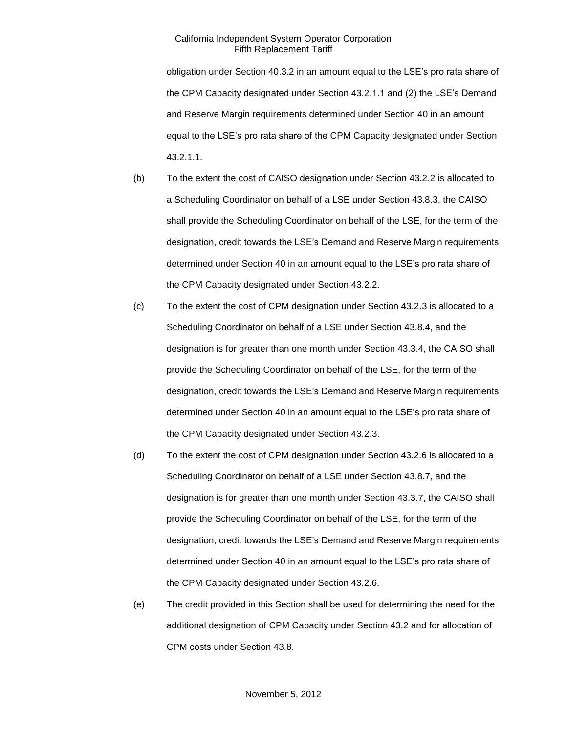obligation under Section 40.3.2 in an amount equal to the LSE's pro rata share of the CPM Capacity designated under Section 43.2.1.1 and (2) the LSE's Demand and Reserve Margin requirements determined under Section 40 in an amount equal to the LSE's pro rata share of the CPM Capacity designated under Section 43.2.1.1.

- (b) To the extent the cost of CAISO designation under Section 43.2.2 is allocated to a Scheduling Coordinator on behalf of a LSE under Section 43.8.3, the CAISO shall provide the Scheduling Coordinator on behalf of the LSE, for the term of the designation, credit towards the LSE's Demand and Reserve Margin requirements determined under Section 40 in an amount equal to the LSE's pro rata share of the CPM Capacity designated under Section 43.2.2.
- (c) To the extent the cost of CPM designation under Section 43.2.3 is allocated to a Scheduling Coordinator on behalf of a LSE under Section 43.8.4, and the designation is for greater than one month under Section 43.3.4, the CAISO shall provide the Scheduling Coordinator on behalf of the LSE, for the term of the designation, credit towards the LSE's Demand and Reserve Margin requirements determined under Section 40 in an amount equal to the LSE's pro rata share of the CPM Capacity designated under Section 43.2.3.
- (d) To the extent the cost of CPM designation under Section 43.2.6 is allocated to a Scheduling Coordinator on behalf of a LSE under Section 43.8.7, and the designation is for greater than one month under Section 43.3.7, the CAISO shall provide the Scheduling Coordinator on behalf of the LSE, for the term of the designation, credit towards the LSE's Demand and Reserve Margin requirements determined under Section 40 in an amount equal to the LSE's pro rata share of the CPM Capacity designated under Section 43.2.6.
- (e) The credit provided in this Section shall be used for determining the need for the additional designation of CPM Capacity under Section 43.2 and for allocation of CPM costs under Section 43.8.